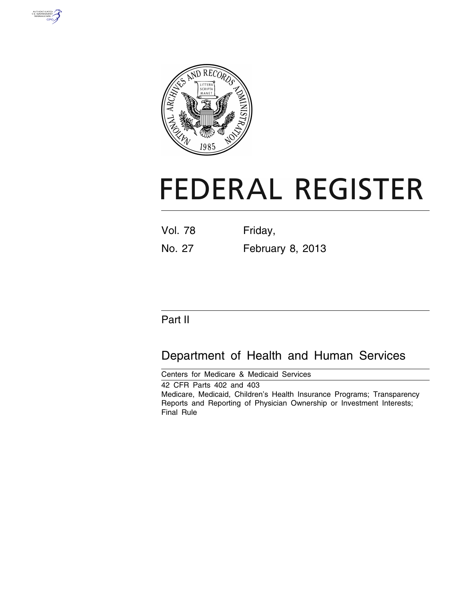



# **FEDERAL REGISTER**

| <b>Vol. 78</b> | Friday, |  |
|----------------|---------|--|
|                |         |  |

# No. 27 February 8, 2013

# Part II

# Department of Health and Human Services

Centers for Medicare & Medicaid Services 42 CFR Parts 402 and 403 Medicare, Medicaid, Children's Health Insurance Programs; Transparency Reports and Reporting of Physician Ownership or Investment Interests; Final Rule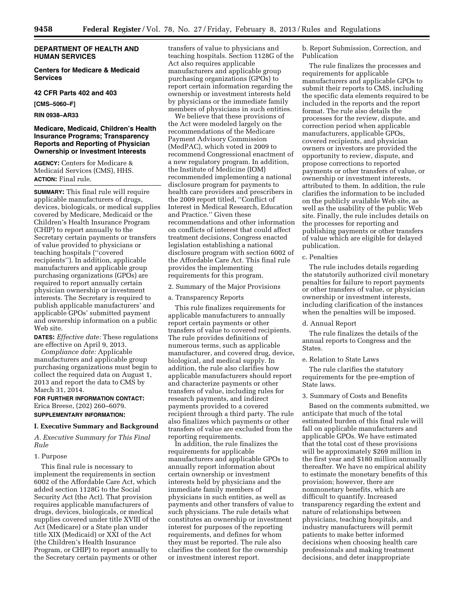# **DEPARTMENT OF HEALTH AND HUMAN SERVICES**

**Centers for Medicare & Medicaid Services** 

# **42 CFR Parts 402 and 403**

**[CMS–5060–F]** 

#### **RIN 0938–AR33**

# **Medicare, Medicaid, Children's Health Insurance Programs; Transparency Reports and Reporting of Physician Ownership or Investment Interests**

**AGENCY:** Centers for Medicare & Medicaid Services (CMS), HHS. **ACTION:** Final rule.

**SUMMARY:** This final rule will require applicable manufacturers of drugs, devices, biologicals, or medical supplies covered by Medicare, Medicaid or the Children's Health Insurance Program (CHIP) to report annually to the Secretary certain payments or transfers of value provided to physicians or teaching hospitals (''covered recipients''). In addition, applicable manufacturers and applicable group purchasing organizations (GPOs) are required to report annually certain physician ownership or investment interests. The Secretary is required to publish applicable manufacturers' and applicable GPOs' submitted payment and ownership information on a public Web site.

**DATES:** *Effective date:* These regulations are effective on April 9, 2013.

*Compliance date:* Applicable manufacturers and applicable group purchasing organizations must begin to collect the required data on August 1, 2013 and report the data to CMS by March 31, 2014.

**FOR FURTHER INFORMATION CONTACT:**  Erica Breese, (202) 260–6079. **SUPPLEMENTARY INFORMATION:** 

# **I. Executive Summary and Background**

*A. Executive Summary for This Final Rule* 

#### 1. Purpose

This final rule is necessary to implement the requirements in section 6002 of the Affordable Care Act, which added section 1128G to the Social Security Act (the Act). That provision requires applicable manufacturers of drugs, devices, biologicals, or medical supplies covered under title XVIII of the Act (Medicare) or a State plan under title XIX (Medicaid) or XXI of the Act (the Children's Health Insurance Program, or CHIP) to report annually to the Secretary certain payments or other

transfers of value to physicians and teaching hospitals. Section 1128G of the Act also requires applicable manufacturers and applicable group purchasing organizations (GPOs) to report certain information regarding the ownership or investment interests held by physicians or the immediate family members of physicians in such entities.

We believe that these provisions of the Act were modeled largely on the recommendations of the Medicare Payment Advisory Commission (MedPAC), which voted in 2009 to recommend Congressional enactment of a new regulatory program. In addition, the Institute of Medicine (IOM) recommended implementing a national disclosure program for payments to health care providers and prescribers in the 2009 report titled, ''Conflict of Interest in Medical Research, Education and Practice.'' Given these recommendations and other information on conflicts of interest that could affect treatment decisions, Congress enacted legislation establishing a national disclosure program with section 6002 of the Affordable Care Act. This final rule provides the implementing requirements for this program.

2. Summary of the Major Provisions

a. Transparency Reports

This rule finalizes requirements for applicable manufacturers to annually report certain payments or other transfers of value to covered recipients. The rule provides definitions of numerous terms, such as applicable manufacturer, and covered drug, device, biological, and medical supply. In addition, the rule also clarifies how applicable manufacturers should report and characterize payments or other transfers of value, including rules for research payments, and indirect payments provided to a covered recipient through a third party. The rule also finalizes which payments or other transfers of value are excluded from the reporting requirements.

In addition, the rule finalizes the requirements for applicable manufacturers and applicable GPOs to annually report information about certain ownership or investment interests held by physicians and the immediate family members of physicians in such entities, as well as payments and other transfers of value to such physicians. The rule details what constitutes an ownership or investment interest for purposes of the reporting requirements, and defines for whom they must be reported. The rule also clarifies the content for the ownership or investment interest report.

b. Report Submission, Correction, and Publication

The rule finalizes the processes and requirements for applicable manufacturers and applicable GPOs to submit their reports to CMS, including the specific data elements required to be included in the reports and the report format. The rule also details the processes for the review, dispute, and correction period when applicable manufacturers, applicable GPOs, covered recipients, and physician owners or investors are provided the opportunity to review, dispute, and propose corrections to reported payments or other transfers of value, or ownership or investment interests, attributed to them. In addition, the rule clarifies the information to be included on the publicly available Web site, as well as the usability of the public Web site. Finally, the rule includes details on the processes for reporting and publishing payments or other transfers of value which are eligible for delayed publication.

#### c. Penalties

The rule includes details regarding the statutorily authorized civil monetary penalties for failure to report payments or other transfers of value, or physician ownership or investment interests, including clarification of the instances when the penalties will be imposed.

# d. Annual Report

The rule finalizes the details of the annual reports to Congress and the **States** 

e. Relation to State Laws

The rule clarifies the statutory requirements for the pre-emption of State laws.

#### 3. Summary of Costs and Benefits

Based on the comments submitted, we anticipate that much of the total estimated burden of this final rule will fall on applicable manufacturers and applicable GPOs. We have estimated that the total cost of these provisions will be approximately \$269 million in the first year and \$180 million annually thereafter. We have no empirical ability to estimate the monetary benefits of this provision; however, there are nonmonetary benefits, which are difficult to quantify. Increased transparency regarding the extent and nature of relationships between physicians, teaching hospitals, and industry manufacturers will permit patients to make better informed decisions when choosing health care professionals and making treatment decisions, and deter inappropriate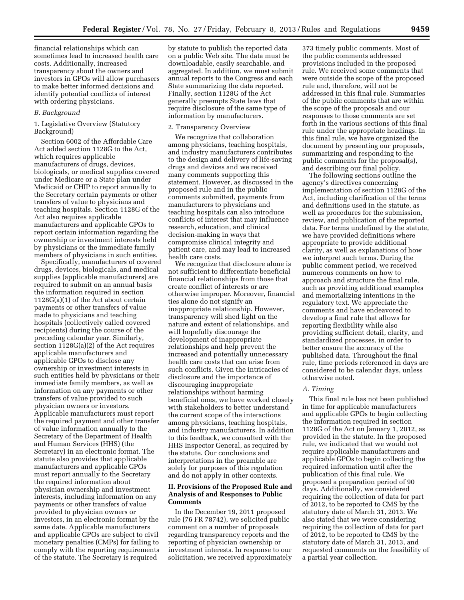financial relationships which can sometimes lead to increased health care costs. Additionally, increased transparency about the owners and investors in GPOs will allow purchasers to make better informed decisions and identify potential conflicts of interest with ordering physicians.

#### *B. Background*

1. Legislative Overview (Statutory Background)

Section 6002 of the Affordable Care Act added section 1128G to the Act, which requires applicable manufacturers of drugs, devices, biologicals, or medical supplies covered under Medicare or a State plan under Medicaid or CHIP to report annually to the Secretary certain payments or other transfers of value to physicians and teaching hospitals. Section 1128G of the Act also requires applicable manufacturers and applicable GPOs to report certain information regarding the ownership or investment interests held by physicians or the immediate family members of physicians in such entities.

Specifically, manufacturers of covered drugs, devices, biologicals, and medical supplies (applicable manufacturers) are required to submit on an annual basis the information required in section 1128G(a)(1) of the Act about certain payments or other transfers of value made to physicians and teaching hospitals (collectively called covered recipients) during the course of the preceding calendar year. Similarly, section 1128G(a)(2) of the Act requires applicable manufacturers and applicable GPOs to disclose any ownership or investment interests in such entities held by physicians or their immediate family members, as well as information on any payments or other transfers of value provided to such physician owners or investors. Applicable manufacturers must report the required payment and other transfer of value information annually to the Secretary of the Department of Health and Human Services (HHS) (the Secretary) in an electronic format. The statute also provides that applicable manufacturers and applicable GPOs must report annually to the Secretary the required information about physician ownership and investment interests, including information on any payments or other transfers of value provided to physician owners or investors, in an electronic format by the same date. Applicable manufacturers and applicable GPOs are subject to civil monetary penalties (CMPs) for failing to comply with the reporting requirements of the statute. The Secretary is required

by statute to publish the reported data on a public Web site. The data must be downloadable, easily searchable, and aggregated. In addition, we must submit annual reports to the Congress and each State summarizing the data reported. Finally, section 1128G of the Act generally preempts State laws that require disclosure of the same type of information by manufacturers.

#### 2. Transparency Overview

We recognize that collaboration among physicians, teaching hospitals, and industry manufacturers contributes to the design and delivery of life-saving drugs and devices and we received many comments supporting this statement. However, as discussed in the proposed rule and in the public comments submitted, payments from manufacturers to physicians and teaching hospitals can also introduce conflicts of interest that may influence research, education, and clinical decision-making in ways that compromise clinical integrity and patient care, and may lead to increased health care costs.

We recognize that disclosure alone is not sufficient to differentiate beneficial financial relationships from those that create conflict of interests or are otherwise improper. Moreover, financial ties alone do not signify an inappropriate relationship. However, transparency will shed light on the nature and extent of relationships, and will hopefully discourage the development of inappropriate relationships and help prevent the increased and potentially unnecessary health care costs that can arise from such conflicts. Given the intricacies of disclosure and the importance of discouraging inappropriate relationships without harming beneficial ones, we have worked closely with stakeholders to better understand the current scope of the interactions among physicians, teaching hospitals, and industry manufacturers. In addition to this feedback, we consulted with the HHS Inspector General, as required by the statute. Our conclusions and interpretations in the preamble are solely for purposes of this regulation and do not apply in other contexts.

# **II. Provisions of the Proposed Rule and Analysis of and Responses to Public Comments**

In the December 19, 2011 proposed rule (76 FR 78742), we solicited public comment on a number of proposals regarding transparency reports and the reporting of physician ownership or investment interests. In response to our solicitation, we received approximately

373 timely public comments. Most of the public comments addressed provisions included in the proposed rule. We received some comments that were outside the scope of the proposed rule and, therefore, will not be addressed in this final rule. Summaries of the public comments that are within the scope of the proposals and our responses to those comments are set forth in the various sections of this final rule under the appropriate headings. In this final rule, we have organized the document by presenting our proposals, summarizing and responding to the public comments for the proposal(s), and describing our final policy.

The following sections outline the agency's directives concerning implementation of section 1128G of the Act, including clarification of the terms and definitions used in the statute, as well as procedures for the submission, review, and publication of the reported data. For terms undefined by the statute, we have provided definitions where appropriate to provide additional clarity, as well as explanations of how we interpret such terms. During the public comment period, we received numerous comments on how to approach and structure the final rule, such as providing additional examples and memorializing intentions in the regulatory text. We appreciate the comments and have endeavored to develop a final rule that allows for reporting flexibility while also providing sufficient detail, clarity, and standardized processes, in order to better ensure the accuracy of the published data. Throughout the final rule, time periods referenced in days are considered to be calendar days, unless otherwise noted.

#### *A. Timing*

This final rule has not been published in time for applicable manufacturers and applicable GPOs to begin collecting the information required in section 1128G of the Act on January 1, 2012, as provided in the statute. In the proposed rule, we indicated that we would not require applicable manufacturers and applicable GPOs to begin collecting the required information until after the publication of this final rule. We proposed a preparation period of 90 days. Additionally, we considered requiring the collection of data for part of 2012, to be reported to CMS by the statutory date of March 31, 2013. We also stated that we were considering requiring the collection of data for part of 2012, to be reported to CMS by the statutory date of March 31, 2013, and requested comments on the feasibility of a partial year collection.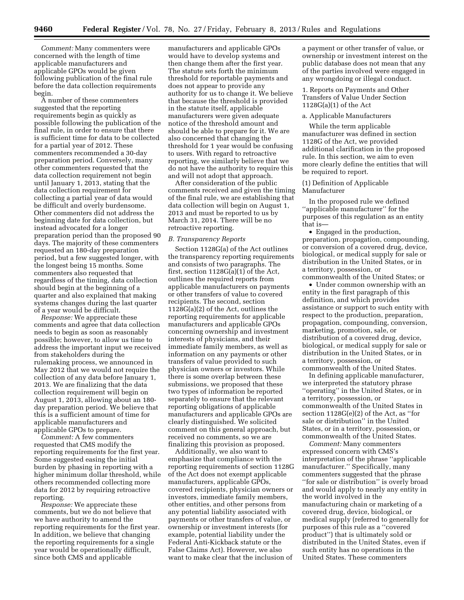*Comment:* Many commenters were concerned with the length of time applicable manufacturers and applicable GPOs would be given following publication of the final rule before the data collection requirements begin.

A number of these commenters suggested that the reporting requirements begin as quickly as possible following the publication of the final rule, in order to ensure that there is sufficient time for data to be collected for a partial year of 2012. These commenters recommended a 30-day preparation period. Conversely, many other commenters requested that the data collection requirement not begin until January 1, 2013, stating that the data collection requirement for collecting a partial year of data would be difficult and overly burdensome. Other commenters did not address the beginning date for data collection, but instead advocated for a longer preparation period than the proposed 90 days. The majority of these commenters requested an 180-day preparation period, but a few suggested longer, with the longest being 15 months. Some commenters also requested that regardless of the timing, data collection should begin at the beginning of a quarter and also explained that making systems changes during the last quarter of a year would be difficult.

*Response:* We appreciate these comments and agree that data collection needs to begin as soon as reasonably possible; however, to allow us time to address the important input we received from stakeholders during the rulemaking process, we announced in May 2012 that we would not require the collection of any data before January 1, 2013. We are finalizing that the data collection requirement will begin on August 1, 2013, allowing about an 180 day preparation period. We believe that this is a sufficient amount of time for applicable manufacturers and applicable GPOs to prepare.

*Comment:* A few commenters requested that CMS modify the reporting requirements for the first year. Some suggested easing the initial burden by phasing in reporting with a higher minimum dollar threshold, while others recommended collecting more data for 2012 by requiring retroactive reporting.

*Response:* We appreciate these comments, but we do not believe that we have authority to amend the reporting requirements for the first year. In addition, we believe that changing the reporting requirements for a single year would be operationally difficult, since both CMS and applicable

manufacturers and applicable GPOs would have to develop systems and then change them after the first year. The statute sets forth the minimum threshold for reportable payments and does not appear to provide any authority for us to change it. We believe that because the threshold is provided in the statute itself, applicable manufacturers were given adequate notice of the threshold amount and should be able to prepare for it. We are also concerned that changing the threshold for 1 year would be confusing to users. With regard to retroactive reporting, we similarly believe that we do not have the authority to require this and will not adopt that approach.

After consideration of the public comments received and given the timing of the final rule, we are establishing that data collection will begin on August 1, 2013 and must be reported to us by March 31, 2014. There will be no retroactive reporting.

#### *B. Transparency Reports*

Section 1128G(a) of the Act outlines the transparency reporting requirements and consists of two paragraphs. The first, section 1128G(a)(1) of the Act, outlines the required reports from applicable manufacturers on payments or other transfers of value to covered recipients. The second, section 1128G(a)(2) of the Act, outlines the reporting requirements for applicable manufacturers and applicable GPOs concerning ownership and investment interests of physicians, and their immediate family members, as well as information on any payments or other transfers of value provided to such physician owners or investors. While there is some overlap between these submissions, we proposed that these two types of information be reported separately to ensure that the relevant reporting obligations of applicable manufacturers and applicable GPOs are clearly distinguished. We solicited comment on this general approach, but received no comments, so we are finalizing this provision as proposed.

Additionally, we also want to emphasize that compliance with the reporting requirements of section 1128G of the Act does not exempt applicable manufacturers, applicable GPOs, covered recipients, physician owners or investors, immediate family members, other entities, and other persons from any potential liability associated with payments or other transfers of value, or ownership or investment interests (for example, potential liability under the Federal Anti-Kickback statute or the False Claims Act). However, we also want to make clear that the inclusion of

a payment or other transfer of value, or ownership or investment interest on the public database does not mean that any of the parties involved were engaged in any wrongdoing or illegal conduct.

1. Reports on Payments and Other Transfers of Value Under Section 1128G(a)(1) of the Act

# a. Applicable Manufacturers

While the term applicable manufacturer was defined in section 1128G of the Act, we provided additional clarification in the proposed rule. In this section, we aim to even more clearly define the entities that will be required to report.

# (1) Definition of Applicable Manufacturer

In the proposed rule we defined ''applicable manufacturer'' for the purposes of this regulation as an entity that is—

• Engaged in the production, preparation, propagation, compounding, or conversion of a covered drug, device, biological, or medical supply for sale or distribution in the United States, or in a territory, possession, or commonwealth of the United States; or

• Under common ownership with an entity in the first paragraph of this definition, and which provides assistance or support to such entity with respect to the production, preparation, propagation, compounding, conversion, marketing, promotion, sale, or distribution of a covered drug, device, biological, or medical supply for sale or distribution in the United States, or in a territory, possession, or commonwealth of the United States.

In defining applicable manufacturer, we interpreted the statutory phrase ''operating'' in the United States, or in a territory, possession, or commonwealth of the United States in section 1128G(e)(2) of the Act, as ''for sale or distribution'' in the United States, or in a territory, possession, or commonwealth of the United States.

*Comment:* Many commenters expressed concern with CMS's interpretation of the phrase ''applicable manufacturer.'' Specifically, many commenters suggested that the phrase ''for sale or distribution'' is overly broad and would apply to nearly any entity in the world involved in the manufacturing chain or marketing of a covered drug, device, biological, or medical supply (referred to generally for purposes of this rule as a ''covered product'') that is ultimately sold or distributed in the United States, even if such entity has no operations in the United States. These commenters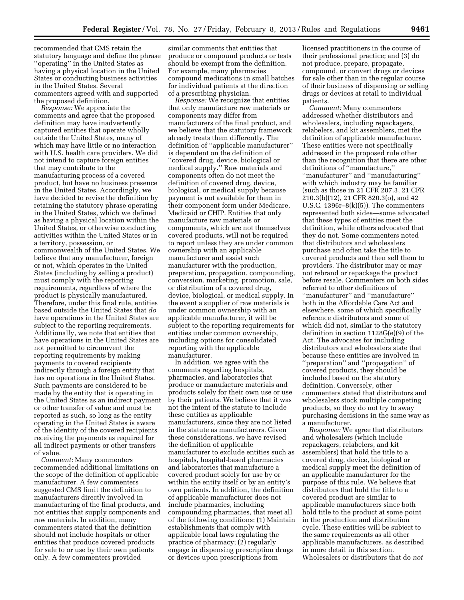recommended that CMS retain the statutory language and define the phrase ''operating'' in the United States as having a physical location in the United States or conducting business activities in the United States. Several commenters agreed with and supported the proposed definition.

*Response:* We appreciate the comments and agree that the proposed definition may have inadvertently captured entities that operate wholly outside the United States, many of which may have little or no interaction with U.S. health care providers. We did not intend to capture foreign entities that may contribute to the manufacturing process of a covered product, but have no business presence in the United States. Accordingly, we have decided to revise the definition by retaining the statutory phrase operating in the United States, which we defined as having a physical location within the United States, or otherwise conducting activities within the United States or in a territory, possession, or commonwealth of the United States. We believe that any manufacturer, foreign or not, which operates in the United States (including by selling a product) must comply with the reporting requirements, regardless of where the product is physically manufactured. Therefore, under this final rule, entities based outside the United States that *do*  have operations in the United States are subject to the reporting requirements. Additionally, we note that entities that have operations in the United States are not permitted to circumvent the reporting requirements by making payments to covered recipients indirectly through a foreign entity that has no operations in the United States. Such payments are considered to be made by the entity that is operating in the United States as an indirect payment or other transfer of value and must be reported as such, so long as the entity operating in the United States is aware of the identity of the covered recipients receiving the payments as required for all indirect payments or other transfers of value.

*Comment:* Many commenters recommended additional limitations on the scope of the definition of applicable manufacturer. A few commenters suggested CMS limit the definition to manufacturers directly involved in manufacturing of the final products, and not entities that supply components and raw materials. In addition, many commenters stated that the definition should not include hospitals or other entities that produce covered products for sale to or use by their own patients only. A few commenters provided

similar comments that entities that produce or compound products or tests should be exempt from the definition. For example, many pharmacies compound medications in small batches for individual patients at the direction of a prescribing physician.

*Response:* We recognize that entities that only manufacture raw materials or components may differ from manufacturers of the final product, and we believe that the statutory framework already treats them differently. The definition of ''applicable manufacturer'' is dependent on the definition of ''covered drug, device, biological or medical supply.'' Raw materials and components often do not meet the definition of covered drug, device, biological, or medical supply because payment is not available for them in their component form under Medicare, Medicaid or CHIP. Entities that only manufacture raw materials or components, which are not themselves covered products, will not be required to report unless they are under common ownership with an applicable manufacturer and assist such manufacturer with the production, preparation, propagation, compounding, conversion, marketing, promotion, sale, or distribution of a covered drug, device, biological, or medical supply. In the event a supplier of raw materials is under common ownership with an applicable manufacturer, it will be subject to the reporting requirements for entities under common ownership, including options for consolidated reporting with the applicable manufacturer.

In addition, we agree with the comments regarding hospitals, pharmacies, and laboratories that produce or manufacture materials and products solely for their own use or use by their patients. We believe that it was not the intent of the statute to include these entities as applicable manufacturers, since they are not listed in the statute as manufacturers. Given these considerations, we have revised the definition of applicable manufacturer to exclude entities such as hospitals, hospital-based pharmacies and laboratories that manufacture a covered product solely for use by or within the entity itself or by an entity's own patients. In addition, the definition of applicable manufacturer does not include pharmacies, including compounding pharmacies, that meet all of the following conditions: (1) Maintain establishments that comply with applicable local laws regulating the practice of pharmacy; (2) regularly engage in dispensing prescription drugs or devices upon prescriptions from

licensed practitioners in the course of their professional practice; and (3) do not produce, prepare, propagate, compound, or convert drugs or devices for sale other than in the regular course of their business of dispensing or selling drugs or devices at retail to individual patients.

*Comment:* Many commenters addressed whether distributors and wholesalers, including repackagers, relabelers, and kit assemblers, met the definition of applicable manufacturer. These entities were not specifically addressed in the proposed rule other than the recognition that there are other definitions of ''manufacture,'' ''manufacturer'' and ''manufacturing'' with which industry may be familiar (such as those in 21 CFR 207.3, 21 CFR 210.3(b)(12), 21 CFR 820.3(o), and 42 U.S.C. 1396 $r-8(k)(5)$ ). The commenters represented both sides—some advocated that these types of entities meet the definition, while others advocated that they do not. Some commenters noted that distributors and wholesalers purchase and often take the title to covered products and then sell them to providers. The distributor may or may not rebrand or repackage the product before resale. Commenters on both sides referred to other definitions of ''manufacturer'' and ''manufacture'' both in the Affordable Care Act and elsewhere, some of which specifically reference distributors and some of which did not, similar to the statutory definition in section 1128G(e)(9) of the Act. The advocates for including distributors and wholesalers state that because these entities are involved in ''preparation'' and ''propagation'' of covered products, they should be included based on the statutory definition. Conversely, other commenters stated that distributors and wholesalers stock multiple competing products, so they do not try to sway purchasing decisions in the same way as a manufacturer.

*Response:* We agree that distributors and wholesalers (which include repackagers, relabelers, and kit assemblers) that hold the title to a covered drug, device, biological or medical supply meet the definition of an applicable manufacturer for the purpose of this rule. We believe that distributors that hold the title to a covered product are similar to applicable manufacturers since both hold title to the product at some point in the production and distribution cycle. These entities will be subject to the same requirements as all other applicable manufacturers, as described in more detail in this section. Wholesalers or distributors that do *not*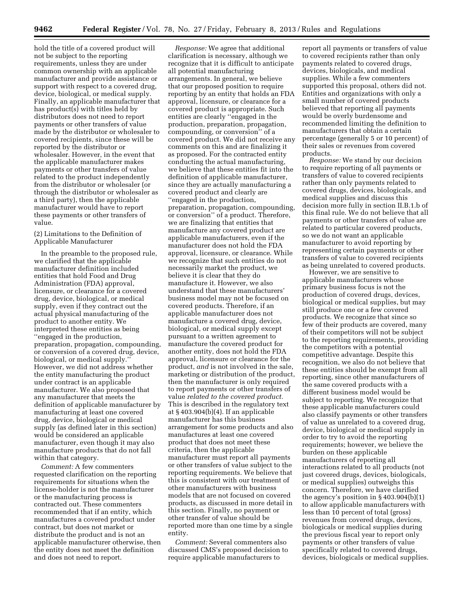**9462 Federal Register** / Vol. 78, No. 27 / Friday, February 8, 2013 / Rules and Regulations

hold the title of a covered product will not be subject to the reporting requirements, unless they are under common ownership with an applicable manufacturer and provide assistance or support with respect to a covered drug, device, biological, or medical supply. Finally, an applicable manufacturer that has product(s) with titles held by distributors does not need to report payments or other transfers of value made by the distributor or wholesaler to covered recipients, since these will be reported by the distributor or wholesaler. However, in the event that the applicable manufacturer makes payments or other transfers of value related to the product independently from the distributor or wholesaler (or through the distributor or wholesaler as a third party), then the applicable manufacturer would have to report these payments or other transfers of value.

(2) Limitations to the Definition of Applicable Manufacturer

In the preamble to the proposed rule, we clarified that the applicable manufacturer definition included entities that hold Food and Drug Administration (FDA) approval, licensure, or clearance for a covered drug, device, biological, or medical supply, even if they contract out the actual physical manufacturing of the product to another entity. We interpreted these entities as being ''engaged in the production, preparation, propagation, compounding, or conversion of a covered drug, device, biological, or medical supply.'' However, we did not address whether the entity manufacturing the product under contract is an applicable manufacturer. We also proposed that any manufacturer that meets the definition of applicable manufacturer by manufacturing at least one covered drug, device, biological or medical supply (as defined later in this section) would be considered an applicable manufacturer, even though it may also manufacture products that do not fall within that category.

*Comment:* A few commenters requested clarification on the reporting requirements for situations when the license-holder is not the manufacturer or the manufacturing process is contracted out. These commenters recommended that if an entity, which manufactures a covered product under contract, but does not market or distribute the product and is not an applicable manufacturer otherwise, then the entity does not meet the definition and does not need to report.

*Response:* We agree that additional clarification is necessary, although we recognize that it is difficult to anticipate all potential manufacturing arrangements. In general, we believe that our proposed position to require reporting by an entity that holds an FDA approval, licensure, or clearance for a covered product is appropriate. Such entities are clearly ''engaged in the production, preparation, propagation, compounding, or conversion'' of a covered product. We did not receive any comments on this and are finalizing it as proposed. For the contracted entity conducting the actual manufacturing, we believe that these entities fit into the definition of applicable manufacturer, since they are actually manufacturing a covered product and clearly are ''engaged in the production, preparation, propagation, compounding, or conversion'' of a product. Therefore, we are finalizing that entities that manufacture any covered product are applicable manufacturers, even if the manufacturer does not hold the FDA approval, licensure, or clearance. While we recognize that such entities do not necessarily market the product, we believe it is clear that they do manufacture it. However, we also understand that these manufacturers' business model may not be focused on covered products. Therefore, if an applicable manufacturer does not manufacture a covered drug, device, biological, or medical supply except pursuant to a written agreement to manufacture the covered product for another entity, does not hold the FDA approval, licensure or clearance for the product, *and* is not involved in the sale, marketing or distribution of the product, then the manufacturer is only required to report payments or other transfers of value *related to the covered product.*  This is described in the regulatory text at § 403.904(b)(4). If an applicable manufacturer has this business arrangement for some products and also manufactures at least one covered product that does not meet these criteria, then the applicable manufacturer must report all payments or other transfers of value subject to the reporting requirements. We believe that this is consistent with our treatment of other manufacturers with business models that are not focused on covered products, as discussed in more detail in this section. Finally, no payment or other transfer of value should be reported more than one time by a single entity.

*Comment:* Several commenters also discussed CMS's proposed decision to require applicable manufacturers to

report all payments or transfers of value to covered recipients rather than only payments related to covered drugs, devices, biologicals, and medical supplies. While a few commenters supported this proposal, others did not. Entities and organizations with only a small number of covered products believed that reporting all payments would be overly burdensome and recommended limiting the definition to manufacturers that obtain a certain percentage (generally 5 or 10 percent) of their sales or revenues from covered products.

*Response:* We stand by our decision to require reporting of all payments or transfers of value to covered recipients rather than only payments related to covered drugs, devices, biologicals, and medical supplies and discuss this decision more fully in section II.B.1.b of this final rule. We do not believe that all payments or other transfers of value are related to particular covered products, so we do not want an applicable manufacturer to avoid reporting by representing certain payments or other transfers of value to covered recipients as being unrelated to covered products.

However, we are sensitive to applicable manufacturers whose primary business focus is not the production of covered drugs, devices, biological or medical supplies, but may still produce one or a few covered products. We recognize that since so few of their products are covered, many of their competitors will not be subject to the reporting requirements, providing the competitors with a potential competitive advantage. Despite this recognition, we also do not believe that these entities should be exempt from all reporting, since other manufacturers of the same covered products with a different business model would be subject to reporting. We recognize that these applicable manufacturers could also classify payments or other transfers of value as unrelated to a covered drug, device, biological or medical supply in order to try to avoid the reporting requirements; however, we believe the burden on these applicable manufacturers of reporting all interactions related to all products (not just covered drugs, devices, biologicals, or medical supplies) outweighs this concern. Therefore, we have clarified the agency's position in  $\S 403.904(b)(1)$ to allow applicable manufacturers with less than 10 percent of total (gross) revenues from covered drugs, devices, biologicals or medical supplies during the previous fiscal year to report only payments or other transfers of value specifically related to covered drugs, devices, biologicals or medical supplies.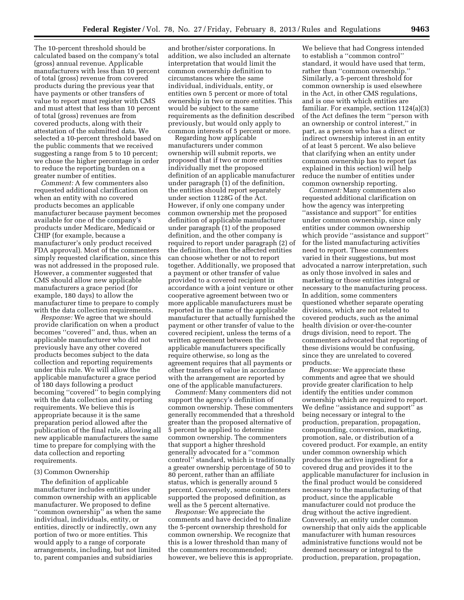The 10-percent threshold should be calculated based on the company's total (gross) annual revenue. Applicable manufacturers with less than 10 percent of total (gross) revenue from covered products during the previous year that have payments or other transfers of value to report must register with CMS and must attest that less than 10 percent of total (gross) revenues are from covered products, along with their attestation of the submitted data. We selected a 10-percent threshold based on the public comments that we received suggesting a range from 5 to 10 percent; we chose the higher percentage in order to reduce the reporting burden on a greater number of entities.

*Comment:* A few commenters also requested additional clarification on when an entity with no covered products becomes an applicable manufacturer because payment becomes available for one of the company's products under Medicare, Medicaid or CHIP (for example, because a manufacturer's only product received FDA approval). Most of the commenters simply requested clarification, since this was not addressed in the proposed rule. However, a commenter suggested that CMS should allow new applicable manufacturers a grace period (for example, 180 days) to allow the manufacturer time to prepare to comply with the data collection requirements.

*Response:* We agree that we should provide clarification on when a product becomes ''covered'' and, thus, when an applicable manufacturer who did not previously have any other covered products becomes subject to the data collection and reporting requirements under this rule. We will allow the applicable manufacturer a grace period of 180 days following a product becoming ''covered'' to begin complying with the data collection and reporting requirements. We believe this is appropriate because it is the same preparation period allowed after the publication of the final rule, allowing all new applicable manufacturers the same time to prepare for complying with the data collection and reporting requirements.

#### (3) Common Ownership

The definition of applicable manufacturer includes entities under common ownership with an applicable manufacturer. We proposed to define ''common ownership'' as when the same individual, individuals, entity, or entities, directly or indirectly, own any portion of two or more entities. This would apply to a range of corporate arrangements, including, but not limited to, parent companies and subsidiaries

and brother/sister corporations. In addition, we also included an alternate interpretation that would limit the common ownership definition to circumstances where the same individual, individuals, entity, or entities own 5 percent or more of total ownership in two or more entities. This would be subject to the same requirements as the definition described previously, but would only apply to common interests of 5 percent or more.

Regarding how applicable manufacturers under common ownership will submit reports, we proposed that if two or more entities individually met the proposed definition of an applicable manufacturer under paragraph (1) of the definition, the entities should report separately under section 1128G of the Act. However, if only one company under common ownership met the proposed definition of applicable manufacturer under paragraph (1) of the proposed definition, and the other company is required to report under paragraph (2) of the definition, then the affected entities can choose whether or not to report together. Additionally, we proposed that a payment or other transfer of value provided to a covered recipient in accordance with a joint venture or other cooperative agreement between two or more applicable manufacturers must be reported in the name of the applicable manufacturer that actually furnished the payment or other transfer of value to the covered recipient, unless the terms of a written agreement between the applicable manufacturers specifically require otherwise, so long as the agreement requires that all payments or other transfers of value in accordance with the arrangement are reported by one of the applicable manufacturers.

*Comment:* Many commenters did not support the agency's definition of common ownership. These commenters generally recommended that a threshold greater than the proposed alternative of 5 percent be applied to determine common ownership. The commenters that support a higher threshold generally advocated for a ''common control'' standard, which is traditionally a greater ownership percentage of 50 to 80 percent, rather than an affiliate status, which is generally around 5 percent. Conversely, some commenters supported the proposed definition, as well as the 5 percent alternative.

*Response:* We appreciate the comments and have decided to finalize the 5-percent ownership threshold for common ownership. We recognize that this is a lower threshold than many of the commenters recommended; however, we believe this is appropriate.

We believe that had Congress intended to establish a ''common control'' standard, it would have used that term, rather than ''common ownership.'' Similarly, a 5-percent threshold for common ownership is used elsewhere in the Act, in other CMS regulations, and is one with which entities are familiar. For example, section 1124(a)(3) of the Act defines the term ''person with an ownership or control interest,'' in part, as a person who has a direct or indirect ownership interest in an entity of at least 5 percent. We also believe that clarifying when an entity under common ownership has to report (as explained in this section) will help reduce the number of entities under common ownership reporting.

*Comment:* Many commenters also requested additional clarification on how the agency was interpreting ''assistance and support'' for entities under common ownership, since only entities under common ownership which provide ''assistance and support'' for the listed manufacturing activities need to report. These commenters varied in their suggestions, but most advocated a narrow interpretation, such as only those involved in sales and marketing or those entities integral or necessary to the manufacturing process. In addition, some commenters questioned whether separate operating divisions, which are not related to covered products, such as the animal health division or over-the-counter drugs division, need to report. The commenters advocated that reporting of these divisions would be confusing, since they are unrelated to covered products.

*Response:* We appreciate these comments and agree that we should provide greater clarification to help identify the entities under common ownership which are required to report. We define ''assistance and support'' as being necessary or integral to the production, preparation, propagation, compounding, conversion, marketing, promotion, sale, or distribution of a covered product. For example, an entity under common ownership which produces the active ingredient for a covered drug and provides it to the applicable manufacturer for inclusion in the final product would be considered necessary to the manufacturing of that product, since the applicable manufacturer could not produce the drug without the active ingredient. Conversely, an entity under common ownership that only aids the applicable manufacturer with human resources administrative functions would not be deemed necessary or integral to the production, preparation, propagation,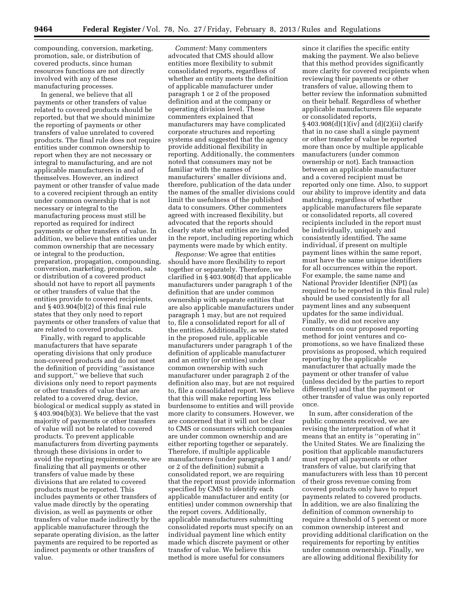compounding, conversion, marketing, promotion, sale, or distribution of covered products, since human resources functions are not directly involved with any of these manufacturing processes.

In general, we believe that all payments or other transfers of value related to covered products should be reported, but that we should minimize the reporting of payments or other transfers of value unrelated to covered products. The final rule does not require entities under common ownership to report when they are not necessary or integral to manufacturing, and are not applicable manufacturers in and of themselves. However, an indirect payment or other transfer of value made to a covered recipient through an entity under common ownership that is not necessary or integral to the manufacturing process must still be reported as required for indirect payments or other transfers of value. In addition, we believe that entities under common ownership that are necessary or integral to the production, preparation, propagation, compounding, conversion, marketing, promotion, sale or distribution of a covered product should not have to report all payments or other transfers of value that the entities provide to covered recipients, and § 403.904(b)(2) of this final rule states that they only need to report payments or other transfers of value that are related to covered products.

Finally, with regard to applicable manufacturers that have separate operating divisions that only produce non-covered products and do not meet the definition of providing ''assistance and support,'' we believe that such divisions only need to report payments or other transfers of value that are related to a covered drug, device, biological or medical supply as stated in § 403.904(b)(3). We believe that the vast majority of payments or other transfers of value will not be related to covered products. To prevent applicable manufacturers from diverting payments through these divisions in order to avoid the reporting requirements, we are finalizing that all payments or other transfers of value made by these divisions that are related to covered products must be reported. This includes payments or other transfers of value made directly by the operating division, as well as payments or other transfers of value made indirectly by the applicable manufacturer through the separate operating division, as the latter payments are required to be reported as indirect payments or other transfers of value.

*Comment:* Many commenters advocated that CMS should allow entities more flexibility to submit consolidated reports, regardless of whether an entity meets the definition of applicable manufacturer under paragraph 1 or 2 of the proposed definition and at the company or operating division level. These commenters explained that manufacturers may have complicated corporate structures and reporting systems and suggested that the agency provide additional flexibility in reporting. Additionally, the commenters noted that consumers may not be familiar with the names of manufacturers' smaller divisions and, therefore, publication of the data under the names of the smaller divisions could limit the usefulness of the published data to consumers. Other commenters agreed with increased flexibility, but advocated that the reports should clearly state what entities are included in the report, including reporting which payments were made by which entity.

*Response:* We agree that entities should have more flexibility to report together or separately. Therefore, we clarified in § 403.908(d) that applicable manufacturers under paragraph 1 of the definition that are under common ownership with separate entities that are also applicable manufacturers under paragraph 1 may, but are not required to, file a consolidated report for all of the entities. Additionally, as we stated in the proposed rule, applicable manufacturers under paragraph 1 of the definition of applicable manufacturer and an entity (or entities) under common ownership with such manufacturer under paragraph 2 of the definition also may, but are not required to, file a consolidated report. We believe that this will make reporting less burdensome to entities and will provide more clarity to consumers. However, we are concerned that it will not be clear to CMS or consumers which companies are under common ownership and are either reporting together or separately. Therefore, if multiple applicable manufacturers (under paragraph 1 and/ or 2 of the definition) submit a consolidated report, we are requiring that the report must provide information specified by CMS to identify each applicable manufacturer and entity (or entities) under common ownership that the report covers. Additionally, applicable manufacturers submitting consolidated reports must specify on an individual payment line which entity made which discrete payment or other transfer of value. We believe this method is more useful for consumers

since it clarifies the specific entity making the payment. We also believe that this method provides significantly more clarity for covered recipients when reviewing their payments or other transfers of value, allowing them to better review the information submitted on their behalf. Regardless of whether applicable manufacturers file separate or consolidated reports, § 403.908(d)(1)(iv) and (d)(2)(ii) clarify that in no case shall a single payment or other transfer of value be reported more than once by multiple applicable manufacturers (under common ownership or not). Each transaction between an applicable manufacturer and a covered recipient must be reported only one time. Also, to support our ability to improve identity and data matching, regardless of whether applicable manufacturers file separate or consolidated reports, all covered recipients included in the report must be individually, uniquely and consistently identified. The same individual, if present on multiple payment lines within the same report, must have the same unique identifiers for all occurrences within the report. For example, the same name and National Provider Identifier (NPI) (as required to be reported in this final rule) should be used consistently for all payment lines and any subsequent updates for the same individual. Finally, we did not receive any comments on our proposed reporting method for joint ventures and copromotions, so we have finalized these provisions as proposed, which required reporting by the applicable manufacturer that actually made the payment or other transfer of value (unless decided by the parties to report differently) and that the payment or other transfer of value was only reported once.

In sum, after consideration of the public comments received, we are revising the interpretation of what it means that an entity is ''operating in'' the United States. We are finalizing the position that applicable manufacturers must report all payments or other transfers of value, but clarifying that manufacturers with less than 10 percent of their gross revenue coming from covered products only have to report payments related to covered products. In addition, we are also finalizing the definition of common ownership to require a threshold of 5 percent or more common ownership interest and providing additional clarification on the requirements for reporting by entities under common ownership. Finally, we are allowing additional flexibility for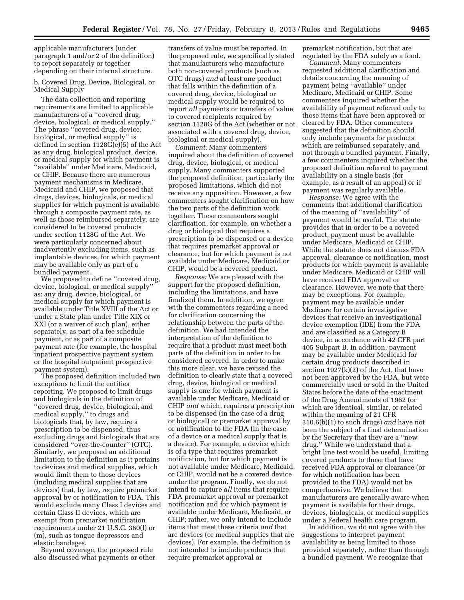applicable manufacturers (under paragraph 1 and/or 2 of the definition) to report separately or together depending on their internal structure.

b. Covered Drug, Device, Biological, or Medical Supply

The data collection and reporting requirements are limited to applicable manufacturers of a ''covered drug, device, biological, or medical supply.'' The phrase ''covered drug, device, biological, or medical supply'' is defined in section 1128G(e)(5) of the Act as any drug, biological product, device, or medical supply for which payment is ''available'' under Medicare, Medicaid, or CHIP. Because there are numerous payment mechanisms in Medicare, Medicaid and CHIP, we proposed that drugs, devices, biologicals, or medical supplies for which payment is available through a composite payment rate, as well as those reimbursed separately, are considered to be covered products under section 1128G of the Act. We were particularly concerned about inadvertently excluding items, such as implantable devices, for which payment may be available only as part of a bundled payment.

We proposed to define ''covered drug, device, biological, or medical supply'' as: any drug, device, biological, or medical supply for which payment is available under Title XVIII of the Act or under a State plan under Title XIX or XXI (or a waiver of such plan), either separately, as part of a fee schedule payment, or as part of a composite payment rate (for example, the hospital inpatient prospective payment system or the hospital outpatient prospective payment system).

The proposed definition included two exceptions to limit the entities reporting. We proposed to limit drugs and biologicals in the definition of ''covered drug, device, biological, and medical supply,'' to drugs and biologicals that, by law, require a prescription to be dispensed, thus excluding drugs and biologicals that are considered ''over-the-counter'' (OTC). Similarly, we proposed an additional limitation to the definition as it pertains to devices and medical supplies, which would limit them to those devices (including medical supplies that are devices) that, by law, require premarket approval by or notification to FDA. This would exclude many Class I devices and certain Class II devices, which are exempt from premarket notification requirements under 21 U.S.C. 360(l) or (m), such as tongue depressors and elastic bandages.

Beyond coverage, the proposed rule also discussed what payments or other transfers of value must be reported. In the proposed rule, we specifically stated that manufacturers who manufacture both non-covered products (such as OTC drugs) *and* at least one product that falls within the definition of a covered drug, device, biological or medical supply would be required to report *all* payments or transfers of value to covered recipients required by section 1128G of the Act (whether or not associated with a covered drug, device, biological or medical supply).

*Comment:* Many commenters inquired about the definition of covered drug, device, biological, or medical supply. Many commenters supported the proposed definition, particularly the proposed limitations, which did not receive any opposition. However, a few commenters sought clarification on how the two parts of the definition work together. These commenters sought clarification, for example, on whether a drug or biological that requires a prescription to be dispensed or a device that requires premarket approval or clearance, but for which payment is not available under Medicare, Medicaid or CHIP, would be a covered product.

*Response:* We are pleased with the support for the proposed definition, including the limitations, and have finalized them. In addition, we agree with the commenters regarding a need for clarification concerning the relationship between the parts of the definition. We had intended the interpretation of the definition to require that a product must meet both parts of the definition in order to be considered covered. In order to make this more clear, we have revised the definition to clearly state that a covered drug, device, biological or medical supply is one for which payment is available under Medicare, Medicaid or CHIP *and* which, requires a prescription to be dispensed (in the case of a drug or biological) or premarket approval by or notification to the FDA (in the case of a device or a medical supply that is a device). For example, a device which is of a type that requires premarket notification, but for which payment is not available under Medicare, Medicaid, or CHIP, would not be a covered device under the program. Finally, we do not intend to capture *all* items that require FDA premarket approval or premarket notification and for which payment is available under Medicare, Medicaid, or CHIP; rather, we only intend to include items that meet these criteria *and* that are devices (or medical supplies that are devices). For example, the definition is not intended to include products that require premarket approval or

premarket notification, but that are regulated by the FDA solely as a food.

*Comment:* Many commenters requested additional clarification and details concerning the meaning of payment being ''available'' under Medicare, Medicaid or CHIP. Some commenters inquired whether the availability of payment referred only to those items that have been approved or cleared by FDA. Other commenters suggested that the definition should only include payments for products which are reimbursed separately, and not through a bundled payment. Finally, a few commenters inquired whether the proposed definition referred to payment availability on a single basis (for example, as a result of an appeal) or if payment was regularly available.

*Response:* We agree with the comments that additional clarification of the meaning of ''availability'' of payment would be useful. The statute provides that in order to be a covered product, payment must be available under Medicare, Medicaid or CHIP. While the statute does not discuss FDA approval, clearance or notification, most products for which payment is available under Medicare, Medicaid or CHIP will have received FDA approval or clearance. However, we note that there may be exceptions. For example, payment may be available under Medicare for certain investigative devices that receive an investigational device exemption (IDE) from the FDA and are classified as a Category B device, in accordance with 42 CFR part 405 Subpart B. In addition, payment may be available under Medicaid for certain drug products described in section  $1927(k)(2)$  of the Act, that have not been approved by the FDA, but were commercially used or sold in the United States before the date of the enactment of the Drug Amendments of 1962 (or which are identical, similar, or related within the meaning of 21 CFR 310.6(b)(1) to such drugs) *and* have not been the subject of a final determination by the Secretary that they are a ''new drug.'' While we understand that a bright line test would be useful, limiting covered products to those that have received FDA approval or clearance (or for which notification has been provided to the FDA) would not be comprehensive. We believe that manufacturers are generally aware when payment is available for their drugs, devices, biologicals, or medical supplies under a Federal health care program.

In addition, we do not agree with the suggestions to interpret payment availability as being limited to those provided separately, rather than through a bundled payment. We recognize that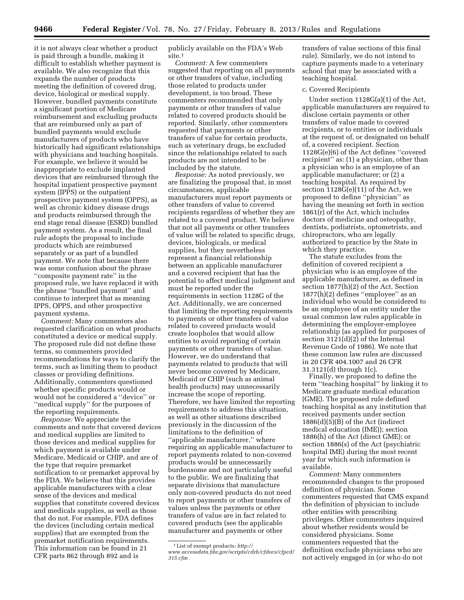it is not always clear whether a product is paid through a bundle, making it difficult to establish whether payment is available. We also recognize that this expands the number of products meeting the definition of covered drug, device, biological or medical supply. However, bundled payments constitute a significant portion of Medicare reimbursement and excluding products that are reimbursed only as part of bundled payments would exclude manufacturers of products who have historically had significant relationships with physicians and teaching hospitals. For example, we believe it would be inappropriate to exclude implanted devices that are reimbursed through the hospital inpatient prospective payment system (IPPS) or the outpatient prospective payment system (OPPS), as well as chronic kidney disease drugs and products reimbursed through the end stage renal disease (ESRD) bundled payment system. As a result, the final rule adopts the proposal to include products which are reimbursed separately or as part of a bundled payment. We note that because there was some confusion about the phrase ''composite payment rate'' in the proposed rule, we have replaced it with the phrase ''bundled payment'' and continue to interpret that as meaning IPPS, OPPS, and other prospective payment systems.

*Comment:* Many commenters also requested clarification on what products constituted a device or medical supply. The proposed rule did not define these terms, so commenters provided recommendations for ways to clarify the terms, such as limiting them to product classes or providing definitions. Additionally, commenters questioned whether specific products would or would not be considered a ''device'' or ''medical supply'' for the purposes of the reporting requirements.

*Response:* We appreciate the comments and note that covered devices and medical supplies are limited to those devices and medical supplies for which payment is available under Medicare, Medicaid or CHIP, and are of the type that require premarket notification to or premarket approval by the FDA. We believe that this provides applicable manufacturers with a clear sense of the devices and medical supplies that constitute covered devices and medicals supplies, as well as those that do not. For example, FDA defines the devices (including certain medical supplies) that are exempted from the premarket notification requirements. This information can be found in 21 CFR parts 862 through 892 and is

publicly available on the FDA's Web site.<sup>1</sup>

*Comment:* A few commenters suggested that reporting on all payments or other transfers of value, including those related to products under development, is too broad. These commenters recommended that only payments or other transfers of value related to covered products should be reported. Similarly, other commenters requested that payments or other transfers of value for certain products, such as veterinary drugs, be excluded since the relationships related to such products are not intended to be included by the statute.

*Response:* As noted previously, we are finalizing the proposal that, in most circumstances, applicable manufacturers must report payments or other transfers of value to covered recipients regardless of whether they are related to a covered product. We believe that not all payments or other transfers of value will be related to specific drugs, devices, biologicals, or medical supplies, but they nevertheless represent a financial relationship between an applicable manufacturer and a covered recipient that has the potential to affect medical judgment and must be reported under the requirements in section 1128G of the Act. Additionally, we are concerned that limiting the reporting requirements to payments or other transfers of value related to covered products would create loopholes that would allow entities to avoid reporting of certain payments or other transfers of value. However, we do understand that payments related to products that will never become covered by Medicare, Medicaid or CHIP (such as animal health products) may unnecessarily increase the scope of reporting. Therefore, we have limited the reporting requirements to address this situation, as well as other situations described previously in the discussion of the limitations to the definition of ''applicable manufacturer,'' where requiring an applicable manufacturer to report payments related to non-covered products would be unnecessarily burdensome and not particularly useful to the public. We are finalizing that separate divisions that manufacture only non-covered products do not need to report payments or other transfers of values unless the payments or other transfers of value are in fact related to covered products (see the applicable manufacturer and payments or other

transfers of value sections of this final rule). Similarly, we do not intend to capture payments made to a veterinary school that may be associated with a teaching hospital.

# c. Covered Recipients

Under section 1128G(a)(1) of the Act, applicable manufacturers are required to disclose certain payments or other transfers of value made to covered recipients, or to entities or individuals at the request of, or designated on behalf of, a covered recipient. Section 1128G(e)(6) of the Act defines ''covered recipient'' as: (1) a physician, other than a physician who is an employee of an applicable manufacturer; or (2) a teaching hospital. As required by section 1128G(e)(11) of the Act, we proposed to define ''physician'' as having the meaning set forth in section 1861(r) of the Act, which includes doctors of medicine and osteopathy, dentists, podiatrists, optometrists, and chiropractors, who are legally authorized to practice by the State in which they practice.

The statute excludes from the definition of covered recipient a physician who is an employee of the applicable manufacturer, as defined in section 1877(h)(2) of the Act. Section 1877(h)(2) defines ''employee'' as an individual who would be considered to be an employee of an entity under the usual common law rules applicable in determining the employer-employee relationship (as applied for purposes of section 3121(d)(2) of the Internal Revenue Code of 1986). We note that these common law rules are discussed in 20 CFR 404.1007 and 26 CFR 31.3121(d) through 1(c).

Finally, we proposed to define the term ''teaching hospital'' by linking it to Medicare graduate medical education (GME). The proposed rule defined teaching hospital as any institution that received payments under section 1886(d)(5)(B) of the Act (indirect medical education (IME)); section 1886(h) of the Act (direct GME); or section 1886(s) of the Act (psychiatric hospital IME) during the most recent year for which such information is available.

*Comment:* Many commenters recommended changes to the proposed definition of physician. Some commenters requested that CMS expand the definition of physician to include other entities with prescribing privileges. Other commenters inquired about whether residents would be considered physicians. Some commenters requested that the definition exclude physicians who are not actively engaged in (or who do not

<sup>1</sup>List of exempt products: *[http://](http://www.accessdata.fda.gov/scripts/cdrh/cfdocs/cfpcd/315.cfm)  [www.accessdata.fda.gov/scripts/cdrh/cfdocs/cfpcd/](http://www.accessdata.fda.gov/scripts/cdrh/cfdocs/cfpcd/315.cfm) [315.cfm](http://www.accessdata.fda.gov/scripts/cdrh/cfdocs/cfpcd/315.cfm) .*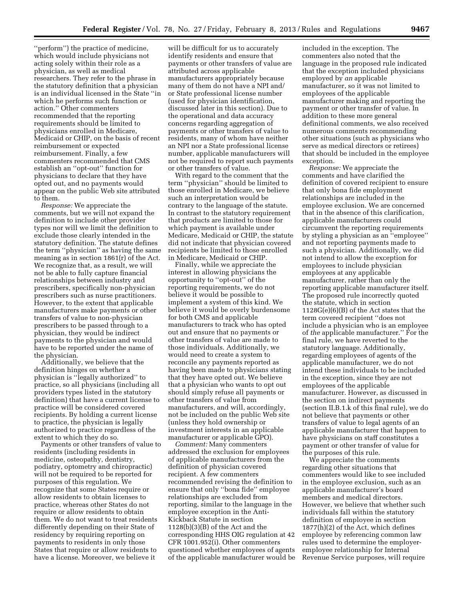''perform'') the practice of medicine, which would include physicians not acting solely within their role as a physician, as well as medical researchers. They refer to the phrase in the statutory definition that a physician is an individual licensed in the State ''in which he performs such function or action.'' Other commenters recommended that the reporting requirements should be limited to physicians enrolled in Medicare, Medicaid or CHIP, on the basis of recent reimbursement or expected reimbursement. Finally, a few commenters recommended that CMS establish an ''opt-out'' function for physicians to declare that they have opted out, and no payments would appear on the public Web site attributed to them.

*Response:* We appreciate the comments, but we will not expand the definition to include other provider types nor will we limit the definition to exclude those clearly intended in the statutory definition. The statute defines the term ''physician'' as having the same meaning as in section 1861(r) of the Act. We recognize that, as a result, we will not be able to fully capture financial relationships between industry and prescribers, specifically non-physician prescribers such as nurse practitioners. However, to the extent that applicable manufacturers make payments or other transfers of value to non-physician prescribers to be passed through to a physician, they would be indirect payments to the physician and would have to be reported under the name of the physician.

Additionally, we believe that the definition hinges on whether a physician is ''legally authorized'' to practice, so all physicians (including all providers types listed in the statutory definition) that have a current license to practice will be considered covered recipients. By holding a current license to practice, the physician is legally authorized to practice regardless of the extent to which they do so.

Payments or other transfers of value to residents (including residents in medicine, osteopathy, dentistry, podiatry, optometry and chiropractic) will not be required to be reported for purposes of this regulation. We recognize that some States require or allow residents to obtain licenses to practice, whereas other States do not require or allow residents to obtain them. We do not want to treat residents differently depending on their State of residency by requiring reporting on payments to residents in only those States that require or allow residents to have a license. Moreover, we believe it

will be difficult for us to accurately identify residents and ensure that payments or other transfers of value are attributed across applicable manufacturers appropriately because many of them do not have a NPI and/ or State professional license number (used for physician identification, discussed later in this section). Due to the operational and data accuracy concerns regarding aggregation of payments or other transfers of value to residents, many of whom have neither an NPI nor a State professional license number, applicable manufacturers will not be required to report such payments or other transfers of value.

With regard to the comment that the term ''physician'' should be limited to those enrolled in Medicare, we believe such an interpretation would be contrary to the language of the statute. In contrast to the statutory requirement that products are limited to those for which payment is available under Medicare, Medicaid or CHIP, the statute did not indicate that physician covered recipients be limited to those enrolled in Medicare, Medicaid or CHIP.

Finally, while we appreciate the interest in allowing physicians the opportunity to ''opt-out'' of the reporting requirements, we do not believe it would be possible to implement a system of this kind. We believe it would be overly burdensome for both CMS and applicable manufacturers to track who has opted out and ensure that no payments or other transfers of value are made to those individuals. Additionally, we would need to create a system to reconcile any payments reported as having been made to physicians stating that they have opted out. We believe that a physician who wants to opt out should simply refuse all payments or other transfers of value from manufacturers, and will, accordingly, not be included on the public Web site (unless they hold ownership or investment interests in an applicable manufacturer or applicable GPO).

*Comment:* Many commenters addressed the exclusion for employees of applicable manufacturers from the definition of physician covered recipient. A few commenters recommended revising the definition to ensure that only ''bona fide'' employee relationships are excluded from reporting, similar to the language in the employee exception in the Anti-Kickback Statute in section 1128(b)(3)(B) of the Act and the corresponding HHS OIG regulation at 42 CFR 1001.952(i). Other commenters questioned whether employees of agents of the applicable manufacturer would be included in the exception. The commenters also noted that the language in the proposed rule indicated that the exception included physicians employed by *an* applicable manufacturer, so it was not limited to employees of the applicable manufacturer making and reporting the payment or other transfer of value. In addition to these more general definitional comments, we also received numerous comments recommending other situations (such as physicians who serve as medical directors or retirees) that should be included in the employee exception.

*Response:* We appreciate the comments and have clarified the definition of covered recipient to ensure that only bona fide employment relationships are included in the employee exclusion. We are concerned that in the absence of this clarification, applicable manufacturers could circumvent the reporting requirements by styling a physician as an ''employee'' and not reporting payments made to such a physician. Additionally, we did not intend to allow the exception for employees to include physician employees at any applicable manufacturer, rather than only the reporting applicable manufacturer itself. The proposed rule incorrectly quoted the statute, which in section 1128G(e)(6)(B) of the Act states that the term covered recipient ''does not include a physician who is an employee of *the* applicable manufacturer.'' For the final rule, we have reverted to the statutory language. Additionally, regarding employees of agents of the applicable manufacturer, we do not intend these individuals to be included in the exception, since they are not employees of the applicable manufacturer. However, as discussed in the section on indirect payments (section II.B.1.k of this final rule), we do not believe that payments or other transfers of value to legal agents of an applicable manufacturer that happen to have physicians on staff constitutes a payment or other transfer of value for the purposes of this rule.

We appreciate the comments regarding other situations that commenters would like to see included in the employee exclusion, such as an applicable manufacturer's board members and medical directors. However, we believe that whether such individuals fall within the statutory definition of employee in section 1877(h)(2) of the Act, which defines employee by referencing common law rules used to determine the employeremployee relationship for Internal Revenue Service purposes, will require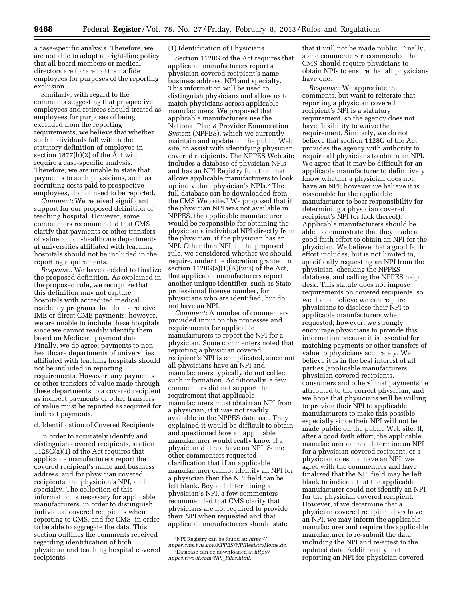a case-specific analysis. Therefore, we are not able to adopt a bright-line policy that all board members or medical directors are (or are not) bona fide employees for purposes of the reporting exclusion.

Similarly, with regard to the comments suggesting that prospective employees and retirees should treated as employees for purposes of being excluded from the reporting requirements, we believe that whether such individuals fall within the statutory definition of employee in section 1877(h)(2) of the Act will require a case-specific analysis. Therefore, we are unable to state that payments to such physicians, such as recruiting costs paid to prospective employees, do not need to be reported.

*Comment:* We received significant support for our proposed definition of teaching hospital. However, some commenters recommended that CMS clarify that payments or other transfers of value to non-healthcare departments at universities affiliated with teaching hospitals should not be included in the reporting requirements.

*Response:* We have decided to finalize the proposed definition. As explained in the proposed rule, we recognize that this definition may not capture hospitals with accredited medical residency programs that do not receive IME or direct GME payments; however, we are unable to include these hospitals since we cannot readily identify them based on Medicare payment data. Finally, we do agree; payments to nonhealthcare departments of universities affiliated with teaching hospitals should not be included in reporting requirements. However, any payments or other transfers of value made through these departments to a covered recipient as indirect payments or other transfers of value must be reported as required for indirect payments.

#### d. Identification of Covered Recipients

In order to accurately identify and distinguish covered recipients, section 1128G(a)(1) of the Act requires that applicable manufacturers report the covered recipient's name and business address, and for physician covered recipients, the physician's NPI, and specialty. The collection of this information is necessary for applicable manufacturers, in order to distinguish individual covered recipients when reporting to CMS, and for CMS, in order to be able to aggregate the data. This section outlines the comments received regarding identification of both physician and teaching hospital covered recipients.

# (1) Identification of Physicians

Section 1128G of the Act requires that applicable manufacturers report a physician covered recipient's name, business address, NPI and specialty. This information will be used to distinguish physicians and allow us to match physicians across applicable manufacturers. We proposed that applicable manufacturers use the National Plan & Provider Enumeration System (NPPES), which we currently maintain and update on the public Web site, to assist with identifying physician covered recipients. The NPPES Web site includes a database of physician NPIs and has an NPI Registry function that allows applicable manufacturers to look up individual physician's NPIs.2 The full database can be downloaded from the CMS Web site.3 We proposed that if the physician NPI was not available in NPPES, the applicable manufacturer would be responsible for obtaining the physician's individual NPI directly from the physician, if the physician has an NPI. Other than NPI, in the proposed rule, we considered whether we should require, under the discretion granted in section  $1128G(a)(1)(A)(viii)$  of the Act, that applicable manufacturers report another unique identifier, such as State professional license number, for physicians who are identified, but do not have an NPI.

*Comment:* A number of commenters provided input on the processes and requirements for applicable manufacturers to report the NPI for a physician. Some commenters noted that reporting a physician covered recipient's NPI is complicated, since not all physicians have an NPI and manufacturers typically do not collect such information. Additionally, a few commenters did not support the requirement that applicable manufacturers must obtain an NPI from a physician, if it was not readily available in the NPPES database. They explained it would be difficult to obtain and questioned how an applicable manufacturer would really know if a physician did not have an NPI. Some other commenters requested clarification that if an applicable manufacturer cannot identify an NPI for a physician then the NPI field can be left blank. Beyond determining a physician's NPI, a few commenters recommended that CMS clarify that physicians are not required to provide their NPI when requested and that applicable manufacturers should state

that it will not be made public. Finally, some commenters recommended that CMS should require physicians to obtain NPIs to ensure that all physicians have one.

*Response:* We appreciate the comments, but want to reiterate that reporting a physician covered recipient's NPI is a statutory requirement, so the agency does not have flexibility to waive the requirement. Similarly, we do not believe that section 1128G of the Act provides the agency with authority to require all physicians to obtain an NPI. We agree that it may be difficult for an applicable manufacturer to definitively know whether a physician does not have an NPI; however we believe it is reasonable for the applicable manufacturer to bear responsibility for determining a physician covered recipient's NPI (or lack thereof). Applicable manufacturers should be able to demonstrate that they made a good faith effort to obtain an NPI for the physician. We believe that a good faith effort includes, but is not limited to, specifically requesting an NPI from the physician, checking the NPPES database, and calling the NPPES help desk. This statute does not impose requirements on covered recipients, so we do not believe we can require physicians to disclose their NPI to applicable manufacturers when requested; however, we strongly encourage physicians to provide this information because it is essential for matching payments or other transfers of value to physicians accurately. We believe it is in the best interest of all parties (applicable manufacturers, physician covered recipients, consumers and others) that payments be attributed to the correct physician, and we hope that physicians will be willing to provide their NPI to applicable manufacturers to make this possible, especially since their NPI will not be made public on the public Web site. If, after a good faith effort, the applicable manufacturer cannot determine an NPI for a physician covered recipient, or a physician does not have an NPI, we agree with the commenters and have finalized that the NPI field may be left blank to indicate that the applicable manufacturer could not identify an NPI for the physician covered recipient. However, if we determine that a physician covered recipient does have an NPI, we may inform the applicable manufacturer and require the applicable manufacturer to re-submit the data including the NPI and re-attest to the updated data. Additionally, not reporting an NPI for physician covered

<sup>2</sup>NPI Registry can be found at: *[https://](https://nppes.cms.hhs.gov/NPPES/NPIRegistryHome.do) [nppes.cms.hhs.gov/NPPES/NPIRegistryHome.do.](https://nppes.cms.hhs.gov/NPPES/NPIRegistryHome.do)*  3 Database can be downloaded at *[http://](http://nppes.viva-it.com/NPI_Files.html) [nppes.viva-it.com/NPI](http://nppes.viva-it.com/NPI_Files.html)*\_*Files.html.*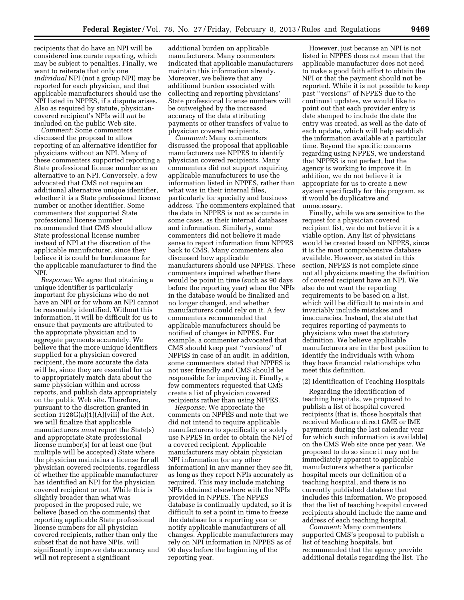recipients that do have an NPI will be considered inaccurate reporting, which may be subject to penalties. Finally, we want to reiterate that only one *individual* NPI (not a group NPI) may be reported for each physician, and that applicable manufacturers should use the NPI listed in NPPES, if a dispute arises. Also as required by statute, physiciancovered recipient's NPIs will *not* be included on the public Web site.

*Comment:* Some commenters discussed the proposal to allow reporting of an alternative identifier for physicians without an NPI. Many of these commenters supported reporting a State professional license number as an alternative to an NPI. Conversely, a few advocated that CMS not require an additional alternative unique identifier, whether it is a State professional license number or another identifier. Some commenters that supported State professional license number recommended that CMS should allow State professional license number instead of NPI at the discretion of the applicable manufacturer, since they believe it is could be burdensome for the applicable manufacturer to find the NPI.

*Response:* We agree that obtaining a unique identifier is particularly important for physicians who do not have an NPI or for whom an NPI cannot be reasonably identified. Without this information, it will be difficult for us to ensure that payments are attributed to the appropriate physician and to aggregate payments accurately. We believe that the more unique identifiers supplied for a physician covered recipient, the more accurate the data will be, since they are essential for us to appropriately match data about the same physician within and across reports, and publish data appropriately on the public Web site. Therefore, pursuant to the discretion granted in section  $1128G(a)(1)(A)(viii)$  of the Act, we will finalize that applicable manufacturers *must* report the State(s) and appropriate State professional license number(s) for at least one (but multiple will be accepted) State where the physician maintains a license for all physician covered recipients, regardless of whether the applicable manufacturer has identified an NPI for the physician covered recipient or not. While this is slightly broader than what was proposed in the proposed rule, we believe (based on the comments) that reporting applicable State professional license numbers for all physician covered recipients, rather than only the subset that do not have NPIs, will significantly improve data accuracy and will not represent a significant

additional burden on applicable manufacturers. Many commenters indicated that applicable manufacturers maintain this information already. Moreover, we believe that any additional burden associated with collecting and reporting physicians' State professional license numbers will be outweighed by the increased accuracy of the data attributing payments or other transfers of value to physician covered recipients.

*Comment:* Many commenters discussed the proposal that applicable manufacturers use NPPES to identify physician covered recipients. Many commenters did not support requiring applicable manufacturers to use the information listed in NPPES, rather than what was in their internal files, particularly for specialty and business address. The commenters explained that the data in NPPES is not as accurate in some cases, as their internal databases and information. Similarly, some commenters did not believe it made sense to report information from NPPES back to CMS. Many commenters also discussed how applicable manufacturers should use NPPES. These commenters inquired whether there would be point in time (such as 90 days before the reporting year) when the NPIs in the database would be finalized and no longer changed, and whether manufacturers could rely on it. A few commenters recommended that applicable manufacturers should be notified of changes in NPPES. For example, a commenter advocated that CMS should keep past ''versions'' of NPPES in case of an audit. In addition, some commenters stated that NPPES is not user friendly and CMS should be responsible for improving it. Finally, a few commenters requested that CMS create a list of physician covered recipients rather than using NPPES.

*Response:* We appreciate the comments on NPPES and note that we did not intend to require applicable manufacturers to specifically or solely use NPPES in order to obtain the NPI of a covered recipient. Applicable manufacturers may obtain physician NPI information (or any other information) in any manner they see fit, as long as they report NPIs accurately as required. This may include matching NPIs obtained elsewhere with the NPIs provided in NPPES. The NPPES database is continually updated, so it is difficult to set a point in time to freeze the database for a reporting year or notify applicable manufacturers of all changes. Applicable manufacturers may rely on NPI information in NPPES as of 90 days before the beginning of the reporting year.

However, just because an NPI is not listed in NPPES does not mean that the applicable manufacturer does not need to make a good faith effort to obtain the NPI or that the payment should not be reported. While it is not possible to keep past ''versions'' of NPPES due to the continual updates, we would like to point out that each provider entry is date stamped to include the date the entry was created, as well as the date of each update, which will help establish the information available at a particular time. Beyond the specific concerns regarding using NPPES, we understand that NPPES is not perfect, but the agency is working to improve it. In addition, we do not believe it is appropriate for us to create a new system specifically for this program, as it would be duplicative and unnecessary.

Finally, while we are sensitive to the request for a physician covered recipient list, we do not believe it is a viable option. Any list of physicians would be created based on NPPES, since it is the most comprehensive database available. However, as stated in this section, NPPES is not complete since not all physicians meeting the definition of covered recipient have an NPI. We also do not want the reporting requirements to be based on a list, which will be difficult to maintain and invariably include mistakes and inaccuracies. Instead, the statute that requires reporting of payments to physicians who meet the statutory definition. We believe applicable manufacturers are in the best position to identify the individuals with whom they have financial relationships who meet this definition.

#### (2) Identification of Teaching Hospitals

Regarding the identification of teaching hospitals, we proposed to publish a list of hospital covered recipients (that is, those hospitals that received Medicare direct GME or IME payments during the last calendar year for which such information is available) on the CMS Web site once per year. We proposed to do so since it may not be immediately apparent to applicable manufacturers whether a particular hospital meets our definition of a teaching hospital, and there is no currently published database that includes this information. We proposed that the list of teaching hospital covered recipients should include the name and address of each teaching hospital.

*Comment:* Many commenters supported CMS's proposal to publish a list of teaching hospitals, but recommended that the agency provide additional details regarding the list. The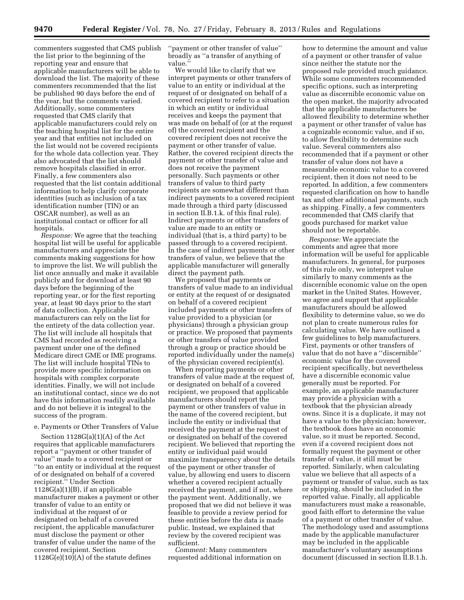commenters suggested that CMS publish the list prior to the beginning of the reporting year and ensure that applicable manufacturers will be able to download the list. The majority of these commenters recommended that the list be published 90 days before the end of the year, but the comments varied. Additionally, some commenters requested that CMS clarify that applicable manufacturers could rely on the teaching hospital list for the entire year and that entities not included on the list would not be covered recipients for the whole data collection year. They also advocated that the list should remove hospitals classified in error. Finally, a few commenters also requested that the list contain additional information to help clarify corporate identities (such as inclusion of a tax identification number (TIN) or an OSCAR number), as well as an institutional contact or officer for all hospitals.

*Response:* We agree that the teaching hospital list will be useful for applicable manufacturers and appreciate the comments making suggestions for how to improve the list. We will publish the list once annually and make it available publicly and for download at least 90 days before the beginning of the reporting year, or for the first reporting year, at least 90 days prior to the start of data collection. Applicable manufacturers can rely on the list for the entirety of the data collection year. The list will include all hospitals that CMS had recorded as receiving a payment under one of the defined Medicare direct GME or IME programs. The list will include hospital TINs to provide more specific information on hospitals with complex corporate identities. Finally, we will not include an institutional contact, since we do not have this information readily available and do not believe it is integral to the success of the program.

#### e. Payments or Other Transfers of Value

Section 1128G(a)(1)(A) of the Act requires that applicable manufacturers report a ''payment or other transfer of value'' made to a covered recipient or ''to an entity or individual at the request of or designated on behalf of a covered recipient.'' Under Section 1128G(a)(1)(B), if an applicable manufacturer makes a payment or other transfer of value to an entity or individual at the request of or designated on behalf of a covered recipient, the applicable manufacturer must disclose the payment or other transfer of value under the name of the covered recipient. Section  $1128G(e)(10)(A)$  of the statute defines

''payment or other transfer of value'' broadly as ''a transfer of anything of value.''

We would like to clarify that we interpret payments or other transfers of value to an entity or individual at the request of or designated on behalf of a covered recipient to refer to a situation in which an entity or individual receives and keeps the payment that was made on behalf of (or at the request of) the covered recipient and the covered recipient does not receive the payment or other transfer of value. Rather, the covered recipient directs the payment or other transfer of value and does not receive the payment personally. Such payments or other transfers of value to third party recipients are somewhat different than indirect payments to a covered recipient made through a third party (discussed in section II.B.1.k. of this final rule). Indirect payments or other transfers of value are made to an entity or individual (that is, a third party) to be passed through to a covered recipient. In the case of indirect payments or other transfers of value, we believe that the applicable manufacturer will generally direct the payment path.

We proposed that payments or transfers of value made to an individual or entity at the request of or designated on behalf of a covered recipient included payments or other transfers of value provided to a physician (or physicians) through a physician group or practice. We proposed that payments or other transfers of value provided through a group or practice should be reported individually under the name(s) of the physician covered recipient(s).

When reporting payments or other transfers of value made at the request of, or designated on behalf of a covered recipient, we proposed that applicable manufacturers should report the payment or other transfers of value in the name of the covered recipient, but include the entity or individual that received the payment at the request of or designated on behalf of the covered recipient. We believed that reporting the entity or individual paid would maximize transparency about the details of the payment or other transfer of value, by allowing end users to discern whether a covered recipient actually received the payment, and if not, where the payment went. Additionally, we proposed that we did not believe it was feasible to provide a review period for these entities before the data is made public. Instead, we explained that review by the covered recipient was sufficient.

*Comment:* Many commenters requested additional information on

how to determine the amount and value of a payment or other transfer of value since neither the statute nor the proposed rule provided much guidance. While some commenters recommended specific options, such as interpreting value as discernible economic value on the open market, the majority advocated that the applicable manufacturers be allowed flexibility to determine whether a payment or other transfer of value has a cognizable economic value, and if so, to allow flexibility to determine such value. Several commenters also recommended that if a payment or other transfer of value does not have a measurable economic value to a covered recipient, then it does not need to be reported. In addition, a few commenters requested clarification on how to handle tax and other additional payments, such as shipping. Finally, a few commenters recommended that CMS clarify that goods purchased for market value should not be reportable.

*Response:* We appreciate the comments and agree that more information will be useful for applicable manufacturers. In general, for purposes of this rule only, we interpret value similarly to many comments as the discernible economic value on the open market in the United States. However, we agree and support that applicable manufacturers should be allowed flexibility to determine value, so we do not plan to create numerous rules for calculating value. We have outlined a few guidelines to help manufacturers. First, payments or other transfers of value that do not have a ''discernible'' economic value for the covered recipient specifically, but nevertheless have a discernible economic value generally must be reported. For example, an applicable manufacturer may provide a physician with a textbook that the physician already owns. Since it is a duplicate, it may not have a value to the physician; however, the textbook does have an economic value, so it must be reported. Second, even if a covered recipient does not formally request the payment or other transfer of value, it still must be reported. Similarly, when calculating value we believe that all aspects of a payment or transfer of value, such as tax or shipping, should be included in the reported value. Finally, all applicable manufacturers must make a reasonable, good faith effort to determine the value of a payment or other transfer of value. The methodology used and assumptions made by the applicable manufacturer may be included in the applicable manufacturer's voluntary assumptions document (discussed in section II.B.1.h.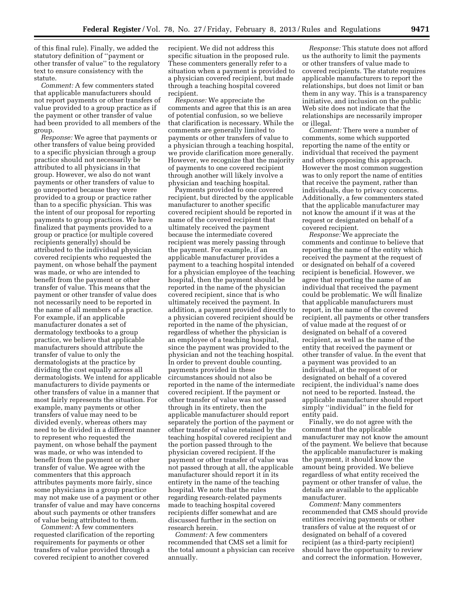of this final rule). Finally, we added the statutory definition of ''payment or other transfer of value'' to the regulatory text to ensure consistency with the statute.

*Comment:* A few commenters stated that applicable manufacturers should not report payments or other transfers of value provided to a group practice as if the payment or other transfer of value had been provided to all members of the group.

*Response:* We agree that payments or other transfers of value being provided to a specific physician through a group practice should not necessarily be attributed to all physicians in that group. However, we also do not want payments or other transfers of value to go unreported because they were provided to a group or practice rather than to a specific physician. This was the intent of our proposal for reporting payments to group practices. We have finalized that payments provided to a group or practice (or multiple covered recipients generally) should be attributed to the individual physician covered recipients who requested the payment, on whose behalf the payment was made, or who are intended to benefit from the payment or other transfer of value. This means that the payment or other transfer of value does not necessarily need to be reported in the name of all members of a practice. For example, if an applicable manufacturer donates a set of dermatology textbooks to a group practice, we believe that applicable manufacturers should attribute the transfer of value to only the dermatologists at the practice by dividing the cost equally across all dermatologists. We intend for applicable manufacturers to divide payments or other transfers of value in a manner that most fairly represents the situation. For example, many payments or other transfers of value may need to be divided evenly, whereas others may need to be divided in a different manner to represent who requested the payment, on whose behalf the payment was made, or who was intended to benefit from the payment or other transfer of value. We agree with the commenters that this approach attributes payments more fairly, since some physicians in a group practice may not make use of a payment or other transfer of value and may have concerns about such payments or other transfers of value being attributed to them.

*Comment:* A few commenters requested clarification of the reporting requirements for payments or other transfers of value provided through a covered recipient to another covered

recipient. We did not address this specific situation in the proposed rule. These commenters generally refer to a situation when a payment is provided to a physician covered recipient, but made through a teaching hospital covered recipient.

*Response:* We appreciate the comments and agree that this is an area of potential confusion, so we believe that clarification is necessary. While the comments are generally limited to payments or other transfers of value to a physician through a teaching hospital, we provide clarification more generally. However, we recognize that the majority of payments to one covered recipient through another will likely involve a physician and teaching hospital.

Payments provided to one covered recipient, but directed by the applicable manufacturer to another specific covered recipient should be reported in name of the covered recipient that ultimately received the payment because the intermediate covered recipient was merely passing through the payment. For example, if an applicable manufacturer provides a payment to a teaching hospital intended for a physician employee of the teaching hospital, then the payment should be reported in the name of the physician covered recipient, since that is who ultimately received the payment. In addition, a payment provided directly to a physician covered recipient should be reported in the name of the physician, regardless of whether the physician is an employee of a teaching hospital, since the payment was provided to the physician and not the teaching hospital. In order to prevent double counting, payments provided in these circumstances should not also be reported in the name of the intermediate covered recipient. If the payment or other transfer of value was not passed through in its entirety, then the applicable manufacturer should report separately the portion of the payment or other transfer of value retained by the teaching hospital covered recipient and the portion passed through to the physician covered recipient. If the payment or other transfer of value was not passed through at all, the applicable manufacturer should report it in its entirety in the name of the teaching hospital. We note that the rules regarding research-related payments made to teaching hospital covered recipients differ somewhat and are discussed further in the section on research herein.

*Comment:* A few commenters recommended that CMS set a limit for the total amount a physician can receive annually.

*Response:* This statute does not afford us the authority to limit the payments or other transfers of value made to covered recipients. The statute requires applicable manufacturers to report the relationships, but does not limit or ban them in any way. This is a transparency initiative, and inclusion on the public Web site does not indicate that the relationships are necessarily improper or illegal.

*Comment:* There were a number of comments, some which supported reporting the name of the entity or individual that received the payment and others opposing this approach. However the most common suggestion was to only report the name of entities that receive the payment, rather than individuals, due to privacy concerns. Additionally, a few commenters stated that the applicable manufacturer may not know the amount if it was at the request or designated on behalf of a covered recipient.

*Response:* We appreciate the comments and continue to believe that reporting the name of the entity which received the payment at the request of or designated on behalf of a covered recipient is beneficial. However, we agree that reporting the name of an individual that received the payment could be problematic. We will finalize that applicable manufacturers must report, in the name of the covered recipient, all payments or other transfers of value made at the request of or designated on behalf of a covered recipient, as well as the name of the entity that received the payment or other transfer of value. In the event that a payment was provided to an individual, at the request of or designated on behalf of a covered recipient, the individual's name does not need to be reported. Instead, the applicable manufacturer should report simply ''individual'' in the field for entity paid.

Finally, we do not agree with the comment that the applicable manufacturer may not know the amount of the payment. We believe that because the applicable manufacturer is making the payment, it should know the amount being provided. We believe regardless of what entity received the payment or other transfer of value, the details are available to the applicable manufacturer.

*Comment:* Many commenters recommended that CMS should provide entities receiving payments or other transfers of value at the request of or designated on behalf of a covered recipient (as a third-party recipient) should have the opportunity to review and correct the information. However,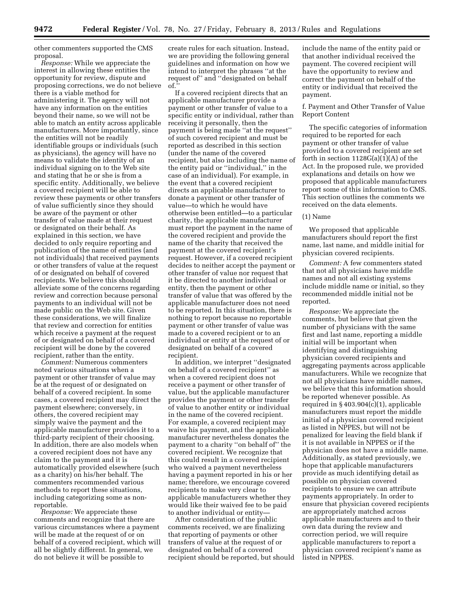other commenters supported the CMS proposal.

*Response:* While we appreciate the interest in allowing these entities the opportunity for review, dispute and proposing corrections, we do not believe there is a viable method for administering it. The agency will not have any information on the entities beyond their name, so we will not be able to match an entity across applicable manufacturers. More importantly, since the entities will not be readily identifiable groups or individuals (such as physicians), the agency will have no means to validate the identity of an individual signing on to the Web site and stating that he or she is from a specific entity. Additionally, we believe a covered recipient will be able to review these payments or other transfers of value sufficiently since they should be aware of the payment or other transfer of value made at their request or designated on their behalf. As explained in this section, we have decided to only require reporting and publication of the name of entities (and not individuals) that received payments or other transfers of value at the request of or designated on behalf of covered recipients. We believe this should alleviate some of the concerns regarding review and correction because personal payments to an individual will not be made public on the Web site. Given these considerations, we will finalize that review and correction for entities which receive a payment at the request of or designated on behalf of a covered recipient will be done by the covered recipient, rather than the entity.

*Comment:* Numerous commenters noted various situations when a payment or other transfer of value may be at the request of or designated on behalf of a covered recipient. In some cases, a covered recipient may direct the payment elsewhere; conversely, in others, the covered recipient may simply waive the payment and the applicable manufacturer provides it to a third-party recipient of their choosing. In addition, there are also models when a covered recipient does not have any claim to the payment and it is automatically provided elsewhere (such as a charity) on his/her behalf. The commenters recommended various methods to report these situations, including categorizing some as nonreportable.

*Response:* We appreciate these comments and recognize that there are various circumstances where a payment will be made at the request of or on behalf of a covered recipient, which will all be slightly different. In general, we do not believe it will be possible to

create rules for each situation. Instead, we are providing the following general guidelines and information on how we intend to interpret the phrases ''at the request of'' and ''designated on behalf of.''

If a covered recipient directs that an applicable manufacturer provide a payment or other transfer of value to a specific entity or individual, rather than receiving it personally, then the payment is being made ''at the request'' of such covered recipient and must be reported as described in this section (under the name of the covered recipient, but also including the name of the entity paid or ''individual,'' in the case of an individual). For example, in the event that a covered recipient directs an applicable manufacturer to donate a payment or other transfer of value—to which he would have otherwise been entitled—to a particular charity, the applicable manufacturer must report the payment in the name of the covered recipient and provide the name of the charity that received the payment at the covered recipient's request. However, if a covered recipient decides to neither accept the payment or other transfer of value nor request that it be directed to another individual or entity, then the payment or other transfer of value that was offered by the applicable manufacturer does not need to be reported. In this situation, there is nothing to report because no reportable payment or other transfer of value was made to a covered recipient or to an individual or entity at the request of or designated on behalf of a covered recipient.

In addition, we interpret ''designated on behalf of a covered recipient'' as when a covered recipient does not receive a payment or other transfer of value, but the applicable manufacturer provides the payment or other transfer of value to another entity or individual in the name of the covered recipient. For example, a covered recipient may waive his payment, and the applicable manufacturer nevertheless donates the payment to a charity ''on behalf of'' the covered recipient. We recognize that this could result in a covered recipient who waived a payment nevertheless having a payment reported in his or her name; therefore, we encourage covered recipients to make very clear to applicable manufacturers whether they would like their waived fee to be paid to another individual or entity—

After consideration of the public comments received, we are finalizing that reporting of payments or other transfers of value at the request of or designated on behalf of a covered recipient should be reported, but should include the name of the entity paid or that another individual received the payment. The covered recipient will have the opportunity to review and correct the payment on behalf of the entity or individual that received the payment.

# f. Payment and Other Transfer of Value Report Content

The specific categories of information required to be reported for each payment or other transfer of value provided to a covered recipient are set forth in section  $1128G(a)(1)(A)$  of the Act. In the proposed rule, we provided explanations and details on how we proposed that applicable manufacturers report some of this information to CMS. This section outlines the comments we received on the data elements.

# (1) Name

We proposed that applicable manufacturers should report the first name, last name, and middle initial for physician covered recipients.

*Comment:* A few commenters stated that not all physicians have middle names and not all existing systems include middle name or initial, so they recommended middle initial not be reported.

*Response:* We appreciate the comments, but believe that given the number of physicians with the same first and last name, reporting a middle initial will be important when identifying and distinguishing physician covered recipients and aggregating payments across applicable manufacturers. While we recognize that not all physicians have middle names, we believe that this information should be reported whenever possible. As required in § 403.904(c)(1), applicable manufacturers must report the middle initial of a physician covered recipient as listed in NPPES, but will not be penalized for leaving the field blank if it is not available in NPPES or if the physician does not have a middle name. Additionally, as stated previously, we hope that applicable manufacturers provide as much identifying detail as possible on physician covered recipients to ensure we can attribute payments appropriately. In order to ensure that physician covered recipients are appropriately matched across applicable manufacturers and to their own data during the review and correction period, we will require applicable manufacturers to report a physician covered recipient's name as listed in NPPES.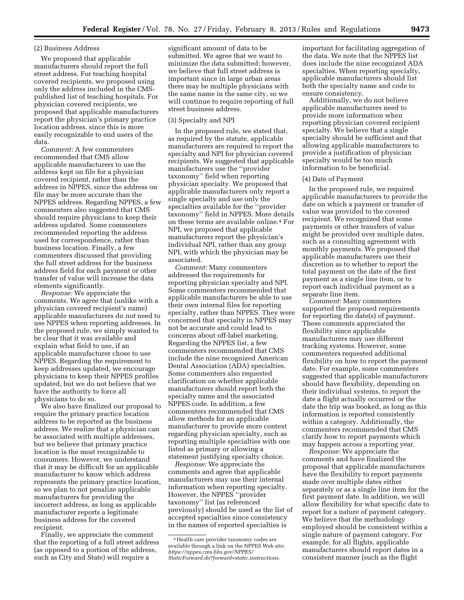# (2) Business Address

We proposed that applicable manufacturers should report the full street address. For teaching hospital covered recipients, we proposed using only the address included in the CMSpublished list of teaching hospitals. For physician covered recipients, we proposed that applicable manufacturers report the physician's primary practice location address, since this is more easily recognizable to end users of the data.

*Comment:* A few commenters recommended that CMS allow applicable manufacturers to use the address kept on file for a physician covered recipient, rather than the address in NPPES, since the address on file may be more accurate than the NPPES address. Regarding NPPES, a few commenters also suggested that CMS should require physicians to keep their address updated. Some commenters recommended reporting the address used for correspondence, rather than business location. Finally, a few commenters discussed that providing the full street address for the business address field for each payment or other transfer of value will increase the data elements significantly.

*Response:* We appreciate the comments. We agree that (unlike with a physician covered recipient's name) applicable manufacturers do *not* need to use NPPES when reporting addresses. In the proposed rule, we simply wanted to be clear that it was available and explain what field to use, if an applicable manufacturer chose to use NPPES. Regarding the requirement to keep addresses updated, we encourage physicians to keep their NPPES profiles updated, but we do not believe that we have the authority to force all physicians to do so.

We also have finalized our proposal to require the primary practice location address to be reported as the business address. We realize that a physician can be associated with multiple addresses, but we believe that primary practice location is the most recognizable to consumers. However, we understand that it may be difficult for an applicable manufacturer to know which address represents the primary practice location, so we plan to not penalize applicable manufacturers for providing the incorrect address, as long as applicable manufacturer reports a legitimate business address for the covered recipient.

Finally, we appreciate the comment that the reporting of a full street address (as opposed to a portion of the address, such as City and State) will require a

significant amount of data to be submitted. We agree that we want to minimize the data submitted; however, we believe that full street address is important since in large urban areas there may be multiple physicians with the same name in the same city, so we will continue to require reporting of full street business address.

#### (3) Specialty and NPI

In the proposed rule, we stated that, as required by the statute, applicable manufacturers are required to report the specialty and NPI for physician covered recipients. We suggested that applicable manufacturers use the ''provider taxonomy'' field when reporting physician specialty. We proposed that applicable manufacturers only report a single specialty and use only the specialties available for the ''provider taxonomy'' field in NPPES. More details on these terms are available online.4 For NPI, we proposed that applicable manufacturers report the physician's individual NPI, rather than any group NPI, with which the physician may be associated.

*Comment:* Many commenters addressed the requirements for reporting physician specialty and NPI. Some commenters recommended that applicable manufacturers be able to use their own internal files for reporting specialty, rather than NPPES. They were concerned that specialty in NPPES may not be accurate and could lead to concerns about off-label marketing. Regarding the NPPES list, a few commenters recommended that CMS include the nine recognized American Dental Association (ADA) specialties. Some commenters also requested clarification on whether applicable manufacturers should report both the specialty name and the associated NPPES code. In addition, a few commenters recommended that CMS allow methods for an applicable manufacturer to provide more context regarding physician specialty, such as reporting multiple specialties with one listed as primary or allowing a statement justifying specialty choice.

*Response:* We appreciate the comments and agree that applicable manufacturers may use their internal information when reporting specialty. However, the NPPES ''provider taxonomy'' list (as referenced previously) should be used as the list of accepted specialties since consistency in the names of reported specialties is

important for facilitating aggregation of the data. We note that the NPPES list does include the nine recognized ADA specialties. When reporting specialty, applicable manufacturers should list both the specialty name and code to ensure consistency.

Additionally, we do not believe applicable manufacturers need to provide more information when reporting physician covered recipient specialty. We believe that a single specialty should be sufficient and that allowing applicable manufacturers to provide a justification of physician specialty would be too much information to be beneficial.

#### (4) Date of Payment

In the proposed rule, we required applicable manufacturers to provide the date on which a payment or transfer of value was provided to the covered recipient. We recognized that some payments or other transfers of value might be provided over multiple dates, such as a consulting agreement with monthly payments. We proposed that applicable manufacturers use their discretion as to whether to report the total payment on the date of the first payment as a single line item, or to report each individual payment as a separate line item.

*Comment:* Many commenters supported the proposed requirements for reporting the date(s) of payment. These comments appreciated the flexibility since applicable manufacturers may use different tracking systems. However, some commenters requested additional flexibility on how to report the payment date. For example, some commenters suggested that applicable manufacturers should have flexibility, depending on their individual systems, to report the date a flight actually occurred or the date the trip was booked, as long as this information is reported consistently within a category. Additionally, the commenters recommended that CMS clarify how to report payments which may happen across a reporting year.

*Response:* We appreciate the comments and have finalized the proposal that applicable manufacturers have the flexibility to report payments made over multiple dates either separately or as a single line item for the first payment date. In addition, we will allow flexibility for what specific date to report for a nature of payment category. We believe that the methodology employed should be consistent within a single nature of payment category. For example, for all flights, applicable manufacturers should report dates in a consistent manner (such as the flight

<sup>4</sup>Health care provider taxonomy codes are available through a link on the NPPES Web site: *[https://nppes.cms.hhs.gov/NPPES/](https://nppes.cms.hhs.gov/NPPES/StaticForward.do?forward=static.instructions)  [StaticForward.do?forward=static.instructions.](https://nppes.cms.hhs.gov/NPPES/StaticForward.do?forward=static.instructions)*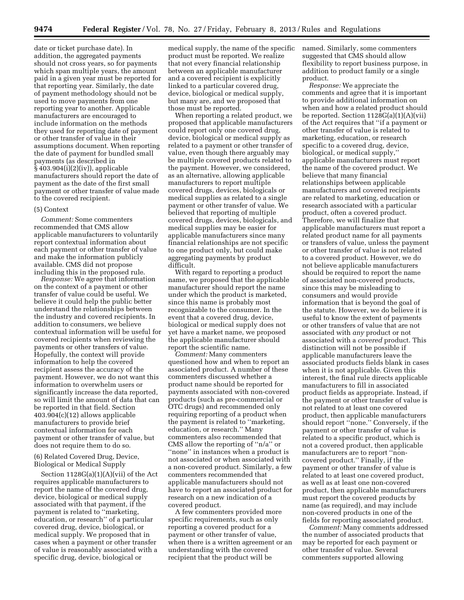date or ticket purchase date). In addition, the aggregated payments should not cross years, so for payments which span multiple years, the amount paid in a given year must be reported for that reporting year. Similarly, the date of payment methodology should not be used to move payments from one reporting year to another. Applicable manufacturers are encouraged to include information on the methods they used for reporting date of payment or other transfer of value in their assumptions document. When reporting the date of payment for bundled small payments (as described in § 403.904(i)(2)(iv)), applicable manufacturers should report the date of payment as the date of the first small payment or other transfer of value made to the covered recipient.

#### (5) Context

*Comment:* Some commenters recommended that CMS allow applicable manufacturers to voluntarily report contextual information about each payment or other transfer of value and make the information publicly available. CMS did not propose including this in the proposed rule.

*Response:* We agree that information on the context of a payment or other transfer of value could be useful. We believe it could help the public better understand the relationships between the industry and covered recipients. In addition to consumers, we believe contextual information will be useful for covered recipients when reviewing the payments or other transfers of value. Hopefully, the context will provide information to help the covered recipient assess the accuracy of the payment. However, we do not want this information to overwhelm users or significantly increase the data reported, so will limit the amount of data that can be reported in that field. Section 403.904(c)(12) allows applicable manufacturers to provide brief contextual information for each payment or other transfer of value, but does not require them to do so.

(6) Related Covered Drug, Device, Biological or Medical Supply

Section 1128G(a)(1)(A)(vii) of the Act requires applicable manufacturers to report the name of the covered drug, device, biological or medical supply associated with that payment, if the payment is related to ''marketing, education, or research'' of a particular covered drug, device, biological, or medical supply. We proposed that in cases when a payment or other transfer of value is reasonably associated with a specific drug, device, biological or

medical supply, the name of the specific product must be reported. We realize that not every financial relationship between an applicable manufacturer and a covered recipient is explicitly linked to a particular covered drug, device, biological or medical supply, but many are, and we proposed that those must be reported.

When reporting a related product, we proposed that applicable manufacturers could report only one covered drug, device, biological or medical supply as related to a payment or other transfer of value, even though there arguably may be multiple covered products related to the payment. However, we considered, as an alternative, allowing applicable manufacturers to report multiple covered drugs, devices, biologicals or medical supplies as related to a single payment or other transfer of value. We believed that reporting of multiple covered drugs, devices, biologicals, and medical supplies may be easier for applicable manufacturers since many financial relationships are not specific to one product only, but could make aggregating payments by product difficult.

With regard to reporting a product name, we proposed that the applicable manufacturer should report the name under which the product is marketed, since this name is probably most recognizable to the consumer. In the event that a covered drug, device, biological or medical supply does not yet have a market name, we proposed the applicable manufacturer should report the scientific name.

*Comment:* Many commenters questioned how and when to report an associated product. A number of these commenters discussed whether a product name should be reported for payments associated with non-covered products (such as pre-commercial or OTC drugs) and recommended only requiring reporting of a product when the payment is related to ''marketing, education, or research.'' Many commenters also recommended that CMS allow the reporting of ''n/a'' or ''none'' in instances when a product is not associated or when associated with a non-covered product. Similarly, a few commenters recommended that applicable manufacturers should not have to report an associated product for research on a new indication of a covered product.

A few commenters provided more specific requirements, such as only reporting a covered product for a payment or other transfer of value, when there is a written agreement or an understanding with the covered recipient that the product will be

named. Similarly, some commenters suggested that CMS should allow flexibility to report business purpose, in addition to product family or a single product.

*Response:* We appreciate the comments and agree that it is important to provide additional information on when and how a related product should be reported. Section 1128G(a)(1)(A)(vii) of the Act requires that ''if a payment or other transfer of value is related to marketing, education, or research specific to a covered drug, device, biological, or medical supply,'' applicable manufacturers must report the name of the covered product. We believe that many financial relationships between applicable manufacturers and covered recipients are related to marketing, education or research associated with a particular product, often a covered product. Therefore, we will finalize that applicable manufacturers must report a related product name for all payments or transfers of value, unless the payment or other transfer of value is not related to a covered product. However, we do not believe applicable manufacturers should be required to report the name of associated non-covered products, since this may be misleading to consumers and would provide information that is beyond the goal of the statute. However, we do believe it is useful to know the extent of payments or other transfers of value that are not associated with *any* product or not associated with a *covered* product. This distinction will not be possible if applicable manufacturers leave the associated products fields blank in cases when it is not applicable. Given this interest, the final rule directs applicable manufacturers to fill in associated product fields as appropriate. Instead, if the payment or other transfer of value is not related to at least one covered product, then applicable manufacturers should report ''none.'' Conversely, if the payment or other transfer of value is related to a specific product, which is not a covered product, then applicable manufacturers are to report ''noncovered product.'' Finally, if the payment or other transfer of value is related to at least one covered product, as well as at least one non-covered product, then applicable manufacturers must report the covered products by name (as required), and may include non-covered products in one of the fields for reporting associated product.

*Comment:* Many comments addressed the number of associated products that may be reported for each payment or other transfer of value. Several commenters supported allowing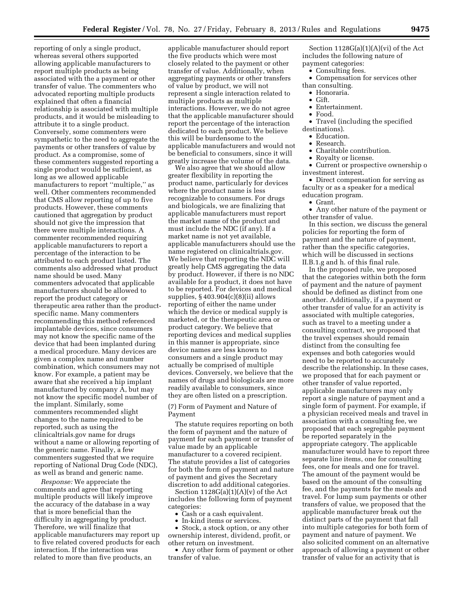reporting of only a single product, whereas several others supported allowing applicable manufacturers to report multiple products as being associated with the a payment or other transfer of value. The commenters who advocated reporting multiple products explained that often a financial relationship is associated with multiple products, and it would be misleading to attribute it to a single product. Conversely, some commenters were sympathetic to the need to aggregate the payments or other transfers of value by product. As a compromise, some of these commenters suggested reporting a single product would be sufficient, as long as we allowed applicable manufacturers to report ''multiple,'' as well. Other commenters recommended that CMS allow reporting of up to five products. However, these comments cautioned that aggregation by product should not give the impression that there were multiple interactions. A commenter recommended requiring applicable manufacturers to report a percentage of the interaction to be attributed to each product listed. The comments also addressed what product name should be used. Many commenters advocated that applicable manufacturers should be allowed to report the product category or therapeutic area rather than the productspecific name. Many commenters recommending this method referenced implantable devices, since consumers may not know the specific name of the device that had been implanted during a medical procedure. Many devices are given a complex name and number combination, which consumers may not know. For example, a patient may be aware that she received a hip implant manufactured by company A, but may not know the specific model number of the implant. Similarly, some commenters recommended slight changes to the name required to be reported, such as using the clinicaltrials.gov name for drugs without a name or allowing reporting of the generic name. Finally, a few commenters suggested that we require reporting of National Drug Code (NDC), as well as brand and generic name.

*Response:* We appreciate the comments and agree that reporting multiple products will likely improve the accuracy of the database in a way that is more beneficial than the difficulty in aggregating by product. Therefore, we will finalize that applicable manufacturers may report up to five related covered products for each interaction. If the interaction was related to more than five products, an

applicable manufacturer should report the five products which were most closely related to the payment or other transfer of value. Additionally, when aggregating payments or other transfers of value by product, we will not represent a single interaction related to multiple products as multiple interactions. However, we do not agree that the applicable manufacturer should report the percentage of the interaction dedicated to each product. We believe this will be burdensome to the applicable manufacturers and would not be beneficial to consumers, since it will greatly increase the volume of the data.

We also agree that we should allow greater flexibility in reporting the product name, particularly for devices where the product name is less recognizable to consumers. For drugs and biologicals, we are finalizing that applicable manufacturers must report the market name of the product and must include the NDC (if any). If a market name is not yet available, applicable manufacturers should use the name registered on clinicaltrials.gov. We believe that reporting the NDC will greatly help CMS aggregating the data by product. However, if there is no NDC available for a product, it does not have to be reported. For devices and medical supplies, § 403.904(c)(8)(ii) allows reporting of either the name under which the device or medical supply is marketed, or the therapeutic area or product category. We believe that reporting devices and medical supplies in this manner is appropriate, since device names are less known to consumers and a single product may actually be comprised of multiple devices. Conversely, we believe that the names of drugs and biologicals are more readily available to consumers, since they are often listed on a prescription.

(7) Form of Payment and Nature of Payment

The statute requires reporting on both the form of payment and the nature of payment for each payment or transfer of value made by an applicable manufacturer to a covered recipient. The statute provides a list of categories for both the form of payment and nature of payment and gives the Secretary discretion to add additional categories.

Section  $1128G(a)(1)(A)(v)$  of the Act includes the following form of payment categories:

• Cash or a cash equivalent.

• In-kind items or services.

• Stock, a stock option, or any other ownership interest, dividend, profit, or other return on investment.

• Any other form of payment or other transfer of value.

Section 1128G(a)(1)(A)(vi) of the Act includes the following nature of payment categories:

• Consulting fees.

- Compensation for services other than consulting.
- Honoraria.
- Gift.
- Entertainment.
- Food.
- Travel (including the specified
- destinations).
	- Education.
- Research.
- Charitable contribution.
- Royalty or license.

• Current or prospective ownership o investment interest.

• Direct compensation for serving as faculty or as a speaker for a medical education program.

• Grant.

• Any other nature of the payment or other transfer of value.

In this section, we discuss the general policies for reporting the form of payment and the nature of payment, rather than the specific categories, which will be discussed in sections II.B.1.g and h. of this final rule.

In the proposed rule, we proposed that the categories within both the form of payment and the nature of payment should be defined as distinct from one another. Additionally, if a payment or other transfer of value for an activity is associated with multiple categories, such as travel to a meeting under a consulting contract, we proposed that the travel expenses should remain distinct from the consulting fee expenses and both categories would need to be reported to accurately describe the relationship. In these cases, we proposed that for each payment or other transfer of value reported, applicable manufacturers may only report a single nature of payment and a single form of payment. For example, if a physician received meals and travel in association with a consulting fee, we proposed that each segregable payment be reported separately in the appropriate category. The applicable manufacturer would have to report three separate line items, one for consulting fees, one for meals and one for travel. The amount of the payment would be based on the amount of the consulting fee, and the payments for the meals and travel. For lump sum payments or other transfers of value, we proposed that the applicable manufacturer break out the distinct parts of the payment that fall into multiple categories for both form of payment and nature of payment. We also solicited comment on an alternative approach of allowing a payment or other transfer of value for an activity that is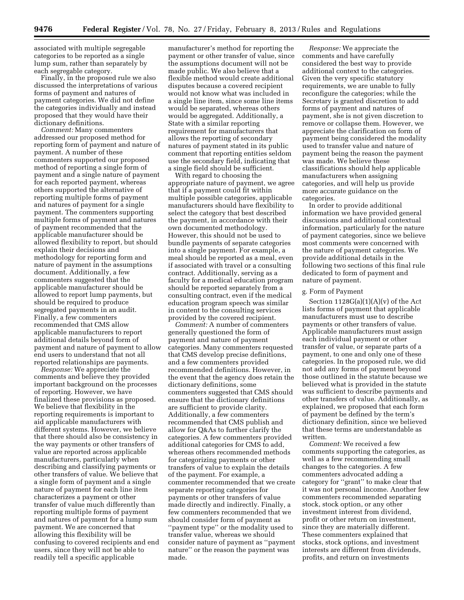associated with multiple segregable categories to be reported as a single lump sum, rather than separately by each segregable category.

Finally, in the proposed rule we also discussed the interpretations of various forms of payment and natures of payment categories. We did not define the categories individually and instead proposed that they would have their dictionary definitions.

*Comment:* Many commenters addressed our proposed method for reporting form of payment and nature of payment. A number of these commenters supported our proposed method of reporting a single form of payment and a single nature of payment for each reported payment, whereas others supported the alternative of reporting multiple forms of payment and natures of payment for a single payment. The commenters supporting multiple forms of payment and natures of payment recommended that the applicable manufacturer should be allowed flexibility to report, but should explain their decisions and methodology for reporting form and nature of payment in the assumptions document. Additionally, a few commenters suggested that the applicable manufacturer should be allowed to report lump payments, but should be required to produce segregated payments in an audit. Finally, a few commenters recommended that CMS allow applicable manufacturers to report additional details beyond form of payment and nature of payment to allow end users to understand that not all reported relationships are payments.

*Response:* We appreciate the comments and believe they provided important background on the processes of reporting. However, we have finalized these provisions as proposed. We believe that flexibility in the reporting requirements is important to aid applicable manufacturers with different systems. However, we believe that there should also be consistency in the way payments or other transfers of value are reported across applicable manufacturers, particularly when describing and classifying payments or other transfers of value. We believe that a single form of payment and a single nature of payment for each line item characterizes a payment or other transfer of value much differently than reporting multiple forms of payment and natures of payment for a lump sum payment. We are concerned that allowing this flexibility will be confusing to covered recipients and end users, since they will not be able to readily tell a specific applicable

manufacturer's method for reporting the payment or other transfer of value, since the assumptions document will not be made public. We also believe that a flexible method would create additional disputes because a covered recipient would not know what was included in a single line item, since some line items would be separated, whereas others would be aggregated. Additionally, a State with a similar reporting requirement for manufacturers that allows the reporting of secondary natures of payment stated in its public comment that reporting entities seldom use the secondary field, indicating that a single field should be sufficient.

With regard to choosing the appropriate nature of payment, we agree that if a payment could fit within multiple possible categories, applicable manufacturers should have flexibility to select the category that best described the payment, in accordance with their own documented methodology. However, this should not be used to bundle payments of separate categories into a single payment. For example, a meal should be reported as a meal, even if associated with travel or a consulting contract. Additionally, serving as a faculty for a medical education program should be reported separately from a consulting contract, even if the medical education program speech was similar in content to the consulting services provided by the covered recipient.

*Comment:* A number of commenters generally questioned the form of payment and nature of payment categories. Many commenters requested that CMS develop precise definitions, and a few commenters provided recommended definitions. However, in the event that the agency does retain the dictionary definitions, some commenters suggested that CMS should ensure that the dictionary definitions are sufficient to provide clarity. Additionally, a few commenters recommended that CMS publish and allow for Q&As to further clarify the categories. A few commenters provided additional categories for CMS to add, whereas others recommended methods for categorizing payments or other transfers of value to explain the details of the payment. For example, a commenter recommended that we create separate reporting categories for payments or other transfers of value made directly and indirectly. Finally, a few commenters recommended that we should consider form of payment as ''payment type'' or the modality used to transfer value, whereas we should consider nature of payment as ''payment nature'' or the reason the payment was made.

*Response:* We appreciate the comments and have carefully considered the best way to provide additional context to the categories. Given the very specific statutory requirements, we are unable to fully reconfigure the categories; while the Secretary is granted discretion to add forms of payment and natures of payment, she is not given discretion to remove or collapse them. However, we appreciate the clarification on form of payment being considered the modality used to transfer value and nature of payment being the reason the payment was made. We believe these classifications should help applicable manufacturers when assigning categories, and will help us provide more accurate guidance on the categories.

In order to provide additional information we have provided general discussions and additional contextual information, particularly for the nature of payment categories, since we believe most comments were concerned with the nature of payment categories. We provide additional details in the following two sections of this final rule dedicated to form of payment and nature of payment.

#### g. Form of Payment

Section  $1128G(a)(1)(A)(v)$  of the Act lists forms of payment that applicable manufacturers must use to describe payments or other transfers of value. Applicable manufacturers must assign each individual payment or other transfer of value, or separate parts of a payment, to one and only one of these categories. In the proposed rule, we did not add any forms of payment beyond those outlined in the statute because we believed what is provided in the statute was sufficient to describe payments and other transfers of value. Additionally, as explained, we proposed that each form of payment be defined by the term's dictionary definition, since we believed that these terms are understandable as written.

*Comment:* We received a few comments supporting the categories, as well as a few recommending small changes to the categories. A few commenters advocated adding a category for ''grant'' to make clear that it was not personal income. Another few commenters recommended separating stock, stock option, or any other investment interest from dividend, profit or other return on investment, since they are materially different. These commenters explained that stocks, stock options, and investment interests are different from dividends, profits, and return on investments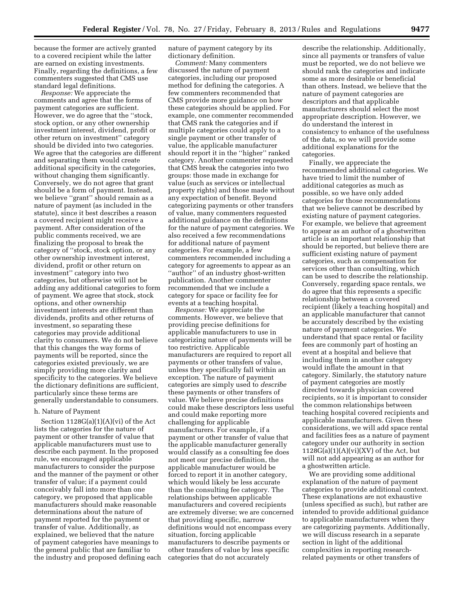because the former are actively granted to a covered recipient while the latter are earned on existing investments. Finally, regarding the definitions, a few commenters suggested that CMS use standard legal definitions.

*Response:* We appreciate the comments and agree that the forms of payment categories are sufficient. However, we do agree that the ''stock, stock option, or any other ownership investment interest, dividend, profit or other return on investment'' category should be divided into two categories. We agree that the categories are different and separating them would create additional specificity in the categories, without changing them significantly. Conversely, we do not agree that grant should be a form of payment. Instead, we believe ''grant'' should remain as a nature of payment (as included in the statute), since it best describes a reason a covered recipient might receive a payment. After consideration of the public comments received, we are finalizing the proposal to break the category of ''stock, stock option, or any other ownership investment interest, dividend, profit or other return on investment'' category into two categories, but otherwise will not be adding any additional categories to form of payment. We agree that stock, stock options, and other ownership investment interests are different than dividends, profits and other returns of investment, so separating these categories may provide additional clarity to consumers. We do not believe that this changes the way forms of payments will be reported, since the categories existed previously, we are simply providing more clarity and specificity to the categories. We believe the dictionary definitions are sufficient, particularly since these terms are generally understandable to consumers.

# h. Nature of Payment

Section 1128G(a)(1)(A)(vi) of the Act lists the categories for the nature of payment or other transfer of value that applicable manufacturers must use to describe each payment. In the proposed rule, we encouraged applicable manufacturers to consider the purpose and the manner of the payment or other transfer of value; if a payment could conceivably fall into more than one category, we proposed that applicable manufacturers should make reasonable determinations about the nature of payment reported for the payment or transfer of value. Additionally, as explained, we believed that the nature of payment categories have meanings to the general public that are familiar to the industry and proposed defining each nature of payment category by its dictionary definition.

*Comment:* Many commenters discussed the nature of payment categories, including our proposed method for defining the categories. A few commenters recommended that CMS provide more guidance on how these categories should be applied. For example, one commenter recommended that CMS rank the categories and if multiple categories could apply to a single payment or other transfer of value, the applicable manufacturer should report it in the ''higher'' ranked category. Another commenter requested that CMS break the categories into two groups: those made in exchange for value (such as services or intellectual property rights) and those made without any expectation of benefit. Beyond categorizing payments or other transfers of value, many commenters requested additional guidance on the definitions for the nature of payment categories. We also received a few recommendations for additional nature of payment categories. For example, a few commenters recommended including a category for agreements to appear as an ''author'' of an industry ghost-written publication. Another commenter recommended that we include a category for space or facility fee for events at a teaching hospital.

*Response:* We appreciate the comments. However, we believe that providing precise definitions for applicable manufacturers to use in categorizing nature of payments will be too restrictive. Applicable manufacturers are required to report all payments or other transfers of value, unless they specifically fall within an exception. The nature of payment categories are simply used to *describe*  these payments or other transfers of value. We believe precise definitions could make these descriptors less useful and could make reporting more challenging for applicable manufacturers. For example, if a payment or other transfer of value that the applicable manufacturer generally would classify as a consulting fee does not meet our precise definition, the applicable manufacturer would be forced to report it in another category, which would likely be less accurate than the consulting fee category. The relationships between applicable manufacturers and covered recipients are extremely diverse; we are concerned that providing specific, narrow definitions would not encompass every situation, forcing applicable manufacturers to describe payments or other transfers of value by less specific categories that do not accurately

describe the relationship. Additionally, since all payments or transfers of value must be reported, we do not believe we should rank the categories and indicate some as more desirable or beneficial than others. Instead, we believe that the nature of payment categories are descriptors and that applicable manufacturers should select the most appropriate description. However, we do understand the interest in consistency to enhance of the usefulness of the data, so we will provide some additional explanations for the categories.

Finally, we appreciate the recommended additional categories. We have tried to limit the number of additional categories as much as possible, so we have only added categories for those recommendations that we believe cannot be described by existing nature of payment categories. For example, we believe that agreement to appear as an author of a ghostwritten article is an important relationship that should be reported, but believe there are sufficient existing nature of payment categories, such as compensation for services other than consulting, which can be used to describe the relationship. Conversely, regarding space rentals, we do agree that this represents a specific relationship between a covered recipient (likely a teaching hospital) and an applicable manufacturer that cannot be accurately described by the existing nature of payment categories. We understand that space rental or facility fees are commonly part of hosting an event at a hospital and believe that including them in another category would inflate the amount in that category. Similarly, the statutory nature of payment categories are mostly directed towards physician covered recipients, so it is important to consider the common relationships between teaching hospital covered recipients and applicable manufacturers. Given these considerations, we will add space rental and facilities fees as a nature of payment category under our authority in section  $1128G(a)(1)(A)(vi)(XV)$  of the Act, but will not add appearing as an author for a ghostwritten article.

We are providing some additional explanation of the nature of payment categories to provide additional context. These explanations are not exhaustive (unless specified as such), but rather are intended to provide additional guidance to applicable manufacturers when they are categorizing payments. Additionally, we will discuss research in a separate section in light of the additional complexities in reporting researchrelated payments or other transfers of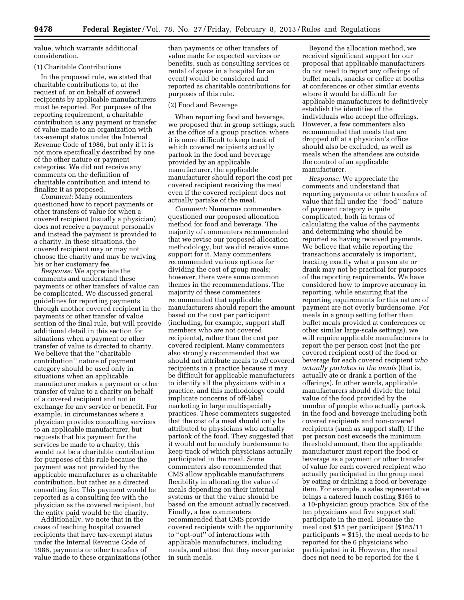value, which warrants additional consideration.

# (1) Charitable Contributions

In the proposed rule, we stated that charitable contributions to, at the request of, or on behalf of covered recipients by applicable manufacturers must be reported. For purposes of the reporting requirement, a charitable contribution is any payment or transfer of value made to an organization with tax-exempt status under the Internal Revenue Code of 1986, but only if it is not more specifically described by one of the other nature or payment categories. We did not receive any comments on the definition of charitable contribution and intend to finalize it as proposed.

*Comment:* Many commenters questioned how to report payments or other transfers of value for when a covered recipient (usually a physician) does not receive a payment personally and instead the payment is provided to a charity. In these situations, the covered recipient may or may not choose the charity and may be waiving his or her customary fee.

*Response:* We appreciate the comments and understand these payments or other transfers of value can be complicated. We discussed general guidelines for reporting payments through another covered recipient in the payments or other transfer of value section of the final rule, but will provide additional detail in this section for situations when a payment or other transfer of value is directed to charity. We believe that the ''charitable contribution'' nature of payment category should be used only in situations when an applicable manufacturer makes a payment or other transfer of value to a charity on behalf of a covered recipient and not in exchange for any service or benefit. For example, in circumstances where a physician provides consulting services to an applicable manufacturer, but requests that his payment for the services be made to a charity, this would not be a charitable contribution for purposes of this rule because the payment was not provided by the applicable manufacturer as a charitable contribution, but rather as a directed consulting fee. This payment would be reported as a consulting fee with the physician as the covered recipient, but the entity paid would be the charity.

Additionally, we note that in the cases of teaching hospital covered recipients that have tax-exempt status under the Internal Revenue Code of 1986, payments or other transfers of value made to these organizations (other than payments or other transfers of value made for expected services or benefits, such as consulting services or rental of space in a hospital for an event) would be considered and reported as charitable contributions for purposes of this rule.

#### (2) Food and Beverage

When reporting food and beverage, we proposed that in group settings, such as the office of a group practice, where it is more difficult to keep track of which covered recipients actually partook in the food and beverage provided by an applicable manufacturer, the applicable manufacturer should report the cost per covered recipient receiving the meal even if the covered recipient does not actually partake of the meal.

*Comment:* Numerous commenters questioned our proposed allocation method for food and beverage. The majority of commenters recommended that we revise our proposed allocation methodology, but we did receive some support for it. Many commenters recommended various options for dividing the cost of group meals; however, there were some common themes in the recommendations. The majority of these commenters recommended that applicable manufacturers should report the amount based on the cost per participant (including, for example, support staff members who are not covered recipients), rather than the cost per covered recipient. Many commenters also strongly recommended that we should not attribute meals to *all* covered recipients in a practice because it may be difficult for applicable manufacturers to identify all the physicians within a practice, and this methodology could implicate concerns of off-label marketing in large multispecialty practices. These commenters suggested that the cost of a meal should only be attributed to physicians who actually partook of the food. They suggested that it would not be unduly burdensome to keep track of which physicians actually participated in the meal. Some commenters also recommended that CMS allow applicable manufacturers flexibility in allocating the value of meals depending on their internal systems or that the value should be based on the amount actually received. Finally, a few commenters recommended that CMS provide covered recipients with the opportunity to ''opt-out'' of interactions with applicable manufacturers, including meals, and attest that they never partake in such meals.

Beyond the allocation method, we received significant support for our proposal that applicable manufacturers do not need to report any offerings of buffet meals, snacks or coffee at booths at conferences or other similar events where it would be difficult for applicable manufacturers to definitively establish the identities of the individuals who accept the offerings. However, a few commenters also recommended that meals that are dropped off at a physician's office should also be excluded, as well as meals when the attendees are outside the control of an applicable manufacturer.

*Response:* We appreciate the comments and understand that reporting payments or other transfers of value that fall under the ''food'' nature of payment category is quite complicated, both in terms of calculating the value of the payments and determining who should be reported as having received payments. We believe that while reporting the transactions accurately is important, tracking exactly what a person ate or drank may not be practical for purposes of the reporting requirements. We have considered how to improve accuracy in reporting, while ensuring that the reporting requirements for this nature of payment are not overly burdensome. For meals in a group setting (other than buffet meals provided at conferences or other similar large-scale settings), we will require applicable manufacturers to report the per person cost (not the per covered recipient cost) of the food or beverage for each covered recipient *who actually partakes in the meals* (that is, actually ate or drank a portion of the offerings). In other words, applicable manufacturers should divide the total value of the food provided by the number of people who actually partook in the food and beverage including both covered recipients and non-covered recipients (such as support staff). If the per person cost exceeds the minimum threshold amount, then the applicable manufacturer must report the food or beverage as a payment or other transfer of value for each covered recipient who actually participated in the group meal by eating or drinking a food or beverage item. For example, a sales representative brings a catered lunch costing \$165 to a 10-physician group practice. Six of the ten physicians and five support staff participate in the meal. Because the meal cost \$15 per participant (\$165/11 participants = \$15), the meal needs to be reported for the 6 physicians who participated in it. However, the meal does not need to be reported for the 4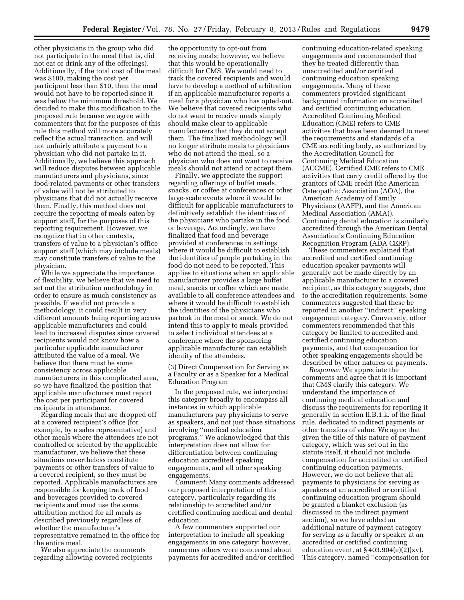other physicians in the group who did not participate in the meal (that is, did not eat or drink any of the offerings). Additionally, if the total cost of the meal was \$100, making the cost per participant less than \$10, then the meal would not have to be reported since it was below the minimum threshold. We decided to make this modification to the proposed rule because we agree with commenters that for the purposes of this rule this method will more accurately reflect the actual transaction, and will not unfairly attribute a payment to a physician who did not partake in it. Additionally, we believe this approach will reduce disputes between applicable manufacturers and physicians, since food-related payments or other transfers of value will not be attributed to physicians that did not actually receive them. Finally, this method does not require the reporting of meals eaten by support staff, for the purposes of this reporting requirement. However, we recognize that in other contexts, transfers of value to a physician's office support staff (which may include meals) may constitute transfers of value to the physician.

While we appreciate the importance of flexibility, we believe that we need to set out the attribution methodology in order to ensure as much consistency as possible. If we did not provide a methodology, it could result in very different amounts being reporting across applicable manufacturers and could lead to increased disputes since covered recipients would not know how a particular applicable manufacturer attributed the value of a meal. We believe that there must be some consistency across applicable manufacturers in this complicated area, so we have finalized the position that applicable manufacturers must report the cost per participant for covered recipients in attendance.

Regarding meals that are dropped off at a covered recipient's office (for example, by a sales representative) and other meals where the attendees are not controlled or selected by the applicable manufacturer, we believe that these situations nevertheless constitute payments or other transfers of value to a covered recipient, so they must be reported. Applicable manufacturers are responsible for keeping track of food and beverages provided to covered recipients and must use the same attribution method for all meals as described previously regardless of whether the manufacturer's representative remained in the office for the entire meal.

We also appreciate the comments regarding allowing covered recipients

the opportunity to opt-out from receiving meals; however, we believe that this would be operationally difficult for CMS. We would need to track the covered recipients and would have to develop a method of arbitration if an applicable manufacturer reports a meal for a physician who has opted-out. We believe that covered recipients who do not want to receive meals simply should make clear to applicable manufacturers that they do not accept them. The finalized methodology will no longer attribute meals to physicians who do not attend the meal, so a physician who does not want to receive meals should not attend or accept them.

Finally, we appreciate the support regarding offerings of buffet meals, snacks, or coffee at conferences or other large-scale events where it would be difficult for applicable manufacturers to definitively establish the identities of the physicians who partake in the food or beverage. Accordingly, we have finalized that food and beverage provided at conferences in settings where it would be difficult to establish the identities of people partaking in the food do not need to be reported. This applies to situations when an applicable manufacturer provides a large buffet meal, snacks or coffee which are made available to all conference attendees and where it would be difficult to establish the identities of the physicians who partook in the meal or snack. We do not intend this to apply to meals provided to select individual attendees at a conference where the sponsoring applicable manufacturer can establish identity of the attendees.

(3) Direct Compensation for Serving as a Faculty or as a Speaker for a Medical Education Program

In the proposed rule, we interpreted this category broadly to encompass all instances in which applicable manufacturers pay physicians to serve as speakers, and not just those situations involving ''medical education programs.'' We acknowledged that this interpretation does not allow for differentiation between continuing education accredited speaking engagements, and all other speaking engagements.

*Comment:* Many comments addressed our proposed interpretation of this category, particularly regarding its relationship to accredited and/or certified continuing medical and dental education.

A few commenters supported our interpretation to include all speaking engagements in one category; however, numerous others were concerned about payments for accredited and/or certified

continuing education-related speaking engagements and recommended that they be treated differently than unaccredited and/or certified continuing education speaking engagements. Many of these commenters provided significant background information on accredited and certified continuing education. Accredited Continuing Medical Education (CME) refers to CME activities that have been deemed to meet the requirements and standards of a CME accrediting body, as authorized by the Accreditation Council for Continuing Medical Education (ACCME). Certified CME refers to CME activities that carry credit offered by the grantors of CME credit (the American Osteopathic Association (AOA), the American Academy of Family Physicians (AAFP), and the American Medical Association (AMA)). Continuing dental education is similarly accredited through the American Dental Association's Continuing Education Recognition Program (ADA CERP).

These commenters explained that accredited and certified continuing education speaker payments will generally not be made directly by an applicable manufacturer to a covered recipient, as this category suggests, due to the accreditation requirements. Some commenters suggested that these be reported in another ''indirect'' speaking engagement category. Conversely, other commenters recommended that this category be limited to accredited and certified continuing education payments, and that compensation for other speaking engagements should be described by other natures or payments.

*Response:* We appreciate the comments and agree that it is important that CMS clarify this category. We understand the importance of continuing medical education and discuss the requirements for reporting it generally in section II.B.1.k. of the final rule, dedicated to indirect payments or other transfers of value. We agree that given the title of this nature of payment category, which was set out in the statute itself, it should not include compensation for accredited or certified continuing education payments. However, we do not believe that all payments to physicians for serving as speakers at an accredited or certified continuing education program should be granted a blanket exclusion (as discussed in the indirect payment section), so we have added an additional nature of payment category for serving as a faculty or speaker at an accredited or certified continuing education event, at  $\S 403.904(e)(2)(xv)$ . This category, named ''compensation for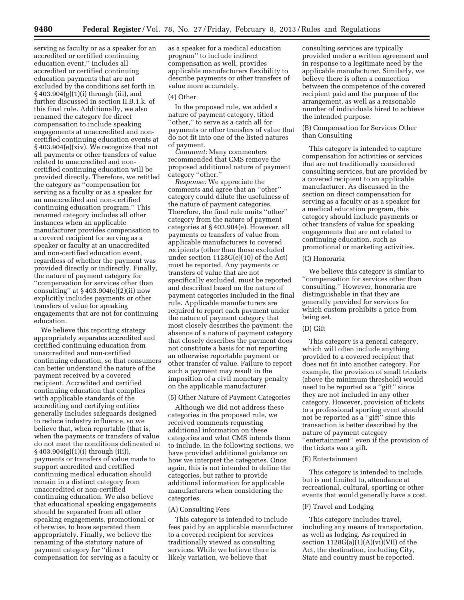serving as faculty or as a speaker for an accredited or certified continuing education event,'' includes all accredited or certified continuing education payments that are not excluded by the conditions set forth in § 403.904(g)(1)(i) through (iii), and further discussed in section II.B.1.k. of this final rule. Additionally, we also renamed the category for direct compensation to include speaking engagements at unaccredited and noncertified continuing education events at § 403.904(e)(xiv). We recognize that not all payments or other transfers of value related to unaccredited and noncertified continuing education will be provided directly. Therefore, we retitled the category as ''compensation for serving as a faculty or as a speaker for an unaccredited and non-certified continuing education program.'' This renamed category includes all other instances when an applicable manufacturer provides compensation to a covered recipient for serving as a speaker or faculty at an unaccredited and non-certified education event, regardless of whether the payment was provided directly or indirectly. Finally, the nature of payment category for ''compensation for services other than consulting" at  $§$  403.904(e)(2)(ii) now explicitly includes payments or other transfers of value for speaking engagements that are not for continuing education.

We believe this reporting strategy appropriately separates accredited and certified continuing education from unaccredited and non-certified continuing education, so that consumers can better understand the nature of the payment received by a covered recipient. Accredited and certified continuing education that complies with applicable standards of the accrediting and certifying entities generally includes safeguards designed to reduce industry influence, so we believe that, when reportable (that is, when the payments or transfers of value do not meet the conditions delineated at § 403.904(g)(1)(i) through (iii)), payments or transfers of value made to support accredited and certified continuing medical education should remain in a distinct category from unaccredited or non-certified continuing education. We also believe that educational speaking engagements should be separated from all other speaking engagements, promotional or otherwise, to have separated them appropriately. Finally, we believe the renaming of the statutory nature of payment category for ''direct compensation for serving as a faculty or

as a speaker for a medical education program'' to include indirect compensation as well, provides applicable manufacturers flexibility to describe payments or other transfers of value more accurately.

#### (4) Other

In the proposed rule, we added a nature of payment category, titled ''other,'' to serve as a catch all for payments or other transfers of value that do not fit into one of the listed natures of payment.

*Comment:* Many commenters recommended that CMS remove the proposed additional nature of payment category ''other.''

*Response:* We appreciate the comments and agree that an ''other'' category could dilute the usefulness of the nature of payment categories. Therefore, the final rule omits ''other'' category from the nature of payment categories at § 403.904(e). However, all payments or transfers of value from applicable manufacturers to covered recipients (other than those excluded under section 1128G(e)(10) of the Act) must be reported. Any payments or transfers of value that are not specifically excluded, must be reported and described based on the nature of payment categories included in the final rule. Applicable manufacturers are required to report each payment under the nature of payment category that most closely describes the payment; the absence of a nature of payment category that closely describes the payment does not constitute a basis for not reporting an otherwise reportable payment or other transfer of value. Failure to report such a payment may result in the imposition of a civil monetary penalty on the applicable manufacturer.

# (5) Other Nature of Payment Categories

Although we did not address these categories in the proposed rule, we received comments requesting additional information on these categories and what CMS intends them to include. In the following sections, we have provided additional guidance on how we interpret the categories. Once again, this is not intended to define the categories, but rather to provide additional information for applicable manufacturers when considering the categories.

#### (A) Consulting Fees

This category is intended to include fees paid by an applicable manufacturer to a covered recipient for services traditionally viewed as consulting services. While we believe there is likely variation, we believe that

consulting services are typically provided under a written agreement and in response to a legitimate need by the applicable manufacturer. Similarly, we believe there is often a connection between the competence of the covered recipient paid and the purpose of the arrangement, as well as a reasonable number of individuals hired to achieve the intended purpose.

# (B) Compensation for Services Other than Consulting

This category is intended to capture compensation for activities or services that are not traditionally considered consulting services, but are provided by a covered recipient to an applicable manufacturer. As discussed in the section on direct compensation for serving as a faculty or as a speaker for a medical education program, this category should include payments or other transfers of value for speaking engagements that are not related to continuing education, such as promotional or marketing activities.

#### (C) Honoraria

We believe this category is similar to ''compensation for services other than consulting.'' However, honoraria are distinguishable in that they are generally provided for services for which custom prohibits a price from being set.

# (D) Gift

This category is a general category, which will often include anything provided to a covered recipient that does not fit into another category. For example, the provision of small trinkets (above the minimum threshold) would need to be reported as a ''gift'' since they are not included in any other category. However, provision of tickets to a professional sporting event should not be reported as a ''gift'' since this transaction is better described by the nature of payment category ''entertainment'' even if the provision of the tickets was a gift.

#### (E) Entertainment

This category is intended to include, but is not limited to, attendance at recreational, cultural, sporting or other events that would generally have a cost.

# (F) Travel and Lodging

This category includes travel, including any means of transportation, as well as lodging. As required in section  $1128G(a)(1)(A)(vi)(VII)$  of the Act, the destination, including City, State and country must be reported.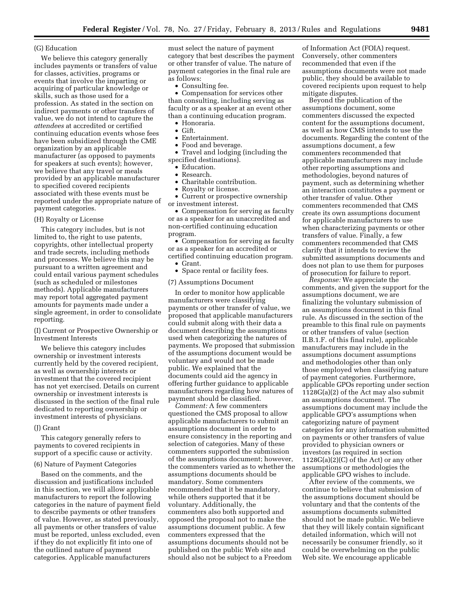# (G) Education

We believe this category generally includes payments or transfers of value for classes, activities, programs or events that involve the imparting or acquiring of particular knowledge or skills, such as those used for a profession. As stated in the section on indirect payments or other transfers of value, we do not intend to capture the *attendees* at accredited or certified continuing education events whose fees have been subsidized through the CME organization by an applicable manufacturer (as opposed to payments for speakers at such events); however, we believe that any travel or meals provided by an applicable manufacturer to specified covered recipients associated with these events must be reported under the appropriate nature of payment categories.

#### (H) Royalty or License

This category includes, but is not limited to, the right to use patents, copyrights, other intellectual property and trade secrets, including methods and processes. We believe this may be pursuant to a written agreement and could entail various payment schedules (such as scheduled or milestones methods). Applicable manufacturers may report total aggregated payment amounts for payments made under a single agreement, in order to consolidate reporting.

(I) Current or Prospective Ownership or Investment Interests

We believe this category includes ownership or investment interests currently held by the covered recipient, as well as ownership interests or investment that the covered recipient has not yet exercised. Details on current ownership or investment interests is discussed in the section of the final rule dedicated to reporting ownership or investment interests of physicians.

# (J) Grant

This category generally refers to payments to covered recipients in support of a specific cause or activity.

#### (6) Nature of Payment Categories

Based on the comments, and the discussion and justifications included in this section, we will allow applicable manufacturers to report the following categories in the nature of payment field to describe payments or other transfers of value. However, as stated previously, all payments or other transfers of value must be reported, unless excluded, even if they do not explicitly fit into one of the outlined nature of payment categories. Applicable manufacturers

must select the nature of payment category that best describes the payment or other transfer of value. The nature of payment categories in the final rule are as follows:

• Consulting fee.

• Compensation for services other than consulting, including serving as faculty or as a speaker at an event other than a continuing education program.

- Honoraria.
- $\bullet$  Gift.
- Entertainment.
- Food and beverage.
- Travel and lodging (including the specified destinations).
	- Education.
	- Research.
	- Charitable contribution.
	- Royalty or license.
- Current or prospective ownership or investment interest.

• Compensation for serving as faculty or as a speaker for an unaccredited and non-certified continuing education program.

• Compensation for serving as faculty or as a speaker for an accredited or certified continuing education program. • Grant.

• Space rental or facility fees.

#### (7) Assumptions Document

In order to monitor how applicable manufacturers were classifying payments or other transfer of value, we proposed that applicable manufacturers could submit along with their data a document describing the assumptions used when categorizing the natures of payments. We proposed that submission of the assumptions document would be voluntary and would not be made public. We explained that the documents could aid the agency in offering further guidance to applicable manufacturers regarding how natures of payment should be classified.

*Comment:* A few commenters questioned the CMS proposal to allow applicable manufacturers to submit an assumptions document in order to ensure consistency in the reporting and selection of categories. Many of these commenters supported the submission of the assumptions document; however, the commenters varied as to whether the assumptions documents should be mandatory. Some commenters recommended that it be mandatory, while others supported that it be voluntary. Additionally, the commenters also both supported and opposed the proposal not to make the assumptions document public. A few commenters expressed that the assumptions documents should not be published on the public Web site and should also not be subject to a Freedom

of Information Act (FOIA) request. Conversely, other commenters recommended that even if the assumptions documents were not made public, they should be available to covered recipients upon request to help mitigate disputes.

Beyond the publication of the assumptions document, some commenters discussed the expected content for the assumptions document, as well as how CMS intends to use the documents. Regarding the content of the assumptions document, a few commenters recommended that applicable manufacturers may include other reporting assumptions and methodologies, beyond natures of payment, such as determining whether an interaction constitutes a payment or other transfer of value. Other commenters recommended that CMS create its own assumptions document for applicable manufacturers to use when characterizing payments or other transfers of value. Finally, a few commenters recommended that CMS clarify that it intends to review the submitted assumptions documents and does not plan to use them for purposes of prosecution for failure to report.

*Response:* We appreciate the comments, and given the support for the assumptions document, we are finalizing the voluntary submission of an assumptions document in this final rule. As discussed in the section of the preamble to this final rule on payments or other transfers of value (section II.B.1.F. of this final rule), applicable manufacturers may include in the assumptions document assumptions and methodologies other than only those employed when classifying nature of payment categories. Furthermore, applicable GPOs reporting under section 1128G(a)(2) of the Act may also submit an assumptions document. The assumptions document may include the applicable GPO's assumptions when categorizing nature of payment categories for any information submitted on payments or other transfers of value provided to physician owners or investors (as required in section 1128G(a)(2)(C) of the Act) or any other assumptions or methodologies the applicable GPO wishes to include.

After review of the comments, we continue to believe that submission of the assumptions document should be voluntary and that the contents of the assumptions documents submitted should not be made public. We believe that they will likely contain significant detailed information, which will not necessarily be consumer friendly, so it could be overwhelming on the public Web site. We encourage applicable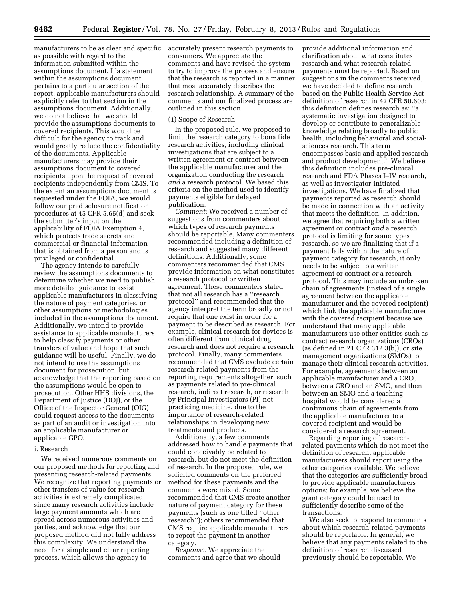as possible with regard to the information submitted within the assumptions document. If a statement within the assumptions document pertains to a particular section of the report, applicable manufacturers should explicitly refer to that section in the assumptions document. Additionally, we do not believe that we should provide the assumptions documents to covered recipients. This would be difficult for the agency to track and would greatly reduce the confidentiality of the documents. Applicable manufacturers may provide their assumptions document to covered recipients upon the request of covered recipients independently from CMS. To the extent an assumptions document is requested under the FOIA, we would follow our predisclosure notification procedures at 45 CFR 5.65(d) and seek the submitter's input on the applicability of FOIA Exemption 4, which protects trade secrets and commercial or financial information that is obtained from a person and is privileged or confidential.

The agency intends to carefully review the assumptions documents to determine whether we need to publish more detailed guidance to assist applicable manufacturers in classifying the nature of payment categories, or other assumptions or methodologies included in the assumptions document. Additionally, we intend to provide assistance to applicable manufacturers to help classify payments or other transfers of value and hope that such guidance will be useful. Finally, we do not intend to use the assumptions document for prosecution, but acknowledge that the reporting based on the assumptions would be open to prosecution. Other HHS divisions, the Department of Justice (DOJ), or the Office of the Inspector General (OIG) could request access to the documents as part of an audit or investigation into an applicable manufacturer or applicable GPO.

# i. Research

We received numerous comments on our proposed methods for reporting and presenting research-related payments. We recognize that reporting payments or other transfers of value for research activities is extremely complicated, since many research activities include large payment amounts which are spread across numerous activities and parties, and acknowledge that our proposed method did not fully address this complexity. We understand the need for a simple and clear reporting process, which allows the agency to

manufacturers to be as clear and specific accurately present research payments to consumers. We appreciate the comments and have revised the system to try to improve the process and ensure that the research is reported in a manner that most accurately describes the research relationship. A summary of the comments and our finalized process are outlined in this section.

#### (1) Scope of Research

In the proposed rule, we proposed to limit the research category to bona fide research activities, including clinical investigations that are subject to a written agreement or contract between the applicable manufacturer and the organization conducting the research *and* a research protocol. We based this criteria on the method used to identify payments eligible for delayed publication.

*Comment:* We received a number of suggestions from commenters about which types of research payments should be reportable. Many commenters recommended including a definition of research and suggested many different definitions. Additionally, some commenters recommended that CMS provide information on what constitutes a research protocol or written agreement. These commenters stated that not all research has a ''research protocol'' and recommended that the agency interpret the term broadly or not require that one exist in order for a payment to be described as research. For example, clinical research for devices is often different from clinical drug research and does not require a research protocol. Finally, many commenters recommended that CMS exclude certain research-related payments from the reporting requirements altogether, such as payments related to pre-clinical research, indirect research, or research by Principal Investigators (PI) not practicing medicine, due to the importance of research-related relationships in developing new treatments and products.

Additionally, a few comments addressed how to handle payments that could conceivably be related to research, but do not meet the definition of research. In the proposed rule, we solicited comments on the preferred method for these payments and the comments were mixed. Some recommended that CMS create another nature of payment category for these payments (such as one titled ''other research''); others recommended that CMS require applicable manufacturers to report the payment in another category.

*Response:* We appreciate the comments and agree that we should

provide additional information and clarification about what constitutes research and what research-related payments must be reported. Based on suggestions in the comments received, we have decided to define research based on the Public Health Service Act definition of research in 42 CFR 50.603; this definition defines research as: ''a systematic investigation designed to develop or contribute to generalizable knowledge relating broadly to public health, including behavioral and socialsciences research. This term encompasses basic and applied research and product development.'' We believe this definition includes pre-clinical research and FDA Phases I–IV research, as well as investigator-initiated investigations. We have finalized that payments reported as research should be made in connection with an activity that meets the definition. In addition, we agree that requiring both a written agreement or contract *and* a research protocol is limiting for some types research, so we are finalizing that if a payment falls within the nature of payment category for research, it only needs to be subject to a written agreement or contract *or* a research protocol. This may include an unbroken chain of agreements (instead of a single agreement between the applicable manufacturer and the covered recipient) which link the applicable manufacturer with the covered recipient because we understand that many applicable manufacturers use other entities such as contract research organizations (CROs) (as defined in 21 CFR 312.3(b)), or site management organizations (SMOs) to manage their clinical research activities. For example, agreements between an applicable manufacturer and a CRO, between a CRO and an SMO, and then between an SMO and a teaching hospital would be considered a continuous chain of agreements from the applicable manufacturer to a covered recipient and would be considered a research agreement.

Regarding reporting of researchrelated payments which do not meet the definition of research, applicable manufacturers should report using the other categories available. We believe that the categories are sufficiently broad to provide applicable manufacturers options; for example, we believe the grant category could be used to sufficiently describe some of the transactions.

We also seek to respond to comments about which research-related payments should be reportable. In general, we believe that any payments related to the definition of research discussed previously should be reportable. We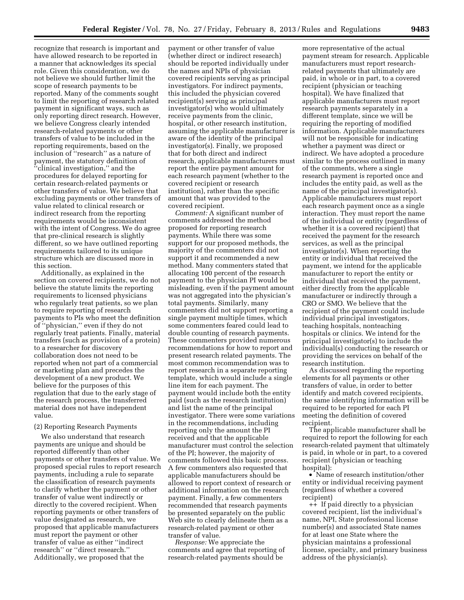recognize that research is important and have allowed research to be reported in a manner that acknowledges its special role. Given this consideration, we do not believe we should further limit the scope of research payments to be reported. Many of the comments sought to limit the reporting of research related payment in significant ways, such as only reporting direct research. However, we believe Congress clearly intended research-related payments or other transfers of value to be included in the reporting requirements, based on the inclusion of ''research'' as a nature of payment, the statutory definition of ''clinical investigation,'' and the procedures for delayed reporting for certain research-related payments or other transfers of value. We believe that excluding payments or other transfers of value related to clinical research or indirect research from the reporting requirements would be inconsistent with the intent of Congress. We do agree that pre-clinical research is slightly different, so we have outlined reporting requirements tailored to its unique structure which are discussed more in this section.

Additionally, as explained in the section on covered recipients, we do not believe the statute limits the reporting requirements to licensed physicians who regularly treat patients, so we plan to require reporting of research payments to PIs who meet the definition of ''physician,'' even if they do not regularly treat patients. Finally, material transfers (such as provision of a protein) to a researcher for discovery collaboration does not need to be reported when not part of a commercial or marketing plan and precedes the development of a new product. We believe for the purposes of this regulation that due to the early stage of the research process, the transferred material does not have independent value.

#### (2) Reporting Research Payments

We also understand that research payments are unique and should be reported differently than other payments or other transfers of value. We proposed special rules to report research payments, including a rule to separate the classification of research payments to clarify whether the payment or other transfer of value went indirectly or directly to the covered recipient. When reporting payments or other transfers of value designated as research, we proposed that applicable manufacturers must report the payment or other transfer of value as either ''indirect research'' or ''direct research.'' Additionally, we proposed that the

payment or other transfer of value (whether direct or indirect research) should be reported individually under the names and NPIs of physician covered recipients serving as principal investigators. For indirect payments, this included the physician covered recipient(s) serving as principal investigator(s) who would ultimately receive payments from the clinic, hospital, or other research institution, assuming the applicable manufacturer is aware of the identity of the principal investigator(s). Finally, we proposed that for both direct and indirect research, applicable manufacturers must report the entire payment amount for each research payment (whether to the covered recipient or research institution), rather than the specific amount that was provided to the covered recipient.

*Comment:* A significant number of comments addressed the method proposed for reporting research payments. While there was some support for our proposed methods, the majority of the commenters did not support it and recommended a new method. Many commenters stated that allocating 100 percent of the research payment to the physician PI would be misleading, even if the payment amount was not aggregated into the physician's total payments. Similarly, many commenters did not support reporting a single payment multiple times, which some commenters feared could lead to double counting of research payments. These commenters provided numerous recommendations for how to report and present research related payments. The most common recommendation was to report research in a separate reporting template, which would include a single line item for each payment. The payment would include both the entity paid (such as the research institution) and list the name of the principal investigator. There were some variations in the recommendations, including reporting only the amount the PI received and that the applicable manufacturer must control the selection of the PI; however, the majority of comments followed this basic process. A few commenters also requested that applicable manufacturers should be allowed to report context of research or additional information on the research payment. Finally, a few commenters recommended that research payments be presented separately on the public Web site to clearly delineate them as a research-related payment or other transfer of value.

*Response:* We appreciate the comments and agree that reporting of research-related payments should be

more representative of the actual payment stream for research. Applicable manufacturers must report researchrelated payments that ultimately are paid, in whole or in part, to a covered recipient (physician or teaching hospital). We have finalized that applicable manufacturers must report research payments separately in a different template, since we will be requiring the reporting of modified information. Applicable manufacturers will not be responsible for indicating whether a payment was direct or indirect. We have adopted a procedure similar to the process outlined in many of the comments, where a single research payment is reported once and includes the entity paid, as well as the name of the principal investigator(s). Applicable manufacturers must report each research payment once as a single interaction. They must report the name of the individual or entity (regardless of whether it is a covered recipient) that received the payment for the research services, as well as the principal investigator(s). When reporting the entity or individual that received the payment, we intend for the applicable manufacturer to report the entity or individual that received the payment, either directly from the applicable manufacturer or indirectly through a CRO or SMO. We believe that the recipient of the payment could include individual principal investigators, teaching hospitals, nonteaching hospitals or clinics. We intend for the principal investigator(s) to include the individual(s) conducting the research or providing the services on behalf of the research institution.

As discussed regarding the reporting elements for all payments or other transfers of value, in order to better identify and match covered recipients, the same identifying information will be required to be reported for each PI meeting the definition of covered recipient.

The applicable manufacturer shall be required to report the following for each research-related payment that ultimately is paid, in whole or in part, to a covered recipient (physician or teaching hospital):

• Name of research institution/other entity or individual receiving payment (regardless of whether a covered recipient)

++ If paid directly to a physician covered recipient, list the individual's name, NPI, State professional license number(s) and associated State names for at least one State where the physician maintains a professional license, specialty, and primary business address of the physician(s).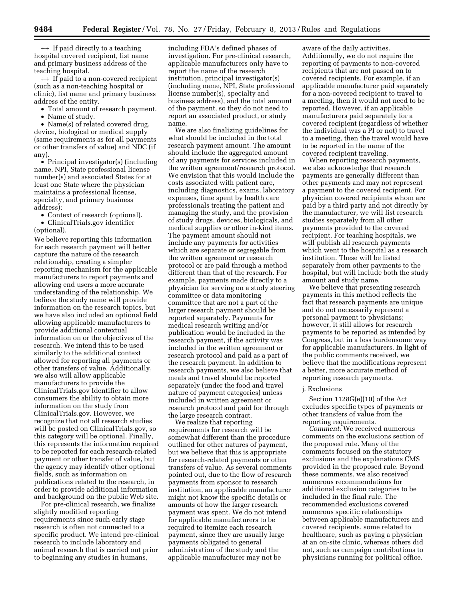++ If paid directly to a teaching hospital covered recipient, list name and primary business address of the teaching hospital.

++ If paid to a non-covered recipient (such as a non-teaching hospital or clinic), list name and primary business address of the entity.

- Total amount of research payment.
- Name of study.

• Name(s) of related covered drug, device, biological or medical supply (same requirements as for all payments or other transfers of value) and NDC (if any).

• Principal investigator(s) (including name, NPI, State professional license number(s) and associated States for at least one State where the physician maintains a professional license, specialty, and primary business address);

• Context of research (optional). • ClinicalTrials.gov identifier (optional).

We believe reporting this information for each research payment will better capture the nature of the research relationship, creating a simpler reporting mechanism for the applicable manufacturers to report payments and allowing end users a more accurate understanding of the relationship. We believe the study name will provide information on the research topics, but we have also included an optional field allowing applicable manufacturers to provide additional contextual information on or the objectives of the research. We intend this to be used similarly to the additional context allowed for reporting all payments or other transfers of value. Additionally, we also will allow applicable manufacturers to provide the ClinicalTrials.gov Identifier to allow consumers the ability to obtain more information on the study from ClinicalTrials.gov. However, we recognize that not all research studies will be posted on ClinicalTrials.gov, so this category will be optional. Finally, this represents the information required to be reported for each research-related payment or other transfer of value, but the agency may identify other optional fields, such as information on publications related to the research, in order to provide additional information and background on the public Web site.

For pre-clinical research, we finalize slightly modified reporting requirements since such early stage research is often not connected to a specific product. We intend pre-clinical research to include laboratory and animal research that is carried out prior to beginning any studies in humans,

including FDA's defined phases of investigation. For pre-clinical research, applicable manufacturers only have to report the name of the research institution, principal investigator(s) (including name, NPI, State professional license number(s), specialty and business address), and the total amount of the payment, so they do not need to report an associated product, or study name.

We are also finalizing guidelines for what should be included in the total research payment amount. The amount should include the aggregated amount of any payments for services included in the written agreement/research protocol. We envision that this would include the costs associated with patient care, including diagnostics, exams, laboratory expenses, time spent by health care professionals treating the patient and managing the study, and the provision of study drugs, devices, biologicals, and medical supplies or other in-kind items. The payment amount should not include any payments for activities which are separate or segregable from the written agreement or research protocol or are paid through a method different than that of the research. For example, payments made directly to a physician for serving on a study steering committee or data monitoring committee that are not a part of the larger research payment should be reported separately. Payments for medical research writing and/or publication would be included in the research payment, if the activity was included in the written agreement or research protocol and paid as a part of the research payment. In addition to research payments, we also believe that meals and travel should be reported separately (under the food and travel nature of payment categories) unless included in written agreement or research protocol and paid for through the large research contract.

We realize that reporting requirements for research will be somewhat different than the procedure outlined for other natures of payment, but we believe that this is appropriate for research-related payments or other transfers of value. As several comments pointed out, due to the flow of research payments from sponsor to research institution, an applicable manufacturer might not know the specific details or amounts of how the larger research payment was spent. We do not intend for applicable manufacturers to be required to itemize each research payment, since they are usually large payments obligated to general administration of the study and the applicable manufacturer may not be

aware of the daily activities. Additionally, we do not require the reporting of payments to non-covered recipients that are not passed on to covered recipients. For example, if an applicable manufacturer paid separately for a non-covered recipient to travel to a meeting, then it would not need to be reported. However, if an applicable manufacturers paid separately for a covered recipient (regardless of whether the individual was a PI or not) to travel to a meeting, then the travel would have to be reported in the name of the covered recipient traveling.

When reporting research payments, we also acknowledge that research payments are generally different than other payments and may not represent a payment to the covered recipient. For physician covered recipients whom are paid by a third party and not directly by the manufacturer, we will list research studies separately from all other payments provided to the covered recipient. For teaching hospitals, we will publish all research payments which went to the hospital as a research institution. These will be listed separately from other payments to the hospital, but will include both the study amount and study name.

We believe that presenting research payments in this method reflects the fact that research payments are unique and do not necessarily represent a personal payment to physicians; however, it still allows for research payments to be reported as intended by Congress, but in a less burdensome way for applicable manufacturers. In light of the public comments received, we believe that the modifications represent a better, more accurate method of reporting research payments.

# j. Exclusions

Section 1128G(e)(10) of the Act excludes specific types of payments or other transfers of value from the reporting requirements.

*Comment:* We received numerous comments on the exclusions section of the proposed rule. Many of the comments focused on the statutory exclusions and the explanations CMS provided in the proposed rule. Beyond these comments, we also received numerous recommendations for additional exclusion categories to be included in the final rule. The recommended exclusions covered numerous specific relationships between applicable manufacturers and covered recipients, some related to healthcare, such as paying a physician at an on-site clinic, whereas others did not, such as campaign contributions to physicians running for political office.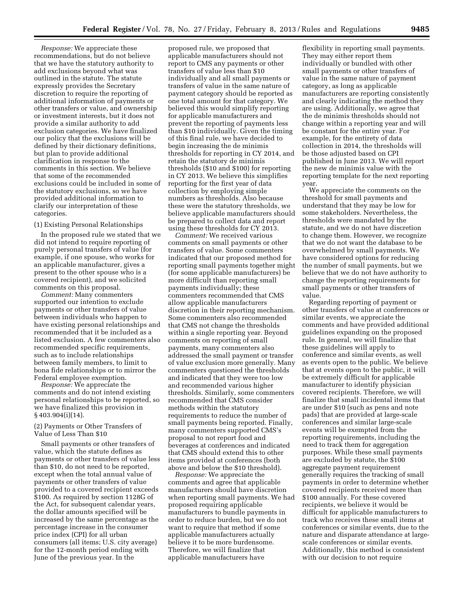*Response:* We appreciate these recommendations, but do not believe that we have the statutory authority to add exclusions beyond what was outlined in the statute. The statute expressly provides the Secretary discretion to require the reporting of additional information of payments or other transfers or value, and ownership or investment interests, but it does not provide a similar authority to add exclusion categories. We have finalized our policy that the exclusions will be defined by their dictionary definitions, but plan to provide additional clarification in response to the comments in this section. We believe that some of the recommended exclusions could be included in some of the statutory exclusions, so we have provided additional information to clarify our interpretation of these categories.

# (1) Existing Personal Relationships

In the proposed rule we stated that we did not intend to require reporting of purely personal transfers of value (for example, if one spouse, who works for an applicable manufacturer, gives a present to the other spouse who is a covered recipient), and we solicited comments on this proposal.

*Comment:* Many commenters supported our intention to exclude payments or other transfers of value between individuals who happen to have existing personal relationships and recommended that it be included as a listed exclusion. A few commenters also recommended specific requirements, such as to include relationships between family members, to limit to bona fide relationships or to mirror the Federal employee exemption.

*Response:* We appreciate the comments and do not intend existing personal relationships to be reported, so we have finalized this provision in § 403.904(i)(14).

# (2) Payments or Other Transfers of Value of Less Than \$10

Small payments or other transfers of value, which the statute defines as payments or other transfers of value less than \$10, do not need to be reported, except when the total annual value of payments or other transfers of value provided to a covered recipient exceeds \$100. As required by section 1128G of the Act, for subsequent calendar years, the dollar amounts specified will be increased by the same percentage as the percentage increase in the consumer price index (CPI) for all urban consumers (all items; U.S. city average) for the 12-month period ending with June of the previous year. In the

proposed rule, we proposed that applicable manufacturers should not report to CMS any payments or other transfers of value less than \$10 individually and all small payments or transfers of value in the same nature of payment category should be reported as one total amount for that category. We believed this would simplify reporting for applicable manufacturers and prevent the reporting of payments less than \$10 individually. Given the timing of this final rule, we have decided to begin increasing the de minimis thresholds for reporting in CY 2014, and retain the statutory de minimis thresholds (\$10 and \$100) for reporting in CY 2013. We believe this simplifies reporting for the first year of data collection by employing simple numbers as thresholds. Also because these were the statutory thresholds, we believe applicable manufacturers should be prepared to collect data and report using these thresholds for CY 2013.

*Comment:* We received various comments on small payments or other transfers of value. Some commenters indicated that our proposed method for reporting small payments together might (for some applicable manufacturers) be more difficult than reporting small payments individually; these commenters recommended that CMS allow applicable manufacturers discretion in their reporting mechanism. Some commenters also recommended that CMS not change the thresholds within a single reporting year. Beyond comments on reporting of small payments, many commenters also addressed the small payment or transfer of value exclusion more generally. Many commenters questioned the thresholds and indicated that they were too low and recommended various higher thresholds. Similarly, some commenters recommended that CMS consider methods within the statutory requirements to reduce the number of small payments being reported. Finally, many commenters supported CMS's proposal to not report food and beverages at conferences and indicated that CMS should extend this to other items provided at conferences (both above and below the \$10 threshold).

*Response:* We appreciate the comments and agree that applicable manufacturers should have discretion when reporting small payments. We had proposed requiring applicable manufacturers to bundle payments in order to reduce burden, but we do not want to require that method if some applicable manufacturers actually believe it to be more burdensome. Therefore, we will finalize that applicable manufacturers have

flexibility in reporting small payments. They may either report them individually or bundled with other small payments or other transfers of value in the same nature of payment category, as long as applicable manufacturers are reporting consistently and clearly indicating the method they are using. Additionally, we agree that the de minimis thresholds should not change within a reporting year and will be constant for the entire year. For example, for the entirety of data collection in 2014, the thresholds will be those adjusted based on CPI published in June 2013. We will report the new de minimis value with the reporting template for the next reporting year.

We appreciate the comments on the threshold for small payments and understand that they may be low for some stakeholders. Nevertheless, the thresholds were mandated by the statute, and we do not have discretion to change them. However, we recognize that we do not want the database to be overwhelmed by small payments. We have considered options for reducing the number of small payments, but we believe that we do not have authority to change the reporting requirements for small payments or other transfers of value.

Regarding reporting of payment or other transfers of value at conferences or similar events, we appreciate the comments and have provided additional guidelines expanding on the proposed rule. In general, we will finalize that these guidelines will apply to conference and similar events, as well as events open to the public. We believe that at events open to the public, it will be extremely difficult for applicable manufacturer to identify physician covered recipients. Therefore, we will finalize that small incidental items that are under \$10 (such as pens and note pads) that are provided at large-scale conferences and similar large-scale events will be exempted from the reporting requirements, including the need to track them for aggregation purposes. While these small payments are excluded by statute, the \$100 aggregate payment requirement generally requires the tracking of small payments in order to determine whether covered recipients received more than \$100 annually. For these covered recipients, we believe it would be difficult for applicable manufacturers to track who receives these small items at conferences or similar events, due to the nature and disparate attendance at largescale conferences or similar events. Additionally, this method is consistent with our decision to not require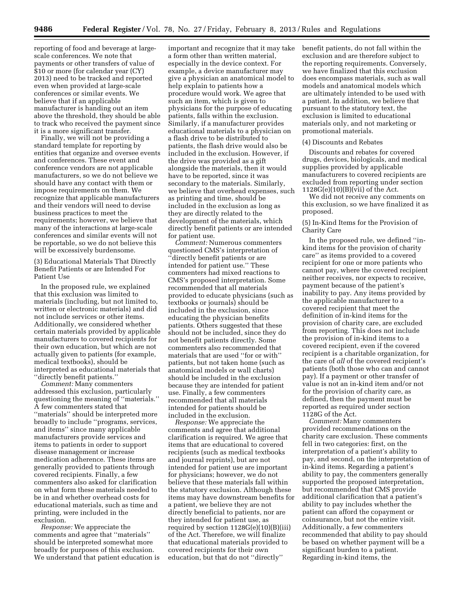reporting of food and beverage at largescale conferences. We note that payments or other transfers of value of \$10 or more (for calendar year (CY) 2013) need to be tracked and reported even when provided at large-scale conferences or similar events. We believe that if an applicable manufacturer is handing out an item above the threshold, they should be able to track who received the payment since it is a more significant transfer.

Finally, we will not be providing a standard template for reporting by entities that organize and oversee events and conferences. These event and conference vendors are not applicable manufacturers, so we do not believe we should have any contact with them or impose requirements on them. We recognize that applicable manufacturers and their vendors will need to devise business practices to meet the requirements; however, we believe that many of the interactions at large-scale conferences and similar events will not be reportable, so we do not believe this will be excessively burdensome.

(3) Educational Materials That Directly Benefit Patients or are Intended For Patient Use

In the proposed rule, we explained that this exclusion was limited to materials (including, but not limited to, written or electronic materials) and did not include services or other items. Additionally, we considered whether certain materials provided by applicable manufacturers to covered recipients for their own education, but which are not actually given to patients (for example, medical textbooks), should be interpreted as educational materials that ''directly benefit patients.''

*Comment:* Many commenters addressed this exclusion, particularly questioning the meaning of ''materials.'' A few commenters stated that ''materials'' should be interpreted more broadly to include ''programs, services, and items'' since many applicable manufacturers provide services and items to patients in order to support disease management or increase medication adherence. These items are generally provided to patients through covered recipients. Finally, a few commenters also asked for clarification on what form these materials needed to be in and whether overhead costs for educational materials, such as time and printing, were included in the exclusion.

*Response:* We appreciate the comments and agree that ''materials'' should be interpreted somewhat more broadly for purposes of this exclusion. We understand that patient education is important and recognize that it may take a form other than written material, especially in the device context. For example, a device manufacturer may give a physician an anatomical model to help explain to patients how a procedure would work. We agree that such an item, which is given to physicians for the purpose of educating patients, falls within the exclusion. Similarly, if a manufacturer provides educational materials to a physician on a flash drive to be distributed to patients, the flash drive would also be included in the exclusion. However, if the drive was provided as a gift alongside the materials, then it would have to be reported, since it was secondary to the materials. Similarly, we believe that overhead expenses, such as printing and time, should be included in the exclusion as long as they are directly related to the development of the materials, which directly benefit patients or are intended for patient use.

*Comment:* Numerous commenters questioned CMS's interpretation of ''directly benefit patients or are intended for patient use.'' These commenters had mixed reactions to CMS's proposed interpretation. Some recommended that all materials provided to educate physicians (such as textbooks or journals) should be included in the exclusion, since educating the physician benefits patients. Others suggested that these should not be included, since they do not benefit patients directly. Some commenters also recommended that materials that are used ''for or with'' patients, but not taken home (such as anatomical models or wall charts) should be included in the exclusion because they are intended for patient use. Finally, a few commenters recommended that all materials intended for patients should be included in the exclusion.

*Response:* We appreciate the comments and agree that additional clarification is required. We agree that items that are educational to covered recipients (such as medical textbooks and journal reprints), but are not intended for patient use are important for physicians; however, we do not believe that these materials fall within the statutory exclusion. Although these items may have downstream benefits for a patient, we believe they are not directly beneficial to patients, nor are they intended for patient use, as required by section 1128G(e)(10)(B)(iii) of the Act. Therefore, we will finalize that educational materials provided to covered recipients for their own education, but that do not ''directly''

benefit patients, do not fall within the exclusion and are therefore subject to the reporting requirements. Conversely, we have finalized that this exclusion does encompass materials, such as wall models and anatomical models which are ultimately intended to be used with a patient. In addition, we believe that pursuant to the statutory text, the exclusion is limited to educational materials only, and not marketing or promotional materials.

#### (4) Discounts and Rebates

Discounts and rebates for covered drugs, devices, biologicals, and medical supplies provided by applicable manufacturers to covered recipients are excluded from reporting under section  $1128G(e)(10)(B)(vii)$  of the Act.

We did not receive any comments on this exclusion, so we have finalized it as proposed.

# (5) In-Kind Items for the Provision of Charity Care

In the proposed rule, we defined ''inkind items for the provision of charity care'' as items provided to a covered recipient for one or more patients who cannot pay, where the covered recipient neither receives, nor expects to receive, payment because of the patient's inability to pay. Any items provided by the applicable manufacturer to a covered recipient that meet the definition of in-kind items for the provision of charity care, are excluded from reporting. This does not include the provision of in-kind items to a covered recipient, even if the covered recipient is a charitable organization, for the care of *all* of the covered recipient's patients (both those who can and cannot pay). If a payment or other transfer of value is not an in-kind item and/or not for the provision of charity care, as defined, then the payment must be reported as required under section 1128G of the Act.

*Comment:* Many commenters provided recommendations on the charity care exclusion. These comments fell in two categories: first, on the interpretation of a patient's ability to pay, and second, on the interpretation of in-kind items. Regarding a patient's ability to pay, the commenters generally supported the proposed interpretation, but recommended that CMS provide additional clarification that a patient's ability to pay includes whether the patient can afford the copayment or coinsurance, but not the entire visit. Additionally, a few commenters recommended that ability to pay should be based on whether payment will be a significant burden to a patient. Regarding in-kind items, the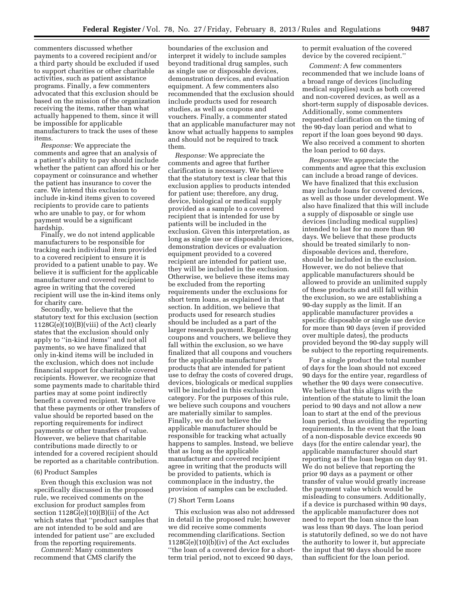commenters discussed whether payments to a covered recipient and/or a third party should be excluded if used to support charities or other charitable activities, such as patient assistance programs. Finally, a few commenters advocated that this exclusion should be based on the mission of the organization receiving the items, rather than what actually happened to them, since it will be impossible for applicable manufacturers to track the uses of these items.

*Response:* We appreciate the comments and agree that an analysis of a patient's ability to pay should include whether the patient can afford his or her copayment or coinsurance and whether the patient has insurance to cover the care. We intend this exclusion to include in-kind items given to covered recipients to provide care to patients who are unable to pay, or for whom payment would be a significant hardship.

Finally, we do not intend applicable manufacturers to be responsible for tracking each individual item provided to a covered recipient to ensure it is provided to a patient unable to pay. We believe it is sufficient for the applicable manufacturer and covered recipient to agree in writing that the covered recipient will use the in-kind items only for charity care.

Secondly, we believe that the statutory text for this exclusion (section 1128G(e)(10)(B)(viii) of the Act) clearly states that the exclusion should only apply to ''in-kind items'' and not all payments, so we have finalized that only in-kind items will be included in the exclusion, which does not include financial support for charitable covered recipients. However, we recognize that some payments made to charitable third parties may at some point indirectly benefit a covered recipient. We believe that these payments or other transfers of value should be reported based on the reporting requirements for indirect payments or other transfers of value. However, we believe that charitable contributions made directly to or intended for a covered recipient should be reported as a charitable contribution.

# (6) Product Samples

Even though this exclusion was not specifically discussed in the proposed rule, we received comments on the exclusion for product samples from section 1128G(e)(10)(B)(ii) of the Act which states that ''product samples that are not intended to be sold and are intended for patient use'' are excluded from the reporting requirements.

*Comment:* Many commenters recommend that CMS clarify the

boundaries of the exclusion and interpret it widely to include samples beyond traditional drug samples, such as single use or disposable devices, demonstration devices, and evaluation equipment. A few commenters also recommended that the exclusion should include products used for research studies, as well as coupons and vouchers. Finally, a commenter stated that an applicable manufacturer may not know what actually happens to samples and should not be required to track them.

*Response:* We appreciate the comments and agree that further clarification is necessary. We believe that the statutory text is clear that this exclusion applies to products intended for patient use; therefore, any drug, device, biological or medical supply provided as a sample to a covered recipient that is intended for use by patients will be included in the exclusion. Given this interpretation, as long as single use or disposable devices, demonstration devices or evaluation equipment provided to a covered recipient are intended for patient use, they will be included in the exclusion. Otherwise, we believe these items may be excluded from the reporting requirements under the exclusions for short term loans, as explained in that section. In addition, we believe that products used for research studies should be included as a part of the larger research payment. Regarding coupons and vouchers, we believe they fall within the exclusion, so we have finalized that all coupons and vouchers for the applicable manufacturer's products that are intended for patient use to defray the costs of covered drugs, devices, biologicals or medical supplies will be included in this exclusion category. For the purposes of this rule, we believe such coupons and vouchers are materially similar to samples. Finally, we do not believe the applicable manufacturer should be responsible for tracking what actually happens to samples. Instead, we believe that as long as the applicable manufacturer and covered recipient agree in writing that the products will be provided to patients, which is commonplace in the industry, the provision of samples can be excluded.

#### (7) Short Term Loans

This exclusion was also not addressed in detail in the proposed rule; however we did receive some comments recommending clarifications. Section 1128G(e)(10)(b)(iv) of the Act excludes ''the loan of a covered device for a shortterm trial period, not to exceed 90 days,

to permit evaluation of the covered device by the covered recipient.''

*Comment:* A few commenters recommended that we include loans of a broad range of devices (including medical supplies) such as both covered and non-covered devices, as well as a short-term supply of disposable devices. Additionally, some commenters requested clarification on the timing of the 90-day loan period and what to report if the loan goes beyond 90 days. We also received a comment to shorten the loan period to 60 days.

*Response:* We appreciate the comments and agree that this exclusion can include a broad range of devices. We have finalized that this exclusion may include loans for covered devices, as well as those under development. We also have finalized that this will include a supply of disposable or single use devices (including medical supplies) intended to last for no more than 90 days. We believe that these products should be treated similarly to nondisposable devices and, therefore, should be included in the exclusion. However, we do not believe that applicable manufacturers should be allowed to provide an unlimited supply of these products and still fall within the exclusion, so we are establishing a 90-day supply as the limit. If an applicable manufacturer provides a specific disposable or single use device for more than 90 days (even if provided over multiple dates), the products provided beyond the 90-day supply will be subject to the reporting requirements.

For a single product the total number of days for the loan should not exceed 90 days for the entire year, regardless of whether the 90 days were consecutive. We believe that this aligns with the intention of the statute to limit the loan period to 90 days and not allow a new loan to start at the end of the previous loan period, thus avoiding the reporting requirements. In the event that the loan of a non-disposable device exceeds 90 days (for the entire calendar year), the applicable manufacturer should start reporting as if the loan began on day 91. We do not believe that reporting the prior 90 days as a payment or other transfer of value would greatly increase the payment value which would be misleading to consumers. Additionally, if a device is purchased within 90 days, the applicable manufacturer does not need to report the loan since the loan was less than 90 days. The loan period is statutorily defined, so we do not have the authority to lower it, but appreciate the input that 90 days should be more than sufficient for the loan period.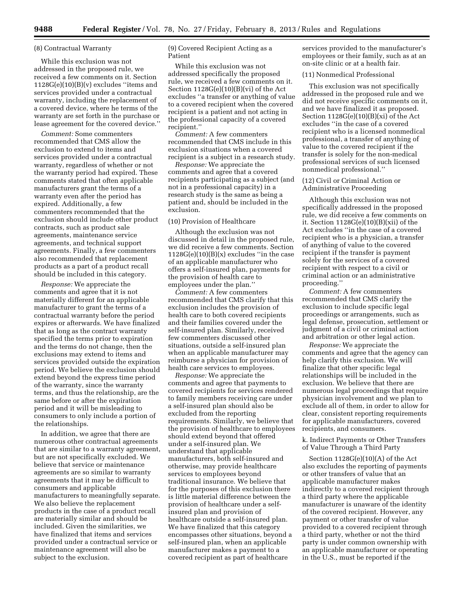#### (8) Contractual Warranty

While this exclusion was not addressed in the proposed rule, we received a few comments on it. Section 1128G(e)(10)(B)(v) excludes ''items and services provided under a contractual warranty, including the replacement of a covered device, where he terms of the warranty are set forth in the purchase or lease agreement for the covered device.''

*Comment:* Some commenters recommended that CMS allow the exclusion to extend to items and services provided under a contractual warranty, regardless of whether or not the warranty period had expired. These comments stated that often applicable manufacturers grant the terms of a warranty even after the period has expired. Additionally, a few commenters recommended that the exclusion should include other product contracts, such as product sale agreements, maintenance service agreements, and technical support agreements. Finally, a few commenters also recommended that replacement products as a part of a product recall should be included in this category.

*Response:* We appreciate the comments and agree that it is not materially different for an applicable manufacturer to grant the terms of a contractual warranty before the period expires or afterwards. We have finalized that as long as the contract warranty specified the terms prior to expiration and the terms do not change, then the exclusions may extend to items and services provided outside the expiration period. We believe the exclusion should extend beyond the express time period of the warranty, since the warranty terms, and thus the relationship, are the same before or after the expiration period and it will be misleading to consumers to only include a portion of the relationships.

In addition, we agree that there are numerous other contractual agreements that are similar to a warranty agreement, but are not specifically excluded. We believe that service or maintenance agreements are so similar to warranty agreements that it may be difficult to consumers and applicable manufacturers to meaningfully separate. We also believe the replacement products in the case of a product recall are materially similar and should be included. Given the similarities, we have finalized that items and services provided under a contractual service or maintenance agreement will also be subject to the exclusion.

(9) Covered Recipient Acting as a Patient

While this exclusion was not addressed specifically the proposed rule, we received a few comments on it. Section  $1128G(e)(10)(B)(vi)$  of the Act excludes ''a transfer or anything of value to a covered recipient when the covered recipient is a patient and not acting in the professional capacity of a covered recipient.''

*Comment:* A few commenters recommended that CMS include in this exclusion situations when a covered recipient is a subject in a research study.

*Response:* We appreciate the comments and agree that a covered recipients participating as a subject (and not in a professional capacity) in a research study is the same as being a patient and, should be included in the exclusion.

# (10) Provision of Healthcare

Although the exclusion was not discussed in detail in the proposed rule, we did receive a few comments. Section  $1128G(e)(10)(B)(x)$  excludes "in the case of an applicable manufacturer who offers a self-insured plan, payments for the provision of health care to employees under the plan.''

*Comment:* A few commenters recommended that CMS clarify that this exclusion includes the provision of health care to both covered recipients and their families covered under the self-insured plan. Similarly, received few commenters discussed other situations, outside a self-insured plan when an applicable manufacturer may reimburse a physician for provision of health care services to employees.

*Response:* We appreciate the comments and agree that payments to covered recipients for services rendered to family members receiving care under a self-insured plan should also be excluded from the reporting requirements. Similarly, we believe that the provision of healthcare to employees should extend beyond that offered under a self-insured plan. We understand that applicable manufacturers, both self-insured and otherwise, may provide healthcare services to employees beyond traditional insurance. We believe that for the purposes of this exclusion there is little material difference between the provision of healthcare under a selfinsured plan and provision of healthcare outside a self-insured plan. We have finalized that this category encompasses other situations, beyond a self-insured plan, when an applicable manufacturer makes a payment to a covered recipient as part of healthcare

services provided to the manufacturer's employees or their family, such as at an on-site clinic or at a health fair.

# (11) Nonmedical Professional

This exclusion was not specifically addressed in the proposed rule and we did not receive specific comments on it, and we have finalized it as proposed. Section 1128G(e)(10)(B)(xi) of the Act excludes ''in the case of a covered recipient who is a licensed nonmedical professional, a transfer of anything of value to the covered recipient if the transfer is solely for the non-medical professional services of such licensed nonmedical professional.''

# (12) Civil or Criminal Action or Administrative Proceeding

Although this exclusion was not specifically addressed in the proposed rule, we did receive a few comments on it. Section 1128G(e)(10)(B)(xii) of the Act excludes ''in the case of a covered recipient who is a physician, a transfer of anything of value to the covered recipient if the transfer is payment solely for the services of a covered recipient with respect to a civil or criminal action or an administrative proceeding.''

*Comment:* A few commenters recommended that CMS clarify the exclusion to include specific legal proceedings or arrangements, such as legal defense, prosecution, settlement or judgment of a civil or criminal action and arbitration or other legal action.

*Response:* We appreciate the comments and agree that the agency can help clarify this exclusion. We will finalize that other specific legal relationships will be included in the exclusion. We believe that there are numerous legal proceedings that require physician involvement and we plan to exclude all of them, in order to allow for clear, consistent reporting requirements for applicable manufacturers, covered recipients, and consumers.

k. Indirect Payments or Other Transfers of Value Through a Third Party

Section 1128G(e)(10)(A) of the Act also excludes the reporting of payments or other transfers of value that an applicable manufacturer makes indirectly to a covered recipient through a third party where the applicable manufacturer is unaware of the identity of the covered recipient. However, any payment or other transfer of value provided to a covered recipient through a third party, whether or not the third party is under common ownership with an applicable manufacturer or operating in the U.S., must be reported if the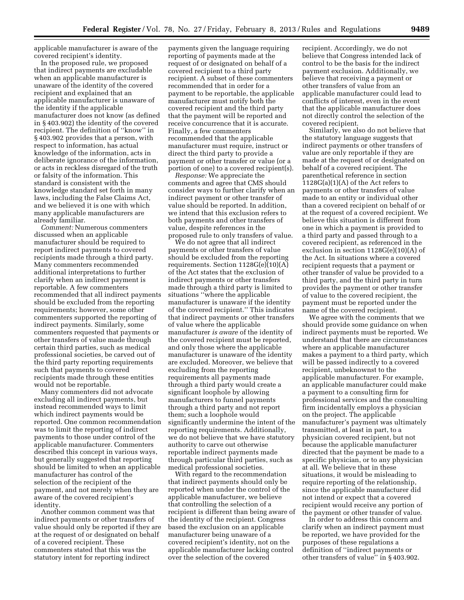applicable manufacturer is aware of the covered recipient's identity.

In the proposed rule, we proposed that indirect payments are excludable when an applicable manufacturer is unaware of the identity of the covered recipient and explained that an applicable manufacturer is unaware of the identity if the applicable manufacturer does not know (as defined in § 403.902) the identity of the covered recipient. The definition of ''know'' in § 403.902 provides that a person, with respect to information, has actual knowledge of the information, acts in deliberate ignorance of the information, or acts in reckless disregard of the truth or falsity of the information. This standard is consistent with the knowledge standard set forth in many laws, including the False Claims Act, and we believed it is one with which many applicable manufacturers are already familiar.

*Comment:* Numerous commenters discussed when an applicable manufacturer should be required to report indirect payments to covered recipients made through a third party. Many commenters recommended additional interpretations to further clarify when an indirect payment is reportable. A few commenters recommended that all indirect payments should be excluded from the reporting requirements; however, some other commenters supported the reporting of indirect payments. Similarly, some commenters requested that payments or other transfers of value made through certain third parties, such as medical professional societies, be carved out of the third party reporting requirements such that payments to covered recipients made through these entities would not be reportable.

Many commenters did not advocate excluding all indirect payments, but instead recommended ways to limit which indirect payments would be reported. One common recommendation was to limit the reporting of indirect payments to those under control of the applicable manufacturer. Commenters described this concept in various ways, but generally suggested that reporting should be limited to when an applicable manufacturer has control of the selection of the recipient of the payment, and not merely when they are aware of the covered recipient's identity.

Another common comment was that indirect payments or other transfers of value should only be reported if they are at the request of or designated on behalf of a covered recipient. These commenters stated that this was the statutory intent for reporting indirect

payments given the language requiring reporting of payments made at the request of or designated on behalf of a covered recipient to a third party recipient. A subset of these commenters recommended that in order for a payment to be reportable, the applicable manufacturer must notify both the covered recipient and the third party that the payment will be reported and receive concurrence that it is accurate. Finally, a few commenters recommended that the applicable manufacturer must require, instruct or direct the third party to provide a payment or other transfer or value (or a portion of one) to a covered recipient(s).

*Response:* We appreciate the comments and agree that CMS should consider ways to further clarify when an indirect payment or other transfer of value should be reported. In addition, we intend that this exclusion refers to both payments and other transfers of value, despite references in the proposed rule to only transfers of value.

We do not agree that all indirect payments or other transfers of value should be excluded from the reporting requirements. Section 1128G(e)(10)(A) of the Act states that the exclusion of indirect payments or other transfers made through a third party is limited to situations ''where the applicable manufacturer is unaware if the identity of the covered recipient.'' This indicates that indirect payments or other transfers of value where the applicable manufacturer *is aware* of the identity of the covered recipient must be reported, and only those where the applicable manufacturer is unaware of the identity are excluded. Moreover, we believe that excluding from the reporting requirements all payments made through a third party would create a significant loophole by allowing manufacturers to funnel payments through a third party and not report them; such a loophole would significantly undermine the intent of the reporting requirements. Additionally, we do not believe that we have statutory authority to carve out otherwise reportable indirect payments made through particular third parties, such as medical professional societies.

With regard to the recommendation that indirect payments should only be reported when under the control of the applicable manufacturer, we believe that controlling the selection of a recipient is different than being aware of the identity of the recipient. Congress based the exclusion on an applicable manufacturer being unaware of a covered recipient's identity, not on the applicable manufacturer lacking control over the selection of the covered

recipient. Accordingly, we do not believe that Congress intended lack of control to be the basis for the indirect payment exclusion. Additionally, we believe that receiving a payment or other transfers of value from an applicable manufacturer could lead to conflicts of interest, even in the event that the applicable manufacturer does not directly control the selection of the covered recipient.

Similarly, we also do not believe that the statutory language suggests that indirect payments or other transfers of value are only reportable if they are made at the request of or designated on behalf of a covered recipient. The parenthetical reference in section 1128G(a)(1)(A) of the Act refers to payments or other transfers of value made to an entity or individual other than a covered recipient on behalf of or at the request of a covered recipient. We believe this situation is different from one in which a payment is provided to a third party and passed through to a covered recipient, as referenced in the exclusion in section 1128G(e)(10)(A) of the Act. In situations where a covered recipient requests that a payment or other transfer of value be provided to a third party, and the third party in turn provides the payment or other transfer of value to the covered recipient, the payment must be reported under the name of the covered recipient.

We agree with the comments that we should provide some guidance on when indirect payments must be reported. We understand that there are circumstances where an applicable manufacturer makes a payment to a third party, which will be passed indirectly to a covered recipient, unbeknownst to the applicable manufacturer. For example, an applicable manufacturer could make a payment to a consulting firm for professional services and the consulting firm incidentally employs a physician on the project. The applicable manufacturer's payment was ultimately transmitted, at least in part, to a physician covered recipient, but not because the applicable manufacturer directed that the payment be made to a specific physician, or to any physician at all. We believe that in these situations, it would be misleading to require reporting of the relationship, since the applicable manufacturer did not intend or expect that a covered recipient would receive any portion of the payment or other transfer of value.

In order to address this concern and clarify when an indirect payment must be reported, we have provided for the purposes of these regulations a definition of ''indirect payments or other transfers of value'' in § 403.902.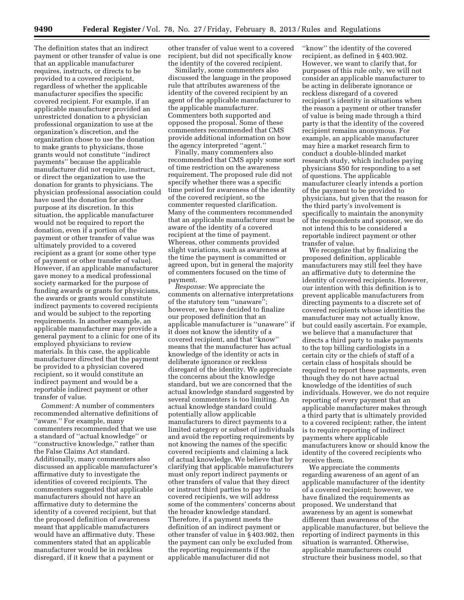The definition states that an indirect payment or other transfer of value is one that an applicable manufacturer requires, instructs, or directs to be provided to a covered recipient, regardless of whether the applicable manufacturer specifies the specific covered recipient. For example, if an applicable manufacturer provided an unrestricted donation to a physician professional organization to use at the organization's discretion, and the organization chose to use the donation to make grants to physicians, those grants would not constitute ''indirect payments'' because the applicable manufacturer did not require, instruct, or direct the organization to use the donation for grants to physicians. The physician professional association could have used the donation for another purpose at its discretion. In this situation, the applicable manufacturer would not be required to report the donation, even if a portion of the payment or other transfer of value was ultimately provided to a covered recipient as a grant (or some other type of payment or other transfer of value). However, if an applicable manufacturer gave money to a medical professional society earmarked for the purpose of funding awards or grants for physicians, the awards or grants would constitute indirect payments to covered recipients and would be subject to the reporting requirements. In another example, an applicable manufacturer may provide a general payment to a clinic for one of its employed physicians to review materials. In this case, the applicable manufacturer directed that the payment be provided to a physician covered recipient, so it would constitute an indirect payment and would be a reportable indirect payment or other transfer of value.

*Comment:* A number of commenters recommended alternative definitions of ''aware.'' For example, many commenters recommended that we use a standard of ''actual knowledge'' or ''constructive knowledge,'' rather than the False Claims Act standard. Additionally, many commenters also discussed an applicable manufacturer's affirmative duty to investigate the identities of covered recipients. The commenters suggested that applicable manufacturers should not have an affirmative duty to determine the identity of a covered recipient, but that the proposed definition of awareness meant that applicable manufacturers would have an affirmative duty. These commenters stated that an applicable manufacturer would be in reckless disregard, if it knew that a payment or

other transfer of value went to a covered recipient, but did not specifically know the identity of the covered recipient.

Similarly, some commenters also discussed the language in the proposed rule that attributes awareness of the identity of the covered recipient by an agent of the applicable manufacturer to the applicable manufacturer. Commenters both supported and opposed the proposal. Some of these commenters recommended that CMS provide additional information on how the agency interpreted ''agent.''

Finally, many commenters also recommended that CMS apply some sort of time restriction on the awareness requirement. The proposed rule did not specify whether there was a specific time period for awareness of the identity of the covered recipient, so the commenter requested clarification. Many of the commenters recommended that an applicable manufacturer must be aware of the identity of a covered recipient at the time of payment. Whereas, other comments provided slight variations, such as awareness at the time the payment is committed or agreed upon, but in general the majority of commenters focused on the time of payment.

*Response:* We appreciate the comments on alternative interpretations of the statutory tem ''unaware''; however, we have decided to finalize our proposed definition that an applicable manufacturer is ''unaware'' if it does not know the identity of a covered recipient, and that ''know'' means that the manufacturer has actual knowledge of the identity or acts in deliberate ignorance or reckless disregard of the identity. We appreciate the concerns about the knowledge standard, but we are concerned that the actual knowledge standard suggested by several commenters is too limiting. An actual knowledge standard could potentially allow applicable manufacturers to direct payments to a limited category or subset of individuals and avoid the reporting requirements by not knowing the names of the specific covered recipients and claiming a lack of actual knowledge. We believe that by clarifying that applicable manufacturers must only report indirect payments or other transfers of value that they direct or instruct third parties to pay to covered recipients, we will address some of the commenters' concerns about the broader knowledge standard. Therefore, if a payment meets the definition of an indirect payment or other transfer of value in § 403.902, then the payment can only be excluded from the reporting requirements if the applicable manufacturer did not

''know'' the identity of the covered recipient, as defined in § 403.902. However, we want to clarify that, for purposes of this rule only, we will not consider an applicable manufacturer to be acting in deliberate ignorance or reckless disregard of a covered recipient's identity in situations when the reason a payment or other transfer of value is being made through a third party is that the identity of the covered recipient remains anonymous. For example, an applicable manufacturer may hire a market research firm to conduct a double-blinded market research study, which includes paying physicians \$50 for responding to a set of questions. The applicable manufacturer clearly intends a portion of the payment to be provided to physicians, but given that the reason for the third party's involvement is specifically to maintain the anonymity of the respondents and sponsor, we do not intend this to be considered a reportable indirect payment or other transfer of value.

We recognize that by finalizing the proposed definition, applicable manufacturers may still feel they have an affirmative duty to determine the identity of covered recipients. However, our intention with this definition is to prevent applicable manufacturers from directing payments to a discrete set of covered recipients whose identities the manufacturer may not actually know, but could easily ascertain. For example, we believe that a manufacturer that directs a third party to make payments to the top billing cardiologists in a certain city or the chiefs of staff of a certain class of hospitals should be required to report these payments, even though they do not have actual knowledge of the identities of such individuals. However, we do not require reporting of every payment that an applicable manufacturer makes through a third party that is ultimately provided to a covered recipient; rather, the intent is to require reporting of indirect payments where applicable manufacturers know or should know the identity of the covered recipients who receive them.

We appreciate the comments regarding awareness of an agent of an applicable manufacturer of the identity of a covered recipient; however, we have finalized the requirements as proposed. We understand that awareness by an agent is somewhat different than awareness of the applicable manufacturer, but believe the reporting of indirect payments in this situation is warranted. Otherwise, applicable manufacturers could structure their business model, so that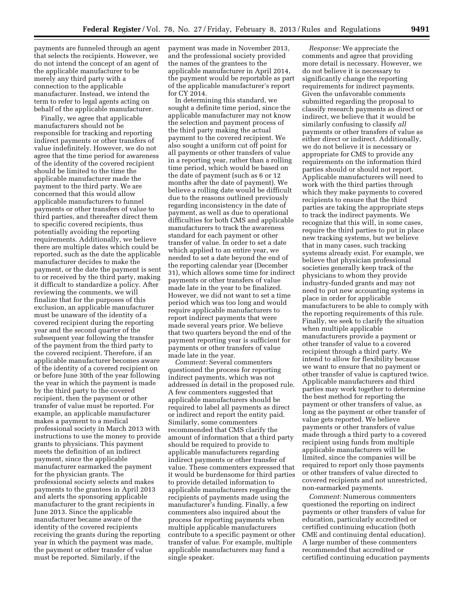payments are funneled through an agent that selects the recipients. However, we do not intend the concept of an agent of the applicable manufacturer to be merely any third party with a connection to the applicable manufacturer. Instead, we intend the term to refer to legal agents acting on behalf of the applicable manufacturer.

Finally, we agree that applicable manufacturers should not be responsible for tracking and reporting indirect payments or other transfers of value indefinitely. However, we do not agree that the time period for awareness of the identity of the covered recipient should be limited to the time the applicable manufacturer made the payment to the third party. We are concerned that this would allow applicable manufacturers to funnel payments or other transfers of value to third parties, and thereafter direct them to specific covered recipients, thus potentially avoiding the reporting requirements. Additionally, we believe there are multiple dates which could be reported, such as the date the applicable manufacturer decides to make the payment, or the date the payment is sent to or received by the third party, making it difficult to standardize a policy. After reviewing the comments, we will finalize that for the purposes of this exclusion, an applicable manufacturer must be unaware of the identity of a covered recipient during the reporting year and the second quarter of the subsequent year following the transfer of the payment from the third party to the covered recipient. Therefore, if an applicable manufacturer becomes aware of the identity of a covered recipient on or before June 30th of the year following the year in which the payment is made by the third party to the covered recipient, then the payment or other transfer of value must be reported. For example, an applicable manufacturer makes a payment to a medical professional society in March 2013 with instructions to use the money to provide grants to physicians. This payment meets the definition of an indirect payment, since the applicable manufacturer earmarked the payment for the physician grants. The professional society selects and makes payments to the grantees in April 2013 and alerts the sponsoring applicable manufacturer to the grant recipients in June 2013. Since the applicable manufacturer became aware of the identity of the covered recipients receiving the grants during the reporting year in which the payment was made, the payment or other transfer of value must be reported. Similarly, if the

payment was made in November 2013, and the professional society provided the names of the grantees to the applicable manufacturer in April 2014, the payment would be reportable as part of the applicable manufacturer's report for CY 2014.

In determining this standard, we sought a definite time period, since the applicable manufacturer may not know the selection and payment process of the third party making the actual payment to the covered recipient. We also sought a uniform cut off point for all payments or other transfers of value in a reporting year, rather than a rolling time period, which would be based on the date of payment (such as 6 or 12 months after the date of payment). We believe a rolling date would be difficult due to the reasons outlined previously regarding inconsistency in the date of payment, as well as due to operational difficulties for both CMS and applicable manufacturers to track the awareness standard for each payment or other transfer of value. In order to set a date which applied to an entire year, we needed to set a date beyond the end of the reporting calendar year (December 31), which allows some time for indirect payments or other transfers of value made late in the year to be finalized. However, we did not want to set a time period which was too long and would require applicable manufacturers to report indirect payments that were made several years prior. We believe that two quarters beyond the end of the payment reporting year is sufficient for payments or other transfers of value made late in the year.

*Comment:* Several commenters questioned the process for reporting indirect payments, which was not addressed in detail in the proposed rule. A few commenters suggested that applicable manufacturers should be required to label all payments as direct or indirect and report the entity paid. Similarly, some commenters recommended that CMS clarify the amount of information that a third party should be required to provide to applicable manufacturers regarding indirect payments or other transfer of value. These commenters expressed that it would be burdensome for third parties to provide detailed information to applicable manufacturers regarding the recipients of payments made using the manufacturer's funding. Finally, a few commenters also inquired about the process for reporting payments when multiple applicable manufacturers contribute to a specific payment or other transfer of value. For example, multiple applicable manufacturers may fund a single speaker.

*Response:* We appreciate the comments and agree that providing more detail is necessary. However, we do not believe it is necessary to significantly change the reporting requirements for indirect payments. Given the unfavorable comments submitted regarding the proposal to classify research payments as direct or indirect, we believe that it would be similarly confusing to classify *all*  payments or other transfers of value as either direct or indirect. Additionally, we do not believe it is necessary or appropriate for CMS to provide any requirements on the information third parties should or should not report. Applicable manufacturers will need to work with the third parties through which they make payments to covered recipients to ensure that the third parties are taking the appropriate steps to track the indirect payments. We recognize that this will, in some cases, require the third parties to put in place new tracking systems, but we believe that in many cases, such tracking systems already exist. For example, we believe that physician professional societies generally keep track of the physicians to whom they provide industry-funded grants and may not need to put new accounting systems in place in order for applicable manufacturers to be able to comply with the reporting requirements of this rule. Finally, we seek to clarify the situation when multiple applicable manufacturers provide a payment or other transfer of value to a covered recipient through a third party. We intend to allow for flexibility because we want to ensure that no payment or other transfer of value is captured twice. Applicable manufacturers and third parties may work together to determine the best method for reporting the payment or other transfers of value, as long as the payment or other transfer of value gets reported. We believe payments or other transfers of value made through a third party to a covered recipient using funds from multiple applicable manufacturers will be limited, since the companies will be required to report only those payments or other transfers of value directed to covered recipients and not unrestricted, non-earmarked payments.

*Comment:* Numerous commenters questioned the reporting on indirect payments or other transfers of value for education, particularly accredited or certified continuing education (both CME and continuing dental education). A large number of these commenters recommended that accredited or certified continuing education payments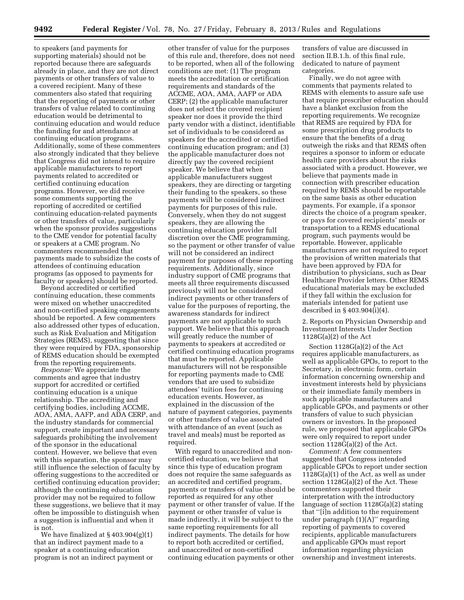to speakers (and payments for supporting materials) should not be reported because there are safeguards already in place, and they are not direct payments or other transfers of value to a covered recipient. Many of these commenters also stated that requiring that the reporting of payments or other transfers of value related to continuing education would be detrimental to continuing education and would reduce the funding for and attendance at continuing education programs. Additionally, some of these commenters also strongly indicated that they believe that Congress did not intend to require applicable manufacturers to report payments related to accredited or certified continuing education programs. However, we did receive some comments supporting the reporting of accredited or certified continuing education-related payments or other transfers of value, particularly when the sponsor provides suggestions to the CME vendor for potential faculty or speakers at a CME program. No commenters recommended that payments made to subsidize the costs of attendees of continuing education programs (as opposed to payments for faculty or speakers) should be reported.

Beyond accredited or certified continuing education, these comments were mixed on whether unaccredited and non-certified speaking engagements should be reported. A few commenters also addressed other types of education, such as Risk Evaluation and Mitigation Strategies (REMS), suggesting that since they were required by FDA, sponsorship of REMS education should be exempted from the reporting requirements.

*Response:* We appreciate the comments and agree that industry support for accredited or certified continuing education is a unique relationship. The accrediting and certifying bodies, including ACCME, AOA, AMA, AAFP, and ADA CERP, and the industry standards for commercial support, create important and necessary safeguards prohibiting the involvement of the sponsor in the educational content. However, we believe that even with this separation, the sponsor may still influence the selection of faculty by offering suggestions to the accredited or certified continuing education provider; although the continuing education provider may not be required to follow these suggestions, we believe that it may often be impossible to distinguish when a suggestion is influential and when it is not.

We have finalized at § 403.904(g)(1) that an indirect payment made to a speaker at a continuing education program is not an indirect payment or

other transfer of value for the purposes of this rule and, therefore, does not need to be reported, when all of the following conditions are met: (1) The program meets the accreditation or certification requirements and standards of the ACCME, AOA, AMA, AAFP or ADA CERP; (2) the applicable manufacturer does not select the covered recipient speaker nor does it provide the third party vendor with a distinct, identifiable set of individuals to be considered as speakers for the accredited or certified continuing education program; and (3) the applicable manufacturer does not directly pay the covered recipient speaker. We believe that when applicable manufacturers suggest speakers, they are directing or targeting their funding to the speakers, so these payments will be considered indirect payments for purposes of this rule. Conversely, when they do not suggest speakers, they are allowing the continuing education provider full discretion over the CME programming, so the payment or other transfer of value will not be considered an indirect payment for purposes of these reporting requirements. Additionally, since industry support of CME programs that meets all three requirements discussed previously will not be considered indirect payments or other transfers of value for the purposes of reporting, the awareness standards for indirect payments are not applicable to such support. We believe that this approach will greatly reduce the number of payments to speakers at accredited or certified continuing education programs that must be reported. Applicable manufacturers will not be responsible for reporting payments made to CME vendors that are used to subsidize attendees' tuition fees for continuing education events. However, as explained in the discussion of the nature of payment categories, payments or other transfers of value associated with attendance of an event (such as travel and meals) must be reported as required.

With regard to unaccredited and noncertified education, we believe that since this type of education program does not require the same safeguards as an accredited and certified program, payments or transfers of value should be reported as required for any other payment or other transfer of value. If the payment or other transfer of value is made indirectly, it will be subject to the same reporting requirements for all indirect payments. The details for how to report both accredited or certified, and unaccredited or non-certified continuing education payments or other

transfers of value are discussed in section II.B.1.h. of this final rule, dedicated to nature of payment categories.

Finally, we do not agree with comments that payments related to REMS with elements to assure safe use that require prescriber education should have a blanket exclusion from the reporting requirements. We recognize that REMS are required by FDA for some prescription drug products to ensure that the benefits of a drug outweigh the risks and that REMS often requires a sponsor to inform or educate health care providers about the risks associated with a product. However, we believe that payments made in connection with prescriber education required by REMS should be reportable on the same basis as other education payments. For example, if a sponsor directs the choice of a program speaker, or pays for covered recipients' meals or transportation to a REMS educational program, such payments would be reportable. However, applicable manufacturers are not required to report the provision of written materials that have been approved by FDA for distribution to physicians, such as Dear Healthcare Provider letters. Other REMS educational materials may be excluded if they fall within the exclusion for materials intended for patient use described in § 403.904(i)(4).

2. Reports on Physician Ownership and Investment Interests Under Section 1128G(a)(2) of the Act

Section 1128G(a)(2) of the Act requires applicable manufacturers, as well as applicable GPOs, to report to the Secretary, in electronic form, certain information concerning ownership and investment interests held by physicians or their immediate family members in such applicable manufacturers and applicable GPOs, and payments or other transfers of value to such physician owners or investors. In the proposed rule, we proposed that applicable GPOs were only required to report under section 1128G(a)(2) of the Act.

*Comment:* A few commenters suggested that Congress intended applicable GPOs to report under section 1128G(a)(1) of the Act, as well as under section 1128G(a)(2) of the Act. These commenters supported their interpretation with the introductory language of section 1128G(a)(2) stating that ''[i]n addition to the requirement under paragraph (1)(A)'' regarding reporting of payments to covered recipients, applicable manufacturers and applicable GPOs must report information regarding physician ownership and investment interests.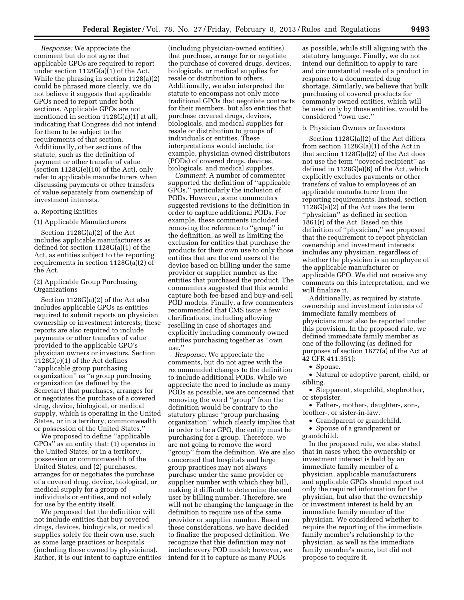*Response:* We appreciate the comment but do not agree that applicable GPOs are required to report under section 1128G(a)(1) of the Act. While the phrasing in section 1128(a)(2) could be phrased more clearly, we do not believe it suggests that applicable GPOs need to report under both sections. Applicable GPOs are not mentioned in section 1128G(a)(1) at all, indicating that Congress did not intend for them to be subject to the requirements of that section. Additionally, other sections of the statute, such as the definition of payment or other transfer of value (section 1128G(e)(10) of the Act), only refer to applicable manufacturers when discussing payments or other transfers of value separately from ownership of investment interests.

## a. Reporting Entities

# (1) Applicable Manufacturers

Section 1128G(a)(2) of the Act includes applicable manufacturers as defined for section 1128G(a)(1) of the Act, as entities subject to the reporting requirements in section 1128G(a)(2) of the Act.

## (2) Applicable Group Purchasing Organizations

Section 1128G(a)(2) of the Act also includes applicable GPOs as entities required to submit reports on physician ownership or investment interests; these reports are also required to include payments or other transfers of value provided to the applicable GPO's physician owners or investors. Section 1128G(e)(1) of the Act defines ''applicable group purchasing organization'' as ''a group purchasing organization (as defined by the Secretary) that purchases, arranges for or negotiates the purchase of a covered drug, device, biological, or medical supply, which is operating in the United States, or in a territory, commonwealth or possession of the United States.''

We proposed to define ''applicable GPOs'' as an entity that: (1) operates in the United States, or in a territory, possession or commonwealth of the United States; and (2) purchases, arranges for or negotiates the purchase of a covered drug, device, biological, or medical supply for a group of individuals or entities, and not solely for use by the entity itself.

We proposed that the definition will not include entities that buy covered drugs, devices, biologicals, or medical supplies solely for their own use, such as some large practices or hospitals (including those owned by physicians). Rather, it is our intent to capture entities

(including physician-owned entities) that purchase, arrange for or negotiate the purchase of covered drugs, devices, biologicals, or medical supplies for resale or distribution to others. Additionally, we also interpreted the statute to encompass not only more traditional GPOs that negotiate contracts for their members, but also entities that purchase covered drugs, devices, biologicals, and medical supplies for resale or distribution to groups of individuals or entities. These interpretations would include, for example, physician owned distributors (PODs) of covered drugs, devices, biologicals, and medical supplies.

*Comment:* A number of commenter supported the definition of ''applicable GPOs,'' particularly the inclusion of PODs. However, some commenters suggested revisions to the definition in order to capture additional PODs. For example, these comments included removing the reference to ''group'' in the definition, as well as limiting the exclusion for entities that purchase the products for their own use to only those entities that are the end users of the device based on billing under the same provider or supplier number as the entities that purchased the product. The commenters suggested that this would capture both fee-based and buy-and-sell POD models. Finally, a few commenters recommended that CMS issue a few clarifications, including allowing reselling in case of shortages and explicitly including commonly owned entities purchasing together as ''own use.''

*Response:* We appreciate the comments, but do not agree with the recommended changes to the definition to include additional PODs. While we appreciate the need to include as many PODs as possible, we are concerned that removing the word ''group'' from the definition would be contrary to the statutory phrase ''group purchasing organization'' which clearly implies that in order to be a GPO, the entity must be purchasing for a group. Therefore, we are not going to remove the word ''group'' from the definition. We are also concerned that hospitals and large group practices may not always purchase under the same provider or supplier number with which they bill, making it difficult to determine the end user by billing number. Therefore, we will not be changing the language in the definition to require use of the same provider or supplier number. Based on these considerations, we have decided to finalize the proposed definition. We recognize that this definition may not include every POD model; however, we intend for it to capture as many PODs

as possible, while still aligning with the statutory language. Finally, we do not intend our definition to apply to rare and circumstantial resale of a product in response to a documented drug shortage. Similarly, we believe that bulk purchasing of covered products for commonly owned entities, which will be used only by those entities, would be considered ''own use.''

### b. Physician Owners or Investors

Section 1128G(a)(2) of the Act differs from section 1128G(a)(1) of the Act in that section 1128G(a)(2) of the Act does not use the term ''covered recipient'' as defined in 1128G(e)(6) of the Act, which explicitly excludes payments or other transfers of value to employees of an applicable manufacturer from the reporting requirements. Instead, section 1128G(a)(2) of the Act uses the term ''physician'' as defined in section 1861(r) of the Act. Based on this definition of ''physician,'' we proposed that the requirement to report physician ownership and investment interests includes any physician, regardless of whether the physician is an employee of the applicable manufacturer or applicable GPO. We did not receive any comments on this interpretation, and we will finalize it.

Additionally, as required by statute, ownership and investment interests of immediate family members of physicians must also be reported under this provision. In the proposed rule, we defined immediate family member as one of the following (as defined for purposes of section 1877(a) of the Act at 42 CFR 411.351):

• Spouse.

• Natural or adoptive parent, child, or sibling.

• Stepparent, stepchild, stepbrother, or stepsister.

• Father-, mother-, daughter-, son-, brother-, or sister-in-law.

• Grandparent or grandchild.

• Spouse of a grandparent or grandchild.

In the proposed rule, we also stated that in cases when the ownership or investment interest is held by an immediate family member of a physician, applicable manufacturers and applicable GPOs should report not only the required information for the physician, but also that the ownership or investment interest is held by an immediate family member of the physician. We considered whether to require the reporting of the immediate family member's relationship to the physician, as well as the immediate family member's name, but did not propose to require it.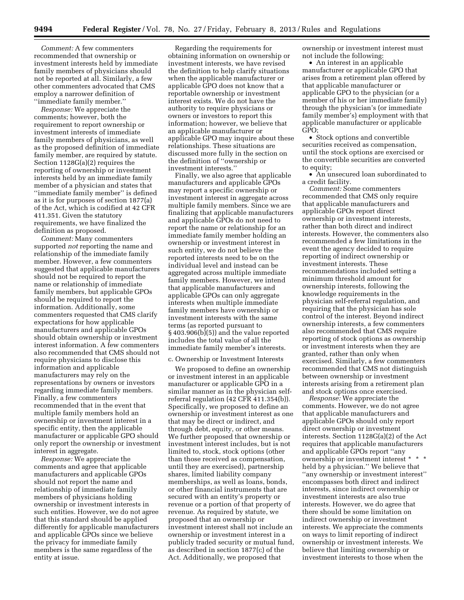*Comment:* A few commenters recommended that ownership or investment interests held by immediate family members of physicians should not be reported at all. Similarly, a few other commenters advocated that CMS employ a narrower definition of ''immediate family member.''

*Response:* We appreciate the comments; however, both the requirement to report ownership or investment interests of immediate family members of physicians, as well as the proposed definition of immediate family member, are required by statute. Section 1128G(a)(2) requires the reporting of ownership or investment interests held by an immediate family member of a physician and states that ''immediate family member'' is defined as it is for purposes of section 1877(a) of the Act, which is codified at 42 CFR 411.351. Given the statutory requirements, we have finalized the definition as proposed.

*Comment:* Many commenters supported *not* reporting the name and relationship of the immediate family member. However, a few commenters suggested that applicable manufacturers should not be required to report the name or relationship of immediate family members, but applicable GPOs should be required to report the information. Additionally, some commenters requested that CMS clarify expectations for how applicable manufacturers and applicable GPOs should obtain ownership or investment interest information. A few commenters also recommended that CMS should not require physicians to disclose this information and applicable manufacturers may rely on the representations by owners or investors regarding immediate family members. Finally, a few commenters recommended that in the event that multiple family members hold an ownership or investment interest in a specific entity, then the applicable manufacturer or applicable GPO should only report the ownership or investment interest in aggregate.

*Response:* We appreciate the comments and agree that applicable manufacturers and applicable GPOs should not report the name and relationship of immediate family members of physicians holding ownership or investment interests in such entities. However, we do not agree that this standard should be applied differently for applicable manufacturers and applicable GPOs since we believe the privacy for immediate family members is the same regardless of the entity at issue.

Regarding the requirements for obtaining information on ownership or investment interests, we have revised the definition to help clarify situations when the applicable manufacturer or applicable GPO does not know that a reportable ownership or investment interest exists. We do not have the authority to require physicians or owners or investors to report this information; however, we believe that an applicable manufacturer or applicable GPO may inquire about these relationships. These situations are discussed more fully in the section on the definition of ''ownership or investment interests.''

Finally, we also agree that applicable manufacturers and applicable GPOs may report a specific ownership or investment interest in aggregate across multiple family members. Since we are finalizing that applicable manufacturers and applicable GPOs do not need to report the name or relationship for an immediate family member holding an ownership or investment interest in such entity, we do not believe the reported interests need to be on the individual level and instead can be aggregated across multiple immediate family members. However, we intend that applicable manufacturers and applicable GPOs can only aggregate interests when multiple immediate family members have ownership or investment interests with the same terms (as reported pursuant to § 403.906(b)(5)) and the value reported includes the total value of all the immediate family member's interests.

#### c. Ownership or Investment Interests

We proposed to define an ownership or investment interest in an applicable manufacturer or applicable GPO in a similar manner as in the physician selfreferral regulation (42 CFR 411.354(b)). Specifically, we proposed to define an ownership or investment interest as one that may be direct or indirect, and through debt, equity, or other means. We further proposed that ownership or investment interest includes, but is not limited to, stock, stock options (other than those received as compensation, until they are exercised), partnership shares, limited liability company memberships, as well as loans, bonds, or other financial instruments that are secured with an entity's property or revenue or a portion of that property of revenue. As required by statute, we proposed that an ownership or investment interest shall not include an ownership or investment interest in a publicly traded security or mutual fund, as described in section 1877(c) of the Act. Additionally, we proposed that

ownership or investment interest must not include the following:

• An interest in an applicable manufacturer or applicable GPO that arises from a retirement plan offered by that applicable manufacturer or applicable GPO to the physician (or a member of his or her immediate family) through the physician's (or immediate family member's) employment with that applicable manufacturer or applicable GPO;

• Stock options and convertible securities received as compensation, until the stock options are exercised or the convertible securities are converted to equity;

• An unsecured loan subordinated to a credit facility.

*Comment:* Some commenters recommended that CMS only require that applicable manufacturers and applicable GPOs report direct ownership or investment interests, rather than both direct and indirect interests. However, the commenters also recommended a few limitations in the event the agency decided to require reporting of indirect ownership or investment interests. These recommendations included setting a minimum threshold amount for ownership interests, following the knowledge requirements in the physician self-referral regulation, and requiring that the physician has sole control of the interest. Beyond indirect ownership interests, a few commenters also recommended that CMS require reporting of stock options as ownership or investment interests when they are granted, rather than only when exercised. Similarly, a few commenters recommended that CMS not distinguish between ownership or investment interests arising from a retirement plan and stock options once exercised.

*Response:* We appreciate the comments. However, we do not agree that applicable manufacturers and applicable GPOs should only report direct ownership or investment interests. Section 1128G(a)(2) of the Act requires that applicable manufacturers and applicable GPOs report ''any ownership or investment interest \* \* \* held by a physician.'' We believe that ''any ownership or investment interest'' encompasses both direct and indirect interests, since indirect ownership or investment interests are also true interests. However, we do agree that there should be some limitation on indirect ownership or investment interests. We appreciate the comments on ways to limit reporting of indirect ownership or investment interests. We believe that limiting ownership or investment interests to those when the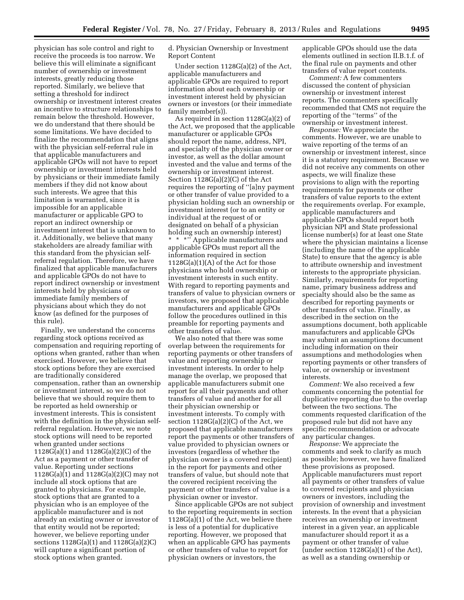physician has sole control and right to receive the proceeds is too narrow. We believe this will eliminate a significant number of ownership or investment interests, greatly reducing those reported. Similarly, we believe that setting a threshold for indirect ownership or investment interest creates an incentive to structure relationships to remain below the threshold. However, we do understand that there should be some limitations. We have decided to finalize the recommendation that aligns with the physician self-referral rule in that applicable manufacturers and applicable GPOs will not have to report ownership or investment interests held by physicians or their immediate family members if they did not know about such interests. We agree that this limitation is warranted, since it is impossible for an applicable manufacturer or applicable GPO to report an indirect ownership or investment interest that is unknown to it. Additionally, we believe that many stakeholders are already familiar with this standard from the physician selfreferral regulation. Therefore, we have finalized that applicable manufacturers and applicable GPOs do not have to report indirect ownership or investment interests held by physicians or immediate family members of physicians about which they do not know (as defined for the purposes of this rule).

Finally, we understand the concerns regarding stock options received as compensation and requiring reporting of options when granted, rather than when exercised. However, we believe that stock options before they are exercised are traditionally considered compensation, rather than an ownership or investment interest, so we do not believe that we should require them to be reported as held ownership or investment interests. This is consistent with the definition in the physician selfreferral regulation. However, we note stock options will need to be reported when granted under sections 1128G(a)(1) and 1128G(a)(2)(C) of the Act as a payment or other transfer of value. Reporting under sections 1128 $G(a)$ (1) and 1128 $G(a)$ (2)(C) may not include all stock options that are granted to physicians. For example, stock options that are granted to a physician who is an employee of the applicable manufacturer and is not already an existing owner or investor of that entity would not be reported; however, we believe reporting under sections 1128G(a)(1) and 1128G(a)(2)C) will capture a significant portion of stock options when granted.

d. Physician Ownership or Investment Report Content

Under section 1128G(a)(2) of the Act, applicable manufacturers and applicable GPOs are required to report information about each ownership or investment interest held by physician owners or investors (or their immediate family member(s)).

As required in section 1128G(a)(2) of the Act, we proposed that the applicable manufacturer or applicable GPOs should report the name, address, NPI, and specialty of the physician owner or investor, as well as the dollar amount invested and the value and terms of the ownership or investment interest. Section 1128G(a)(2)(C) of the Act requires the reporting of ''[a]ny payment or other transfer of value provided to a physician holding such an ownership or investment interest (or to an entity or individual at the request of or designated on behalf of a physician holding such an ownership interest) \* \* \*'' Applicable manufacturers and applicable GPOs must report all the information required in section 1128G(a)(1)(A) of the Act for those physicians who hold ownership or investment interests in such entity. With regard to reporting payments and transfers of value to physician owners or investors, we proposed that applicable manufacturers and applicable GPOs follow the procedures outlined in this preamble for reporting payments and other transfers of value.

We also noted that there was some overlap between the requirements for reporting payments or other transfers of value and reporting ownership or investment interests. In order to help manage the overlap, we proposed that applicable manufacturers submit one report for all their payments and other transfers of value and another for all their physician ownership or investment interests. To comply with section  $1128G(a)(2)(C)$  of the Act, we proposed that applicable manufacturers report the payments or other transfers of value provided to physician owners or investors (regardless of whether the physician owner is a covered recipient) in the report for payments and other transfers of value, but should note that the covered recipient receiving the payment or other transfers of value is a physician owner or investor.

Since applicable GPOs are not subject to the reporting requirements in section 1128G(a)(1) of the Act, we believe there is less of a potential for duplicative reporting. However, we proposed that when an applicable GPO has payments or other transfers of value to report for physician owners or investors, the

applicable GPOs should use the data elements outlined in section II.B.1.f. of the final rule on payments and other transfers of value report contents.

*Comment:* A few commenters discussed the content of physician ownership or investment interest reports. The commenters specifically recommended that CMS not require the reporting of the ''terms'' of the ownership or investment interest.

*Response:* We appreciate the comments. However, we are unable to waive reporting of the terms of an ownership or investment interest, since it is a statutory requirement. Because we did not receive any comments on other aspects, we will finalize these provisions to align with the reporting requirements for payments or other transfers of value reports to the extent the requirements overlap. For example, applicable manufacturers and applicable GPOs should report both physician NPI and State professional license number(s) for at least one State where the physician maintains a license (including the name of the applicable State) to ensure that the agency is able to attribute ownership and investment interests to the appropriate physician. Similarly, requirements for reporting name, primary business address and specialty should also be the same as described for reporting payments or other transfers of value. Finally, as described in the section on the assumptions document, both applicable manufacturers and applicable GPOs may submit an assumptions document including information on their assumptions and methodologies when reporting payments or other transfers of value, or ownership or investment interests.

*Comment:* We also received a few comments concerning the potential for duplicative reporting due to the overlap between the two sections. The comments requested clarification of the proposed rule but did not have any specific recommendation or advocate any particular changes.

*Response:* We appreciate the comments and seek to clarify as much as possible; however, we have finalized these provisions as proposed. Applicable manufacturers must report all payments or other transfers of value to covered recipients and physician owners or investors, including the provision of ownership and investment interests. In the event that a physician receives an ownership or investment interest in a given year, an applicable manufacturer should report it as a payment or other transfer of value (under section 1128G(a)(1) of the Act), as well as a standing ownership or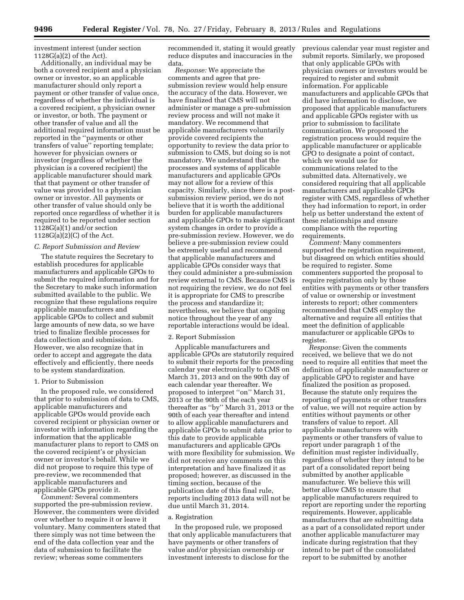investment interest (under section 1128G(a)(2) of the Act).

Additionally, an individual may be both a covered recipient and a physician owner or investor, so an applicable manufacturer should only report a payment or other transfer of value once, regardless of whether the individual is a covered recipient, a physician owner or investor, or both. The payment or other transfer of value and all the additional required information must be reported in the ''payments or other transfers of value'' reporting template; however for physician owners or investor (regardless of whether the physician is a covered recipient) the applicable manufacturer should mark that that payment or other transfer of value was provided to a physician owner or investor. All payments or other transfer of value should only be reported once regardless of whether it is required to be reported under section 1128G(a)(1) and/or section 1128G(a)(2)(C) of the Act.

#### *C. Report Submission and Review*

The statute requires the Secretary to establish procedures for applicable manufacturers and applicable GPOs to submit the required information and for the Secretary to make such information submitted available to the public. We recognize that these regulations require applicable manufacturers and applicable GPOs to collect and submit large amounts of new data, so we have tried to finalize flexible processes for data collection and submission. However, we also recognize that in order to accept and aggregate the data effectively and efficiently, there needs to be system standardization.

#### 1. Prior to Submission

In the proposed rule, we considered that prior to submission of data to CMS, applicable manufacturers and applicable GPOs would provide each covered recipient or physician owner or investor with information regarding the information that the applicable manufacturer plans to report to CMS on the covered recipient's or physician owner or investor's behalf. While we did not propose to require this type of pre-review, we recommended that applicable manufacturers and applicable GPOs provide it.

*Comment:* Several commenters supported the pre-submission review. However, the commenters were divided over whether to require it or leave it voluntary. Many commenters stated that there simply was not time between the end of the data collection year and the data of submission to facilitate the review; whereas some commenters

recommended it, stating it would greatly reduce disputes and inaccuracies in the data.

*Response:* We appreciate the comments and agree that presubmission review would help ensure the accuracy of the data. However, we have finalized that CMS will not administer or manage a pre-submission review process and will not make it mandatory. We recommend that applicable manufacturers voluntarily provide covered recipients the opportunity to review the data prior to submission to CMS, but doing so is not mandatory. We understand that the processes and systems of applicable manufacturers and applicable GPOs may not allow for a review of this capacity. Similarly, since there is a postsubmission review period, we do not believe that it is worth the additional burden for applicable manufacturers and applicable GPOs to make significant system changes in order to provide a pre-submission review. However, we do believe a pre-submission review could be extremely useful and recommend that applicable manufacturers and applicable GPOs consider ways that they could administer a pre-submission review external to CMS. Because CMS is not requiring the review, we do not feel it is appropriate for CMS to prescribe the process and standardize it; nevertheless, we believe that ongoing notice throughout the year of any reportable interactions would be ideal.

#### 2. Report Submission

Applicable manufacturers and applicable GPOs are statutorily required to submit their reports for the preceding calendar year electronically to CMS on March 31, 2013 and on the 90th day of each calendar year thereafter. We proposed to interpret ''on'' March 31, 2013 or the 90th of the each year thereafter as ''by'' March 31, 2013 or the 90th of each year thereafter and intend to allow applicable manufacturers and applicable GPOs to submit data prior to this date to provide applicable manufacturers and applicable GPOs with more flexibility for submission. We did not receive any comments on this interpretation and have finalized it as proposed; however, as discussed in the timing section, because of the publication date of this final rule, reports including 2013 data will not be due until March 31, 2014.

#### a. Registration

In the proposed rule, we proposed that only applicable manufacturers that have payments or other transfers of value and/or physician ownership or investment interests to disclose for the

previous calendar year must register and submit reports. Similarly, we proposed that only applicable GPOs with physician owners or investors would be required to register and submit information. For applicable manufacturers and applicable GPOs that did have information to disclose, we proposed that applicable manufacturers and applicable GPOs register with us prior to submission to facilitate communication. We proposed the registration process would require the applicable manufacturer or applicable GPO to designate a point of contact, which we would use for communications related to the submitted data. Alternatively, we considered requiring that all applicable manufacturers and applicable GPOs register with CMS, regardless of whether they had information to report, in order help us better understand the extent of these relationships and ensure compliance with the reporting requirements.

*Comment:* Many commenters supported the registration requirement, but disagreed on which entities should be required to register. Some commenters supported the proposal to require registration only by those entities with payments or other transfers of value or ownership or investment interests to report; other commenters recommended that CMS employ the alternative and require all entities that meet the definition of applicable manufacturer or applicable GPOs to register.

*Response:* Given the comments received, we believe that we do not need to require all entities that meet the definition of applicable manufacturer or applicable GPO to register and have finalized the position as proposed. Because the statute only requires the reporting of payments or other transfers of value, we will not require action by entities without payments or other transfers of value to report. All applicable manufacturers with payments or other transfers of value to report under paragraph 1 of the definition must register individually, regardless of whether they intend to be part of a consolidated report being submitted by another applicable manufacturer. We believe this will better allow CMS to ensure that applicable manufacturers required to report are reporting under the reporting requirements. However, applicable manufacturers that are submitting data as a part of a consolidated report under another applicable manufacturer may indicate during registration that they intend to be part of the consolidated report to be submitted by another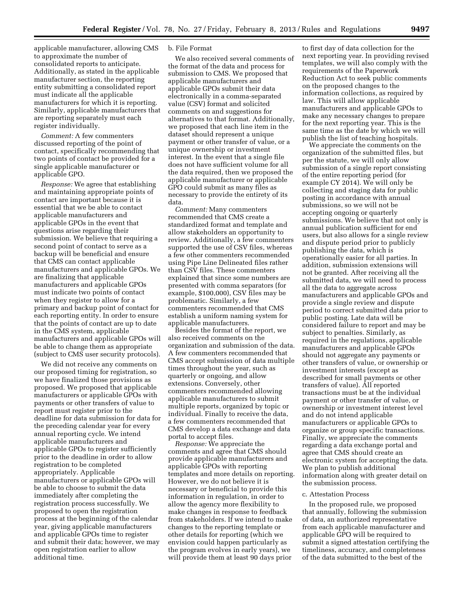applicable manufacturer, allowing CMS to approximate the number of consolidated reports to anticipate. Additionally, as stated in the applicable manufacturer section, the reporting entity submitting a consolidated report must indicate all the applicable manufacturers for which it is reporting. Similarly, applicable manufacturers that are reporting separately must each register individually.

*Comment:* A few commenters discussed reporting of the point of contact, specifically recommending that two points of contact be provided for a single applicable manufacturer or applicable GPO.

*Response:* We agree that establishing and maintaining appropriate points of contact are important because it is essential that we be able to contact applicable manufacturers and applicable GPOs in the event that questions arise regarding their submission. We believe that requiring a second point of contact to serve as a backup will be beneficial and ensure that CMS can contact applicable manufacturers and applicable GPOs. We are finalizing that applicable manufacturers and applicable GPOs must indicate two points of contact when they register to allow for a primary and backup point of contact for each reporting entity. In order to ensure that the points of contact are up to date in the CMS system, applicable manufacturers and applicable GPOs will be able to change them as appropriate (subject to CMS user security protocols).

We did not receive any comments on our proposed timing for registration, so we have finalized those provisions as proposed. We proposed that applicable manufacturers or applicable GPOs with payments or other transfers of value to report must register prior to the deadline for data submission for data for the preceding calendar year for every annual reporting cycle. We intend applicable manufacturers and applicable GPOs to register sufficiently prior to the deadline in order to allow registration to be completed appropriately. Applicable manufacturers or applicable GPOs will be able to choose to submit the data immediately after completing the registration process successfully. We proposed to open the registration process at the beginning of the calendar year, giving applicable manufacturers and applicable GPOs time to register and submit their data; however, we may open registration earlier to allow additional time.

## b. File Format

We also received several comments of the format of the data and process for submission to CMS. We proposed that applicable manufacturers and applicable GPOs submit their data electronically in a comma-separated value (CSV) format and solicited comments on and suggestions for alternatives to that format. Additionally, we proposed that each line item in the dataset should represent a unique payment or other transfer of value, or a unique ownership or investment interest. In the event that a single file does not have sufficient volume for all the data required, then we proposed the applicable manufacturer or applicable GPO could submit as many files as necessary to provide the entirety of its data.

*Comment:* Many commenters recommended that CMS create a standardized format and template and allow stakeholders an opportunity to review. Additionally, a few commenters supported the use of CSV files, whereas a few other commenters recommended using Pipe Line Delineated files rather than CSV files. These commenters explained that since some numbers are presented with comma separators (for example, \$100,000), CSV files may be problematic. Similarly, a few commenters recommended that CMS establish a uniform naming system for applicable manufacturers.

Besides the format of the report, we also received comments on the organization and submission of the data. A few commenters recommended that CMS accept submission of data multiple times throughout the year, such as quarterly or ongoing, and allow extensions. Conversely, other commenters recommended allowing applicable manufacturers to submit multiple reports, organized by topic or individual. Finally to receive the data, a few commenters recommended that CMS develop a data exchange and data portal to accept files.

*Response:* We appreciate the comments and agree that CMS should provide applicable manufacturers and applicable GPOs with reporting templates and more details on reporting. However, we do not believe it is necessary or beneficial to provide this information in regulation, in order to allow the agency more flexibility to make changes in response to feedback from stakeholders. If we intend to make changes to the reporting template or other details for reporting (which we envision could happen particularly as the program evolves in early years), we will provide them at least 90 days prior

to first day of data collection for the next reporting year. In providing revised templates, we will also comply with the requirements of the Paperwork Reduction Act to seek public comments on the proposed changes to the information collections, as required by law. This will allow applicable manufacturers and applicable GPOs to make any necessary changes to prepare for the next reporting year. This is the same time as the date by which we will publish the list of teaching hospitals.

We appreciate the comments on the organization of the submitted files, but per the statute, we will only allow submission of a single report consisting of the entire reporting period (for example CY 2014). We will only be collecting and staging data for public posting in accordance with annual submissions, so we will not be accepting ongoing or quarterly submissions. We believe that not only is annual publication sufficient for end users, but also allows for a single review and dispute period prior to publicly publishing the data, which is operationally easier for all parties. In addition, submission extensions will not be granted. After receiving all the submitted data, we will need to process all the data to aggregate across manufacturers and applicable GPOs and provide a single review and dispute period to correct submitted data prior to public posting. Late data will be considered failure to report and may be subject to penalties. Similarly, as required in the regulations, applicable manufacturers and applicable GPOs should not aggregate any payments or other transfers of value, or ownership or investment interests (except as described for small payments or other transfers of value). All reported transactions must be at the individual payment or other transfer of value, or ownership or investment interest level and do not intend applicable manufacturers or applicable GPOs to organize or group specific transactions. Finally, we appreciate the comments regarding a data exchange portal and agree that CMS should create an electronic system for accepting the data. We plan to publish additional information along with greater detail on the submission process.

#### c. Attestation Process

In the proposed rule, we proposed that annually, following the submission of data, an authorized representative from each applicable manufacturer and applicable GPO will be required to submit a signed attestation certifying the timeliness, accuracy, and completeness of the data submitted to the best of the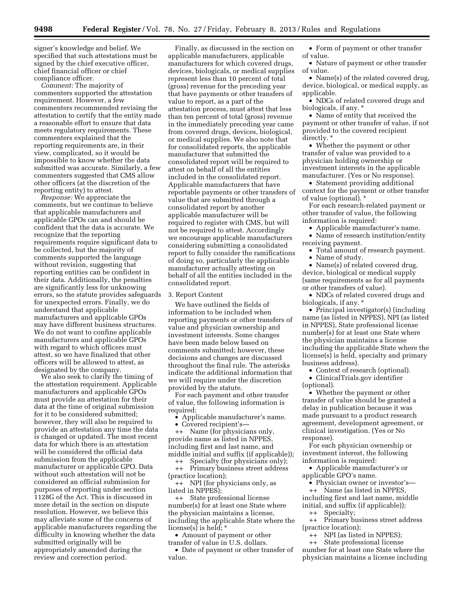signer's knowledge and belief. We specified that such attestations must be signed by the chief executive officer, chief financial officer or chief compliance officer.

*Comment:* The majority of commenters supported the attestation requirement. However, a few commenters recommended revising the attestation to certify that the entity made a reasonable effort to ensure that data meets regulatory requirements. These commenters explained that the reporting requirements are, in their view, complicated, so it would be impossible to know whether the data submitted was accurate. Similarly, a few commenters suggested that CMS allow other officers (at the discretion of the reporting entity) to attest.

*Response:* We appreciate the comments, but we continue to believe that applicable manufacturers and applicable GPOs can and should be confident that the data is accurate. We recognize that the reporting requirements require significant data to be collected, but the majority of comments supported the language without revision, suggesting that reporting entities can be confident in their data. Additionally, the penalties are significantly less for unknowing errors, so the statute provides safeguards for unexpected errors. Finally, we do understand that applicable manufacturers and applicable GPOs may have different business structures. We do not want to confine applicable manufacturers and applicable GPOs with regard to which officers must attest, so we have finalized that other officers will be allowed to attest, as designated by the company.

We also seek to clarify the timing of the attestation requirement. Applicable manufacturers and applicable GPOs must provide an attestation for their data at the time of original submission for it to be considered submitted; however, they will also be required to provide an attestation any time the data is changed or updated. The most recent data for which there is an attestation will be considered the official data submission from the applicable manufacturer or applicable GPO. Data without such attestation will not be considered an official submission for purposes of reporting under section 1128G of the Act. This is discussed in more detail in the section on dispute resolution. However, we believe this may alleviate some of the concerns of applicable manufacturers regarding the difficulty in knowing whether the data submitted originally will be appropriately amended during the review and correction period.

Finally, as discussed in the section on applicable manufacturers, applicable manufacturers for which covered drugs, devices, biologicals, or medical supplies represent less than 10 percent of total (gross) revenue for the preceding year that have payments or other transfers of value to report, as a part of the attestation process, must attest that less than ten percent of total (gross) revenue in the immediately preceding year came from covered drugs, devices, biological, or medical supplies. We also note that for consolidated reports, the applicable manufacturer that submitted the consolidated report will be required to attest on behalf of all the entities included in the consolidated report. Applicable manufacturers that have reportable payments or other transfers of value that are submitted through a consolidated report by another applicable manufacturer will be required to register with CMS, but will not be required to attest. Accordingly we encourage applicable manufacturers considering submitting a consolidated report to fully consider the ramifications of doing so, particularly the applicable manufacturer actually attesting on behalf of all the entities included in the consolidated report.

# 3. Report Content

We have outlined the fields of information to be included when reporting payments or other transfers of value and physician ownership and investment interests. Some changes have been made below based on comments submitted; however, these decisions and changes are discussed throughout the final rule. The asterisks indicate the additional information that we will require under the discretion provided by the statute.

For each payment and other transfer of value, the following information is required:

• Applicable manufacturer's name. • Covered recipient's—

++ Name (for physicians only,

provide name as listed in NPPES, including first and last name, and middle initial and suffix (if applicable));

++ Specialty (for physicians only); ++ Primary business street address (practice location);

++ NPI (for physicians only, as listed in NPPES);

++ State professional license number(s) for at least one State where the physician maintains a license, including the applicable State where the license(s) is held; \*

• Amount of payment or other transfer of value in U.S. dollars.

• Date of payment or other transfer of value.

• Form of payment or other transfer of value.

• Nature of payment or other transfer of value.

• Name(s) of the related covered drug, device, biological, or medical supply, as applicable.

• NDCs of related covered drugs and biologicals, if any. \*

• Name of entity that received the payment or other transfer of value, if not provided to the covered recipient directly. \*

• Whether the payment or other transfer of value was provided to a physician holding ownership or investment interests in the applicable manufacturer. (Yes or No response).

• Statement providing additional context for the payment or other transfer of value (optional). \*

For each research-related payment or other transfer of value, the following information is required:

• Applicable manufacturer's name.

• Name of research institution/entity receiving payment.

• Total amount of research payment. Name of study.

• Name(s) of related covered drug, device, biological or medical supply (same requirements as for all payments or other transfers of value).

• NDCs of related covered drugs and biologicals, if any. \*

• Principal investigator(s) (including name (as listed in NPPES), NPI (as listed in NPPES), State professional license number(s) for at least one State where the physician maintains a license including the applicable State where the license(s) is held, specialty and primary business address).

• Context of research (optional).

• ClinicalTrials.gov identifier (optional).

• Whether the payment or other transfer of value should be granted a delay in publication because it was made pursuant to a product research agreement, development agreement, or clinical investigation. (Yes or No response).

For each physician ownership or investment interest, the following information is required:

• Applicable manufacturer's or applicable GPO's name.

• Physician owner or investor's— ++ Name (as listed in NPPES,

including first and last name, middle initial, and suffix (if applicable));

++ Specialty;

++ Primary business street address (practice location);

++ NPI (as listed in NPPES);

++ State professional license number for at least one State where the physician maintains a license including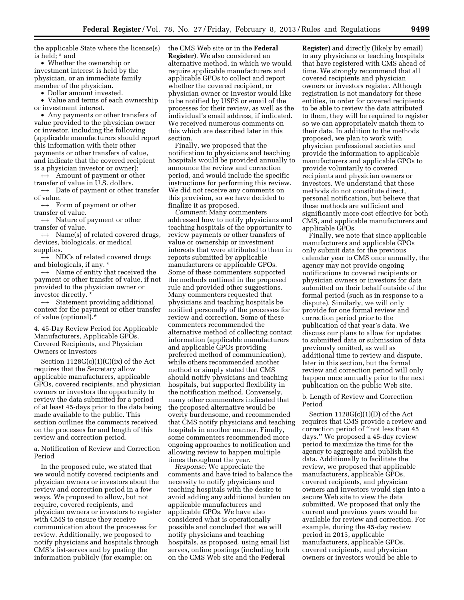the applicable State where the license(s) is held; \* and

• Whether the ownership or investment interest is held by the physician, or an immediate family member of the physician.

• Dollar amount invested.

• Value and terms of each ownership or investment interest.

• Any payments or other transfers of value provided to the physician owner or investor, including the following (applicable manufacturers should report this information with their other payments or other transfers of value, and indicate that the covered recipient is a physician investor or owner):

++ Amount of payment or other transfer of value in U.S. dollars.

++ Date of payment or other transfer of value.

++ Form of payment or other transfer of value.

++ Nature of payment or other transfer of value.

++ Name(s) of related covered drugs, devices, biologicals, or medical supplies.

++ NDCs of related covered drugs and biologicals, if any. \*

++ Name of entity that received the payment or other transfer of value, if not provided to the physician owner or investor directly. \*

++ Statement providing additional context for the payment or other transfer of value (optional).\*

4. 45-Day Review Period for Applicable Manufacturers, Applicable GPOs, Covered Recipients, and Physician Owners or Investors

Section  $1128G(c)(1)(C)(ix)$  of the Act requires that the Secretary allow applicable manufacturers, applicable GPOs, covered recipients, and physician owners or investors the opportunity to review the data submitted for a period of at least 45-days prior to the data being made available to the public. This section outlines the comments received on the processes for and length of this review and correction period.

a. Notification of Review and Correction Period

In the proposed rule, we stated that we would notify covered recipients and physician owners or investors about the review and correction period in a few ways. We proposed to allow, but not require, covered recipients, and physician owners or investors to register with CMS to ensure they receive communication about the processes for review. Additionally, we proposed to notify physicians and hospitals through CMS's list-serves and by posting the information publicly (for example: on

the CMS Web site or in the **Federal Register**). We also considered an alternative method, in which we would require applicable manufacturers and applicable GPOs to collect and report whether the covered recipient, or physician owner or investor would like to be notified by USPS or email of the processes for their review, as well as the individual's email address, if indicated. We received numerous comments on this which are described later in this section.

Finally, we proposed that the notification to physicians and teaching hospitals would be provided annually to announce the review and correction period, and would include the specific instructions for performing this review. We did not receive any comments on this provision, so we have decided to finalize it as proposed.

*Comment:* Many commenters addressed how to notify physicians and teaching hospitals of the opportunity to review payments or other transfers of value or ownership or investment interests that were attributed to them in reports submitted by applicable manufacturers or applicable GPOs. Some of these commenters supported the methods outlined in the proposed rule and provided other suggestions. Many commenters requested that physicians and teaching hospitals be notified personally of the processes for review and correction. Some of these commenters recommended the alternative method of collecting contact information (applicable manufacturers and applicable GPOs providing preferred method of communication), while others recommended another method or simply stated that CMS should notify physicians and teaching hospitals, but supported flexibility in the notification method. Conversely, many other commenters indicated that the proposed alternative would be overly burdensome, and recommended that CMS notify physicians and teaching hospitals in another manner. Finally, some commenters recommended more ongoing approaches to notification and allowing review to happen multiple times throughout the year.

*Response:* We appreciate the comments and have tried to balance the necessity to notify physicians and teaching hospitals with the desire to avoid adding any additional burden on applicable manufacturers and applicable GPOs. We have also considered what is operationally possible and concluded that we will notify physicians and teaching hospitals, as proposed, using email list serves, online postings (including both on the CMS Web site and the **Federal** 

**Register**) and directly (likely by email) to any physicians or teaching hospitals that have registered with CMS ahead of time. We strongly recommend that all covered recipients and physician owners or investors register. Although registration is not mandatory for these entities, in order for covered recipients to be able to review the data attributed to them, they will be required to register so we can appropriately match them to their data. In addition to the methods proposed, we plan to work with physician professional societies and provide the information to applicable manufacturers and applicable GPOs to provide voluntarily to covered recipients and physician owners or investors. We understand that these methods do not constitute direct, personal notification, but believe that these methods are sufficient and significantly more cost effective for both CMS, and applicable manufacturers and applicable GPOs.

Finally, we note that since applicable manufacturers and applicable GPOs only submit data for the previous calendar year to CMS once annually, the agency may not provide ongoing notifications to covered recipients or physician owners or investors for data submitted on their behalf outside of the formal period (such as in response to a dispute). Similarly, we will only provide for one formal review and correction period prior to the publication of that year's data. We discuss our plans to allow for updates to submitted data or submission of data previously omitted, as well as additional time to review and dispute, later in this section, but the formal review and correction period will only happen once annually prior to the next publication on the public Web site.

### b. Length of Review and Correction Period

Section  $1128G(c)(1)(D)$  of the Act requires that CMS provide a review and correction period of ''not less than 45 days.'' We proposed a 45-day review period to maximize the time for the agency to aggregate and publish the data. Additionally to facilitate the review, we proposed that applicable manufacturers, applicable GPOs, covered recipients, and physician owners and investors would sign into a secure Web site to view the data submitted. We proposed that only the current and previous years would be available for review and correction. For example, during the 45-day review period in 2015, applicable manufacturers, applicable GPOs, covered recipients, and physician owners or investors would be able to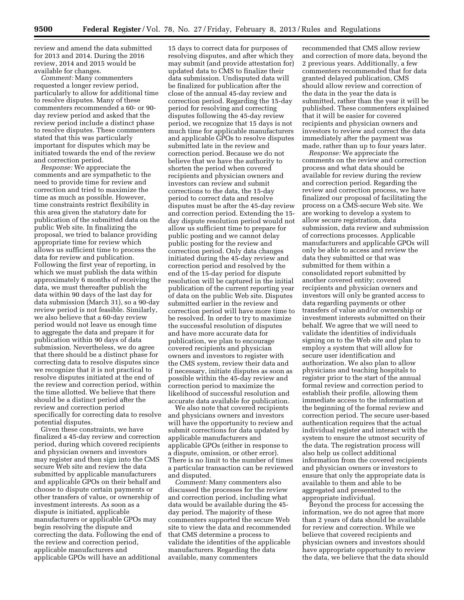review and amend the data submitted for 2013 and 2014. During the 2016 review, 2014 and 2015 would be available for changes.

*Comment:* Many commenters requested a longer review period, particularly to allow for additional time to resolve disputes. Many of these commenters recommended a 60- or 90 day review period and asked that the review period include a distinct phase to resolve disputes. These commenters stated that this was particularly important for disputes which may be initiated towards the end of the review and correction period.

*Response:* We appreciate the comments and are sympathetic to the need to provide time for review and correction and tried to maximize the time as much as possible. However, time constraints restrict flexibility in this area given the statutory date for publication of the submitted data on the public Web site. In finalizing the proposal, we tried to balance providing appropriate time for review which allows us sufficient time to process the data for review and publication. Following the first year of reporting, in which we must publish the data within approximately 6 months of receiving the data, we must thereafter publish the data within 90 days of the last day for data submission (March 31), so a 90-day review period is not feasible. Similarly, we also believe that a 60-day review period would not leave us enough time to aggregate the data and prepare it for publication within 90 days of data submission. Nevertheless, we do agree that there should be a distinct phase for correcting data to resolve disputes since we recognize that it is not practical to resolve disputes initiated at the end of the review and correction period, within the time allotted. We believe that there should be a distinct period after the review and correction period specifically for correcting data to resolve potential disputes.

Given these constraints, we have finalized a 45-day review and correction period, during which covered recipients and physician owners and investors may register and then sign into the CMS secure Web site and review the data submitted by applicable manufacturers and applicable GPOs on their behalf and choose to dispute certain payments or other transfers of value, or ownership of investment interests. As soon as a dispute is initiated, applicable manufacturers or applicable GPOs may begin resolving the dispute and correcting the data. Following the end of the review and correction period, applicable manufacturers and applicable GPOs will have an additional

15 days to correct data for purposes of resolving disputes, and after which they may submit (and provide attestation for) updated data to CMS to finalize their data submission. Undisputed data will be finalized for publication after the close of the annual 45-day review and correction period. Regarding the 15-day period for resolving and correcting disputes following the 45-day review period, we recognize that 15 days is not much time for applicable manufacturers and applicable GPOs to resolve disputes submitted late in the review and correction period. Because we do not believe that we have the authority to shorten the period when covered recipients and physician owners and investors can review and submit corrections to the data, the 15-day period to correct data and resolve disputes must be after the 45-day review and correction period. Extending the 15 day dispute resolution period would not allow us sufficient time to prepare for public posting and we cannot delay public posting for the review and correction period. Only data changes initiated during the 45-day review and correction period and resolved by the end of the 15-day period for dispute resolution will be captured in the initial publication of the current reporting year of data on the public Web site. Disputes submitted earlier in the review and correction period will have more time to be resolved. In order to try to maximize the successful resolution of disputes and have more accurate data for publication, we plan to encourage covered recipients and physician owners and investors to register with the CMS system, review their data and if necessary, initiate disputes as soon as possible within the 45-day review and correction period to maximize the likelihood of successful resolution and accurate data available for publication.

We also note that covered recipients and physicians owners and investors will have the opportunity to review and submit corrections for data updated by applicable manufacturers and applicable GPOs (either in response to a dispute, omission, or other error). There is no limit to the number of times a particular transaction can be reviewed and disputed.

*Comment:* Many commenters also discussed the processes for the review and correction period, including what data would be available during the 45 day period. The majority of these commenters supported the secure Web site to view the data and recommended that CMS determine a process to validate the identities of the applicable manufacturers. Regarding the data available, many commenters

recommended that CMS allow review and correction of more data, beyond the 2 previous years. Additionally, a few commenters recommended that for data granted delayed publication, CMS should allow review and correction of the data in the year the data is submitted, rather than the year it will be published. These commenters explained that it will be easier for covered recipients and physician owners and investors to review and correct the data immediately after the payment was made, rather than up to four years later.

*Response:* We appreciate the comments on the review and correction process and what data should be available for review during the review and correction period. Regarding the review and correction process, we have finalized our proposal of facilitating the process on a CMS-secure Web site. We are working to develop a system to allow secure registration, data submission, data review and submission of corrections processes. Applicable manufacturers and applicable GPOs will only be able to access and review the data they submitted or that was submitted for them within a consolidated report submitted by another covered entity; covered recipients and physician owners and investors will only be granted access to data regarding payments or other transfers of value and/or ownership or investment interests submitted on their behalf. We agree that we will need to validate the identities of individuals signing on to the Web site and plan to employ a system that will allow for secure user identification and authorization. We also plan to allow physicians and teaching hospitals to register prior to the start of the annual formal review and correction period to establish their profile, allowing them immediate access to the information at the beginning of the formal review and correction period. The secure user-based authentication requires that the actual individual register and interact with the system to ensure the utmost security of the data. The registration process will also help us collect additional information from the covered recipients and physician owners or investors to ensure that only the appropriate data is available to them and able to be aggregated and presented to the appropriate individual.

Beyond the process for accessing the information, we do not agree that more than 2 years of data should be available for review and correction. While we believe that covered recipients and physician owners and investors should have appropriate opportunity to review the data, we believe that the data should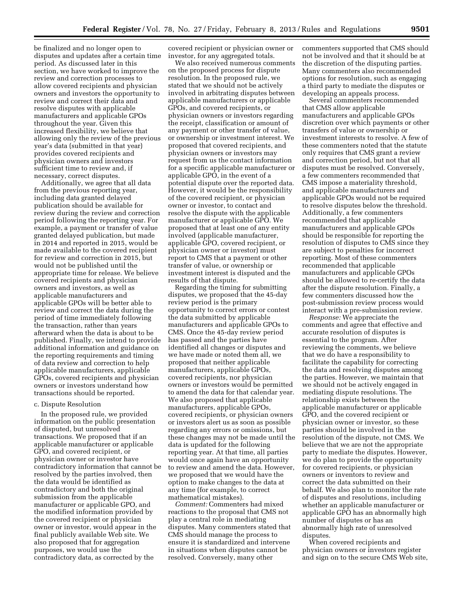be finalized and no longer open to disputes and updates after a certain time period. As discussed later in this section, we have worked to improve the review and correction processes to allow covered recipients and physician owners and investors the opportunity to review and correct their data and resolve disputes with applicable manufacturers and applicable GPOs throughout the year. Given this increased flexibility, we believe that allowing only the review of the previous year's data (submitted in that year) provides covered recipients and physician owners and investors sufficient time to review and, if necessary, correct disputes.

Additionally, we agree that all data from the previous reporting year, including data granted delayed publication should be available for review during the review and correction period following the reporting year. For example, a payment or transfer of value granted delayed publication, but made in 2014 and reported in 2015, would be made available to the covered recipient for review and correction in 2015, but would not be published until the appropriate time for release. We believe covered recipients and physician owners and investors, as well as applicable manufacturers and applicable GPOs will be better able to review and correct the data during the period of time immediately following the transaction, rather than years afterward when the data is about to be published. Finally, we intend to provide additional information and guidance on the reporting requirements and timing of data review and correction to help applicable manufacturers, applicable GPOs, covered recipients and physician owners or investors understand how transactions should be reported.

## c. Dispute Resolution

In the proposed rule, we provided information on the public presentation of disputed, but unresolved transactions. We proposed that if an applicable manufacturer or applicable GPO, and covered recipient, or physician owner or investor have contradictory information that cannot be resolved by the parties involved, then the data would be identified as contradictory and both the original submission from the applicable manufacturer or applicable GPO, and the modified information provided by the covered recipient or physician owner or investor, would appear in the final publicly available Web site. We also proposed that for aggregation purposes, we would use the contradictory data, as corrected by the

covered recipient or physician owner or investor, for any aggregated totals.

We also received numerous comments on the proposed process for dispute resolution. In the proposed rule, we stated that we should not be actively involved in arbitrating disputes between applicable manufacturers or applicable GPOs, and covered recipients, or physician owners or investors regarding the receipt, classification or amount of any payment or other transfer of value, or ownership or investment interest. We proposed that covered recipients, and physician owners or investors may request from us the contact information for a specific applicable manufacturer or applicable GPO, in the event of a potential dispute over the reported data. However, it would be the responsibility of the covered recipient, or physician owner or investor, to contact and resolve the dispute with the applicable manufacturer or applicable GPO. We proposed that at least one of any entity involved (applicable manufacturer, applicable GPO, covered recipient, or physician owner or investor) must report to CMS that a payment or other transfer of value, or ownership or investment interest is disputed and the results of that dispute.

Regarding the timing for submitting disputes, we proposed that the 45-day review period is the primary opportunity to correct errors or contest the data submitted by applicable manufacturers and applicable GPOs to CMS. Once the 45-day review period has passed and the parties have identified all changes or disputes and we have made or noted them all, we proposed that neither applicable manufacturers, applicable GPOs, covered recipients, nor physician owners or investors would be permitted to amend the data for that calendar year. We also proposed that applicable manufacturers, applicable GPOs, covered recipients, or physician owners or investors alert us as soon as possible regarding any errors or omissions, but these changes may not be made until the data is updated for the following reporting year. At that time, all parties would once again have an opportunity to review and amend the data. However, we proposed that we would have the option to make changes to the data at any time (for example, to correct mathematical mistakes).

*Comment:* Commenters had mixed reactions to the proposal that CMS not play a central role in mediating disputes. Many commenters stated that CMS should manage the process to ensure it is standardized and intervene in situations when disputes cannot be resolved. Conversely, many other

commenters supported that CMS should not be involved and that it should be at the discretion of the disputing parties. Many commenters also recommended options for resolution, such as engaging a third party to mediate the disputes or developing an appeals process.

Several commenters recommended that CMS allow applicable manufacturers and applicable GPOs discretion over which payments or other transfers of value or ownership or investment interests to resolve. A few of these commenters noted that the statute only requires that CMS grant a review and correction period, but not that all disputes must be resolved. Conversely, a few commenters recommended that CMS impose a materiality threshold, and applicable manufacturers and applicable GPOs would not be required to resolve disputes below the threshold. Additionally, a few commenters recommended that applicable manufacturers and applicable GPOs should be responsible for reporting the resolution of disputes to CMS since they are subject to penalties for incorrect reporting. Most of these commenters recommended that applicable manufacturers and applicable GPOs should be allowed to re-certify the data after the dispute resolution. Finally, a few commenters discussed how the post-submission review process would interact with a pre-submission review.

*Response:* We appreciate the comments and agree that effective and accurate resolution of disputes is essential to the program. After reviewing the comments, we believe that we do have a responsibility to facilitate the capability for correcting the data and resolving disputes among the parties. However, we maintain that we should not be actively engaged in mediating dispute resolutions. The relationship exists between the applicable manufacturer or applicable GPO, and the covered recipient or physician owner or investor, so these parties should be involved in the resolution of the dispute, not CMS. We believe that we are not the appropriate party to mediate the disputes. However, we do plan to provide the opportunity for covered recipients, or physician owners or inventors to review and correct the data submitted on their behalf. We also plan to monitor the rate of disputes and resolutions, including whether an applicable manufacturer or applicable GPO has an abnormally high number of disputes or has an abnormally high rate of unresolved disputes.

When covered recipients and physician owners or investors register and sign on to the secure CMS Web site,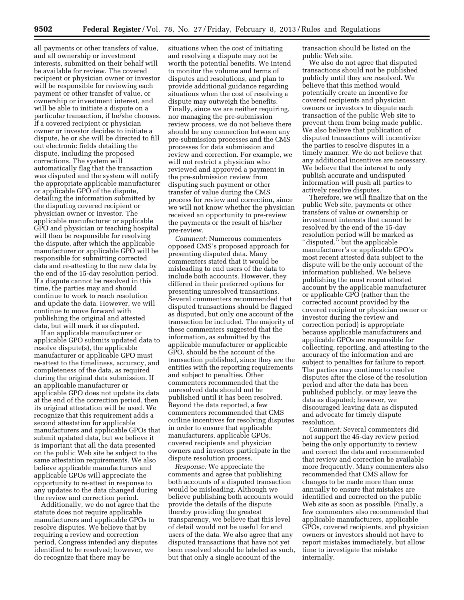all payments or other transfers of value, and all ownership or investment interests, submitted on their behalf will be available for review. The covered recipient or physician owner or investor will be responsible for reviewing each payment or other transfer of value, or ownership or investment interest, and will be able to initiate a dispute on a particular transaction, if he/she chooses. If a covered recipient or physician owner or investor decides to initiate a dispute, he or she will be directed to fill out electronic fields detailing the dispute, including the proposed corrections. The system will automatically flag that the transaction was disputed and the system will notify the appropriate applicable manufacturer or applicable GPO of the dispute, detailing the information submitted by the disputing covered recipient or physician owner or investor. The applicable manufacturer or applicable GPO and physician or teaching hospital will then be responsible for resolving the dispute, after which the applicable manufacturer or applicable GPO will be responsible for submitting corrected data and re-attesting to the new data by the end of the 15-day resolution period. If a dispute cannot be resolved in this time, the parties may and should continue to work to reach resolution and update the data. However, we will continue to move forward with publishing the original and attested data, but will mark it as disputed.

If an applicable manufacturer or applicable GPO submits updated data to resolve dispute(s), the applicable manufacturer or applicable GPO must re-attest to the timeliness, accuracy, and completeness of the data, as required during the original data submission. If an applicable manufacturer or applicable GPO does not update its data at the end of the correction period, then its original attestation will be used. We recognize that this requirement adds a second attestation for applicable manufacturers and applicable GPOs that submit updated data, but we believe it is important that all the data presented on the public Web site be subject to the same attestation requirements. We also believe applicable manufacturers and applicable GPOs will appreciate the opportunity to re-attest in response to any updates to the data changed during the review and correction period.

Additionally, we do not agree that the statute does not require applicable manufacturers and applicable GPOs to resolve disputes. We believe that by requiring a review and correction period, Congress intended any disputes identified to be resolved; however, we do recognize that there may be

situations when the cost of initiating and resolving a dispute may not be worth the potential benefits. We intend to monitor the volume and terms of disputes and resolutions, and plan to provide additional guidance regarding situations when the cost of resolving a dispute may outweigh the benefits. Finally, since we are neither requiring, nor managing the pre-submission review process, we do not believe there should be any connection between any pre-submission processes and the CMS processes for data submission and review and correction. For example, we will not restrict a physician who reviewed and approved a payment in the pre-submission review from disputing such payment or other transfer of value during the CMS process for review and correction, since we will not know whether the physician received an opportunity to pre-review the payments or the result of his/her pre-review.

*Comment:* Numerous commenters opposed CMS's proposed approach for presenting disputed data. Many commenters stated that it would be misleading to end users of the data to include both accounts. However, they differed in their preferred options for presenting unresolved transactions. Several commenters recommended that disputed transactions should be flagged as disputed, but only one account of the transaction be included. The majority of these commenters suggested that the information, as submitted by the applicable manufacturer or applicable GPO, should be the account of the transaction published, since they are the entities with the reporting requirements and subject to penalties. Other commenters recommended that the unresolved data should not be published until it has been resolved. Beyond the data reported, a few commenters recommended that CMS outline incentives for resolving disputes in order to ensure that applicable manufacturers, applicable GPOs, covered recipients and physician owners and investors participate in the dispute resolution process.

*Response:* We appreciate the comments and agree that publishing both accounts of a disputed transaction would be misleading. Although we believe publishing both accounts would provide the details of the dispute thereby providing the greatest transparency, we believe that this level of detail would not be useful for end users of the data. We also agree that any disputed transactions that have not yet been resolved should be labeled as such, but that only a single account of the

transaction should be listed on the public Web site.

We also do not agree that disputed transactions should not be published publicly until they are resolved. We believe that this method would potentially create an incentive for covered recipients and physician owners or investors to dispute each transaction of the public Web site to prevent them from being made public. We also believe that publication of disputed transactions will incentivize the parties to resolve disputes in a timely manner. We do not believe that any additional incentives are necessary. We believe that the interest to only publish accurate and undisputed information will push all parties to actively resolve disputes.

Therefore, we will finalize that on the public Web site, payments or other transfers of value or ownership or investment interests that cannot be resolved by the end of the 15-day resolution period will be marked as "disputed," but the applicable manufacturer's or applicable GPO's most recent attested data subject to the dispute will be the only account of the information published. We believe publishing the most recent attested account by the applicable manufacturer or applicable GPO (rather than the corrected account provided by the covered recipient or physician owner or investor during the review and correction period) is appropriate because applicable manufacturers and applicable GPOs are responsible for collecting, reporting, and attesting to the accuracy of the information and are subject to penalties for failure to report. The parties may continue to resolve disputes after the close of the resolution period and after the data has been published publicly, or may leave the data as disputed; however, we discouraged leaving data as disputed and advocate for timely dispute resolution.

*Comment:* Several commenters did not support the 45-day review period being the only opportunity to review and correct the data and recommended that review and correction be available more frequently. Many commenters also recommended that CMS allow for changes to be made more than once annually to ensure that mistakes are identified and corrected on the public Web site as soon as possible. Finally, a few commenters also recommended that applicable manufacturers, applicable GPOs, covered recipients, and physician owners or investors should not have to report mistakes immediately, but allow time to investigate the mistake internally.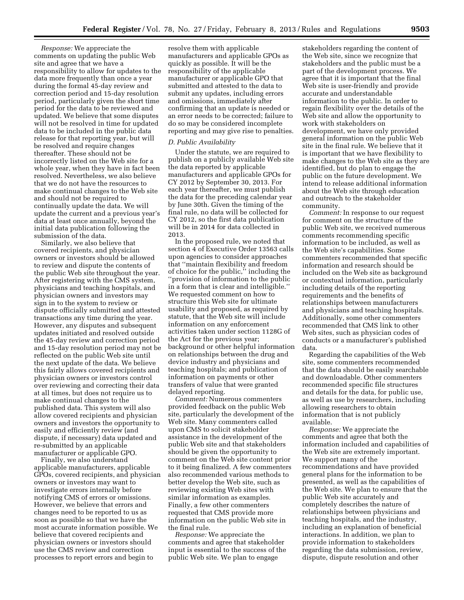*Response:* We appreciate the comments on updating the public Web site and agree that we have a responsibility to allow for updates to the data more frequently than once a year during the formal 45-day review and correction period and 15-day resolution period, particularly given the short time period for the data to be reviewed and updated. We believe that some disputes will not be resolved in time for updated data to be included in the public data release for that reporting year, but will be resolved and require changes thereafter. These should not be incorrectly listed on the Web site for a whole year, when they have in fact been resolved. Nevertheless, we also believe that we do not have the resources to make continual changes to the Web site and should not be required to continually update the data. We will update the current and a previous year's data at least once annually, beyond the initial data publication following the submission of the data.

Similarly, we also believe that covered recipients, and physician owners or investors should be allowed to review and dispute the contents of the public Web site throughout the year. After registering with the CMS system, physicians and teaching hospitals, and physician owners and investors may sign in to the system to review or dispute officially submitted and attested transactions any time during the year. However, any disputes and subsequent updates initiated and resolved outside the 45-day review and correction period and 15-day resolution period may not be reflected on the public Web site until the next update of the data. We believe this fairly allows covered recipients and physician owners or investors control over reviewing and correcting their data at all times, but does not require us to make continual changes to the published data. This system will also allow covered recipients and physician owners and investors the opportunity to easily and efficiently review (and dispute, if necessary) data updated and re-submitted by an applicable manufacturer or applicable GPO.

Finally, we also understand applicable manufacturers, applicable GPOs, covered recipients, and physician owners or investors may want to investigate errors internally before notifying CMS of errors or omissions. However, we believe that errors and changes need to be reported to us as soon as possible so that we have the most accurate information possible. We believe that covered recipients and physician owners or investors should use the CMS review and correction processes to report errors and begin to

resolve them with applicable manufacturers and applicable GPOs as quickly as possible. It will be the responsibility of the applicable manufacturer or applicable GPO that submitted and attested to the data to submit any updates, including errors and omissions, immediately after confirming that an update is needed or an error needs to be corrected; failure to do so may be considered incomplete reporting and may give rise to penalties.

## *D. Public Availability*

Under the statute, we are required to publish on a publicly available Web site the data reported by applicable manufacturers and applicable GPOs for CY 2012 by September 30, 2013. For each year thereafter, we must publish the data for the preceding calendar year by June 30th. Given the timing of the final rule, no data will be collected for CY 2012, so the first data publication will be in 2014 for data collected in 2013.

In the proposed rule, we noted that section 4 of Executive Order 13563 calls upon agencies to consider approaches that ''maintain flexibility and freedom of choice for the public,'' including the ''provision of information to the public in a form that is clear and intelligible.'' We requested comment on how to structure this Web site for ultimate usability and proposed, as required by statute, that the Web site will include information on any enforcement activities taken under section 1128G of the Act for the previous year; background or other helpful information on relationships between the drug and device industry and physicians and teaching hospitals; and publication of information on payments or other transfers of value that were granted delayed reporting.

*Comment:* Numerous commenters provided feedback on the public Web site, particularly the development of the Web site. Many commenters called upon CMS to solicit stakeholder assistance in the development of the public Web site and that stakeholders should be given the opportunity to comment on the Web site content prior to it being finalized. A few commenters also recommended various methods to better develop the Web site, such as reviewing existing Web sites with similar information as examples. Finally, a few other commenters requested that CMS provide more information on the public Web site in the final rule.

*Response:* We appreciate the comments and agree that stakeholder input is essential to the success of the public Web site. We plan to engage

stakeholders regarding the content of the Web site, since we recognize that stakeholders and the public must be a part of the development process. We agree that it is important that the final Web site is user-friendly and provide accurate and understandable information to the public. In order to regain flexibility over the details of the Web site and allow the opportunity to work with stakeholders on development, we have only provided general information on the public Web site in the final rule. We believe that it is important that we have flexibility to make changes to the Web site as they are identified, but do plan to engage the public on the future development. We intend to release additional information about the Web site through education and outreach to the stakeholder community.

*Comment:* In response to our request for comment on the structure of the public Web site, we received numerous comments recommending specific information to be included, as well as the Web site's capabilities. Some commenters recommended that specific information and research should be included on the Web site as background or contextual information, particularly including details of the reporting requirements and the benefits of relationships between manufacturers and physicians and teaching hospitals. Additionally, some other commenters recommended that CMS link to other Web sites, such as physician codes of conducts or a manufacturer's published data.

Regarding the capabilities of the Web site, some commenters recommended that the data should be easily searchable and downloadable. Other commenters recommended specific file structures and details for the data, for public use, as well as use by researchers, including allowing researchers to obtain information that is not publicly available.

*Response:* We appreciate the comments and agree that both the information included and capabilities of the Web site are extremely important. We support many of the recommendations and have provided general plans for the information to be presented, as well as the capabilities of the Web site. We plan to ensure that the public Web site accurately and completely describes the nature of relationships between physicians and teaching hospitals, and the industry, including an explanation of beneficial interactions. In addition, we plan to provide information to stakeholders regarding the data submission, review, dispute, dispute resolution and other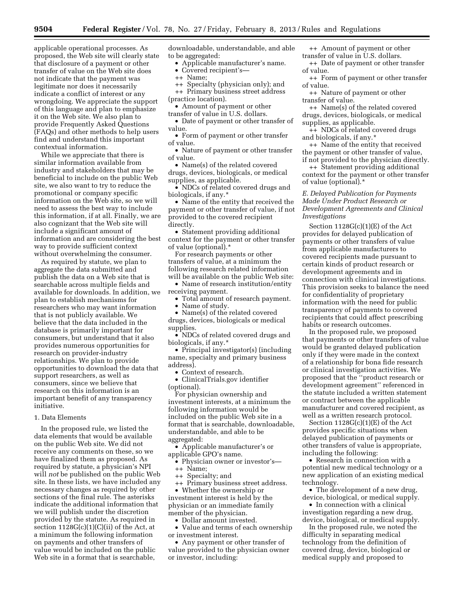applicable operational processes. As proposed, the Web site will clearly state that disclosure of a payment or other transfer of value on the Web site does not indicate that the payment was legitimate nor does it necessarily indicate a conflict of interest or any wrongdoing. We appreciate the support of this language and plan to emphasize it on the Web site. We also plan to provide Frequently Asked Questions (FAQs) and other methods to help users find and understand this important contextual information.

While we appreciate that there is similar information available from industry and stakeholders that may be beneficial to include on the public Web site, we also want to try to reduce the promotional or company specific information on the Web site, so we will need to assess the best way to include this information, if at all. Finally, we are also cognizant that the Web site will include a significant amount of information and are considering the best way to provide sufficient context without overwhelming the consumer.

As required by statute, we plan to aggregate the data submitted and publish the data on a Web site that is searchable across multiple fields and available for downloads. In addition, we plan to establish mechanisms for researchers who may want information that is not publicly available. We believe that the data included in the database is primarily important for consumers, but understand that it also provides numerous opportunities for research on provider-industry relationships. We plan to provide opportunities to download the data that support researchers, as well as consumers, since we believe that research on this information is an important benefit of any transparency initiative.

### 1. Data Elements

In the proposed rule, we listed the data elements that would be available on the public Web site. We did not receive any comments on these, so we have finalized them as proposed. As required by statute, a physician's NPI will *not* be published on the public Web site. In these lists, we have included any necessary changes as required by other sections of the final rule. The asterisks indicate the additional information that we will publish under the discretion provided by the statute. As required in section  $1128G(c)(1)(C)(ii)$  of the Act, at a minimum the following information on payments and other transfers of value would be included on the public Web site in a format that is searchable,

downloadable, understandable, and able to be aggregated:

- Applicable manufacturer's name.
- Covered recipient's—
- ++ Name;
- ++ Specialty (physician only); and
- ++ Primary business street address

(practice location).

- Amount of payment or other
- transfer of value in U.S. dollars.
- Date of payment or other transfer of value.

• Form of payment or other transfer of value.

• Nature of payment or other transfer of value.

• Name(s) of the related covered drugs, devices, biologicals, or medical supplies, as applicable.

• NDCs of related covered drugs and biologicals, if any.\*

• Name of the entity that received the payment or other transfer of value, if not provided to the covered recipient directly.

• Statement providing additional context for the payment or other transfer of value (optional).\*

For research payments or other transfers of value, at a minimum the following research related information will be available on the public Web site:

• Name of research institution/entity receiving payment.

- Total amount of research payment.
- Name of study.

• Name(s) of the related covered drugs, devices, biologicals or medical supplies.

• NDCs of related covered drugs and biologicals, if any.\*

• Principal investigator(s) (including name, specialty and primary business address).

• Context of research.

• ClinicalTrials.gov identifier (optional).

For physician ownership and investment interests, at a minimum the following information would be included on the public Web site in a format that is searchable, downloadable, understandable, and able to be aggregated:

• Applicable manufacturer's or applicable GPO's name.

• Physician owner or investor's—

++ Name;

++ Specialty; and

++ Primary business street address.

• Whether the ownership or investment interest is held by the physician or an immediate family member of the physician.

• Dollar amount invested.

• Value and terms of each ownership or investment interest.

• Any payment or other transfer of value provided to the physician owner or investor, including:

++ Amount of payment or other transfer of value in U.S. dollars.

++ Date of payment or other transfer of value.

++ Form of payment or other transfer of value.

++ Nature of payment or other transfer of value.

++ Name(s) of the related covered drugs, devices, biologicals, or medical supplies, as applicable.

++ NDCs of related covered drugs and biologicals, if any.\*

++ Name of the entity that received the payment or other transfer of value, if not provided to the physician directly.

++ Statement providing additional context for the payment or other transfer of value (optional).\*

## *E. Delayed Publication for Payments Made Under Product Research or Development Agreements and Clinical Investigations*

Section  $1128G(c)(1)(E)$  of the Act provides for delayed publication of payments or other transfers of value from applicable manufacturers to covered recipients made pursuant to certain kinds of product research or development agreements and in connection with clinical investigations. This provision seeks to balance the need for confidentiality of proprietary information with the need for public transparency of payments to covered recipients that could affect prescribing habits or research outcomes.

In the proposed rule, we proposed that payments or other transfers of value would be granted delayed publication only if they were made in the context of a relationship for bona fide research or clinical investigation activities. We proposed that the ''product research or development agreement'' referenced in the statute included a written statement or contract between the applicable manufacturer and covered recipient, as well as a written research protocol.

Section  $1128G(c)(1)(E)$  of the Act provides specific situations when delayed publication of payments or other transfers of value is appropriate, including the following:

• Research in connection with a potential new medical technology or a new application of an existing medical technology.

• The development of a new drug, device, biological, or medical supply.

• In connection with a clinical investigation regarding a new drug, device, biological, or medical supply.

In the proposed rule, we noted the difficulty in separating medical technology from the definition of covered drug, device, biological or medical supply and proposed to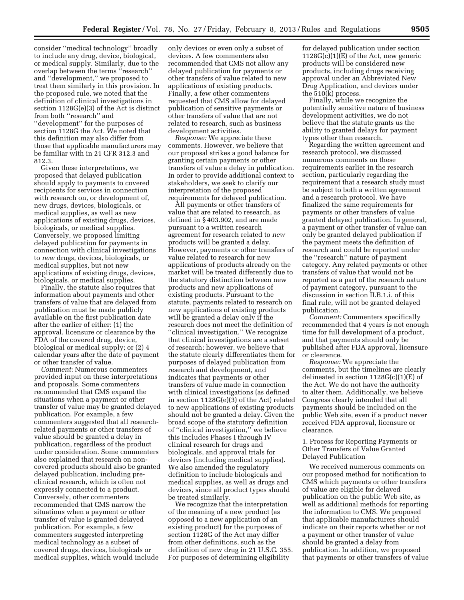consider ''medical technology'' broadly to include any drug, device, biological, or medical supply. Similarly, due to the overlap between the terms ''research'' and ''development,'' we proposed to treat them similarly in this provision. In the proposed rule, we noted that the definition of clinical investigations in section 1128G(e)(3) of the Act is distinct from both ''research'' and ''development'' for the purposes of section 1128G the Act. We noted that this definition may also differ from those that applicable manufacturers may be familiar with in 21 CFR 312.3 and 812.3.

Given these interpretations, we proposed that delayed publication should apply to payments to covered recipients for services in connection with research on, or development of, new drugs, devices, biologicals, or medical supplies, as well as new applications of existing drugs, devices, biologicals, or medical supplies. Conversely, we proposed limiting delayed publication for payments in connection with clinical investigations to *new* drugs, devices, biologicals, or medical supplies, but not new applications of existing drugs, devices, biologicals, or medical supplies.

Finally, the statute also requires that information about payments and other transfers of value that are delayed from publication must be made publicly available on the first publication date after the earlier of either: (1) the approval, licensure or clearance by the FDA of the covered drug, device, biological or medical supply; or (2) 4 calendar years after the date of payment or other transfer of value.

*Comment:* Numerous commenters provided input on these interpretations and proposals. Some commenters recommended that CMS expand the situations when a payment or other transfer of value may be granted delayed publication. For example, a few commenters suggested that all researchrelated payments or other transfers of value should be granted a delay in publication, regardless of the product under consideration. Some commenters also explained that research on noncovered products should also be granted delayed publication, including preclinical research, which is often not expressly connected to a product. Conversely, other commenters recommended that CMS narrow the situations when a payment or other transfer of value is granted delayed publication. For example, a few commenters suggested interpreting medical technology as a subset of covered drugs, devices, biologicals or medical supplies, which would include

only devices or even only a subset of devices. A few commenters also recommended that CMS not allow any delayed publication for payments or other transfers of value related to new applications of existing products. Finally, a few other commenters requested that CMS allow for delayed publication of sensitive payments or other transfers of value that are not related to research, such as business development activities.

*Response:* We appreciate these comments. However, we believe that our proposal strikes a good balance for granting certain payments or other transfers of value a delay in publication. In order to provide additional context to stakeholders, we seek to clarify our interpretation of the proposed requirements for delayed publication.

All payments or other transfers of value that are related to research, as defined in § 403.902, and are made pursuant to a written research agreement for research related to *new*  products will be granted a delay. However, payments or other transfers of value related to research for new applications of products already on the market will be treated differently due to the statutory distinction between new products and new applications of existing products. Pursuant to the statute, payments related to research on new applications of existing products will be granted a delay only if the research does not meet the definition of ''clinical investigation.'' We recognize that clinical investigations are a subset of research; however, we believe that the statute clearly differentiates them for purposes of delayed publication from research and development, and indicates that payments or other transfers of value made in connection with clinical investigations (as defined in section 1128G(e)(3) of the Act) related to new applications of existing products should not be granted a delay. Given the broad scope of the statutory definition of ''clinical investigation,'' we believe this includes Phases I through IV clinical research for drugs and biologicals, and approval trials for devices (including medical supplies). We also amended the regulatory definition to include biologicals and medical supplies, as well as drugs and devices, since all product types should be treated similarly.

We recognize that the interpretation of the meaning of a new product (as opposed to a new application of an existing product) for the purposes of section 1128G of the Act may differ from other definitions, such as the definition of new drug in 21 U.S.C. 355. For purposes of determining eligibility

for delayed publication under section  $1128G(c)(1)\bar{E}$  of the Act, new generic products will be considered new products, including drugs receiving approval under an Abbreviated New Drug Application, and devices under the 510(k) process.

Finally, while we recognize the potentially sensitive nature of business development activities, we do not believe that the statute grants us the ability to granted delays for payment types other than research.

Regarding the written agreement and research protocol, we discussed numerous comments on these requirements earlier in the research section, particularly regarding the requirement that a research study must be subject to both a written agreement and a research protocol. We have finalized the same requirements for payments or other transfers of value granted delayed publication. In general, a payment or other transfer of value can only be granted delayed publication if the payment meets the definition of research and could be reported under the ''research'' nature of payment category. Any related payments or other transfers of value that would not be reported as a part of the research nature of payment category, pursuant to the discussion in section II.B.1.i. of this final rule, will not be granted delayed publication.

*Comment:* Commenters specifically recommended that 4 years is not enough time for full development of a product, and that payments should only be published after FDA approval, licensure or clearance.

*Response:* We appreciate the comments, but the timelines are clearly delineated in section  $1128G(c)(1)(E)$  of the Act. We do not have the authority to alter them. Additionally, we believe Congress clearly intended that all payments should be included on the public Web site, even if a product never received FDA approval, licensure or clearance.

1. Process for Reporting Payments or Other Transfers of Value Granted Delayed Publication

We received numerous comments on our proposed method for notification to CMS which payments or other transfers of value are eligible for delayed publication on the public Web site, as well as additional methods for reporting the information to CMS. We proposed that applicable manufacturers should indicate on their reports whether or not a payment or other transfer of value should be granted a delay from publication. In addition, we proposed that payments or other transfers of value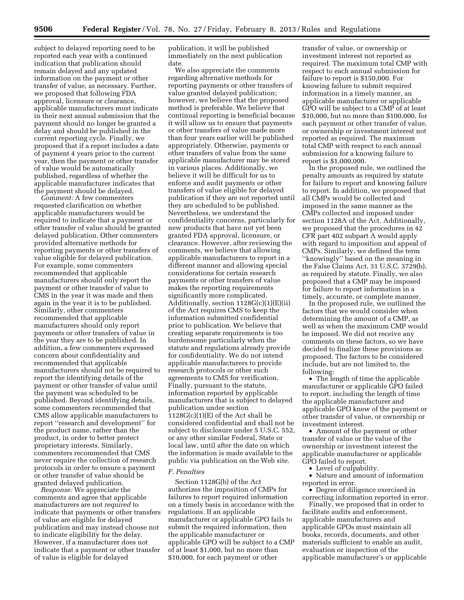subject to delayed reporting need to be reported each year with a continued indication that publication should remain delayed and any updated information on the payment or other transfer of value, as necessary. Further, we proposed that following FDA approval, licensure or clearance, applicable manufacturers must indicate in their next annual submission that the payment should no longer be granted a delay and should be published in the current reporting cycle. Finally, we proposed that if a report includes a date of payment 4 years prior to the current year, then the payment or other transfer of value would be automatically published, regardless of whether the applicable manufacturer indicates that the payment should be delayed.

*Comment:* A few commenters requested clarification on whether applicable manufacturers would be required to indicate that a payment or other transfer of value should be granted delayed publication. Other commenters provided alternative methods for reporting payments or other transfers of value eligible for delayed publication. For example, some commenters recommended that applicable manufacturers should only report the payment or other transfer of value to CMS in the year it was made and then again in the year it is to be published. Similarly, other commenters recommended that applicable manufacturers should only report payments or other transfers of value in the year they are to be published. In addition, a few commenters expressed concern about confidentiality and recommended that applicable manufacturers should not be required to report the identifying details of the payment or other transfer of value until the payment was scheduled to be published. Beyond identifying details, some commenters recommended that CMS allow applicable manufacturers to report ''research and development'' for the product name, rather than the product, in order to better protect proprietary interests. Similarly, commenters recommended that CMS never require the collection of research protocols in order to ensure a payment or other transfer of value should be granted delayed publication.

*Response:* We appreciate the comments and agree that applicable manufacturers are not *required* to indicate that payments or other transfers of value are eligible for delayed publication and may instead choose not to indicate eligibility for the delay. However, if a manufacturer does not indicate that a payment or other transfer of value is eligible for delayed

publication, it will be published immediately on the next publication date.

We also appreciate the comments regarding alternative methods for reporting payments or other transfers of value granted delayed publication; however, we believe that the proposed method is preferable. We believe that continual reporting is beneficial because it will allow us to ensure that payments or other transfers of value made more than four years earlier will be published appropriately. Otherwise, payments or other transfers of value from the same applicable manufacturer may be stored in various places. Additionally, we believe it will be difficult for us to enforce and audit payments or other transfers of value eligible for delayed publication if they are not reported until they are scheduled to be published. Nevertheless, we understand the confidentiality concerns, particularly for new products that have not yet been granted FDA approval, licensure, or clearance. However, after reviewing the comments, we believe that allowing applicable manufacturers to report in a different manner and allowing special considerations for certain research payments or other transfers of value makes the reporting requirements significantly more complicated. Additionally, section 1128G(c)(1)(E)(ii) of the Act requires CMS to keep the information submitted confidential prior to publication. We believe that creating separate requirements is too burdensome particularly when the statute and regulations already provide for confidentiality. We do not intend applicable manufacturers to provide research protocols or other such agreements to CMS for verification. Finally, pursuant to the statute, information reported by applicable manufacturers that is subject to delayed publication under section  $1128G(c)(1)(E)$  of the Act shall be considered confidential and shall not be subject to disclosure under 5 U.S.C. 552, or any other similar Federal, State or local law, until after the date on which the information is made available to the public via publication on the Web site.

#### *F. Penalties*

Section 1128G(b) of the Act authorizes the imposition of CMPs for failures to report required information on a timely basis in accordance with the regulations. If an applicable manufacturer or applicable GPO fails to submit the required information, then the applicable manufacturer or applicable GPO will be subject to a CMP of at least \$1,000, but no more than \$10,000, for each payment or other

transfer of value, or ownership or investment interest not reported as required. The maximum total CMP with respect to each annual submission for failure to report is \$150,000. For knowing failure to submit required information in a timely manner, an applicable manufacturer or applicable GPO will be subject to a CMP of at least \$10,000, but no more than \$100,000, for each payment or other transfer of value, or ownership or investment interest not reported as required. The maximum total CMP with respect to each annual submission for a knowing failure to report is \$1,000,000.

In the proposed rule, we outlined the penalty amounts as required by statute for failure to report and knowing failure to report. In addition, we proposed that all CMPs would be collected and imposed in the same manner as the CMPs collected and imposed under section 1128A of the Act. Additionally, we proposed that the procedures in 42 CFR part 402 subpart A would apply with regard to imposition and appeal of CMPs. Similarly, we defined the term ''knowingly'' based on the meaning in the False Claims Act, 31 U.S.C. 3729(b), as required by statute. Finally, we also proposed that a CMP may be imposed for failure to report information in a timely, accurate, or complete manner.

In the proposed rule, we outlined the factors that we would consider when determining the amount of a CMP, as well as when the maximum CMP would be imposed. We did not receive any comments on these factors, so we have decided to finalize these provisions as proposed. The factors to be considered include, but are not limited to, the following:

• The length of time the applicable manufacturer or applicable GPO failed to report, including the length of time the applicable manufacturer and applicable GPO knew of the payment or other transfer of value, or ownership or investment interest.

• Amount of the payment or other transfer of value or the value of the ownership or investment interest the applicable manufacturer or applicable GPO failed to report.

• Level of culpability.

• Nature and amount of information reported in error.

• Degree of diligence exercised in correcting information reported in error.

Finally, we proposed that in order to facilitate audits and enforcement, applicable manufacturers and applicable GPOs must maintain all books, records, documents, and other materials sufficient to enable an audit, evaluation or inspection of the applicable manufacturer's or applicable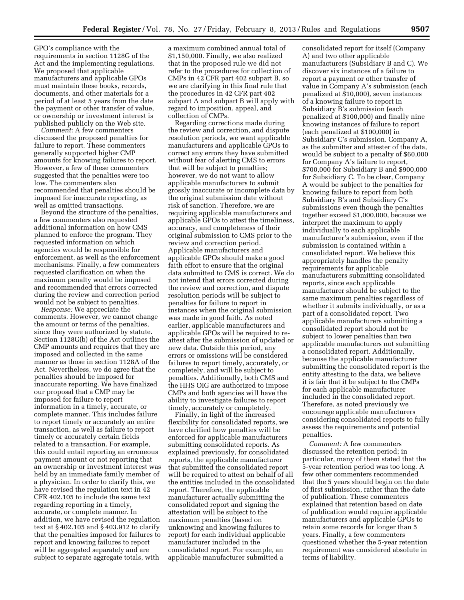GPO's compliance with the requirements in section 1128G of the Act and the implementing regulations. We proposed that applicable manufacturers and applicable GPOs must maintain these books, records, documents, and other materials for a period of at least 5 years from the date the payment or other transfer of value, or ownership or investment interest is published publicly on the Web site.

*Comment:* A few commenters discussed the proposed penalties for failure to report. These commenters generally supported higher CMP amounts for knowing failures to report. However, a few of these commenters suggested that the penalties were too low. The commenters also recommended that penalties should be imposed for inaccurate reporting, as well as omitted transactions.

Beyond the structure of the penalties, a few commenters also requested additional information on how CMS planned to enforce the program. They requested information on which agencies would be responsible for enforcement, as well as the enforcement mechanisms. Finally, a few commenters requested clarification on when the maximum penalty would be imposed and recommended that errors corrected during the review and correction period would not be subject to penalties.

*Response:* We appreciate the comments. However, we cannot change the amount or terms of the penalties, since they were authorized by statute. Section 1128G(b) of the Act outlines the CMP amounts and requires that they are imposed and collected in the same manner as those in section 1128A of the Act. Nevertheless, we do agree that the penalties should be imposed for inaccurate reporting. We have finalized our proposal that a CMP may be imposed for failure to report information in a timely, accurate, or complete manner. This includes failure to report timely or accurately an entire transaction, as well as failure to report timely or accurately certain fields related to a transaction. For example, this could entail reporting an erroneous payment amount or not reporting that an ownership or investment interest was held by an immediate family member of a physician. In order to clarify this, we have revised the regulation text in 42 CFR 402.105 to include the same text regarding reporting in a timely, accurate, or complete manner. In addition, we have revised the regulation text at § 402.105 and § 403.912 to clarify that the penalties imposed for failures to report and knowing failures to report will be aggregated separately and are subject to separate aggregate totals, with

a maximum combined annual total of \$1,150,000. Finally, we also realized that in the proposed rule we did not refer to the procedures for collection of CMPs in 42 CFR part 402 subpart B, so we are clarifying in this final rule that the procedures in 42 CFR part 402 subpart A and subpart B will apply with regard to imposition, appeal, and collection of CMPs.

Regarding corrections made during the review and correction, and dispute resolution periods, we want applicable manufacturers and applicable GPOs to correct any errors they have submitted without fear of alerting CMS to errors that will be subject to penalties; however, we do not want to allow applicable manufacturers to submit grossly inaccurate or incomplete data by the original submission date without risk of sanction. Therefore, we are requiring applicable manufacturers and applicable GPOs to attest the timeliness, accuracy, and completeness of their original submission to CMS prior to the review and correction period. Applicable manufacturers and applicable GPOs should make a good faith effort to ensure that the original data submitted to CMS is correct. We do not intend that errors corrected during the review and correction, and dispute resolution periods will be subject to penalties for failure to report in instances when the original submission was made in good faith. As noted earlier, applicable manufacturers and applicable GPOs will be required to reattest after the submission of updated or new data. Outside this period, any errors or omissions will be considered failures to report timely, accurately, or completely, and will be subject to penalties. Additionally, both CMS and the HHS OIG are authorized to impose CMPs and both agencies will have the ability to investigate failures to report timely, accurately or completely.

Finally, in light of the increased flexibility for consolidated reports, we have clarified how penalties will be enforced for applicable manufacturers submitting consolidated reports. As explained previously, for consolidated reports, the applicable manufacturer that submitted the consolidated report will be required to attest on behalf of all the entities included in the consolidated report. Therefore, the applicable manufacturer actually submitting the consolidated report and signing the attestation will be subject to the maximum penalties (based on unknowing and knowing failures to report) for each individual applicable manufacturer included in the consolidated report. For example, an applicable manufacturer submitted a

consolidated report for itself (Company A) and two other applicable manufacturers (Subsidiary B and C). We discover six instances of a failure to report a payment or other transfer of value in Company A's submission (each penalized at \$10,000), seven instances of a knowing failure to report in Subsidiary B's submission (each penalized at \$100,000) and finally nine knowing instances of failure to report (each penalized at \$100,000) in Subsidiary C's submission. Company A, as the submitter and attester of the data, would be subject to a penalty of \$60,000 for Company A's failure to report, \$700,000 for Subsidiary B and \$900,000 for Subsidiary C. To be clear, Company A would be subject to the penalties for knowing failure to report from both Subsidiary B's and Subsidiary C's submissions even though the penalties together exceed \$1,000,000, because we interpret the maximum to apply individually to each applicable manufacturer's submission, even if the submission is contained within a consolidated report. We believe this appropriately handles the penalty requirements for applicable manufacturers submitting consolidated reports, since each applicable manufacturer should be subject to the same maximum penalties regardless of whether it submits individually, or as a part of a consolidated report. Two applicable manufacturers submitting a consolidated report should not be subject to lower penalties than two applicable manufacturers not submitting a consolidated report. Additionally, because the applicable manufacturer submitting the consolidated report is the entity attesting to the data, we believe it is fair that it be subject to the CMPs for each applicable manufacturer included in the consolidated report. Therefore, as noted previously we encourage applicable manufacturers considering consolidated reports to fully assess the requirements and potential penalties.

*Comment:* A few commenters discussed the retention period; in particular, many of them stated that the 5-year retention period was too long. A few other commenters recommended that the 5 years should begin on the date of first submission, rather than the date of publication. These commenters explained that retention based on date of publication would require applicable manufacturers and applicable GPOs to retain some records for longer than 5 years. Finally, a few commenters questioned whether the 5-year retention requirement was considered absolute in terms of liability.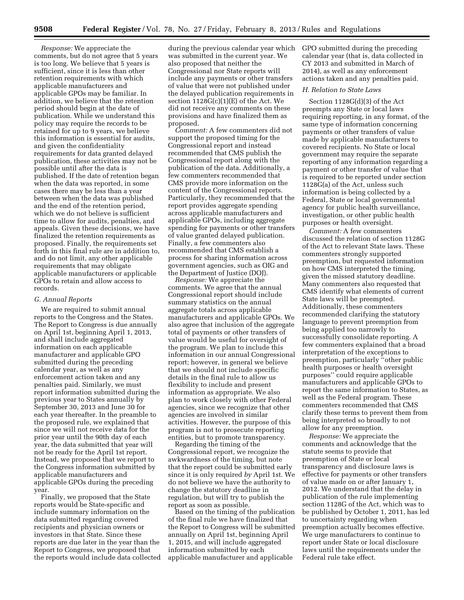*Response:* We appreciate the comments, but do not agree that 5 years is too long. We believe that 5 years is sufficient, since it is less than other retention requirements with which applicable manufacturers and applicable GPOs may be familiar. In addition, we believe that the retention period should begin at the date of publication. While we understand this policy may require the records to be retained for up to 9 years, we believe this information is essential for audits, and given the confidentiality requirements for data granted delayed publication, these activities may not be possible until after the data is published. If the date of retention began when the data was reported, in some cases there may be less than a year between when the data was published and the end of the retention period, which we do not believe is sufficient time to allow for audits, penalties, and appeals. Given these decisions, we have finalized the retention requirements as proposed. Finally, the requirements set forth in this final rule are in addition to, and do not limit, any other applicable requirements that may obligate applicable manufacturers or applicable GPOs to retain and allow access to records.

#### *G. Annual Reports*

We are required to submit annual reports to the Congress and the States. The Report to Congress is due annually on April 1st, beginning April 1, 2013, and shall include aggregated information on each applicable manufacturer and applicable GPO submitted during the preceding calendar year, as well as any enforcement action taken and any penalties paid. Similarly, we must report information submitted during the previous year to States annually by September 30, 2013 and June 30 for each year thereafter. In the preamble to the proposed rule, we explained that since we will not receive data for the prior year until the 90th day of each year, the data submitted that year will not be ready for the April 1st report. Instead, we proposed that we report to the Congress information submitted by applicable manufacturers and applicable GPOs during the preceding year.

Finally, we proposed that the State reports would be State-specific and include summary information on the data submitted regarding covered recipients and physician owners or investors in that State. Since these reports are due later in the year than the Report to Congress, we proposed that the reports would include data collected during the previous calendar year which was submitted in the current year. We also proposed that neither the Congressional nor State reports will include any payments or other transfers of value that were not published under the delayed publication requirements in section 1128G(c)(1)(E) of the Act. We did not receive any comments on these provisions and have finalized them as proposed.

*Comment:* A few commenters did not support the proposed timing for the Congressional report and instead recommended that CMS publish the Congressional report along with the publication of the data. Additionally, a few commenters recommended that CMS provide more information on the content of the Congressional reports. Particularly, they recommended that the report provides aggregate spending across applicable manufacturers and applicable GPOs, including aggregate spending for payments or other transfers of value granted delayed publication. Finally, a few commenters also recommended that CMS establish a process for sharing information across government agencies, such as OIG and the Department of Justice (DOJ).

*Response:* We appreciate the comments. We agree that the annual Congressional report should include summary statistics on the annual aggregate totals across applicable manufacturers and applicable GPOs. We also agree that inclusion of the aggregate total of payments or other transfers of value would be useful for oversight of the program. We plan to include this information in our annual Congressional report; however, in general we believe that we should not include specific details in the final rule to allow us flexibility to include and present information as appropriate. We also plan to work closely with other Federal agencies, since we recognize that other agencies are involved in similar activities. However, the purpose of this program is not to prosecute reporting entities, but to promote transparency.

Regarding the timing of the Congressional report, we recognize the awkwardness of the timing, but note that the report could be submitted early since it is only required *by* April 1st. We do not believe we have the authority to change the statutory deadline in regulation, but will try to publish the report as soon as possible.

Based on the timing of the publication of the final rule we have finalized that the Report to Congress will be submitted annually on April 1st, beginning April 1, 2015, and will include aggregated information submitted by each applicable manufacturer and applicable

GPO submitted during the preceding calendar year (that is, data collected in CY 2013 and submitted in March of 2014), as well as any enforcement actions taken and any penalties paid.

# *H. Relation to State Laws*

Section 1128G(d)(3) of the Act preempts any State or local laws requiring reporting, in any format, of the same type of information concerning payments or other transfers of value made by applicable manufacturers to covered recipients. No State or local government may require the separate reporting of any information regarding a payment or other transfer of value that is required to be reported under section 1128G(a) of the Act, unless such information is being collected by a Federal, State or local governmental agency for public health surveillance, investigation, or other public health purposes or health oversight.

*Comment:* A few commenters discussed the relation of section 1128G of the Act to relevant State laws. These commenters strongly supported preemption, but requested information on how CMS interpreted the timing, given the missed statutory deadline. Many commenters also requested that CMS identify what elements of current State laws will be preempted. Additionally, these commenters recommended clarifying the statutory language to prevent preemption from being applied too narrowly to successfully consolidate reporting. A few commenters explained that a broad interpretation of the exceptions to preemption, particularly ''other public health purposes or health oversight purposes'' could require applicable manufacturers and applicable GPOs to report the same information to States, as well as the Federal program. These commenters recommended that CMS clarify these terms to prevent them from being interpreted so broadly to not allow for any preemption.

*Response:* We appreciate the comments and acknowledge that the statute seems to provide that preemption of State or local transparency and disclosure laws is effective for payments or other transfers of value made on or after January 1, 2012. We understand that the delay in publication of the rule implementing section 1128G of the Act, which was to be published by October 1, 2011, has led to uncertainty regarding when preemption actually becomes effective. We urge manufacturers to continue to report under State or local disclosure laws until the requirements under the Federal rule take effect.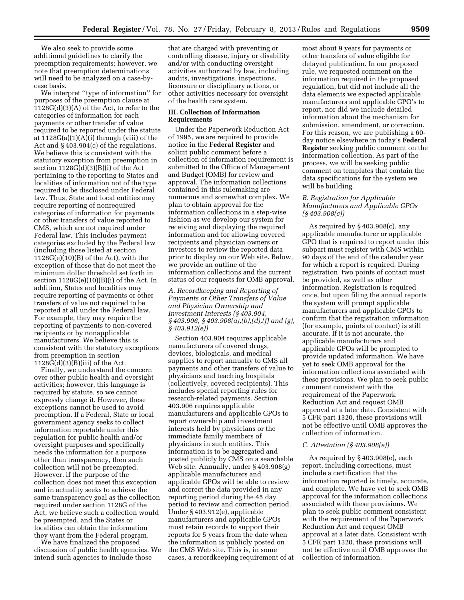We also seek to provide some additional guidelines to clarify the preemption requirements; however, we note that preemption determinations will need to be analyzed on a case-bycase basis.

We interpret ''type of information'' for purposes of the preemption clause at  $1128G(d)(3)(A)$  of the Act, to refer to the categories of information for each payments or other transfer of value required to be reported under the statute at  $1128G(a)(1)(A)(i)$  through (viii) of the Act and § 403.904(c) of the regulations. We believe this is consistent with the statutory exception from preemption in section 1128G(d)(3)(B)(i) of the Act pertaining to the reporting to States and localities of information not of the type required to be disclosed under Federal law. Thus, State and local entities may require reporting of nonrequired categories of information for payments or other transfers of value reported to CMS, which are not required under Federal law. This includes payment categories excluded by the Federal law (including those listed at section  $1128G(e)(10)(B)$  of the Act), with the exception of those that do not meet the minimum dollar threshold set forth in section  $1128G(e)(10)(B)(i)$  of the Act. In addition, States and localities may require reporting of payments or other transfers of value not required to be reported at all under the Federal law. For example, they may require the reporting of payments to non-covered recipients or by nonapplicable manufacturers. We believe this is consistent with the statutory exceptions from preemption in section  $1128G(d)(3)(B)(iii)$  of the Act.

Finally, we understand the concern over other public health and oversight activities; however, this language is required by statute, so we cannot expressly change it. However, these exceptions cannot be used to avoid preemption. If a Federal, State or local government agency seeks to collect information reportable under this regulation for public health and/or oversight purposes and specifically needs the information for a purpose other than transparency, then such collection will not be preempted. However, if the purpose of the collection does not meet this exception and in actuality seeks to achieve the same transparency goal as the collection required under section 1128G of the Act, we believe such a collection would be preempted, and the States or localities can obtain the information they want from the Federal program.

We have finalized the proposed discussion of public health agencies. We intend such agencies to include those

that are charged with preventing or controlling disease, injury or disability and/or with conducting oversight activities authorized by law, including audits, investigations, inspections, licensure or disciplinary actions, or other activities necessary for oversight of the health care system.

## **III. Collection of Information Requirements**

Under the Paperwork Reduction Act of 1995, we are required to provide notice in the **Federal Register** and solicit public comment before a collection of information requirement is submitted to the Office of Management and Budget (OMB) for review and approval. The information collections contained in this rulemaking are numerous and somewhat complex. We plan to obtain approval for the information collections in a step-wise fashion as we develop our system for receiving and displaying the required information and for allowing covered recipients and physician owners or investors to review the reported data prior to display on our Web site. Below, we provide an outline of the information collections and the current status of our requests for OMB approval.

*A. Recordkeeping and Reporting of Payments or Other Transfers of Value and Physician Ownership and Investment Interests (§ 403.904, § 403.906, § 403.908(a),(b),(d),(f) and (g), § 403.912(e))* 

Section 403.904 requires applicable manufacturers of covered drugs, devices, biologicals, and medical supplies to report annually to CMS all payments and other transfers of value to physicians and teaching hospitals (collectively, covered recipients). This includes special reporting rules for research-related payments. Section 403.906 requires applicable manufacturers and applicable GPOs to report ownership and investment interests held by physicians or the immediate family members of physicians in such entities. This information is to be aggregated and posted publicly by CMS on a searchable Web site. Annually, under § 403.908(g) applicable manufacturers and applicable GPOs will be able to review and correct the data provided in any reporting period during the 45 day period to review and correction period. Under § 403.912(e), applicable manufacturers and applicable GPOs must retain records to support their reports for 5 years from the date when the information is publicly posted on the CMS Web site. This is, in some cases, a recordkeeping requirement of at most about 9 years for payments or other transfers of value eligible for delayed publication. In our proposed rule, we requested comment on the information required in the proposed regulation, but did not include all the data elements we expected applicable manufacturers and applicable GPO's to report, nor did we include detailed information about the mechanism for submission, amendment, or correction. For this reason, we are publishing a 60 day notice elsewhere in today's **Federal Register** seeking public comment on the information collection. As part of the process, we will be seeking public comment on templates that contain the data specifications for the system we will be building.

## *B. Registration for Applicable Manufacturers and Applicable GPOs (§ 403.908(c))*

As required by § 403.908(c), any applicable manufacturer or applicable GPO that is required to report under this subpart must register with CMS within 90 days of the end of the calendar year for which a report is required. During registration, two points of contact must be provided, as well as other information. Registration is required once, but upon filing the annual reports the system will prompt applicable manufacturers and applicable GPOs to confirm that the registration information (for example, points of contact) is still accurate. If it is not accurate, the applicable manufacturers and applicable GPOs will be prompted to provide updated information. We have yet to seek OMB approval for the information collections associated with these provisions. We plan to seek public comment consistent with the requirement of the Paperwork Reduction Act and request OMB approval at a later date. Consistent with 5 CFR part 1320, these provisions will not be effective until OMB approves the collection of information.

## *C. Attestation (§ 403.908(e))*

As required by § 403.908(e), each report, including corrections, must include a certification that the information reported is timely, accurate, and complete. We have yet to seek OMB approval for the information collections associated with these provisions. We plan to seek public comment consistent with the requirement of the Paperwork Reduction Act and request OMB approval at a later date. Consistent with 5 CFR part 1320, these provisions will not be effective until OMB approves the collection of information.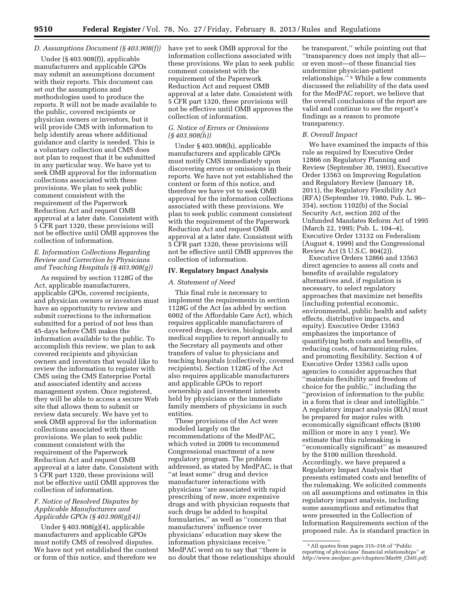## *D. Assumptions Document (§ 403.908(f))*

Under (§ 403.908(f)), applicable manufacturers and applicable GPOs may submit an assumptions document with their reports. This document can set out the assumptions and methodologies used to produce the reports. It will not be made available to the public, covered recipients or physician owners or investors, but it will provide CMS with information to help identify areas where additional guidance and clarity is needed. This is a voluntary collection and CMS does not plan to request that it be submitted in any particular way. We have yet to seek OMB approval for the information collections associated with these provisions. We plan to seek public comment consistent with the requirement of the Paperwork Reduction Act and request OMB approval at a later date. Consistent with 5 CFR part 1320, these provisions will not be effective until OMB approves the collection of information.

## *E. Information Collections Regarding Review and Correction by Physicians and Teaching Hospitals (§ 403.908(g))*

As required by section 1128G of the Act, applicable manufacturers, applicable GPOs, covered recipients, and physician owners or investors must have an opportunity to review and submit corrections to the information submitted for a period of not less than 45-days before CMS makes the information available to the public. To accomplish this review, we plan to ask covered recipients and physician owners and investors that would like to review the information to register with CMS using the CMS Enterprise Portal and associated identity and access management system. Once registered, they will be able to access a secure Web site that allows them to submit or review data securely. We have yet to seek OMB approval for the information collections associated with these provisions. We plan to seek public comment consistent with the requirement of the Paperwork Reduction Act and request OMB approval at a later date. Consistent with 5 CFR part 1320, these provisions will not be effective until OMB approves the collection of information.

## *F. Notice of Resolved Disputes by Applicable Manufacturers and Applicable GPOs (§ 403.908(g)(4))*

Under § 403.908(g)(4), applicable manufacturers and applicable GPOs must notify CMS of resolved disputes. We have not yet established the content or form of this notice, and therefore we

have yet to seek OMB approval for the information collections associated with these provisions. We plan to seek public comment consistent with the requirement of the Paperwork Reduction Act and request OMB approval at a later date. Consistent with 5 CFR part 1320, these provisions will not be effective until OMB approves the collection of information.

## *G. Notice of Errors or Omissions (§ 403.908(h))*

Under § 403.908(h), applicable manufacturers and applicable GPOs must notify CMS immediately upon discovering errors or omissions in their reports. We have not yet established the content or form of this notice, and therefore we have yet to seek OMB approval for the information collections associated with these provisions. We plan to seek public comment consistent with the requirement of the Paperwork Reduction Act and request OMB approval at a later date. Consistent with 5 CFR part 1320, these provisions will not be effective until OMB approves the collection of information.

### **IV. Regulatory Impact Analysis**

#### *A. Statement of Need*

This final rule is necessary to implement the requirements in section 1128G of the Act (as added by section 6002 of the Affordable Care Act), which requires applicable manufacturers of covered drugs, devices, biologicals, and medical supplies to report annually to the Secretary all payments and other transfers of value to physicians and teaching hospitals (collectively, covered recipients). Section 1128G of the Act also requires applicable manufacturers and applicable GPOs to report ownership and investment interests held by physicians or the immediate family members of physicians in such entities.

These provisions of the Act were modeled largely on the recommendations of the MedPAC, which voted in 2009 to recommend Congressional enactment of a new regulatory program. The problem addressed, as stated by MedPAC, is that ''at least some'' drug and device manufacturer interactions with physicians ''are associated with rapid prescribing of new, more expensive drugs and with physician requests that such drugs be added to hospital formularies,'' as well as ''concern that manufacturers' influence over physicians' education may skew the information physicians receive.'' MedPAC went on to say that ''there is no doubt that those relationships should be transparent,'' while pointing out that ''transparency does not imply that all or even most—of these financial ties undermine physician-patient relationships.'' 5 While a few comments discussed the reliability of the data used for the MedPAC report, we believe that the overall conclusions of the report are valid and continue to see the report's findings as a reason to promote transparency.

#### *B. Overall Impact*

We have examined the impacts of this rule as required by Executive Order 12866 on Regulatory Planning and Review (September 30, 1993), Executive Order 13563 on Improving Regulation and Regulatory Review (January 18, 2011), the Regulatory Flexibility Act (RFA) (September 19, 1980, Pub. L. 96– 354), section 1102(b) of the Social Security Act, section 202 of the Unfunded Mandates Reform Act of 1995 (March 22, 1995; Pub. L. 104–4), Executive Order 13132 on Federalism (August 4, 1999) and the Congressional Review Act (5 U.S.C. 804(2)).

Executive Orders 12866 and 13563 direct agencies to assess all costs and benefits of available regulatory alternatives and, if regulation is necessary, to select regulatory approaches that maximize net benefits (including potential economic, environmental, public health and safety effects, distributive impacts, and equity). Executive Order 13563 emphasizes the importance of quantifying both costs and benefits, of reducing costs, of harmonizing rules, and promoting flexibility. Section 4 of Executive Order 13563 calls upon agencies to consider approaches that ''maintain flexibility and freedom of choice for the public,'' including the ''provision of information to the public in a form that is clear and intelligible.'' A regulatory impact analysis (RIA) must be prepared for major rules with economically significant effects (\$100 million or more in any 1 year). We estimate that this rulemaking is ''economically significant'' as measured by the \$100 million threshold. Accordingly, we have prepared a Regulatory Impact Analysis that presents estimated costs and benefits of the rulemaking. We solicited comments on all assumptions and estimates in this regulatory impact analysis, including some assumptions and estimates that were presented in the Collection of Information Requirements section of the proposed rule. As is standard practice in

<sup>5</sup>All quotes from pages 315–316 of ''Public reporting of physicians' financial relationships'' at *[http://www.medpac.gov/chapters/Mar09](http://www.medpac.gov/chapters/Mar09_Ch05.pdf)*\_*Ch05.pdf*.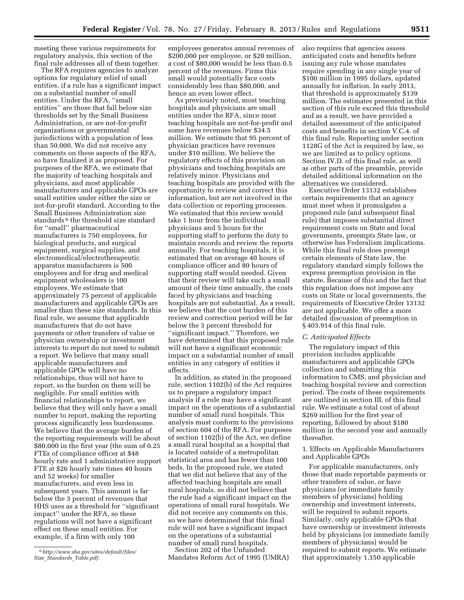meeting these various requirements for regulatory analysis, this section of the final rule addresses all of them together.

The RFA requires agencies to analyze options for regulatory relief of small entities, if a rule has a significant impact on a substantial number of small entities. Under the RFA, ''small entities'' are those that fall below size thresholds set by the Small Business Administration, or are not-for-profit organizations or governmental jurisdictions with a population of less than 50,000. We did not receive any comments on these aspects of the RFA, so have finalized it as proposed. For purposes of the RFA, we estimate that the majority of teaching hospitals and physicians, and most applicable manufacturers and applicable GPOs are small entities under either the size or not-for-profit standard. According to the Small Business Administration size standards<sup>6</sup> the threshold size standard for ''small'' pharmaceutical manufacturers is 750 employees, for biological products, and surgical equipment, surgical supplies, and electromedical/electrotherapeutic apparatus manufacturers is 500 employees and for drug and medical equipment wholesalers is 100 employees. We estimate that approximately 75 percent of applicable manufacturers and applicable GPOs are smaller than these size standards. In this final rule, we assume that applicable manufacturers that do not have payments or other transfers of value or physician ownership or investment interests to report do not need to submit a report. We believe that many small applicable manufacturers and applicable GPOs will have no relationships, thus will not have to report, so the burden on them will be negligible. For small entities with financial relationships to report, we believe that they will only have a small number to report, making the reporting process significantly less burdensome. We believe that the average burden of the reporting requirements will be about \$80,000 in the first year (the sum of 0.25 FTEs of compliance officer at \$48 hourly rate and 1 administrative support FTE at \$26 hourly rate times 40 hours and 52 weeks) for smaller manufacturers, and even less in subsequent years. This amount is far below the 3 percent of revenues that HHS uses as a threshold for ''significant impact'' under the RFA, so these regulations will not have a significant effect on these small entities. For example, if a firm with only 100

employees generates annual revenues of \$200,000 per employee, or \$20 million, a cost of \$80,000 would be less than 0.5 percent of the revenues. Firms this small would potentially face costs considerably less than \$80,000, and hence an even lower effect.

As previously noted, most teaching hospitals and physicians are small entities under the RFA, since most teaching hospitals are not-for-profit and some have revenues below \$34.5 million. We estimate that 95 percent of physician practices have revenues under \$10 million. We believe the regulatory effects of this provision on physicians and teaching hospitals are relatively minor. Physicians and teaching hospitals are provided with the opportunity to review and correct this information, but are not involved in the data collection or reporting processes. We estimated that this review would take 1 hour from the individual physicians and 5 hours for the supporting staff to perform the duty to maintain records and review the reports annually. For teaching hospitals, it is estimated that on average 40 hours of compliance officer and 80 hours of supporting staff would needed. Given that their review will take such a small amount of their time annually, the costs faced by physicians and teaching hospitals are not substantial. As a result, we believe that the cost burden of this review and correction period will be far below the 3 percent threshold for ''significant impact.'' Therefore, we have determined that this proposed rule will not have a significant economic impact on a substantial number of small entities in any category of entities it affects.

In addition, as stated in the proposed rule, section 1102(b) of the Act requires us to prepare a regulatory impact analysis if a rule may have a significant impact on the operations of a substantial number of small rural hospitals. This analysis must conform to the provisions of section 604 of the RFA. For purposes of section 1102(b) of the Act, we define a small rural hospital as a hospital that is located outside of a metropolitan statistical area and has fewer than 100 beds. In the proposed rule, we stated that we did not believe that any of the affected teaching hospitals are small rural hospitals, so did not believe that the rule had a significant impact on the operations of small rural hospitals. We did not receive any comments on this, so we have determined that this final rule will not have a significant impact on the operations of a substantial number of small rural hospitals.

Section 202 of the Unfunded Mandates Reform Act of 1995 (UMRA) also requires that agencies assess anticipated costs and benefits before issuing any rule whose mandates require spending in any single year of \$100 million in 1995 dollars, updated annually for inflation. In early 2013, that threshold is approximately \$139 million. The estimates presented in this section of this rule exceed this threshold and as a result, we have provided a detailed assessment of the anticipated costs and benefits in section V.C.4. of this final rule. Reporting under section 1128G of the Act is required by law, so we are limited as to policy options. Section IV.D. of this final rule, as well as other parts of the preamble, provide detailed additional information on the alternatives we considered.

Executive Order 13132 establishes certain requirements that an agency must meet when it promulgates a proposed rule (and subsequent final rule) that imposes substantial direct requirement costs on State and local governments, preempts State law, or otherwise has Federalism implications. While this final rule does preempt certain elements of State law, the regulatory standard simply follows the express preemption provision in the statute. Because of this and the fact that this regulation does not impose any costs on State or local governments, the requirements of Executive Order 13132 are not applicable. We offer a more detailed discussion of preemption in § 403.914 of this final rule.

#### *C. Anticipated Effects*

The regulatory impact of this provision includes applicable manufacturers and applicable GPOs collection and submitting this information to CMS, and physician and teaching hospital review and correction period. The costs of these requirements are outlined in section III. of this final rule. We estimate a total cost of about \$269 million for the first year of reporting, followed by about \$180 million in the second year and annually thereafter.

## 1. Effects on Applicable Manufacturers and Applicable GPOs

For applicable manufacturers, only those that made reportable payments or other transfers of value, or have physicians (or immediate family members of physicians) holding ownership and investment interests, will be required to submit reports. Similarly, only applicable GPOs that have ownership or investment interests held by physicians (or immediate family members of physicians) would be required to submit reports. We estimate that approximately 1,150 applicable

<sup>6</sup>*[http://www.sba.gov/sites/default/files/](http://www.sba.gov/sites/default/files/Size_Standards_Table.pdf)  Size*\_*[Standards](http://www.sba.gov/sites/default/files/Size_Standards_Table.pdf)*\_*Table.pdf.*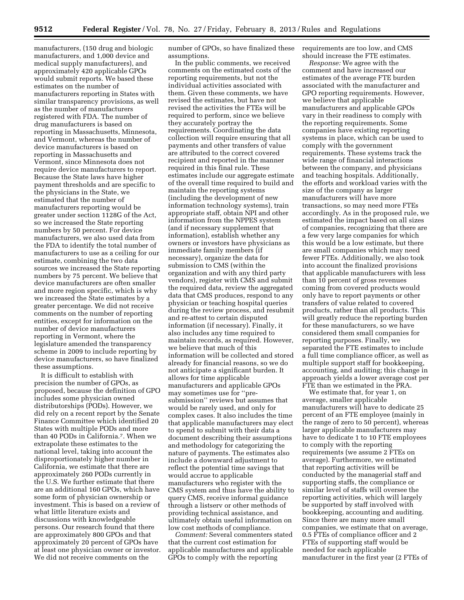manufacturers, (150 drug and biologic manufacturers, and 1,000 device and medical supply manufacturers), and approximately 420 applicable GPOs would submit reports. We based these estimates on the number of manufacturers reporting in States with similar transparency provisions, as well as the number of manufacturers registered with FDA. The number of drug manufacturers is based on reporting in Massachusetts, Minnesota, and Vermont, whereas the number of device manufacturers is based on reporting in Massachusetts and Vermont, since Minnesota does not require device manufacturers to report. Because the State laws have higher payment thresholds and are specific to the physicians in the State, we estimated that the number of manufacturers reporting would be greater under section 1128G of the Act, so we increased the State reporting numbers by 50 percent. For device manufacturers, we also used data from the FDA to identify the total number of manufacturers to use as a ceiling for our estimate, combining the two data sources we increased the State reporting numbers by 75 percent. We believe that device manufacturers are often smaller and more region specific, which is why we increased the State estimates by a greater percentage. We did not receive comments on the number of reporting entities, except for information on the number of device manufacturers reporting in Vermont, where the legislature amended the transparency scheme in 2009 to include reporting by device manufacturers, so have finalized these assumptions.

It is difficult to establish with precision the number of GPOs, as proposed, because the definition of GPO includes some physician owned distributorships (PODs). However, we did rely on a recent report by the Senate Finance Committee which identified 20 States with multiple PODs and more than 40 PODs in California.7. When we extrapolate these estimates to the national level, taking into account the disproportionately higher number in California, we estimate that there are approximately 260 PODs currently in the U.S. We further estimate that there are an additional 160 GPOs, which have some form of physician ownership or investment. This is based on a review of what little literature exists and discussions with knowledgeable persons. Our research found that there are approximately 800 GPOs and that approximately 20 percent of GPOs have at least one physician owner or investor. We did not receive comments on the

number of GPOs, so have finalized these assumptions.

In the public comments, we received comments on the estimated costs of the reporting requirements, but not the individual activities associated with them. Given these comments, we have revised the estimates, but have not revised the activities the FTEs will be required to perform, since we believe they accurately portray the requirements. Coordinating the data collection will require ensuring that all payments and other transfers of value are attributed to the correct covered recipient and reported in the manner required in this final rule. These estimates include our aggregate estimate of the overall time required to build and maintain the reporting systems (including the development of new information technology systems), train appropriate staff, obtain NPI and other information from the NPPES system (and if necessary supplement that information), establish whether any owners or investors have physicians as immediate family members (if necessary), organize the data for submission to CMS (within the organization and with any third party vendors), register with CMS and submit the required data, review the aggregated data that CMS produces, respond to any physician or teaching hospital queries during the review process, and resubmit and re-attest to certain disputed information (if necessary). Finally, it also includes any time required to maintain records, as required. However, we believe that much of this information will be collected and stored already for financial reasons, so we do not anticipate a significant burden. It allows for time applicable manufacturers and applicable GPOs may sometimes use for ''presubmission'' reviews but assumes that would be rarely used, and only for complex cases. It also includes the time that applicable manufacturers may elect to spend to submit with their data a document describing their assumptions and methodology for categorizing the nature of payments. The estimates also include a downward adjustment to reflect the potential time savings that would accrue to applicable manufacturers who register with the CMS system and thus have the ability to query CMS, receive informal guidance through a listserv or other methods of providing technical assistance, and ultimately obtain useful information on low cost methods of compliance.

*Comment:* Several commenters stated that the current cost estimation for applicable manufactures and applicable GPOs to comply with the reporting

requirements are too low, and CMS should increase the FTE estimates.

*Response:* We agree with the comment and have increased our estimates of the average FTE burden associated with the manufacturer and GPO reporting requirements. However, we believe that applicable manufacturers and applicable GPOs vary in their readiness to comply with the reporting requirements. Some companies have existing reporting systems in place, which can be used to comply with the government requirements. These systems track the wide range of financial interactions between the company, and physicians and teaching hospitals. Additionally, the efforts and workload varies with the size of the company as larger manufacturers will have more transactions, so may need more FTEs accordingly. As in the proposed rule, we estimated the impact based on all sizes of companies, recognizing that there are a few very large companies for which this would be a low estimate, but there are small companies which may need fewer FTEs. Additionally, we also took into account the finalized provisions that applicable manufacturers with less than 10 percent of gross revenues coming from covered products would only have to report payments or other transfers of value related to covered products, rather than all products. This will greatly reduce the reporting burden for these manufacturers, so we have considered them small companies for reporting purposes. Finally, we separated the FTE estimates to include a full time compliance officer, as well as multiple support staff for bookkeeping, accounting, and auditing; this change in approach yields a lower average cost per FTE than we estimated in the PRA.

We estimate that, for year 1, on average, smaller applicable manufacturers will have to dedicate 25 percent of an FTE employee (mainly in the range of zero to 50 percent), whereas larger applicable manufacturers may have to dedicate 1 to 10 FTE employees to comply with the reporting requirements (we assume 2 FTEs on average). Furthermore, we estimated that reporting activities will be conducted by the managerial staff and supporting staffs, the compliance or similar level of staffs will oversee the reporting activities, which will largely be supported by staff involved with bookkeeping, accounting and auditing. Since there are many more small companies, we estimate that on average, 0.5 FTEs of compliance officer and 2 FTEs of supporting staff would be needed for each applicable manufacturer in the first year (2 FTEs of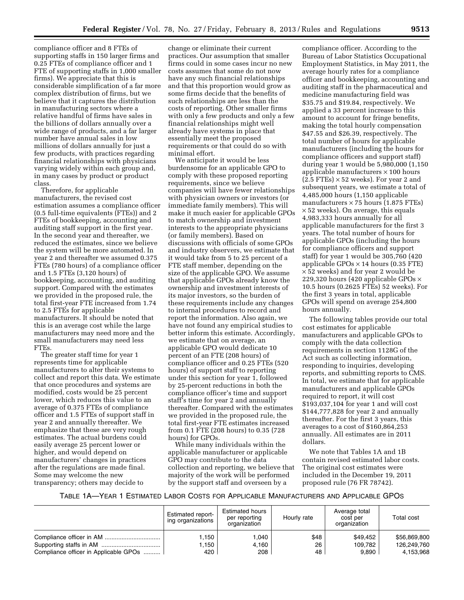compliance officer and 8 FTEs of supporting staffs in 150 larger firms and 0.25 FTEs of compliance officer and 1 FTE of supporting staffs in 1,000 smaller firms). We appreciate that this is considerable simplification of a far more complex distribution of firms, but we believe that it captures the distribution in manufacturing sectors where a relative handful of firms have sales in the billions of dollars annually over a wide range of products, and a far larger number have annual sales in low millions of dollars annually for just a few products, with practices regarding financial relationships with physicians varying widely within each group and, in many cases by product or product class.

Therefore, for applicable manufacturers, the revised cost estimation assumes a compliance officer (0.5 full-time equivalents (FTEs)) and 2 FTEs of bookkeeping, accounting and auditing staff support in the first year. In the second year and thereafter, we reduced the estimates, since we believe the system will be more automated. In year 2 and thereafter we assumed 0.375 FTEs (780 hours) of a compliance officer and 1.5 FTEs (3,120 hours) of bookkeeping, accounting, and auditing support. Compared with the estimates we provided in the proposed rule, the total first-year FTE increased from 1.74 to 2.5 FTEs for applicable manufacturers. It should be noted that this is an average cost while the large manufacturers may need more and the small manufacturers may need less FTEs.

The greater staff time for year 1 represents time for applicable manufacturers to alter their systems to collect and report this data. We estimate that once procedures and systems are modified, costs would be 25 percent lower, which reduces this value to an average of 0.375 FTEs of compliance officer and 1.5 FTEs of support staff in year 2 and annually thereafter. We emphasize that these are very rough estimates. The actual burdens could easily average 25 percent lower or higher, and would depend on manufacturers' changes in practices after the regulations are made final. Some may welcome the new transparency; others may decide to

change or eliminate their current practices. Our assumption that smaller firms could in some cases incur no new costs assumes that some do not now have any such financial relationships and that this proportion would grow as some firms decide that the benefits of such relationships are less than the costs of reporting. Other smaller firms with only a few products and only a few financial relationships might well already have systems in place that essentially meet the proposed requirements or that could do so with minimal effort.

We anticipate it would be less burdensome for an applicable GPO to comply with these proposed reporting requirements, since we believe companies will have fewer relationships with physician owners or investors (or immediate family members). This will make it much easier for applicable GPOs to match ownership and investment interests to the appropriate physicians (or family members). Based on discussions with officials of some GPOs and industry observers, we estimate that it would take from 5 to 25 percent of a FTE staff member, depending on the size of the applicable GPO. We assume that applicable GPOs already know the ownership and investment interests of its major investors, so the burden of these requirements include any changes to internal procedures to record and report the information. Also again, we have not found any empirical studies to better inform this estimate. Accordingly, we estimate that on average, an applicable GPO would dedicate 10 percent of an FTE (208 hours) of compliance officer and 0.25 FTEs (520 hours) of support staff to reporting under this section for year 1, followed by 25-percent reductions in both the compliance officer's time and support staff's time for year 2 and annually thereafter. Compared with the estimates we provided in the proposed rule, the total first-year FTE estimates increased from 0.1 FTE (208 hours) to 0.35 (728 hours) for GPOs.

While many individuals within the applicable manufacturer or applicable GPO may contribute to the data collection and reporting, we believe that majority of the work will be performed by the support staff and overseen by a

compliance officer. According to the Bureau of Labor Statistics Occupational Employment Statistics, in May 2011, the average hourly rates for a compliance officer and bookkeeping, accounting and auditing staff in the pharmaceutical and medicine manufacturing field was \$35.75 and \$19.84, respectively. We applied a 33 percent increase to this amount to account for fringe benefits, making the total hourly compensation \$47.55 and \$26.39, respectively. The total number of hours for applicable manufacturers (including the hours for compliance officers and support staff) during year 1 would be 5,980,000 (1,150 applicable manufacturers  $\times$  100 hours  $(2.5 \text{ FTEs}) \times 52 \text{ weeks}$ . For year 2 and subsequent years, we estimate a total of 4,485,000 hours (1,150 applicable manufacturers  $\times$  75 hours (1.875 FTEs) × 52 weeks). On average, this equals 4,983,333 hours annually for all applicable manufacturers for the first 3 years. The total number of hours for applicable GPOs (including the hours for compliance officers and support staff) for year 1 would be 305,760 (420 applicable GPOs  $\times$  14 hours (0.35 FTE) × 52 weeks) and for year 2 would be 229,320 hours (420 applicable GPOs  $\times$ 10.5 hours (0.2625 FTEs) 52 weeks). For the first 3 years in total, applicable GPOs will spend on average 254,800 hours annually.

The following tables provide our total cost estimates for applicable manufacturers and applicable GPOs to comply with the data collection requirements in section 1128G of the Act such as collecting information, responding to inquiries, developing reports, and submitting reports to CMS. In total, we estimate that for applicable manufacturers and applicable GPOs required to report, it will cost \$193,037,104 for year 1 and will cost \$144,777,828 for year 2 and annually thereafter. For the first 3 years, this averages to a cost of \$160,864,253 annually. All estimates are in 2011 dollars.

We note that Tables 1A and 1B contain revised estimated labor costs. The original cost estimates were included in the December 19, 2011 proposed rule (76 FR 78742).

# TABLE 1A—YEAR 1 ESTIMATED LABOR COSTS FOR APPLICABLE MANUFACTURERS AND APPLICABLE GPOS

|                                       | <b>Estimated report-</b><br>ing organizations | <b>Estimated hours</b><br>per reporting<br>organization | Hourly rate | Average total<br>cost per<br>organization | Total cost   |
|---------------------------------------|-----------------------------------------------|---------------------------------------------------------|-------------|-------------------------------------------|--------------|
|                                       | .150                                          | 1.040                                                   | \$48        | \$49.452                                  | \$56.869.800 |
|                                       | .150                                          | 4.160                                                   | 26          | 109.782                                   | 126.249.760  |
| Compliance officer in Applicable GPOs | 420                                           | 208                                                     | 48          | 9.890                                     | 4.153.968    |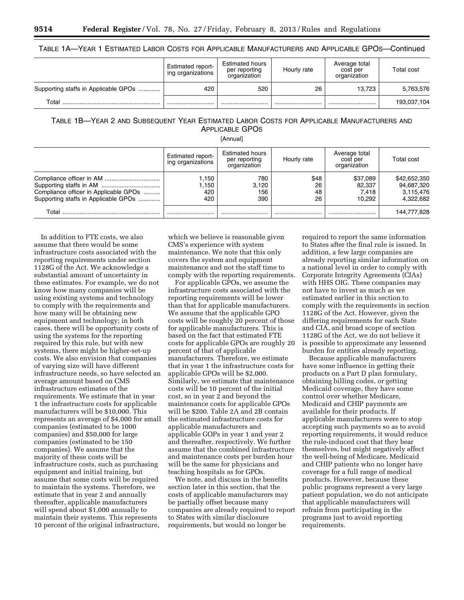# TABLE 1A—YEAR 1 ESTIMATED LABOR COSTS FOR APPLICABLE MANUFACTURERS AND APPLICABLE GPOS—Continued

|                                      | Estimated report-<br>ing organizations | <b>Estimated hours</b><br>per reporting<br>organization | Hourly rate | Average total<br>cost per<br>organization | Total cost  |
|--------------------------------------|----------------------------------------|---------------------------------------------------------|-------------|-------------------------------------------|-------------|
| Supporting staffs in Applicable GPOs | 420                                    | 520                                                     | 26          | 13.723                                    | 5,763,576   |
| Total                                |                                        |                                                         |             |                                           | 193,037,104 |

# TABLE 1B—YEAR 2 AND SUBSEQUENT YEAR ESTIMATED LABOR COSTS FOR APPLICABLE MANUFACTURERS AND APPLICABLE GPOS

[Annual]

|                                                                               | Estimated report-<br>ing organizations | <b>Estimated hours</b><br>per reporting<br>organization | Hourly rate            | Average total<br>cost per<br>organization | Total cost                                           |
|-------------------------------------------------------------------------------|----------------------------------------|---------------------------------------------------------|------------------------|-------------------------------------------|------------------------------------------------------|
| Compliance officer in Applicable GPOs<br>Supporting staffs in Applicable GPOs | .150<br>.150<br>420<br>420             | 780<br>3.120<br>156<br>390                              | \$48<br>26<br>48<br>26 | \$37.089<br>82.337<br>7.418<br>10.292     | \$42,652,350<br>94,687,320<br>3.115.476<br>4.322.682 |
| Total                                                                         |                                        |                                                         |                        |                                           | 144,777,828                                          |

In addition to FTE costs, we also assume that there would be some infrastructure costs associated with the reporting requirements under section 1128G of the Act. We acknowledge a substantial amount of uncertainty in these estimates. For example, we do not know how many companies will be using existing systems and technology to comply with the requirements and how many will be obtaining new equipment and technology; in both cases, there will be opportunity costs of using the systems for the reporting required by this rule, but with new systems, there might be higher-set-up costs. We also envision that companies of varying size will have different infrastructure needs, so have selected an average amount based on CMS infrastructure estimates of the requirements. We estimate that in year 1 the infrastructure costs for applicable manufacturers will be \$10,000. This represents an average of \$4,000 for small companies (estimated to be 1000 companies) and \$50,000 for large companies (estimated to be 150 companies). We assume that the majority of these costs will be infrastructure costs, such as purchasing equipment and initial training, but assume that some costs will be required to maintain the systems. Therefore, we estimate that in year 2 and annually thereafter, applicable manufacturers will spend about \$1,000 annually to maintain their systems. This represents 10 percent of the original infrastructure,

which we believe is reasonable given CMS's experience with system maintenance. We note that this only covers the system and equipment maintenance and not the staff time to comply with the reporting requirements.

For applicable GPOs, we assume the infrastructure costs associated with the reporting requirements will be lower than that for applicable manufacturers. We assume that the applicable GPO costs will be roughly 20 percent of those for applicable manufacturers. This is based on the fact that estimated FTE costs for applicable GPOs are roughly 20 percent of that of applicable manufacturers. Therefore, we estimate that in year 1 the infrastructure costs for applicable GPOs will be \$2,000. Similarly, we estimate that maintenance costs will be 10 percent of the initial cost, so in year 2 and beyond the maintenance costs for applicable GPOs will be \$200. Table 2A and 2B contain the estimated infrastructure costs for applicable manufacturers and applicable GOPs in year 1 and year 2 and thereafter, respectively. We further assume that the combined infrastructure and maintenance costs per burden hour will be the same for physicians and teaching hospitals as for GPOs.

We note, and discuss in the benefits section later in this section, that the costs of applicable manufacturers may be partially offset because many companies are already required to report to States with similar disclosure requirements, but would no longer be

required to report the same information to States after the final rule is issued. In addition, a few large companies are already reporting similar information on a national level in order to comply with Corporate Integrity Agreements (CIAs) with HHS OIG. These companies may not have to invest as much as we estimated earlier in this section to comply with the requirements in section 1128G of the Act. However, given the differing requirements for each State and CIA, and broad scope of section 1128G of the Act, we do not believe it is possible to approximate any lessened burden for entities already reporting.

Because applicable manufacturers have some influence in getting their products on a Part D plan formulary, obtaining billing codes, or getting Medicaid coverage, they have some control over whether Medicare, Medicaid and CHIP payments are available for their products. If applicable manufacturers were to stop accepting such payments so as to avoid reporting requirements, it would reduce the rule-induced cost that they bear themselves, but might negatively affect the well-being of Medicare, Medicaid and CHIP patients who no longer have coverage for a full range of medical products. However, because these public programs represent a very large patient population, we do not anticipate that applicable manufacturers will refrain from participating in the programs just to avoid reporting requirements.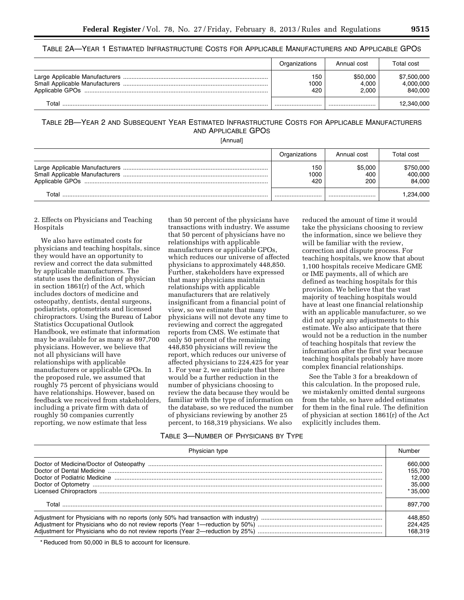## TABLE 2A—YEAR 1 ESTIMATED INFRASTRUCTURE COSTS FOR APPLICABLE MANUFACTURERS AND APPLICABLE GPOS

|       | Organizations      | Annual cost                | Total cost                          |
|-------|--------------------|----------------------------|-------------------------------------|
|       | 150<br>1000<br>420 | \$50.000<br>4.000<br>2.000 | \$7,500,000<br>4,000,000<br>840.000 |
| Total |                    |                            | 12,340,000                          |

# TABLE 2B—YEAR 2 AND SUBSEQUENT YEAR ESTIMATED INFRASTRUCTURE COSTS FOR APPLICABLE MANUFACTURERS AND APPLICABLE GPOS

[Annual]

|       | Organizations      | Annual cost           | Total cost                     |
|-------|--------------------|-----------------------|--------------------------------|
|       | 150<br>1000<br>420 | \$5,000<br>400<br>200 | \$750,000<br>400,000<br>84.000 |
| Total |                    |                       | .234.000                       |

## 2. Effects on Physicians and Teaching Hospitals

We also have estimated costs for physicians and teaching hospitals, since they would have an opportunity to review and correct the data submitted by applicable manufacturers. The statute uses the definition of physician in section 1861(r) of the Act, which includes doctors of medicine and osteopathy, dentists, dental surgeons, podiatrists, optometrists and licensed chiropractors. Using the Bureau of Labor Statistics Occupational Outlook Handbook, we estimate that information may be available for as many as 897,700 physicians. However, we believe that not all physicians will have relationships with applicable manufacturers or applicable GPOs. In the proposed rule, we assumed that roughly 75 percent of physicians would have relationships. However, based on feedback we received from stakeholders, including a private firm with data of roughly 50 companies currently reporting, we now estimate that less

than 50 percent of the physicians have transactions with industry. We assume that 50 percent of physicians have no relationships with applicable manufacturers or applicable GPOs, which reduces our universe of affected physicians to approximately 448,850. Further, stakeholders have expressed that many physicians maintain relationships with applicable manufacturers that are relatively insignificant from a financial point of view, so we estimate that many physicians will not devote any time to reviewing and correct the aggregated reports from CMS. We estimate that only 50 percent of the remaining 448,850 physicians will review the report, which reduces our universe of affected physicians to 224,425 for year 1. For year 2, we anticipate that there would be a further reduction in the number of physicians choosing to review the data because they would be familiar with the type of information on the database, so we reduced the number of physicians reviewing by another 25 percent, to 168,319 physicians. We also

reduced the amount of time it would take the physicians choosing to review the information, since we believe they will be familiar with the review, correction and dispute process. For teaching hospitals, we know that about 1,100 hospitals receive Medicare GME or IME payments, all of which are defined as teaching hospitals for this provision. We believe that the vast majority of teaching hospitals would have at least one financial relationship with an applicable manufacturer, so we did not apply any adjustments to this estimate. We also anticipate that there would not be a reduction in the number of teaching hospitals that review the information after the first year because teaching hospitals probably have more complex financial relationships.

See the Table 3 for a breakdown of this calculation. In the proposed rule, we mistakenly omitted dental surgeons from the table, so have added estimates for them in the final rule. The definition of physician at section 1861(r) of the Act explicitly includes them.

## TABLE 3—NUMBER OF PHYSICIANS BY TYPE

| Physician type | Number    |
|----------------|-----------|
|                | 660,000   |
|                | 155.700   |
|                | 12.000    |
|                | 35,000    |
|                | $*35.000$ |
|                | 897.700   |
|                | 448,850   |
|                | 224.425   |
|                | 168.319   |

\* Reduced from 50,000 in BLS to account for licensure.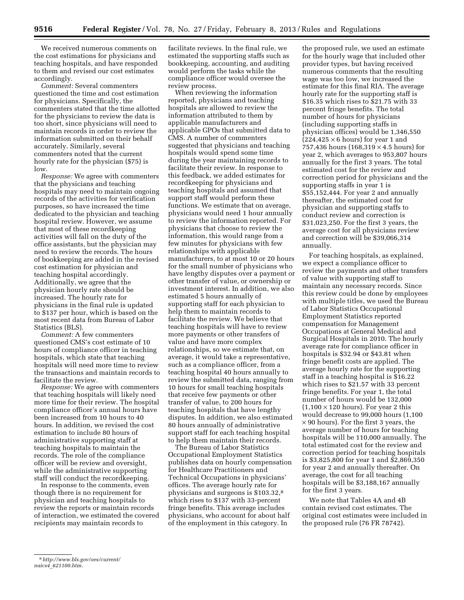We received numerous comments on the cost estimations for physicians and teaching hospitals, and have responded to them and revised our cost estimates accordingly.

*Comment:* Several commenters questioned the time and cost estimation for physicians. Specifically, the commenters stated that the time allotted for the physicians to review the data is too short, since physicians will need to maintain records in order to review the information submitted on their behalf accurately. Similarly, several commenters noted that the current hourly rate for the physician (\$75) is low.

*Response:* We agree with commenters that the physicians and teaching hospitals may need to maintain ongoing records of the activities for verification purposes, so have increased the time dedicated to the physician and teaching hospital review. However, we assume that most of these recordkeeping activities will fall on the duty of the office assistants, but the physician may need to review the records. The hours of bookkeeping are added in the revised cost estimation for physician and teaching hospital accordingly. Additionally, we agree that the physician hourly rate should be increased. The hourly rate for physicians in the final rule is updated to \$137 per hour, which is based on the most recent data from Bureau of Labor Statistics (BLS).

*Comment:* A few commenters questioned CMS's cost estimate of 10 hours of compliance officer in teaching hospitals, which state that teaching hospitals will need more time to review the transactions and maintain records to facilitate the review.

*Response:* We agree with commenters that teaching hospitals will likely need more time for their review. The hospital compliance officer's annual hours have been increased from 10 hours to 40 hours. In addition, we revised the cost estimation to include 80 hours of administrative supporting staff at teaching hospitals to maintain the records. The role of the compliance officer will be review and oversight, while the administrative supporting staff will conduct the recordkeeping.

In response to the comments, even though there is no requirement for physician and teaching hospitals to review the reports or maintain records of interaction, we estimated the covered recipients may maintain records to

facilitate reviews. In the final rule, we estimated the supporting staffs such as bookkeeping, accounting, and auditing would perform the tasks while the compliance officer would oversee the review process.

When reviewing the information reported, physicians and teaching hospitals are allowed to review the information attributed to them by applicable manufacturers and applicable GPOs that submitted data to CMS. A number of commenters suggested that physicians and teaching hospitals would spend some time during the year maintaining records to facilitate their review. In response to this feedback, we added estimates for recordkeeping for physicians and teaching hospitals and assumed that support staff would perform these functions. We estimate that on average, physicians would need 1 hour annually to review the information reported. For physicians that choose to review the information, this would range from a few minutes for physicians with few relationships with applicable manufacturers, to at most 10 or 20 hours for the small number of physicians who have lengthy disputes over a payment or other transfer of value, or ownership or investment interest. In addition, we also estimated 5 hours annually of supporting staff for each physician to help them to maintain records to facilitate the review. We believe that teaching hospitals will have to review more payments or other transfers of value and have more complex relationships, so we estimate that, on average, it would take a representative, such as a compliance officer, from a teaching hospital 40 hours annually to review the submitted data, ranging from 10 hours for small teaching hospitals that receive few payments or other transfer of value, to 200 hours for teaching hospitals that have lengthy disputes. In addition, we also estimated 80 hours annually of administrative support staff for each teaching hospital to help them maintain their records.

The Bureau of Labor Statistics Occupational Employment Statistics publishes data on hourly compensation for Healthcare Practitioners and Technical Occupations in physicians' offices. The average hourly rate for physicians and surgeons is \$103.32,8 which rises to \$137 with 33-percent fringe benefits. This average includes physicians, who account for about half of the employment in this category. In

the proposed rule, we used an estimate for the hourly wage that included other provider types, but having received numerous comments that the resulting wage was too low, we increased the estimate for this final RIA. The average hourly rate for the supporting staff is \$16.35 which rises to \$21.75 with 33 percent fringe benefits. The total number of hours for physicians (including supporting staffs in physician offices) would be 1,346,550  $(224, 425 \times 6 \text{ hours})$  for year 1 and 757,436 hours (168,319 × 4.5 hours) for year 2, which averages to 953,807 hours annually for the first 3 years. The total estimated cost for the review and correction period for physicians and the supporting staffs in year 1 is \$55,152,444. For year 2 and annually thereafter, the estimated cost for physician and supporting staffs to conduct review and correction is \$31,023,250. For the first 3 years, the average cost for all physicians review and correction will be \$39,066,314 annually.

For teaching hospitals, as explained, we expect a compliance officer to review the payments and other transfers of value with supporting staff to maintain any necessary records. Since this review could be done by employees with multiple titles, we used the Bureau of Labor Statistics Occupational Employment Statistics reported compensation for Management Occupations at General Medical and Surgical Hospitals in 2010. The hourly average rate for compliance officer in hospitals is \$32.94 or \$43.81 when fringe benefit costs are applied. The average hourly rate for the supporting staff in a teaching hospital is \$16.22 which rises to \$21.57 with 33 percent fringe benefits. For year 1, the total number of hours would be 132,000  $(1,100 \times 120 \text{ hours})$ . For year 2 this would decrease to 99,000 hours (1,100  $\times$  90 hours). For the first 3 years, the average number of hours for teaching hospitals will be 110,000 annually. The total estimated cost for the review and correction period for teaching hospitals is \$3,825,800 for year 1 and \$2,869,350 for year 2 and annually thereafter. On average, the cost for all teaching hospitals will be \$3,188,167 annually for the first 3 years.

We note that Tables 4A and 4B contain revised cost estimates. The original cost estimates were included in the proposed rule (76 FR 78742).

<sup>8</sup>*[http://www.bls.gov/oes/current/](http://www.bls.gov/oes/current/naics4_621100.htm)  naics4*\_*[621100.htm.](http://www.bls.gov/oes/current/naics4_621100.htm)*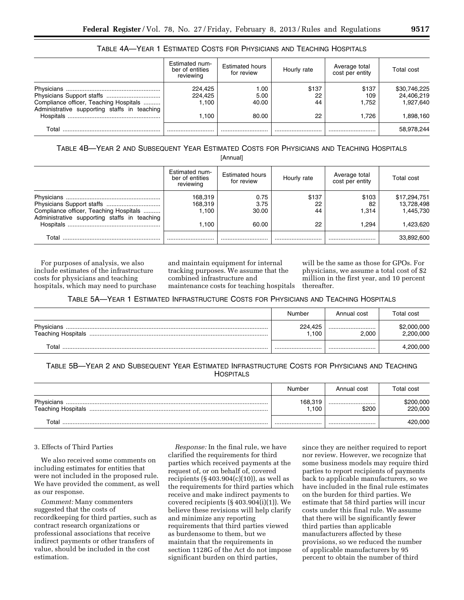|                                                                                        | Estimated num-<br>ber of entities<br>reviewing | <b>Estimated hours</b><br>for review | Hourly rate       | Average total<br>cost per entity | Total cost                              |
|----------------------------------------------------------------------------------------|------------------------------------------------|--------------------------------------|-------------------|----------------------------------|-----------------------------------------|
| Compliance officer, Teaching Hospitals<br>Administrative supporting staffs in teaching | 224,425<br>224.425<br>1.100                    | 1.00<br>5.00<br>40.00                | \$137<br>22<br>44 | \$137<br>109<br>1.752            | \$30,746,225<br>24,406,219<br>1.927.640 |
| Hospitals                                                                              | 1.100                                          | 80.00                                | 22                | 1.726                            | 1,898,160                               |
| Total                                                                                  |                                                |                                      |                   |                                  | 58,978,244                              |

# TABLE 4A—YEAR 1 ESTIMATED COSTS FOR PHYSICIANS AND TEACHING HOSPITALS

TABLE 4B—YEAR 2 AND SUBSEQUENT YEAR ESTIMATED COSTS FOR PHYSICIANS AND TEACHING HOSPITALS

[Annual]

|                                                                                        | Estimated num-<br>ber of entities<br>reviewing | <b>Estimated hours</b><br>for review | Hourly rate       | Average total<br>cost per entity | Total cost                              |
|----------------------------------------------------------------------------------------|------------------------------------------------|--------------------------------------|-------------------|----------------------------------|-----------------------------------------|
| Compliance officer, Teaching Hospitals<br>Administrative supporting staffs in teaching | 168,319<br>168.319<br>1.100                    | 0.75<br>3.75<br>30.00                | \$137<br>22<br>44 | \$103<br>82<br>1.314             | \$17,294,751<br>13,728,498<br>1,445,730 |
|                                                                                        | 1.100                                          | 60.00                                | 22                | 1.294                            | 1.423.620                               |
| Total                                                                                  |                                                |                                      |                   |                                  | 33,892,600                              |

For purposes of analysis, we also include estimates of the infrastructure costs for physicians and teaching hospitals, which may need to purchase and maintain equipment for internal tracking purposes. We assume that the combined infrastructure and maintenance costs for teaching hospitals

will be the same as those for GPOs. For physicians, we assume a total cost of \$2 million in the first year, and 10 percent thereafter.

TABLE 5A—YEAR 1 ESTIMATED INFRASTRUCTURE COSTS FOR PHYSICIANS AND TEACHING HOSPITALS

|                           | Number          | Annual cost | Total cost               |
|---------------------------|-----------------|-------------|--------------------------|
| <b>Teaching Hospitals</b> | 224.425<br>.100 | <br>2.000   | \$2,000,000<br>2,200,000 |
| Total                     |                 |             | 4,200,000                |

TABLE 5B—YEAR 2 AND SUBSEQUENT YEAR ESTIMATED INFRASTRUCTURE COSTS FOR PHYSICIANS AND TEACHING **HOSPITALS** 

|                                         | Number          | Annual cost | Total cost           |
|-----------------------------------------|-----------------|-------------|----------------------|
| Physicians<br><b>Teaching Hospitals</b> | 168,319<br>.100 | <br>\$200   | \$200,000<br>220,000 |
| ™otal                                   |                 |             | 420,000              |

## 3. Effects of Third Parties

We also received some comments on including estimates for entities that were not included in the proposed rule. We have provided the comment, as well as our response.

*Comment:* Many commenters suggested that the costs of recordkeeping for third parties, such as contract research organizations or professional associations that receive indirect payments or other transfers of value, should be included in the cost estimation.

*Response:* In the final rule, we have clarified the requirements for third parties which received payments at the request of, or on behalf of, covered recipients  $(\S 403.904(c)(10))$ , as well as the requirements for third parties which receive and make indirect payments to covered recipients (§ 403.904(i)(1)). We believe these revisions will help clarify and minimize any reporting requirements that third parties viewed as burdensome to them, but we maintain that the requirements in section 1128G of the Act do not impose significant burden on third parties,

since they are neither required to report nor review. However, we recognize that some business models may require third parties to report recipients of payments back to applicable manufacturers, so we have included in the final rule estimates on the burden for third parties. We estimate that 58 third parties will incur costs under this final rule. We assume that there will be significantly fewer third parties than applicable manufacturers affected by these provisions, so we reduced the number of applicable manufacturers by 95 percent to obtain the number of third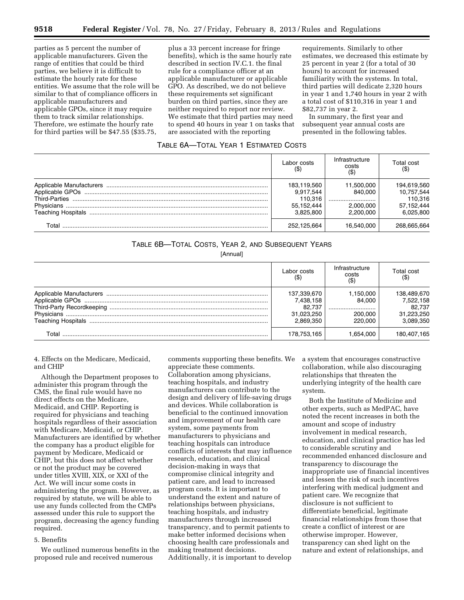parties as 5 percent the number of applicable manufacturers. Given the range of entities that could be third parties, we believe it is difficult to estimate the hourly rate for these entities. We assume that the role will be similar to that of compliance officers in applicable manufacturers and applicable GPOs, since it may require them to track similar relationships. Therefore, we estimate the hourly rate for third parties will be \$47.55 (\$35.75,

plus a 33 percent increase for fringe benefits), which is the same hourly rate described in section IV.C.1. the final rule for a compliance officer at an applicable manufacturer or applicable GPO. As described, we do not believe these requirements set significant burden on third parties, since they are neither required to report nor review. We estimate that third parties may need to spend 40 hours in year 1 on tasks that are associated with the reporting

requirements. Similarly to other estimates, we decreased this estimate by 25 percent in year 2 (for a total of 30 hours) to account for increased familiarity with the systems. In total, third parties will dedicate 2,320 hours in year 1 and 1,740 hours in year 2 with a total cost of \$110,316 in year 1 and \$82,737 in year 2.

In summary, the first year and subsequent year annual costs are presented in the following tables.

## TABLE 6A—TOTAL YEAR 1 ESTIMATED COSTS

|       | Labor costs                                                    | Infrastructure<br>costs<br>$($ \$)                  | Total cost<br>$($ \$)                                           |
|-------|----------------------------------------------------------------|-----------------------------------------------------|-----------------------------------------------------------------|
|       | 183,119,560<br>9,917,544<br>110,316<br>55,152,444<br>3.825.800 | 11.500.000<br>840.000<br><br>2.000.000<br>2.200.000 | 194,619,560<br>10.757.544<br>110.316<br>57.152.444<br>6.025.800 |
| Total | 252,125,664                                                    | 16.540.000                                          | 268.665.664                                                     |

## TABLE 6B—TOTAL COSTS, YEAR 2, AND SUBSEQUENT YEARS

[Annual]

|                                                        | Labor costs                                                   | Infrastructure<br>costs<br>(\$)               | Total cost<br>$($ \$)                                         |
|--------------------------------------------------------|---------------------------------------------------------------|-----------------------------------------------|---------------------------------------------------------------|
| Third-Party Recordkeeping<br><b>Teaching Hospitals</b> | 137,339,670<br>7,438,158<br>82.737<br>31,023,250<br>2.869.350 | 1,150,000<br>84.000<br><br>200.000<br>220,000 | 138,489,670<br>7,522,158<br>82.737<br>31,223,250<br>3,089,350 |
| Total                                                  | 178,753,165                                                   | .654.000                                      | 180,407,165                                                   |

4. Effects on the Medicare, Medicaid, and CHIP

Although the Department proposes to administer this program through the CMS, the final rule would have no direct effects on the Medicare, Medicaid, and CHIP. Reporting is required for physicians and teaching hospitals regardless of their association with Medicare, Medicaid, or CHIP. Manufacturers are identified by whether the company has a product eligible for payment by Medicare, Medicaid or CHIP, but this does not affect whether or not the product may be covered under titles XVIII, XIX, or XXI of the Act. We will incur some costs in administering the program. However, as required by statute, we will be able to use any funds collected from the CMPs assessed under this rule to support the program, decreasing the agency funding required.

### 5. Benefits

We outlined numerous benefits in the proposed rule and received numerous

comments supporting these benefits. We appreciate these comments. Collaboration among physicians, teaching hospitals, and industry manufacturers can contribute to the design and delivery of life-saving drugs and devices. While collaboration is beneficial to the continued innovation and improvement of our health care system, some payments from manufacturers to physicians and teaching hospitals can introduce conflicts of interests that may influence research, education, and clinical decision-making in ways that compromise clinical integrity and patient care, and lead to increased program costs. It is important to understand the extent and nature of relationships between physicians, teaching hospitals, and industry manufacturers through increased transparency, and to permit patients to make better informed decisions when choosing health care professionals and making treatment decisions. Additionally, it is important to develop

a system that encourages constructive collaboration, while also discouraging relationships that threaten the underlying integrity of the health care system.

Both the Institute of Medicine and other experts, such as MedPAC, have noted the recent increases in both the amount and scope of industry involvement in medical research, education, and clinical practice has led to considerable scrutiny and recommended enhanced disclosure and transparency to discourage the inappropriate use of financial incentives and lessen the risk of such incentives interfering with medical judgment and patient care. We recognize that disclosure is not sufficient to differentiate beneficial, legitimate financial relationships from those that create a conflict of interest or are otherwise improper. However, transparency can shed light on the nature and extent of relationships, and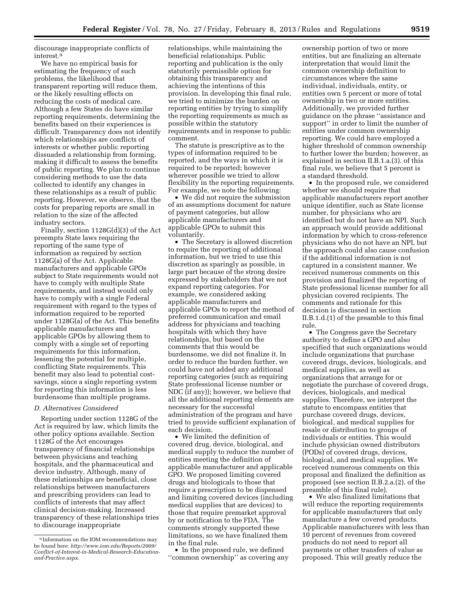discourage inappropriate conflicts of interest.9

We have no empirical basis for estimating the frequency of such problems, the likelihood that transparent reporting will reduce them, or the likely resulting effects on reducing the costs of medical care. Although a few States do have similar reporting requirements, determining the benefits based on their experiences is difficult. Transparency does not identify which relationships are conflicts of interests or whether public reporting dissuaded a relationship from forming, making it difficult to assess the benefits of public reporting. We plan to continue considering methods to use the data collected to identify any changes in these relationships as a result of public reporting. However, we observe, that the costs for preparing reports are small in relation to the size of the affected industry sectors.

Finally, section 1128G(d)(3) of the Act preempts State laws requiring the reporting of the same type of information as required by section 1128G(a) of the Act. Applicable manufacturers and applicable GPOs subject to State requirements would not have to comply with multiple State requirements, and instead would only have to comply with a single Federal requirement with regard to the types of information required to be reported under 1128G(a) of the Act. This benefits applicable manufacturers and applicable GPOs by allowing them to comply with a single set of reporting requirements for this information, lessening the potential for multiple, conflicting State requirements. This benefit may also lead to potential costsavings, since a single reporting system for reporting this information is less burdensome than multiple programs.

#### *D. Alternatives Considered*

Reporting under section 1128G of the Act is required by law, which limits the other policy options available. Section 1128G of the Act encourages transparency of financial relationships between physicians and teaching hospitals, and the pharmaceutical and device industry. Although, many of these relationships are beneficial, close relationships between manufacturers and prescribing providers can lead to conflicts of interests that may affect clinical decision-making. Increased transparency of these relationships tries to discourage inappropriate

relationships, while maintaining the beneficial relationships. Public reporting and publication is the only statutorily permissible option for obtaining this transparency and achieving the intentions of this provision. In developing this final rule, we tried to minimize the burden on reporting entities by trying to simplify the reporting requirements as much as possible within the statutory requirements and in response to public comment.

The statute is prescriptive as to the types of information required to be reported, and the ways in which it is required to be reported; however wherever possible we tried to allow flexibility in the reporting requirements. For example, we note the following:

We did not require the submission of an assumptions document for nature of payment categories, but allow applicable manufacturers and applicable GPOs to submit this voluntarily.

• The Secretary is allowed discretion to require the reporting of additional information, but we tried to use this discretion as sparingly as possible, in large part because of the strong desire expressed by stakeholders that we not expand reporting categories. For example, we considered asking applicable manufacturers and applicable GPOs to report the method of preferred communication and email address for physicians and teaching hospitals with which they have relationships, but based on the comments that this would be burdensome, we did not finalize it. In order to reduce the burden further, we could have not added any additional reporting categories (such as requiring State professional license number or NDC (if any)); however, we believe that all the additional reporting elements are necessary for the successful administration of the program and have tried to provide sufficient explanation of each decision.

• We limited the definition of covered drug, device, biological, and medical supply to reduce the number of entities meeting the definition of applicable manufacturer and applicable GPO. We proposed limiting covered drugs and biologicals to those that require a prescription to be dispensed and limiting covered devices (including medical supplies that are devices) to those that require premarket approval by or notification to the FDA. The comments strongly supported these limitations, so we have finalized them in the final rule.

• In the proposed rule, we defined ''common ownership'' as covering any

ownership portion of two or more entities, but are finalizing an alternate interpretation that would limit the common ownership definition to circumstances where the same individual, individuals, entity, or entities own 5 percent or more of total ownership in two or more entities. Additionally, we provided further guidance on the phrase ''assistance and support'' in order to limit the number of entities under common ownership reporting. We could have employed a higher threshold of common ownership to further lower the burden; however, as explained in section II.B.1.a.(3). of this final rule, we believe that 5 percent is a standard threshold.

• In the proposed rule, we considered whether we should require that applicable manufacturers report another unique identifier, such as State license number, for physicians who are identified but do not have an NPI. Such an approach would provide additional information by which to cross-reference physicians who do not have an NPI, but the approach could also cause confusion if the additional information is not captured in a consistent manner. We received numerous comments on this provision and finalized the reporting of State professional license number for all physician covered recipients. The comments and rationale for this decision is discussed in section II.B.1.d.(1) of the preamble to this final rule.

• The Congress gave the Secretary authority to define a GPO and also specified that such organizations would include organizations that purchase covered drugs, devices, biologicals, and medical supplies, as well as organizations that arrange for or negotiate the purchase of covered drugs, devices, biologicals, and medical supplies. Therefore, we interpret the statute to encompass entities that purchase covered drugs, devices, biological, and medical supplies for resale or distribution to groups of individuals or entities. This would include physician owned distributors (PODs) of covered drugs, devices, biological, and medical supplies. We received numerous comments on this proposal and finalized the definition as proposed (see section II.B.2.a.(2). of the preamble of this final rule).

• We also finalized limitations that will reduce the reporting requirements for applicable manufacturers that only manufacture a few covered products. Applicable manufacturers with less than 10 percent of revenues from covered products do not need to report all payments or other transfers of value as proposed. This will greatly reduce the

<sup>9</sup> Information on the IOM recommendations may be found here: *[http://www.iom.edu/Reports/2009/](http://www.iom.edu/Reports/2009/Conflict-of-Interest-in-Medical-Research-Education-and-Practice.aspx) [Conflict-of-Interest-in-Medical-Research-Education](http://www.iom.edu/Reports/2009/Conflict-of-Interest-in-Medical-Research-Education-and-Practice.aspx)[and-Practice.aspx.](http://www.iom.edu/Reports/2009/Conflict-of-Interest-in-Medical-Research-Education-and-Practice.aspx)*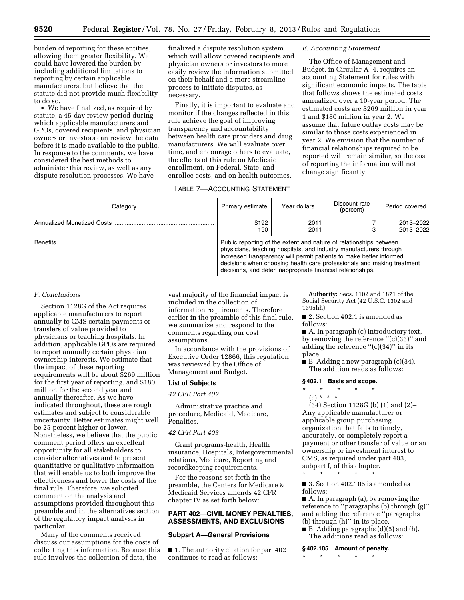burden of reporting for these entities, allowing them greater flexibility. We could have lowered the burden by including additional limitations to reporting by certain applicable manufacturers, but believe that the statute did not provide much flexibility to do so.

• We have finalized, as required by statute, a 45-day review period during which applicable manufacturers and GPOs, covered recipients, and physician owners or investors can review the data before it is made available to the public. In response to the comments, we have considered the best methods to administer this review, as well as any dispute resolution processes. We have

finalized a dispute resolution system which will allow covered recipients and physician owners or investors to more easily review the information submitted on their behalf and a more streamline process to initiate disputes, as necessary.

Finally, it is important to evaluate and monitor if the changes reflected in this rule achieve the goal of improving transparency and accountability between health care providers and drug manufacturers. We will evaluate over time, and encourage others to evaluate, the effects of this rule on Medicaid enrollment, on Federal, State, and enrollee costs, and on health outcomes.

# TABLE 7—ACCOUNTING STATEMENT

# *E. Accounting Statement*

The Office of Management and Budget, in Circular A–4, requires an accounting Statement for rules with significant economic impacts. The table that follows shows the estimated costs annualized over a 10-year period. The estimated costs are \$269 million in year 1 and \$180 million in year 2. We assume that future outlay costs may be similar to those costs experienced in year 2. We envision that the number of financial relationships required to be reported will remain similar, so the cost of reporting the information will not change significantly.

| Category        | Primary estimate                                                                                                                                                                                                                                                                                                                                         | Year dollars | Discount rate<br>(percent) | Period covered         |
|-----------------|----------------------------------------------------------------------------------------------------------------------------------------------------------------------------------------------------------------------------------------------------------------------------------------------------------------------------------------------------------|--------------|----------------------------|------------------------|
|                 | \$192<br>190                                                                                                                                                                                                                                                                                                                                             | 2011<br>2011 |                            | 2013-2022<br>2013-2022 |
| <b>Benefits</b> | Public reporting of the extent and nature of relationships between<br>physicians, teaching hospitals, and industry manufacturers through<br>increased transparency will permit patients to make better informed<br>decisions when choosing health care professionals and making treatment<br>decisions, and deter inappropriate financial relationships. |              |                            |                        |

## *F. Conclusions*

Section 1128G of the Act requires applicable manufacturers to report annually to CMS certain payments or transfers of value provided to physicians or teaching hospitals. In addition, applicable GPOs are required to report annually certain physician ownership interests. We estimate that the impact of these reporting requirements will be about \$269 million for the first year of reporting, and \$180 million for the second year and annually thereafter. As we have indicated throughout, these are rough estimates and subject to considerable uncertainty. Better estimates might well be 25 percent higher or lower. Nonetheless, we believe that the public comment period offers an excellent opportunity for all stakeholders to consider alternatives and to present quantitative or qualitative information that will enable us to both improve the effectiveness and lower the costs of the final rule. Therefore, we solicited comment on the analysis and assumptions provided throughout this preamble and in the alternatives section of the regulatory impact analysis in particular.

Many of the comments received discuss our assumptions for the costs of collecting this information. Because this rule involves the collection of data, the

vast majority of the financial impact is included in the collection of information requirements. Therefore earlier in the preamble of this final rule, we summarize and respond to the comments regarding our cost assumptions.

In accordance with the provisions of Executive Order 12866, this regulation was reviewed by the Office of Management and Budget.

## **List of Subjects**

## *42 CFR Part 402*

Administrative practice and procedure, Medicaid, Medicare, Penalties.

#### *42 CFR Part 403*

Grant programs-health, Health insurance, Hospitals, Intergovernmental relations, Medicare, Reporting and recordkeeping requirements.

For the reasons set forth in the preamble, the Centers for Medicare & Medicaid Services amends 42 CFR chapter IV as set forth below:

## **PART 402—CIVIL MONEY PENALTIES, ASSESSMENTS, AND EXCLUSIONS**

#### **Subpart A—General Provisions**

■ 1. The authority citation for part 402 continues to read as follows:

**Authority:** Secs. 1102 and 1871 of the Social Security Act (42 U.S.C. 1302 and 1395hh).

■ 2. Section 402.1 is amended as follows:

■ A. In paragraph (c) introductory text, by removing the reference ''(c)(33)'' and adding the reference "(c)(34)" in its place.

■ B. Adding a new paragraph (c)(34). The addition reads as follows:

#### **§ 402.1 Basis and scope.**

\* \* \* \* \*  $(c) * * * *$ 

(34) Section 1128G (b) (1) and (2)– Any applicable manufacturer or applicable group purchasing organization that fails to timely, accurately, or completely report a payment or other transfer of value or an ownership or investment interest to CMS, as required under part 403, subpart I, of this chapter.

\* \* \* \* \*

■ 3. Section 402.105 is amended as follows:

■ A. In paragraph (a), by removing the reference to ''paragraphs (b) through (g)'' and adding the reference ''paragraphs (b) through (h)'' in its place.

■ B. Adding paragraphs (d)(5) and (h). The additions read as follows:

#### **§ 402.105 Amount of penalty.**

\* \* \* \* \*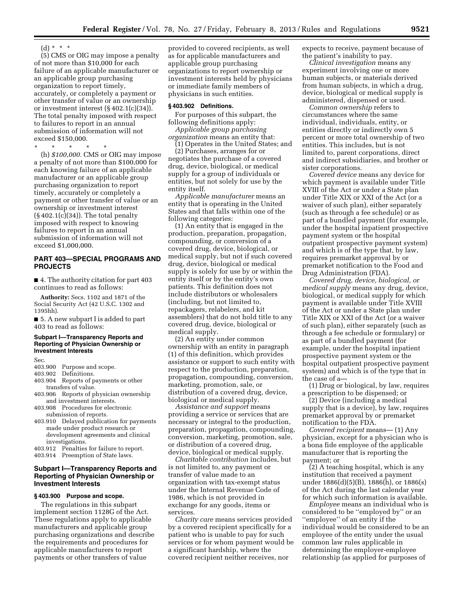$(d) * * * *$ 

(5) CMS or OIG may impose a penalty of not more than \$10,000 for each failure of an applicable manufacturer or an applicable group purchasing organization to report timely, accurately, or completely a payment or other transfer of value or an ownership or investment interest (§ 402.1(c)(34)). The total penalty imposed with respect to failures to report in an annual submission of information will not exceed \$150,000.

\* \* \* \* \*

(h) *\$100,000.* CMS or OIG may impose a penalty of not more than \$100,000 for each knowing failure of an applicable manufacturer or an applicable group purchasing organization to report timely, accurately or completely a payment or other transfer of value or an ownership or investment interest (§ 402.1(c)(34)). The total penalty imposed with respect to knowing failures to report in an annual submission of information will not exceed \$1,000,000.

# **PART 403—SPECIAL PROGRAMS AND PROJECTS**

■ 4. The authority citation for part 403 continues to read as follows:

**Authority:** Secs. 1102 and 1871 of the Social Security Act (42 U.S.C. 1302 and 1395hh).

■ 5. A new subpart I is added to part 403 to read as follows:

#### **Subpart I—Transparency Reports and Reporting of Physician Ownership or Investment Interests**

Sec.

# 403.900 Purpose and scope.<br>403.902 Definitions.

- Definitions.
- 403.904 Reports of payments or other transfers of value.
- 403.906 Reports of physician ownership and investment interests.
- 403.908 Procedures for electronic submission of reports.
- 403.910 Delayed publication for payments made under product research or development agreements and clinical investigations.
- 403.912 Penalties for failure to report.
- 403.914 Preemption of State laws.

## **Subpart I—Transparency Reports and Reporting of Physician Ownership or Investment Interests**

## **§ 403.900 Purpose and scope.**

The regulations in this subpart implement section 1128G of the Act. These regulations apply to applicable manufacturers and applicable group purchasing organizations and describe the requirements and procedures for applicable manufacturers to report payments or other transfers of value

provided to covered recipients, as well as for applicable manufacturers and applicable group purchasing organizations to report ownership or investment interests held by physicians or immediate family members of physicians in such entities.

### **§ 403.902 Definitions.**

For purposes of this subpart, the following definitions apply:

*Applicable group purchasing organization* means an entity that: (1) Operates in the United States; and

(2) Purchases, arranges for or negotiates the purchase of a covered drug, device, biological, or medical supply for a group of individuals or entities, but not solely for use by the entity itself.

*Applicable manufacturer* means an entity that is operating in the United States and that falls within one of the following categories:

(1) An entity that is engaged in the production, preparation, propagation, compounding, or conversion of a covered drug, device, biological, or medical supply, but not if such covered drug, device, biological or medical supply is solely for use by or within the entity itself or by the entity's own patients. This definition does not include distributors or wholesalers (including, but not limited to, repackagers, relabelers, and kit assemblers) that do not hold title to any covered drug, device, biological or medical supply.

(2) An entity under common ownership with an entity in paragraph (1) of this definition, which provides assistance or support to such entity with respect to the production, preparation, propagation, compounding, conversion, marketing, promotion, sale, or distribution of a covered drug, device, biological or medical supply.

*Assistance and support* means providing a service or services that are necessary or integral to the production, preparation, propagation, compounding, conversion, marketing, promotion, sale, or distribution of a covered drug, device, biological or medical supply.

*Charitable contribution* includes, but is not limited to, any payment or transfer of value made to an organization with tax-exempt status under the Internal Revenue Code of 1986, which is not provided in exchange for any goods, items or services.

*Charity care* means services provided by a covered recipient specifically for a patient who is unable to pay for such services or for whom payment would be a significant hardship, where the covered recipient neither receives, nor

expects to receive, payment because of the patient's inability to pay.

*Clinical investigation* means any experiment involving one or more human subjects, or materials derived from human subjects, in which a drug, device, biological or medical supply is administered, dispensed or used.

*Common ownership* refers to circumstances where the same individual, individuals, entity, or entities directly or indirectly own 5 percent or more total ownership of two entities. This includes, but is not limited to, parent corporations, direct and indirect subsidiaries, and brother or sister corporations.

*Covered device* means any device for which payment is available under Title XVIII of the Act or under a State plan under Title XIX or XXI of the Act (or a waiver of such plan), either separately (such as through a fee schedule) or as part of a bundled payment (for example, under the hospital inpatient prospective payment system or the hospital outpatient prospective payment system) and which is of the type that, by law, requires premarket approval by or premarket notification to the Food and Drug Administration (FDA).

*Covered drug, device, biological, or medical supply* means any drug, device, biological, or medical supply for which payment is available under Title XVIII of the Act or under a State plan under Title XIX or XXI of the Act (or a waiver of such plan), either separately (such as through a fee schedule or formulary) or as part of a bundled payment (for example, under the hospital inpatient prospective payment system or the hospital outpatient prospective payment system) and which is of the type that in the case of a—

(1) Drug or biological, by law, requires a prescription to be dispensed; or

(2) Device (including a medical supply that is a device), by law, requires premarket approval by or premarket notification to the FDA.

*Covered recipient* means— (1) Any physician, except for a physician who is a bona fide employee of the applicable manufacturer that is reporting the payment; or

(2) A teaching hospital, which is any institution that received a payment under 1886(d)(5)(B), 1886(h), or 1886(s) of the Act during the last calendar year for which such information is available.

*Employee* means an individual who is considered to be ''employed by'' or an ''employee'' of an entity if the individual would be considered to be an employee of the entity under the usual common law rules applicable in determining the employer-employee relationship (as applied for purposes of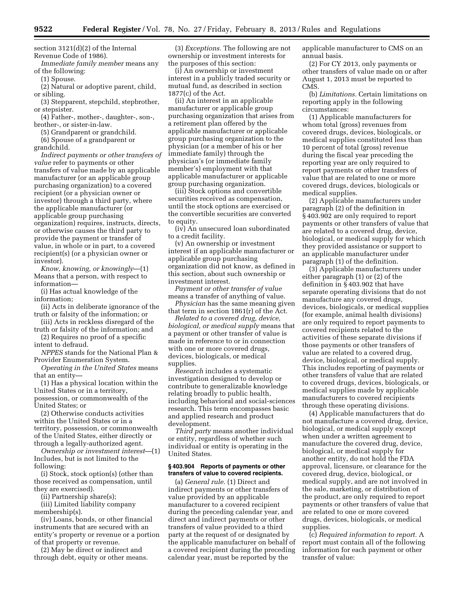section 3121(d)(2) of the Internal Revenue Code of 1986).

*Immediate family member* means any of the following:

(1) Spouse.

(2) Natural or adoptive parent, child, or sibling.

(3) Stepparent, stepchild, stepbrother, or stepsister.

(4) Father-, mother-, daughter-, son-, brother-, or sister-in-law.

(5) Grandparent or grandchild.

(6) Spouse of a grandparent or grandchild.

*Indirect payments or other transfers of value* refer to payments or other transfers of value made by an applicable manufacturer (or an applicable group purchasing organization) to a covered recipient (or a physician owner or investor) through a third party, where the applicable manufacturer (or applicable group purchasing organization) requires, instructs, directs, or otherwise causes the third party to provide the payment or transfer of value, in whole or in part, to a covered recipient(s) (or a physician owner or investor).

*Know, knowing, or knowingly*—(1) Means that a person, with respect to information—

(i) Has actual knowledge of the information;

(ii) Acts in deliberate ignorance of the truth or falsity of the information; or

(iii) Acts in reckless disregard of the truth or falsity of the information; and

(2) Requires no proof of a specific intent to defraud.

*NPPES* stands for the National Plan & Provider Enumeration System.

*Operating in the United States* means that an entity—

(1) Has a physical location within the United States or in a territory, possession, or commonwealth of the United States; or

(2) Otherwise conducts activities within the United States or in a territory, possession, or commonwealth of the United States, either directly or through a legally-authorized agent.

*Ownership or investment interest*—(1) Includes, but is not limited to the following:

(i) Stock, stock option(s) (other than those received as compensation, until they are exercised).

(ii) Partnership share(s);

(iii) Limited liability company membership(s).

(iv) Loans, bonds, or other financial instruments that are secured with an entity's property or revenue or a portion of that property or revenue.

(2) May be direct or indirect and through debt, equity or other means.

(3) *Exceptions.* The following are not ownership or investment interests for the purposes of this section:

(i) An ownership or investment interest in a publicly traded security or mutual fund, as described in section 1877(c) of the Act.

(ii) An interest in an applicable manufacturer or applicable group purchasing organization that arises from a retirement plan offered by the applicable manufacturer or applicable group purchasing organization to the physician (or a member of his or her immediate family) through the physician's (or immediate family member's) employment with that applicable manufacturer or applicable group purchasing organization.

(iii) Stock options and convertible securities received as compensation, until the stock options are exercised or the convertible securities are converted to equity.

(iv) An unsecured loan subordinated to a credit facility.

(v) An ownership or investment interest if an applicable manufacturer or applicable group purchasing organization did not know, as defined in this section, about such ownership or investment interest.

*Payment or other transfer of value*  means a transfer of anything of value.

*Physician* has the same meaning given that term in section 1861(r) of the Act.

*Related to a covered drug, device, biological, or medical supply* means that a payment or other transfer of value is made in reference to or in connection with one or more covered drugs, devices, biologicals, or medical supplies.

*Research* includes a systematic investigation designed to develop or contribute to generalizable knowledge relating broadly to public health, including behavioral and social-sciences research. This term encompasses basic and applied research and product development.

*Third party* means another individual or entity, regardless of whether such individual or entity is operating in the United States.

#### **§ 403.904 Reports of payments or other transfers of value to covered recipients.**

(a) *General rule.* (1) Direct and indirect payments or other transfers of value provided by an applicable manufacturer to a covered recipient during the preceding calendar year, and direct and indirect payments or other transfers of value provided to a third party at the request of or designated by the applicable manufacturer on behalf of a covered recipient during the preceding calendar year, must be reported by the

applicable manufacturer to CMS on an annual basis.

(2) For CY 2013, only payments or other transfers of value made on or after August 1, 2013 must be reported to CMS.

(b) *Limitations.* Certain limitations on reporting apply in the following circumstances:

(1) Applicable manufacturers for whom total (gross) revenues from covered drugs, devices, biologicals, or medical supplies constituted less than 10 percent of total (gross) revenue during the fiscal year preceding the reporting year are only required to report payments or other transfers of value that are related to one or more covered drugs, devices, biologicals or medical supplies.

(2) Applicable manufacturers under paragraph (2) of the definition in § 403.902 are only required to report payments or other transfers of value that are related to a covered drug, device, biological, or medical supply for which they provided assistance or support to an applicable manufacturer under paragraph (1) of the definition.

(3) Applicable manufacturers under either paragraph (1) or (2) of the definition in § 403.902 that have separate operating divisions that do not manufacture any covered drugs, devices, biologicals, or medical supplies (for example, animal health divisions) are only required to report payments to covered recipients related to the activities of these separate divisions if those payments or other transfers of value are related to a covered drug, device, biological, or medical supply. This includes reporting of payments or other transfers of value that are related to covered drugs, devices, biologicals, or medical supplies made by applicable manufacturers to covered recipients through these operating divisions.

(4) Applicable manufacturers that do not manufacture a covered drug, device, biological, or medical supply except when under a written agreement to manufacture the covered drug, device, biological, or medical supply for another entity, do not hold the FDA approval, licensure, or clearance for the covered drug, device, biological, or medical supply, and are not involved in the sale, marketing, or distribution of the product, are only required to report payments or other transfers of value that are related to one or more covered drugs, devices, biologicals, or medical supplies.

(c) *Required information to report.* A report must contain all of the following information for each payment or other transfer of value: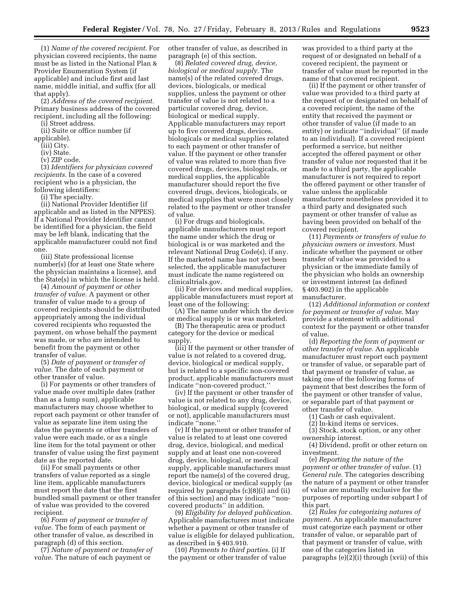(1) *Name of the covered recipient.* For physician covered recipients, the name must be as listed in the National Plan & Provider Enumeration System (if applicable) and include first and last name, middle initial, and suffix (for all that apply).

(2) *Address of the covered recipient.*  Primary business address of the covered recipient, including all the following: (i) Street address.

(ii) Suite or office number (if

applicable).

(iii) City.

(iv) State.

(v) ZIP code.

(3) *Identifiers for physician covered recipients.* In the case of a covered recipient who is a physician, the following identifiers:

(i) The specialty.

(ii) National Provider Identifier (if applicable and as listed in the NPPES). If a National Provider Identifier cannot be identified for a physician, the field may be left blank, indicating that the applicable manufacturer could not find one.

(iii) State professional license number(s) (for at least one State where the physician maintains a license), and the State(s) in which the license is held.

(4) *Amount of payment or other transfer of value.* A payment or other transfer of value made to a group of covered recipients should be distributed appropriately among the individual covered recipients who requested the payment, on whose behalf the payment was made, or who are intended to benefit from the payment or other transfer of value.

(5) *Date of payment or transfer of value.* The date of each payment or other transfer of value.

(i) For payments or other transfers of value made over multiple dates (rather than as a lump sum), applicable manufacturers may choose whether to report each payment or other transfer of value as separate line item using the dates the payments or other transfers of value were each made, or as a single line item for the total payment or other transfer of value using the first payment date as the reported date.

(ii) For small payments or other transfers of value reported as a single line item, applicable manufacturers must report the date that the first bundled small payment or other transfer of value was provided to the covered recipient.

(6) *Form of payment or transfer of value.* The form of each payment or other transfer of value, as described in paragraph (d) of this section.

(7) *Nature of payment or transfer of value.* The nature of each payment or

other transfer of value, as described in paragraph (e) of this section.

(8) *Related covered drug, device, biological or medical supply.* The name(s) of the related covered drugs, devices, biologicals, or medical supplies, unless the payment or other transfer of value is not related to a particular covered drug, device, biological or medical supply. Applicable manufacturers may report up to five covered drugs, devices, biologicals or medical supplies related to each payment or other transfer of value. If the payment or other transfer of value was related to more than five covered drugs, devices, biologicals, or medical supplies, the applicable manufacturer should report the five covered drugs, devices, biologicals, or medical supplies that were most closely related to the payment or other transfer of value.

(i) For drugs and biologicals, applicable manufacturers must report the name under which the drug or biological is or was marketed and the relevant National Drug Code(s), if any. If the marketed name has not yet been selected, the applicable manufacturer must indicate the name registered on clinicaltrials.gov.

(ii) For devices and medical supplies, applicable manufacturers must report at least one of the following:

(A) The name under which the device or medical supply is or was marketed.

(B) The therapeutic area or product category for the device or medical supply.

(iii) If the payment or other transfer of value is not related to a covered drug, device, biological or medical supply, but is related to a specific non-covered product, applicable manufacturers must indicate ''non-covered product.''

(iv) If the payment or other transfer of value is not related to any drug, device, biological, or medical supply (covered or not), applicable manufacturers must indicate ''none.''

(v) If the payment or other transfer of value is related to at least one covered drug, device, biological, and medical supply and at least one non-covered drug, device, biological, or medical supply, applicable manufacturers must report the name(s) of the covered drug, device, biological or medical supply (as required by paragraphs (c)(8)(i) and (ii) of this section) and may indicate ''noncovered products'' in addition.

(9) *Eligibility for delayed publication.*  Applicable manufacturers must indicate whether a payment or other transfer of value is eligible for delayed publication, as described in § 403.910.

(10) *Payments to third parties.* (i) If the payment or other transfer of value

was provided to a third party at the request of or designated on behalf of a covered recipient, the payment or transfer of value must be reported in the name of that covered recipient.

(ii) If the payment or other transfer of value was provided to a third party at the request of or designated on behalf of a covered recipient, the name of the entity that received the payment or other transfer of value (if made to an entity) or indicate ''individual'' (if made to an individual). If a covered recipient performed a service, but neither accepted the offered payment or other transfer of value nor requested that it be made to a third party, the applicable manufacturer is not required to report the offered payment or other transfer of value unless the applicable manufacturer nonetheless provided it to a third party and designated such payment or other transfer of value as having been provided on behalf of the covered recipient.

(11) *Payments or transfers of value to physician owners or investors.* Must indicate whether the payment or other transfer of value was provided to a physician or the immediate family of the physician who holds an ownership or investment interest (as defined § 403.902) in the applicable manufacturer.

(12) *Additional information or context for payment or transfer of value.* May provide a statement with additional context for the payment or other transfer of value.

(d) *Reporting the form of payment or other transfer of value.* An applicable manufacturer must report each payment or transfer of value, or separable part of that payment or transfer of value, as taking one of the following forms of payment that best describes the form of the payment or other transfer of value, or separable part of that payment or other transfer of value.

(1) Cash or cash equivalent.

(2) In-kind items or services.

(3) Stock, stock option, or any other ownership interest.

(4) Dividend, profit or other return on investment.

(e) *Reporting the nature of the payment or other transfer of value.* (1)

*General rule.* The categories describing the nature of a payment or other transfer of value are mutually exclusive for the purposes of reporting under subpart I of this part.

(2) *Rules for categorizing natures of payment.* An applicable manufacturer must categorize each payment or other transfer of value, or separable part of that payment or transfer of value, with one of the categories listed in paragraphs (e)(2)(i) through (xvii) of this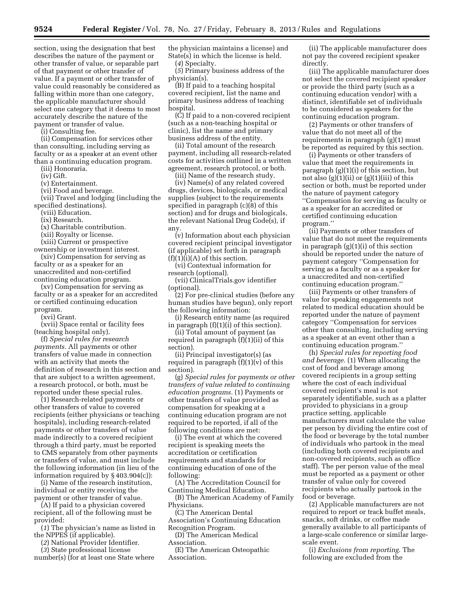section, using the designation that best describes the nature of the payment or other transfer of value, or separable part of that payment or other transfer of value. If a payment or other transfer of value could reasonably be considered as falling within more than one category, the applicable manufacturer should select one category that it deems to most accurately describe the nature of the payment or transfer of value.

(i) Consulting fee.

(ii) Compensation for services other than consulting, including serving as faculty or as a speaker at an event other than a continuing education program.

(iii) Honoraria.

(iv) Gift.

(v) Entertainment.

(vi) Food and beverage.

(vii) Travel and lodging (including the specified destinations).

(viii) Education.

(ix) Research.

(x) Charitable contribution.

(xii) Royalty or license.

(xiii) Current or prospective

ownership or investment interest. (xiv) Compensation for serving as faculty or as a speaker for an unaccredited and non-certified continuing education program.

(xv) Compensation for serving as faculty or as a speaker for an accredited or certified continuing education program.

(xvi) Grant.

(xvii) Space rental or facility fees (teaching hospital only).

(f) *Special rules for research payments.* All payments or other transfers of value made in connection with an activity that meets the definition of research in this section and that are subject to a written agreement, a research protocol, or both, must be reported under these special rules.

(1) Research-related payments or other transfers of value to covered recipients (either physicians or teaching hospitals), including research-related payments or other transfers of value made indirectly to a covered recipient through a third party, must be reported to CMS separately from other payments or transfers of value, and must include the following information (in lieu of the information required by § 403.904(c)):

(i) Name of the research institution, individual or entity receiving the payment or other transfer of value.

(A) If paid to a physician covered recipient, all of the following must be provided:

(*1*) The physician's name as listed in the NPPES (if applicable).

(*2*) National Provider Identifier.

(*3*) State professional license

number(s) (for at least one State where

the physician maintains a license) and State(s) in which the license is held. (*4*) Specialty.

(*5*) Primary business address of the physician(s).

(B) If paid to a teaching hospital covered recipient, list the name and primary business address of teaching hospital.

(C) If paid to a non-covered recipient (such as a non-teaching hospital or clinic), list the name and primary business address of the entity.

(ii) Total amount of the research payment, including all research-related costs for activities outlined in a written agreement, research protocol, or both.

(iii) Name of the research study.

(iv) Name(s) of any related covered drugs, devices, biologicals, or medical supplies (subject to the requirements specified in paragraph (c)(8) of this section) and for drugs and biologicals, the relevant National Drug Code(s), if any.

(v) Information about each physician covered recipient principal investigator (if applicable) set forth in paragraph  $(f)(1)(i)(A)$  of this section.

(vi) Contextual information for research (optional).

(vii) ClinicalTrials.gov identifier (optional).

(2) For pre-clinical studies (before any human studies have begun), only report the following information:

(i) Research entity name (as required in paragraph (f)(1)(i) of this section).

(ii) Total amount of payment (as required in paragraph (f)(1)(ii) of this section).

(ii) Principal investigator(s) (as required in paragraph (f)(1)(v) of this section).

(g) *Special rules for payments or other transfers of value related to continuing education programs.* (1) Payments or other transfers of value provided as compensation for speaking at a continuing education program are not required to be reported, if all of the following conditions are met:

(i) The event at which the covered recipient is speaking meets the accreditation or certification requirements and standards for continuing education of one of the following:

(A) The Accreditation Council for Continuing Medical Education.

(B) The American Academy of Family Physicians.

(C) The American Dental Association's Continuing Education Recognition Program.

(D) The American Medical Association.

(E) The American Osteopathic Association.

(ii) The applicable manufacturer does not pay the covered recipient speaker directly.

(iii) The applicable manufacturer does not select the covered recipient speaker or provide the third party (such as a continuing education vendor) with a distinct, identifiable set of individuals to be considered as speakers for the continuing education program.

(2) Payments or other transfers of value that do not meet all of the requirements in paragraph (g)(1) must be reported as required by this section.

(i) Payments or other transfers of value that meet the requirements in paragraph (g)(1)(i) of this section, but not also  $(g)(1)(ii)$  or  $(g)(1)(iii)$  of this section or both, must be reported under the nature of payment category ''Compensation for serving as faculty or as a speaker for an accredited or certified continuing education program.''

(ii) Payments or other transfers of value that do not meet the requirements in paragraph (g)(1)(i) of this section should be reported under the nature of payment category ''Compensation for serving as a faculty or as a speaker for a unaccredited and non-certified continuing education program.''

(iii) Payments or other transfers of value for speaking engagements not related to medical education should be reported under the nature of payment category ''Compensation for services other than consulting, including serving as a speaker at an event other than a continuing education program.''

(h) *Special rules for reporting food and beverage.* (1) When allocating the cost of food and beverage among covered recipients in a group setting where the cost of each individual covered recipient's meal is not separately identifiable, such as a platter provided to physicians in a group practice setting, applicable manufacturers must calculate the value per person by dividing the entire cost of the food or beverage by the total number of individuals who partook in the meal (including both covered recipients and non-covered recipients, such as office staff). The per person value of the meal must be reported as a payment or other transfer of value only for covered recipients who actually partook in the food or beverage.

(2) Applicable manufacturers are not required to report or track buffet meals, snacks, soft drinks, or coffee made generally available to all participants of a large-scale conference or similar largescale event.

(i) *Exclusions from reporting.* The following are excluded from the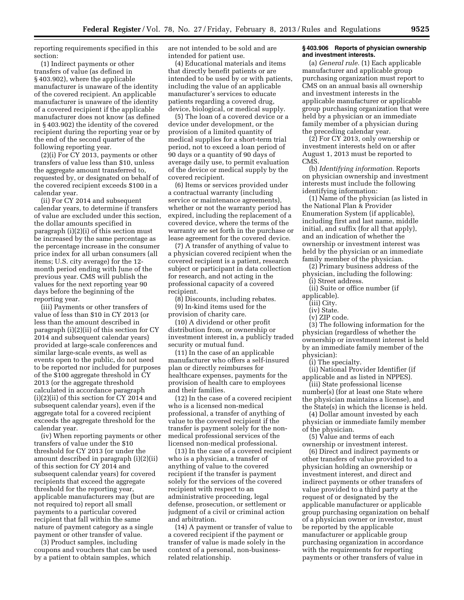reporting requirements specified in this section:

(1) Indirect payments or other transfers of value (as defined in § 403.902), where the applicable manufacturer is unaware of the identity of the covered recipient. An applicable manufacturer is unaware of the identity of a covered recipient if the applicable manufacturer does not know (as defined in § 403.902) the identity of the covered recipient during the reporting year or by the end of the second quarter of the following reporting year.

(2)(i) For CY 2013, payments or other transfers of value less than \$10, unless the aggregate amount transferred to, requested by, or designated on behalf of the covered recipient exceeds \$100 in a calendar year.

(ii) For CY 2014 and subsequent calendar years, to determine if transfers of value are excluded under this section, the dollar amounts specified in paragraph (i)(2)(i) of this section must be increased by the same percentage as the percentage increase in the consumer price index for all urban consumers (all items; U.S. city average) for the 12 month period ending with June of the previous year. CMS will publish the values for the next reporting year 90 days before the beginning of the reporting year.

(iii) Payments or other transfers of value of less than \$10 in CY 2013 (or less than the amount described in paragraph (i)(2)(ii) of this section for CY 2014 and subsequent calendar years) provided at large-scale conferences and similar large-scale events, as well as events open to the public, do not need to be reported nor included for purposes of the \$100 aggregate threshold in CY 2013 (or the aggregate threshold calculated in accordance paragraph (i)(2)(ii) of this section for CY 2014 and subsequent calendar years), even if the aggregate total for a covered recipient exceeds the aggregate threshold for the calendar year.

(iv) When reporting payments or other transfers of value under the \$10 threshold for CY 2013 (or under the amount described in paragraph (i)(2)(ii) of this section for CY 2014 and subsequent calendar years) for covered recipients that exceed the aggregate threshold for the reporting year, applicable manufacturers may (but are not required to) report all small payments to a particular covered recipient that fall within the same nature of payment category as a single payment or other transfer of value.

(3) Product samples, including coupons and vouchers that can be used by a patient to obtain samples, which

are not intended to be sold and are intended for patient use.

(4) Educational materials and items that directly benefit patients or are intended to be used by or with patients, including the value of an applicable manufacturer's services to educate patients regarding a covered drug, device, biological, or medical supply.

(5) The loan of a covered device or a device under development, or the provision of a limited quantity of medical supplies for a short-term trial period, not to exceed a loan period of 90 days or a quantity of 90 days of average daily use, to permit evaluation of the device or medical supply by the covered recipient.

(6) Items or services provided under a contractual warranty (including service or maintenance agreements), whether or not the warranty period has expired, including the replacement of a covered device, where the terms of the warranty are set forth in the purchase or lease agreement for the covered device.

(7) A transfer of anything of value to a physician covered recipient when the covered recipient is a patient, research subject or participant in data collection for research, and not acting in the professional capacity of a covered recipient.

(8) Discounts, including rebates. (9) In-kind items used for the provision of charity care.

(10) A dividend or other profit distribution from, or ownership or investment interest in, a publicly traded security or mutual fund.

(11) In the case of an applicable manufacturer who offers a self-insured plan or directly reimburses for healthcare expenses, payments for the provision of health care to employees and their families.

(12) In the case of a covered recipient who is a licensed non-medical professional, a transfer of anything of value to the covered recipient if the transfer is payment solely for the nonmedical professional services of the licensed non-medical professional.

(13) In the case of a covered recipient who is a physician, a transfer of anything of value to the covered recipient if the transfer is payment solely for the services of the covered recipient with respect to an administrative proceeding, legal defense, prosecution, or settlement or judgment of a civil or criminal action and arbitration.

(14) A payment or transfer of value to a covered recipient if the payment or transfer of value is made solely in the context of a personal, non-businessrelated relationship.

#### **§ 403.906 Reports of physician ownership and investment interests.**

(a) *General rule.* (1) Each applicable manufacturer and applicable group purchasing organization must report to CMS on an annual basis all ownership and investment interests in the applicable manufacturer or applicable group purchasing organization that were held by a physician or an immediate family member of a physician during the preceding calendar year.

(2) For CY 2013, only ownership or investment interests held on or after August 1, 2013 must be reported to CMS.

(b) *Identifying information.* Reports on physician ownership and investment interests must include the following identifying information:

(1) Name of the physician (as listed in the National Plan & Provider Enumeration System (if applicable), including first and last name, middle initial, and suffix (for all that apply), and an indication of whether the ownership or investment interest was held by the physician or an immediate family member of the physician.

(2) Primary business address of the physician, including the following:

- (i) Street address. (ii) Suite or office number (if
- applicable).
	- (iii) City. (iv) State.
	-
	- (v) ZIP code.

(3) The following information for the physician (regardless of whether the ownership or investment interest is held by an immediate family member of the physician):

(i) The specialty.

(ii) National Provider Identifier (if applicable and as listed in NPPES).

(iii) State professional license number(s) (for at least one State where the physician maintains a license), and the State(s) in which the license is held.

(4) Dollar amount invested by each physician or immediate family member of the physician.

(5) Value and terms of each ownership or investment interest.

(6) Direct and indirect payments or other transfers of value provided to a physician holding an ownership or investment interest, and direct and indirect payments or other transfers of value provided to a third party at the request of or designated by the applicable manufacturer or applicable group purchasing organization on behalf of a physician owner or investor, must be reported by the applicable manufacturer or applicable group purchasing organization in accordance with the requirements for reporting payments or other transfers of value in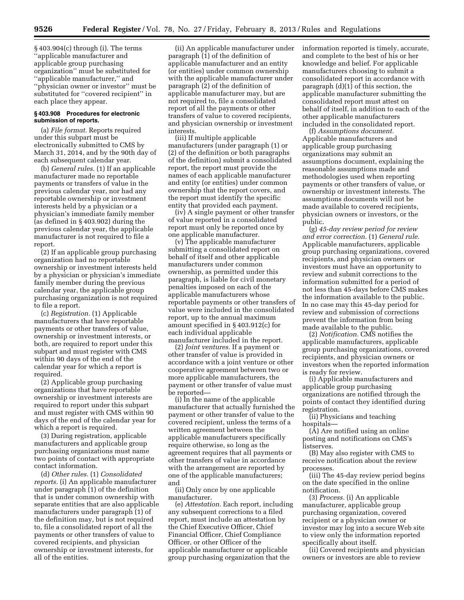§ 403.904(c) through (i). The terms ''applicable manufacturer and applicable group purchasing organization'' must be substituted for ''applicable manufacturer,'' and ''physician owner or investor'' must be substituted for ''covered recipient'' in each place they appear.

#### **§ 403.908 Procedures for electronic submission of reports.**

(a) *File format.* Reports required under this subpart must be electronically submitted to CMS by March 31, 2014, and by the 90th day of each subsequent calendar year.

(b) *General rules.* (1) If an applicable manufacturer made no reportable payments or transfers of value in the previous calendar year, nor had any reportable ownership or investment interests held by a physician or a physician's immediate family member (as defined in § 403.902) during the previous calendar year, the applicable manufacturer is not required to file a report.

(2) If an applicable group purchasing organization had no reportable ownership or investment interests held by a physician or physician's immediate family member during the previous calendar year, the applicable group purchasing organization is not required to file a report.

(c) *Registration.* (1) Applicable manufacturers that have reportable payments or other transfers of value, ownership or investment interests, or both, are required to report under this subpart and must register with CMS within 90 days of the end of the calendar year for which a report is required.

(2) Applicable group purchasing organizations that have reportable ownership or investment interests are required to report under this subpart and must register with CMS within 90 days of the end of the calendar year for which a report is required.

(3) During registration, applicable manufacturers and applicable group purchasing organizations must name two points of contact with appropriate contact information.

(d) *Other rules.* (1) *Consolidated reports.* (i) An applicable manufacturer under paragraph (1) of the definition that is under common ownership with separate entities that are also applicable manufacturers under paragraph (1) of the definition may, but is not required to, file a consolidated report of all the payments or other transfers of value to covered recipients, and physician ownership or investment interests, for all of the entities.

(ii) An applicable manufacturer under paragraph  $(1)$  of the definition of applicable manufacturer and an entity (or entities) under common ownership with the applicable manufacturer under paragraph (2) of the definition of applicable manufacturer may, but are not required to, file a consolidated report of all the payments or other transfers of value to covered recipients, and physician ownership or investment interests.

(iii) If multiple applicable manufacturers (under paragraph (1) or (2) of the definition or both paragraphs of the definition) submit a consolidated report, the report must provide the names of each applicable manufacturer and entity (or entities) under common ownership that the report covers, and the report must identify the specific entity that provided each payment.

(iv) A single payment or other transfer of value reported in a consolidated report must only be reported once by one applicable manufacturer.

(v) The applicable manufacturer submitting a consolidated report on behalf of itself and other applicable manufacturers under common ownership, as permitted under this paragraph, is liable for civil monetary penalties imposed on each of the applicable manufacturers whose reportable payments or other transfers of value were included in the consolidated report, up to the annual maximum amount specified in § 403.912(c) for each individual applicable manufacturer included in the report.

(2) *Joint ventures.* If a payment or other transfer of value is provided in accordance with a joint venture or other cooperative agreement between two or more applicable manufacturers, the payment or other transfer of value must be reported—

(i) In the name of the applicable manufacturer that actually furnished the payment or other transfer of value to the covered recipient, unless the terms of a written agreement between the applicable manufacturers specifically require otherwise, so long as the agreement requires that all payments or other transfers of value in accordance with the arrangement are reported by one of the applicable manufacturers; and

(ii) Only once by one applicable manufacturer.

(e) *Attestation.* Each report, including any subsequent corrections to a filed report, must include an attestation by the Chief Executive Officer, Chief Financial Officer, Chief Compliance Officer, or other Officer of the applicable manufacturer or applicable group purchasing organization that the

information reported is timely, accurate, and complete to the best of his or her knowledge and belief. For applicable manufacturers choosing to submit a consolidated report in accordance with paragraph (d)(1) of this section, the applicable manufacturer submitting the consolidated report must attest on behalf of itself, in addition to each of the other applicable manufacturers included in the consolidated report.

(f) *Assumptions document.*  Applicable manufacturers and applicable group purchasing organizations may submit an assumptions document, explaining the reasonable assumptions made and methodologies used when reporting payments or other transfers of value, or ownership or investment interests. The assumptions documents will not be made available to covered recipients, physician owners or investors, or the public.

(g) *45-day review period for review and error correction.* (1) *General rule.*  Applicable manufacturers, applicable group purchasing organizations, covered recipients, and physician owners or investors must have an opportunity to review and submit corrections to the information submitted for a period of not less than 45-days before CMS makes the information available to the public. In no case may this 45-day period for review and submission of corrections prevent the information from being made available to the public.

(2) *Notification.* CMS notifies the applicable manufacturers, applicable group purchasing organizations, covered recipients, and physician owners or investors when the reported information is ready for review.

(i) Applicable manufacturers and applicable group purchasing organizations are notified through the points of contact they identified during registration.

(ii) Physicians and teaching hospitals—

(A) Are notified using an online posting and notifications on CMS's listserves.

(B) May also register with CMS to receive notification about the review processes.

(iii) The 45-day review period begins on the date specified in the online notification.

(3) *Process.* (i) An applicable manufacturer, applicable group purchasing organization, covered recipient or a physician owner or investor may log into a secure Web site to view only the information reported specifically about itself.

(ii) Covered recipients and physician owners or investors are able to review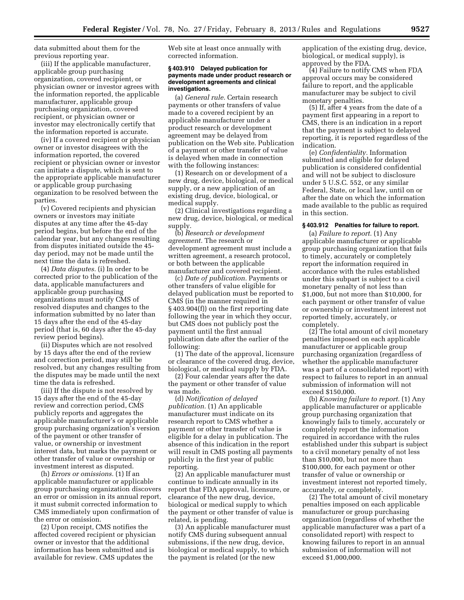data submitted about them for the previous reporting year.

(iii) If the applicable manufacturer, applicable group purchasing organization, covered recipient, or physician owner or investor agrees with the information reported, the applicable manufacturer, applicable group purchasing organization, covered recipient, or physician owner or investor may electronically certify that the information reported is accurate.

(iv) If a covered recipient or physician owner or investor disagrees with the information reported, the covered recipient or physician owner or investor can initiate a dispute, which is sent to the appropriate applicable manufacturer or applicable group purchasing organization to be resolved between the parties.

(v) Covered recipients and physician owners or investors may initiate disputes at any time after the 45-day period begins, but before the end of the calendar year, but any changes resulting from disputes initiated outside the 45 day period, may not be made until the next time the data is refreshed.

(4) *Data disputes.* (i) In order to be corrected prior to the publication of the data, applicable manufacturers and applicable group purchasing organizations must notify CMS of resolved disputes and changes to the information submitted by no later than 15 days after the end of the 45-day period (that is, 60 days after the 45-day review period begins).

(ii) Disputes which are not resolved by 15 days after the end of the review and correction period, may still be resolved, but any changes resulting from the disputes may be made until the next time the data is refreshed.

(iii) If the dispute is not resolved by 15 days after the end of the 45-day review and correction period, CMS publicly reports and aggregates the applicable manufacturer's or applicable group purchasing organization's version of the payment or other transfer of value, or ownership or investment interest data, but marks the payment or other transfer of value or ownership or investment interest as disputed.

(h) *Errors or omissions.* (1) If an applicable manufacturer or applicable group purchasing organization discovers an error or omission in its annual report, it must submit corrected information to CMS immediately upon confirmation of the error or omission.

(2) Upon receipt, CMS notifies the affected covered recipient or physician owner or investor that the additional information has been submitted and is available for review. CMS updates the

Web site at least once annually with corrected information.

#### **§ 403.910 Delayed publication for payments made under product research or development agreements and clinical investigations.**

(a) *General rule.* Certain research payments or other transfers of value made to a covered recipient by an applicable manufacturer under a product research or development agreement may be delayed from publication on the Web site. Publication of a payment or other transfer of value is delayed when made in connection with the following instances:

(1) Research on or development of a new drug, device, biological, or medical supply, or a new application of an existing drug, device, biological, or medical supply.

(2) Clinical investigations regarding a new drug, device, biological, or medical supply.

(b) *Research or development agreement.* The research or development agreement must include a written agreement, a research protocol, or both between the applicable manufacturer and covered recipient.

(c) *Date of publication.* Payments or other transfers of value eligible for delayed publication must be reported to CMS (in the manner required in § 403.904(f)) on the first reporting date following the year in which they occur, but CMS does not publicly post the payment until the first annual publication date after the earlier of the following:

(1) The date of the approval, licensure or clearance of the covered drug, device, biological, or medical supply by FDA.

(2) Four calendar years after the date the payment or other transfer of value was made.

(d) *Notification of delayed publication.* (1) An applicable manufacturer must indicate on its research report to CMS whether a payment or other transfer of value is eligible for a delay in publication. The absence of this indication in the report will result in CMS posting all payments publicly in the first year of public reporting.

(2) An applicable manufacturer must continue to indicate annually in its report that FDA approval, licensure, or clearance of the new drug, device, biological or medical supply to which the payment or other transfer of value is related, is pending.

(3) An applicable manufacturer must notify CMS during subsequent annual submissions, if the new drug, device, biological or medical supply, to which the payment is related (or the new

application of the existing drug, device, biological, or medical supply), is approved by the FDA.

(4) Failure to notify CMS when FDA approval occurs may be considered failure to report, and the applicable manufacturer may be subject to civil monetary penalties.

(5) If, after 4 years from the date of a payment first appearing in a report to CMS, there is an indication in a report that the payment is subject to delayed reporting, it is reported regardless of the indication.

(e) *Confidentiality.* Information submitted and eligible for delayed publication is considered confidential and will not be subject to disclosure under 5 U.S.C. 552, or any similar Federal, State, or local law, until on or after the date on which the information made available to the public as required in this section.

#### **§ 403.912 Penalties for failure to report.**

(a) *Failure to report.* (1) Any applicable manufacturer or applicable group purchasing organization that fails to timely, accurately or completely report the information required in accordance with the rules established under this subpart is subject to a civil monetary penalty of not less than \$1,000, but not more than \$10,000, for each payment or other transfer of value or ownership or investment interest not reported timely, accurately, or completely.

(2) The total amount of civil monetary penalties imposed on each applicable manufacturer or applicable group purchasing organization (regardless of whether the applicable manufacturer was a part of a consolidated report) with respect to failures to report in an annual submission of information will not exceed \$150,000.

(b) *Knowing failure to report.* (1) Any applicable manufacturer or applicable group purchasing organization that knowingly fails to timely, accurately or completely report the information required in accordance with the rules established under this subpart is subject to a civil monetary penalty of not less than \$10,000, but not more than \$100,000, for each payment or other transfer of value or ownership or investment interest not reported timely, accurately, or completely.

(2) The total amount of civil monetary penalties imposed on each applicable manufacturer or group purchasing organization (regardless of whether the applicable manufacturer was a part of a consolidated report) with respect to knowing failures to report in an annual submission of information will not exceed \$1,000,000.